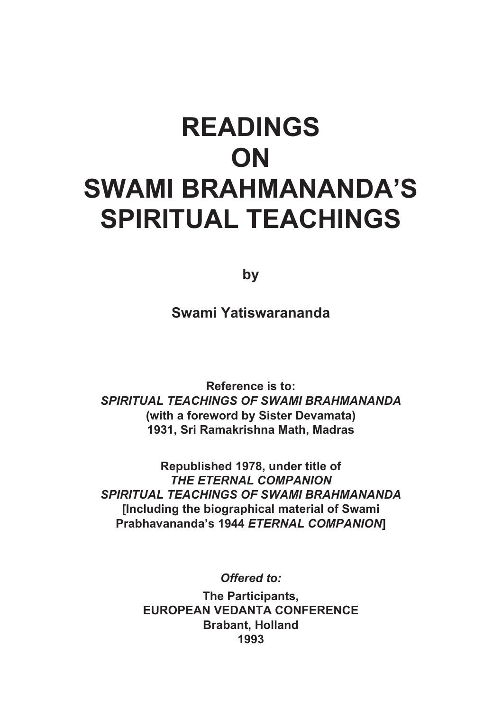# **READINGS ON SWAMI BRAHMANANDA'S SPIRITUAL TEACHINGS**

**by**

**Swami Yatiswarananda**

**Reference is to:** *SPIRITUAL TEACHINGS OF SWAMI BRAHMANANDA* **(with a foreword by Sister Devamata) 1931, Sri Ramakrishna Math, Madras**

**Republished 1978, under title of** *THE ETERNAL COMPANION SPIRITUAL TEACHINGS OF SWAMI BRAHMANANDA* **[Including the biographical material of Swami Prabhavananda's 1944** *ETERNAL COMPANION***]**

*Offered to:*

**The Participants, EUROPEAN VEDANTA CONFERENCE Brabant, Holland 1993**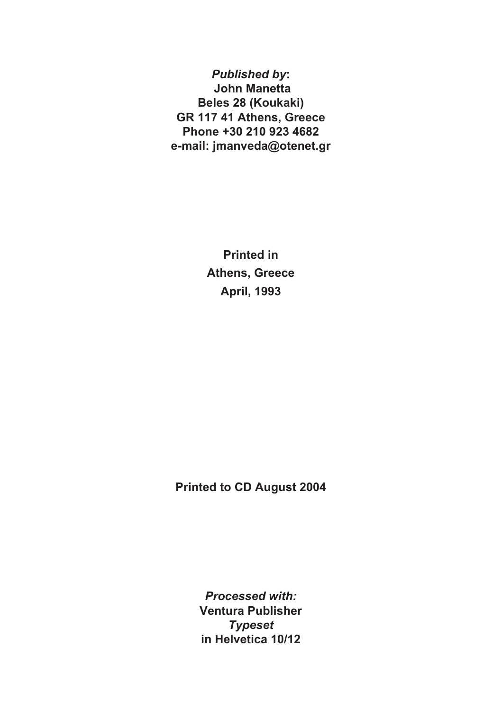*Published by***: John Manetta Beles 28 (Koukaki) GR 117 41 Athens, Greece Phone +30 210 923 4682 e-mail: jmanveda@otenet.gr**

> **Printed in Athens, Greece April, 1993**

## **Printed to CD August 2004**

*Processed with:* **Ventura Publisher** *Typeset* **in Helvetica 10/12**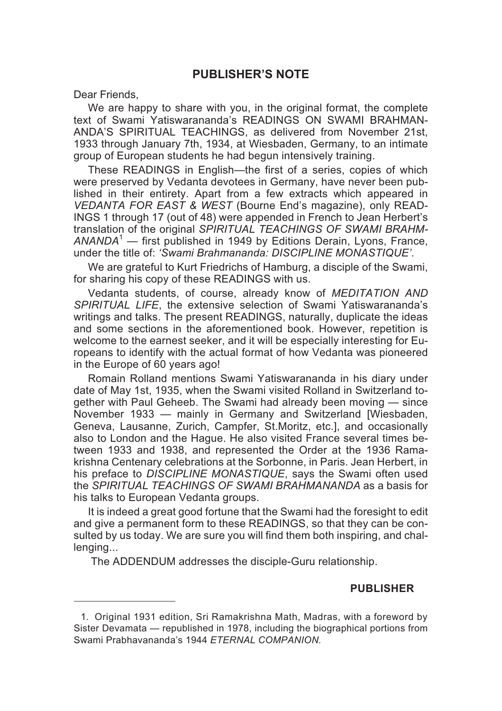#### **PUBLISHER'S NOTE**

Dear Friends,

We are happy to share with you, in the original format, the complete text of Swami Yatiswarananda's READINGS ON SWAMI BRAHMAN-ANDA'S SPIRITUAL TEACHINGS, as delivered from November 21st, 1933 through January 7th, 1934, at Wiesbaden, Germany, to an intimate group of European students he had begun intensively training.

These READINGS in English—the first of a series, copies of which were preserved by Vedanta devotees in Germany, have never been published in their entirety. Apart from a few extracts which appeared in *VEDANTA FOR EAST & WEST* (Bourne End's magazine), only READ-INGS 1 through 17 (out of 48) were appended in French to Jean Herbert's translation of the original *SPIRITUAL TEACHINGS OF SWAMI BRAHM-* $A$ NANDA<sup>1</sup> — first published in 1949 by Editions Derain, Lyons, France, under the title of: *'Swami Brahmananda: DISCIPLINE MONASTIQUE'*.

We are grateful to Kurt Friedrichs of Hamburg, a disciple of the Swami, for sharing his copy of these READINGS with us.

Vedanta students, of course, already know of *MEDITATION AND SPIRITUAL LIFE*, the extensive selection of Swami Yatiswarananda's writings and talks. The present READINGS, naturally, duplicate the ideas and some sections in the aforementioned book. However, repetition is welcome to the earnest seeker, and it will be especially interesting for Europeans to identify with the actual format of how Vedanta was pioneered in the Europe of 60 years ago!

Romain Rolland mentions Swami Yatiswarananda in his diary under date of May 1st, 1935, when the Swami visited Rolland in Switzerland together with Paul Geheeb. The Swami had already been moving — since November 1933 — mainly in Germany and Switzerland [Wiesbaden, Geneva, Lausanne, Zurich, Campfer, St.Moritz, etc.], and occasionally also to London and the Hague. He also visited France several times between 1933 and 1938, and represented the Order at the 1936 Ramakrishna Centenary celebrations at the Sorbonne, in Paris. Jean Herbert, in his preface to *DISCIPLINE MONASTIQUE*, says the Swami often used the *SPIRITUAL TEACHINGS OF SWAMI BRAHMANANDA* as a basis for his talks to European Vedanta groups.

It is indeed a great good fortune that the Swami had the foresight to edit and give a permanent form to these READINGS, so that they can be consulted by us today. We are sure you will find them both inspiring, and challenging...

The ADDENDUM addresses the disciple-Guru relationship.

#### **PUBLISHER**

<sup>1.</sup> Original 1931 edition, Sri Ramakrishna Math, Madras, with a foreword by Sister Devamata — republished in 1978, including the biographical portions from Swami Prabhavananda's 1944 *ETERNAL COMPANION.*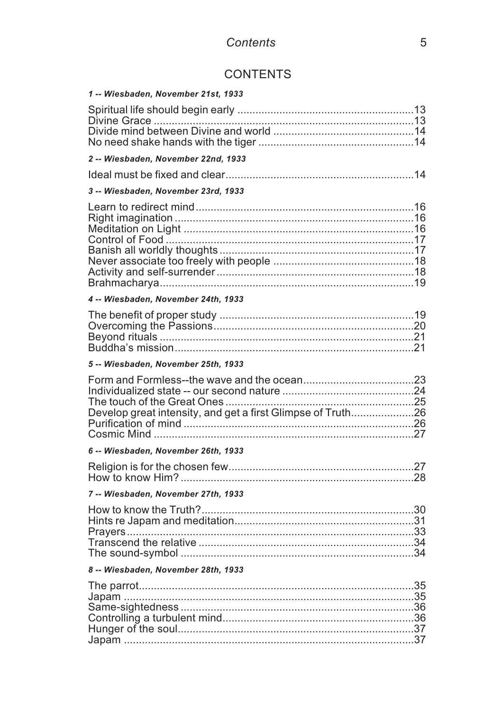# **CONTENTS**

| 1 -- Wiesbaden, November 21st, 1933 |  |
|-------------------------------------|--|
|                                     |  |
|                                     |  |
|                                     |  |
|                                     |  |
| 2 -- Wiesbaden, November 22nd, 1933 |  |
|                                     |  |
| 3 -- Wiesbaden, November 23rd, 1933 |  |
|                                     |  |
|                                     |  |
|                                     |  |
|                                     |  |
|                                     |  |
|                                     |  |
|                                     |  |
| 4 -- Wiesbaden, November 24th, 1933 |  |
|                                     |  |
|                                     |  |
|                                     |  |
|                                     |  |
| 5 -- Wiesbaden, November 25th, 1933 |  |
|                                     |  |
|                                     |  |
|                                     |  |
|                                     |  |
|                                     |  |
| 6 -- Wiesbaden, November 26th, 1933 |  |
|                                     |  |
|                                     |  |
| 7 -- Wiesbaden, November 27th, 1933 |  |
|                                     |  |
|                                     |  |
|                                     |  |
|                                     |  |
| 8 -- Wiesbaden, November 28th, 1933 |  |
|                                     |  |
|                                     |  |
|                                     |  |
|                                     |  |
|                                     |  |
|                                     |  |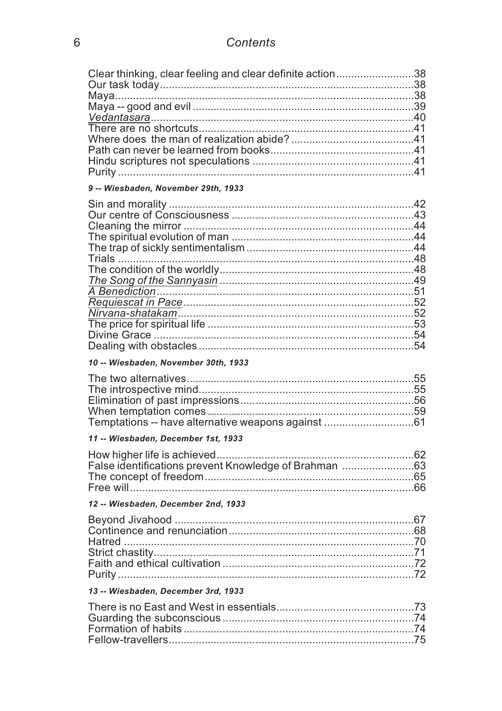| Clear thinking, clear feeling and clear definite action38<br>9 -- Wiesbaden, November 29th, 1933 |  |
|--------------------------------------------------------------------------------------------------|--|
|                                                                                                  |  |
|                                                                                                  |  |
|                                                                                                  |  |
| 10 -- Wiesbaden, November 30th, 1933                                                             |  |
| Temptations -- have alternative weapons against 61                                               |  |
| 11 -- Wiesbaden, December 1st, 1933                                                              |  |
|                                                                                                  |  |
| 12 -- Wiesbaden, December 2nd, 1933                                                              |  |
|                                                                                                  |  |
| 13 -- Wiesbaden, December 3rd, 1933                                                              |  |
|                                                                                                  |  |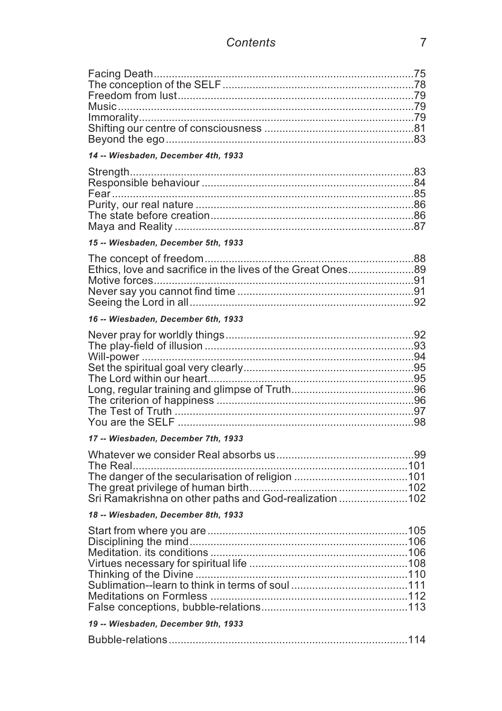#### 14 -- Wiesbaden, December 4th, 1933

#### 15 -- Wiesbaden, December 5th, 1933

| Ethics, love and sacrifice in the lives of the Great Ones89 |  |
|-------------------------------------------------------------|--|
|                                                             |  |
|                                                             |  |
|                                                             |  |

#### 16 -- Wiesbaden, December 6th, 1933

#### 17 -- Wiesbaden, December 7th, 1933

| Sri Ramakrishna on other paths and God-realization 102 |  |
|--------------------------------------------------------|--|

#### 18 -- Wiesbaden, December 8th, 1933

#### 19 -- Wiesbaden, December 9th, 1933

|--|--|--|--|--|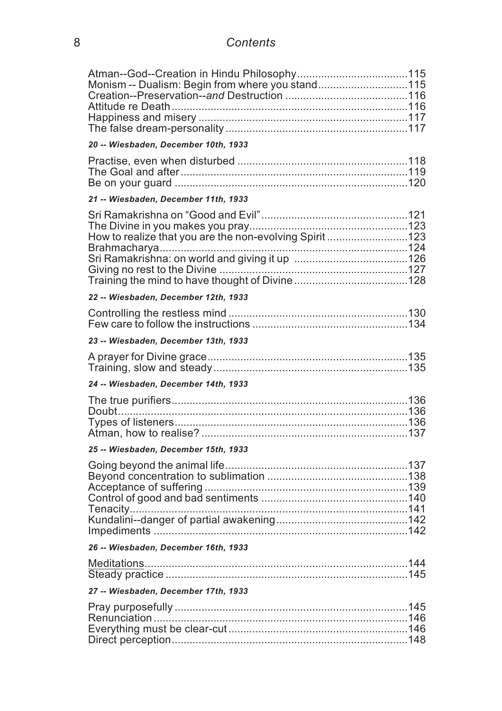| Monism -- Dualism: Begin from where you stand115        |
|---------------------------------------------------------|
| 20 -- Wiesbaden, December 10th, 1933                    |
|                                                         |
| 21 -- Wiesbaden, December 11th, 1933                    |
| How to realize that you are the non-evolving Spirit 123 |
| 22 -- Wiesbaden, December 12th, 1933                    |
|                                                         |
| 23 -- Wiesbaden, December 13th, 1933                    |
|                                                         |
| 24 -- Wiesbaden, December 14th, 1933                    |
|                                                         |
| 25 -- Wiesbaden, December 15th, 1933                    |
|                                                         |
| 26 -- Wiesbaden, December 16th, 1933                    |
|                                                         |
| 27 -- Wiesbaden, December 17th, 1933                    |
|                                                         |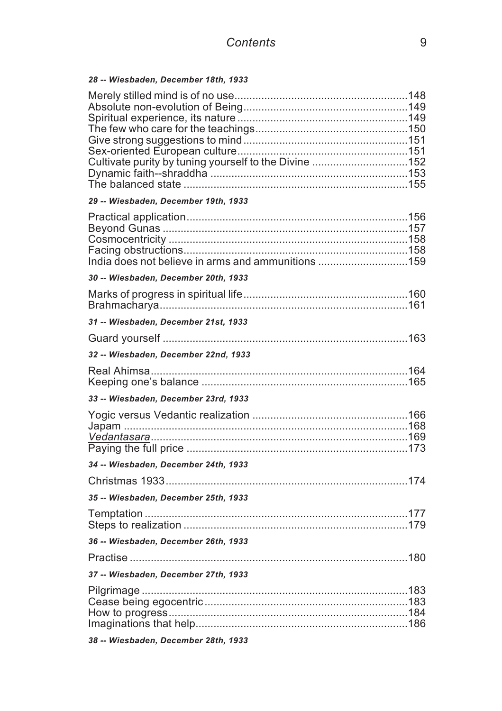#### *[28 -- Wiesbaden, December 18th, 1933](#page-147-0)*

| Cultivate purity by tuning yourself to the Divine 152                                                                     |
|---------------------------------------------------------------------------------------------------------------------------|
| 29 -- Wiesbaden, December 19th, 1933                                                                                      |
|                                                                                                                           |
| 30 -- Wiesbaden, December 20th, 1933                                                                                      |
|                                                                                                                           |
| 31 -- Wiesbaden, December 21st, 1933                                                                                      |
|                                                                                                                           |
| 32 -- Wiesbaden, December 22nd, 1933                                                                                      |
|                                                                                                                           |
| 33 -- Wiesbaden, December 23rd, 1933                                                                                      |
|                                                                                                                           |
| 34 -- Wiesbaden, December 24th, 1933                                                                                      |
|                                                                                                                           |
| 35 -- Wiesbaden, December 25th, 1933                                                                                      |
|                                                                                                                           |
| 36 -- Wiesbaden, December 26th, 1933                                                                                      |
|                                                                                                                           |
| 37 -- Wiesbaden, December 27th, 1933                                                                                      |
| $\frac{1}{2}$ and $\frac{1}{2}$ are $\frac{1}{2}$ and $\frac{1}{2}$ are $\frac{1}{2}$ and $\frac{1}{2}$ are $\frac{1}{2}$ |
|                                                                                                                           |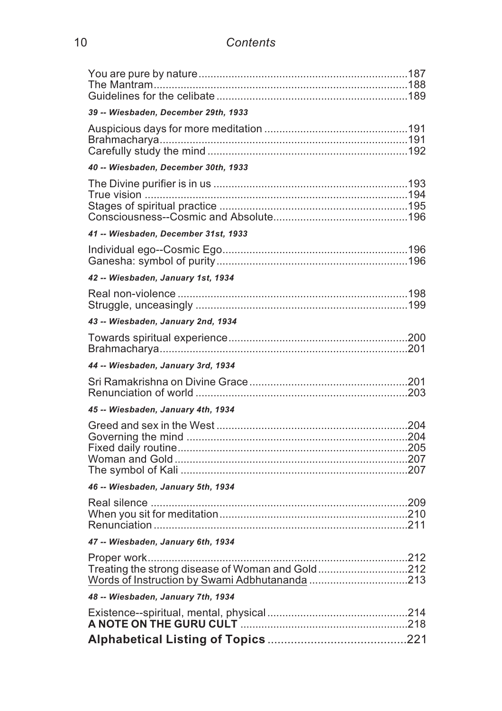| 39 -- Wiesbaden, December 29th, 1933             |
|--------------------------------------------------|
|                                                  |
| 40 -- Wiesbaden, December 30th, 1933             |
|                                                  |
| 41 -- Wiesbaden, December 31st, 1933             |
|                                                  |
| 42 -- Wiesbaden, January 1st, 1934               |
|                                                  |
| 43 -- Wiesbaden, January 2nd, 1934               |
|                                                  |
| 44 -- Wiesbaden, January 3rd, 1934               |
|                                                  |
| 45 -- Wiesbaden, January 4th, 1934               |
|                                                  |
| 46 -- Wiesbaden, January 5th, 1934               |
|                                                  |
| 47 -- Wiesbaden, January 6th, 1934               |
| Treating the strong disease of Woman and Gold212 |
| 48 -- Wiesbaden, January 7th, 1934               |
|                                                  |
|                                                  |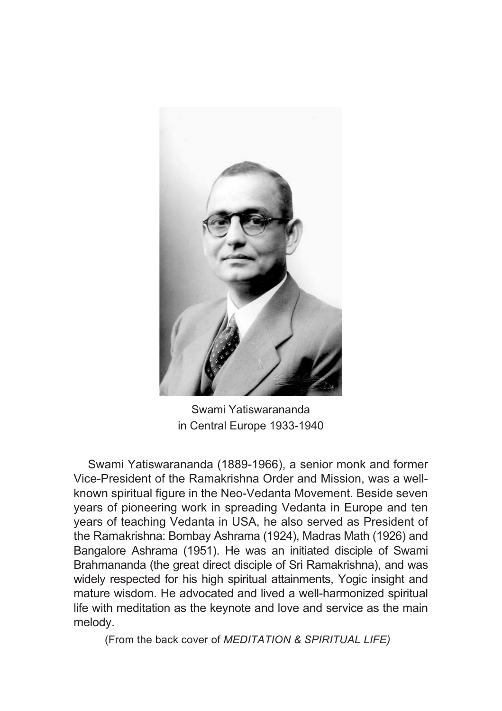

Swami Yatiswarananda in Central Europe 1933-1940

Swami Yatiswarananda (1889-1966), a senior monk and former Vice-President of the Ramakrishna Order and Mission, was a wellknown spiritual figure in the Neo-Vedanta Movement. Beside seven years of pioneering work in spreading Vedanta in Europe and ten years of teaching Vedanta in USA, he also served as President of the Ramakrishna: Bombay Ashrama (1924), Madras Math (1926) and Bangalore Ashrama (1951). He was an initiated disciple of Swami Brahmananda (the great direct disciple of Sri Ramakrishna), and was widely respected for his high spiritual attainments, Yogic insight and mature wisdom. He advocated and lived a well-harmonized spiritual life with meditation as the keynote and love and service as the main melody.

(From the back cover of *MEDITATION & SPIRITUAL LIFE)*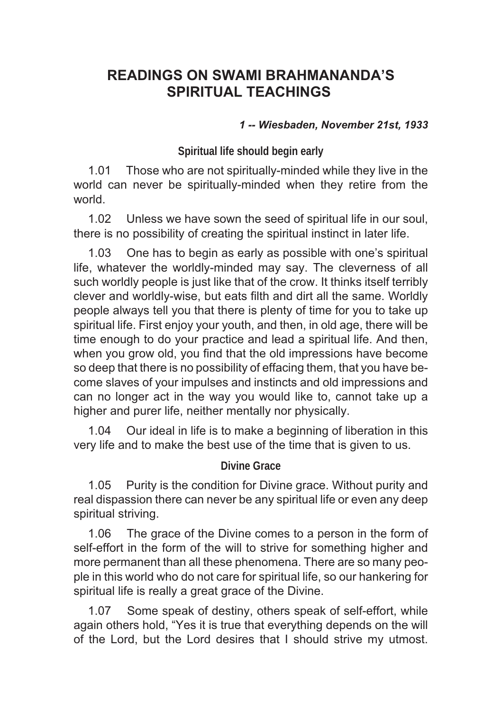# <span id="page-12-0"></span>**READINGS ON SWAMI BRAHMANANDA'S SPIRITUAL TEACHINGS**

#### *1 -- Wiesbaden, November 21st, 1933*

**Spiritual life should begin early**

1.01 Those who are not spiritually-minded while they live in the world can never be spiritually-minded when they retire from the world.

1.02 Unless we have sown the seed of spiritual life in our soul, there is no possibility of creating the spiritual instinct in later life.

1.03 One has to begin as early as possible with one's spiritual life, whatever the worldly-minded may say. The cleverness of all such worldly people is just like that of the crow. It thinks itself terribly clever and worldly-wise, but eats filth and dirt all the same. Worldly people always tell you that there is plenty of time for you to take up spiritual life. First enjoy your youth, and then, in old age, there will be time enough to do your practice and lead a spiritual life. And then, when you grow old, you find that the old impressions have become so deep that there is no possibility of effacing them, that you have become slaves of your impulses and instincts and old impressions and can no longer act in the way you would like to, cannot take up a higher and purer life, neither mentally nor physically.

1.04 Our ideal in life is to make a beginning of liberation in this very life and to make the best use of the time that is given to us.

#### **Divine Grace**

1.05 Purity is the condition for Divine grace. Without purity and real dispassion there can never be any spiritual life or even any deep spiritual striving.

1.06 The grace of the Divine comes to a person in the form of self-effort in the form of the will to strive for something higher and more permanent than all these phenomena. There are so many people in this world who do not care for spiritual life, so our hankering for spiritual life is really a great grace of the Divine.

1.07 Some speak of destiny, others speak of self-effort, while again others hold, "Yes it is true that everything depends on the will of the Lord, but the Lord desires that I should strive my utmost.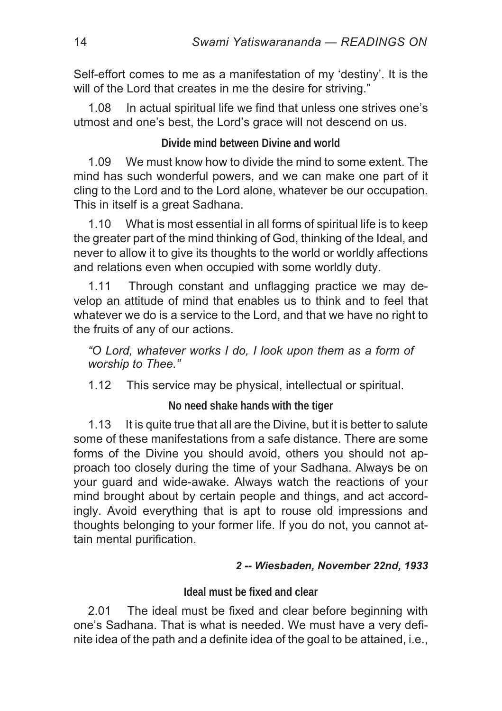<span id="page-13-0"></span>Self-effort comes to me as a manifestation of my 'destiny'. It is the will of the Lord that creates in me the desire for striving."

1.08 In actual spiritual life we find that unless one strives one's utmost and one's best, the Lord's grace will not descend on us.

**Divide mind between Divine and world**

1.09 We must know how to divide the mind to some extent. The mind has such wonderful powers, and we can make one part of it cling to the Lord and to the Lord alone, whatever be our occupation. This in itself is a great Sadhana.

1.10 What is most essential in all forms of spiritual life is to keep the greater part of the mind thinking of God, thinking of the Ideal, and never to allow it to give its thoughts to the world or worldly affections and relations even when occupied with some worldly duty.

1.11 Through constant and unflagging practice we may develop an attitude of mind that enables us to think and to feel that whatever we do is a service to the Lord, and that we have no right to the fruits of any of our actions.

*"O Lord, whatever works I do, I look upon them as a form of worship to Thee."*

1.12 This service may be physical, intellectual or spiritual.

**No need shake hands with the tiger**

1.13 It is quite true that all are the Divine, but it is better to salute some of these manifestations from a safe distance. There are some forms of the Divine you should avoid, others you should not approach too closely during the time of your Sadhana. Always be on your guard and wide-awake. Always watch the reactions of your mind brought about by certain people and things, and act accordingly. Avoid everything that is apt to rouse old impressions and thoughts belonging to your former life. If you do not, you cannot attain mental purification.

# *2 -- Wiesbaden, November 22nd, 1933*

# **Ideal must be fixed and clear**

2.01 The ideal must be fixed and clear before beginning with one's Sadhana. That is what is needed. We must have a very definite idea of the path and a definite idea of the goal to be attained, i.e.,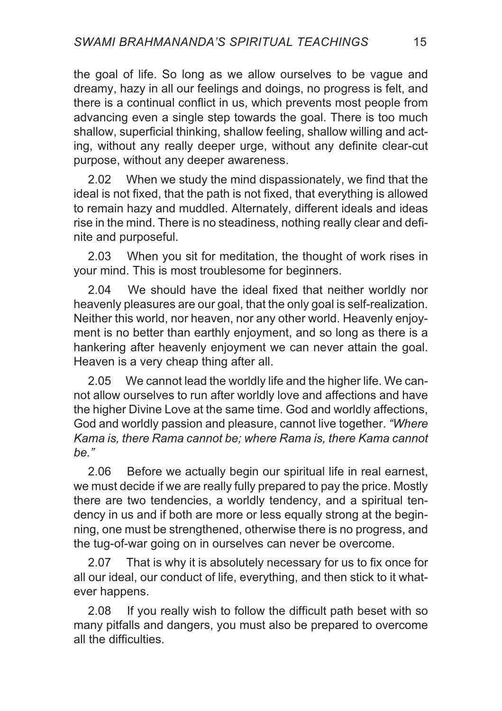the goal of life. So long as we allow ourselves to be vague and dreamy, hazy in all our feelings and doings, no progress is felt, and there is a continual conflict in us, which prevents most people from advancing even a single step towards the goal. There is too much shallow, superficial thinking, shallow feeling, shallow willing and acting, without any really deeper urge, without any definite clear-cut purpose, without any deeper awareness.

2.02 When we study the mind dispassionately, we find that the ideal is not fixed, that the path is not fixed, that everything is allowed to remain hazy and muddled. Alternately, different ideals and ideas rise in the mind. There is no steadiness, nothing really clear and definite and purposeful.

2.03 When you sit for meditation, the thought of work rises in your mind. This is most troublesome for beginners.

2.04 We should have the ideal fixed that neither worldly nor heavenly pleasures are our goal, that the only goal is self-realization. Neither this world, nor heaven, nor any other world. Heavenly enjoyment is no better than earthly enjoyment, and so long as there is a hankering after heavenly enjoyment we can never attain the goal. Heaven is a very cheap thing after all.

2.05 We cannot lead the worldly life and the higher life. We cannot allow ourselves to run after worldly love and affections and have the higher Divine Love at the same time. God and worldly affections, God and worldly passion and pleasure, cannot live together. *"Where Kama is, there Rama cannot be; where Rama is, there Kama cannot be."*

2.06 Before we actually begin our spiritual life in real earnest, we must decide if we are really fully prepared to pay the price. Mostly there are two tendencies, a worldly tendency, and a spiritual tendency in us and if both are more or less equally strong at the beginning, one must be strengthened, otherwise there is no progress, and the tug-of-war going on in ourselves can never be overcome.

2.07 That is why it is absolutely necessary for us to fix once for all our ideal, our conduct of life, everything, and then stick to it whatever happens.

2.08 If you really wish to follow the difficult path beset with so many pitfalls and dangers, you must also be prepared to overcome all the difficulties.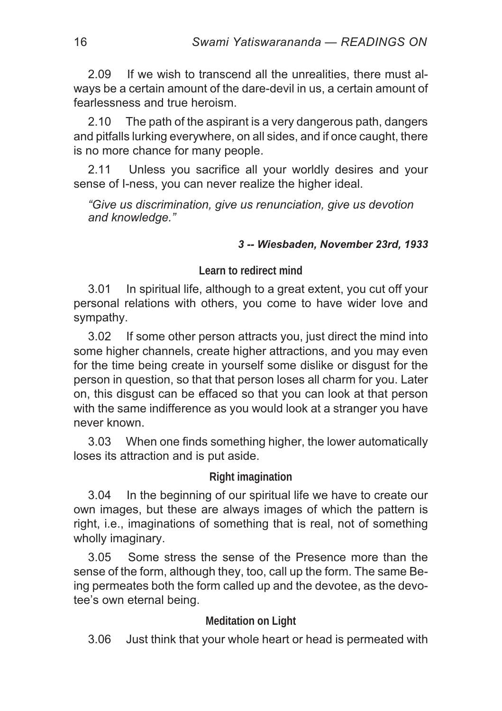<span id="page-15-0"></span>2.09 If we wish to transcend all the unrealities, there must always be a certain amount of the dare-devil in us, a certain amount of fearlessness and true heroism.

2.10 The path of the aspirant is a very dangerous path, dangers and pitfalls lurking everywhere, on all sides, and if once caught, there is no more chance for many people.

2.11 Unless you sacrifice all your worldly desires and your sense of I-ness, you can never realize the higher ideal.

*"Give us discrimination, give us renunciation, give us devotion and knowledge."*

## *3 -- Wiesbaden, November 23rd, 1933*

**Learn to redirect mind**

3.01 In spiritual life, although to a great extent, you cut off your personal relations with others, you come to have wider love and sympathy.

3.02 If some other person attracts you, just direct the mind into some higher channels, create higher attractions, and you may even for the time being create in yourself some dislike or disgust for the person in question, so that that person loses all charm for you. Later on, this disgust can be effaced so that you can look at that person with the same indifference as you would look at a stranger you have never known.

3.03 When one finds something higher, the lower automatically loses its attraction and is put aside.

## **Right imagination**

3.04 In the beginning of our spiritual life we have to create our own images, but these are always images of which the pattern is right, i.e., imaginations of something that is real, not of something wholly imaginary.

3.05 Some stress the sense of the Presence more than the sense of the form, although they, too, call up the form. The same Being permeates both the form called up and the devotee, as the devotee's own eternal being.

# **Meditation on Light**

3.06 Just think that your whole heart or head is permeated with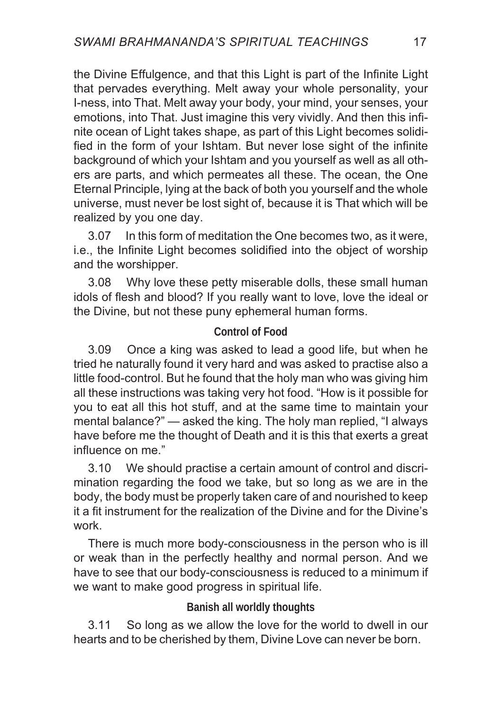<span id="page-16-0"></span>the Divine Effulgence, and that this Light is part of the Infinite Light that pervades everything. Melt away your whole personality, your I-ness, into That. Melt away your body, your mind, your senses, your emotions, into That. Just imagine this very vividly. And then this infinite ocean of Light takes shape, as part of this Light becomes solidified in the form of your Ishtam. But never lose sight of the infinite background of which your Ishtam and you yourself as well as all others are parts, and which permeates all these. The ocean, the One Eternal Principle, lying at the back of both you yourself and the whole universe, must never be lost sight of, because it is That which will be realized by you one day.

3.07 In this form of meditation the One becomes two, as it were, i.e., the Infinite Light becomes solidified into the object of worship and the worshipper.

3.08 Why love these petty miserable dolls, these small human idols of flesh and blood? If you really want to love, love the ideal or the Divine, but not these puny ephemeral human forms.

## **Control of Food**

3.09 Once a king was asked to lead a good life, but when he tried he naturally found it very hard and was asked to practise also a little food-control. But he found that the holy man who was giving him all these instructions was taking very hot food. "How is it possible for you to eat all this hot stuff, and at the same time to maintain your mental balance?" — asked the king. The holy man replied, "I always have before me the thought of Death and it is this that exerts a great influence on me."

3.10 We should practise a certain amount of control and discrimination regarding the food we take, but so long as we are in the body, the body must be properly taken care of and nourished to keep it a fit instrument for the realization of the Divine and for the Divine's work.

There is much more body-consciousness in the person who is ill or weak than in the perfectly healthy and normal person. And we have to see that our body-consciousness is reduced to a minimum if we want to make good progress in spiritual life.

### **Banish all worldly thoughts**

3.11 So long as we allow the love for the world to dwell in our hearts and to be cherished by them, Divine Love can never be born.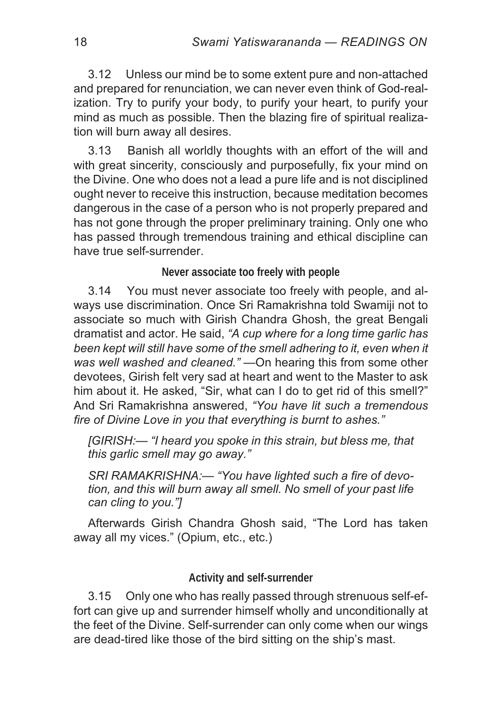<span id="page-17-0"></span>3.12 Unless our mind be to some extent pure and non-attached and prepared for renunciation, we can never even think of God-realization. Try to purify your body, to purify your heart, to purify your mind as much as possible. Then the blazing fire of spiritual realization will burn away all desires.

3.13 Banish all worldly thoughts with an effort of the will and with great sincerity, consciously and purposefully, fix your mind on the Divine. One who does not a lead a pure life and is not disciplined ought never to receive this instruction, because meditation becomes dangerous in the case of a person who is not properly prepared and has not gone through the proper preliminary training. Only one who has passed through tremendous training and ethical discipline can have true self-surrender.

**Never associate too freely with people**

3.14 You must never associate too freely with people, and always use discrimination. Once Sri Ramakrishna told Swamiji not to associate so much with Girish Chandra Ghosh, the great Bengali dramatist and actor. He said, *"A cup where for a long time garlic has been kept will still have some of the smell adhering to it, even when it was well washed and cleaned."* —On hearing this from some other devotees, Girish felt very sad at heart and went to the Master to ask him about it. He asked, "Sir, what can I do to get rid of this smell?" And Sri Ramakrishna answered, *"You have lit such a tremendous fire of Divine Love in you that everything is burnt to ashes."*

*[GIRISH:— "I heard you spoke in this strain, but bless me, that this garlic smell may go away."*

*SRI RAMAKRISHNA:— "You have lighted such a fire of devotion, and this will burn away all smell. No smell of your past life can cling to you."]*

Afterwards Girish Chandra Ghosh said, "The Lord has taken away all my vices." (Opium, etc., etc.)

**Activity and self-surrender**

3.15 Only one who has really passed through strenuous self-effort can give up and surrender himself wholly and unconditionally at the feet of the Divine. Self-surrender can only come when our wings are dead-tired like those of the bird sitting on the ship's mast.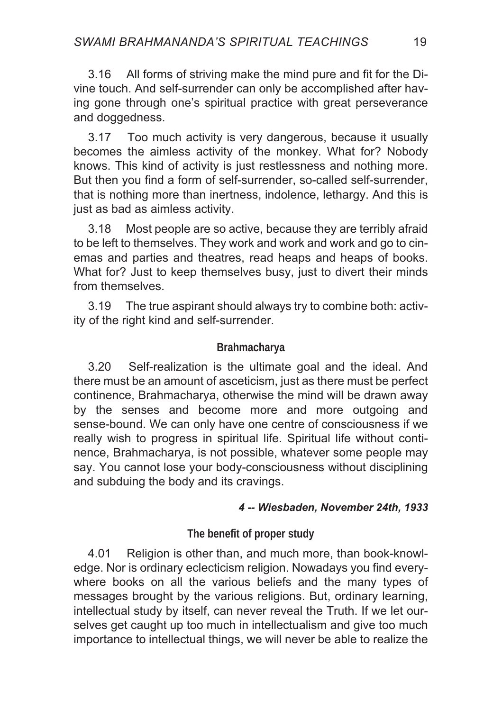<span id="page-18-0"></span>3.16 All forms of striving make the mind pure and fit for the Divine touch. And self-surrender can only be accomplished after having gone through one's spiritual practice with great perseverance and doggedness.

3.17 Too much activity is very dangerous, because it usually becomes the aimless activity of the monkey. What for? Nobody knows. This kind of activity is just restlessness and nothing more. But then you find a form of self-surrender, so-called self-surrender, that is nothing more than inertness, indolence, lethargy. And this is just as bad as aimless activity.

3.18 Most people are so active, because they are terribly afraid to be left to themselves. They work and work and work and go to cinemas and parties and theatres, read heaps and heaps of books. What for? Just to keep themselves busy, just to divert their minds from themselves.

3.19 The true aspirant should always try to combine both: activity of the right kind and self-surrender.

#### **Brahmacharya**

3.20 Self-realization is the ultimate goal and the ideal. And there must be an amount of asceticism, just as there must be perfect continence, Brahmacharya, otherwise the mind will be drawn away by the senses and become more and more outgoing and sense-bound. We can only have one centre of consciousness if we really wish to progress in spiritual life. Spiritual life without continence, Brahmacharya, is not possible, whatever some people may say. You cannot lose your body-consciousness without disciplining and subduing the body and its cravings.

#### *4 -- Wiesbaden, November 24th, 1933*

#### **The benefit of proper study**

4.01 Religion is other than, and much more, than book-knowledge. Nor is ordinary eclecticism religion. Nowadays you find everywhere books on all the various beliefs and the many types of messages brought by the various religions. But, ordinary learning, intellectual study by itself, can never reveal the Truth. If we let ourselves get caught up too much in intellectualism and give too much importance to intellectual things, we will never be able to realize the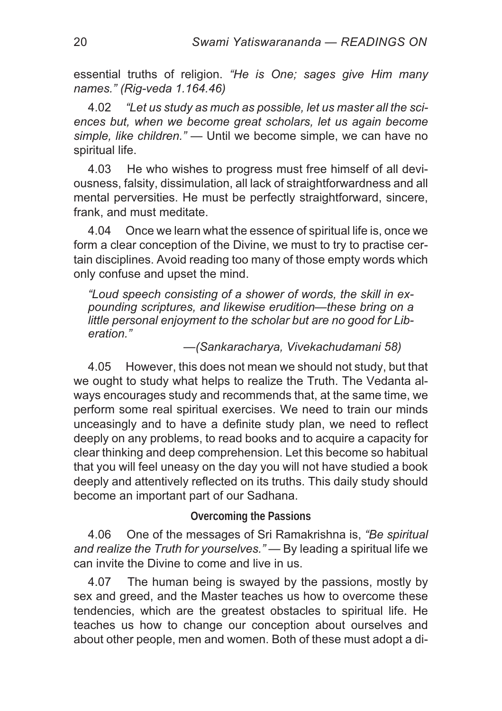<span id="page-19-0"></span>essential truths of religion. *"He is One; sages give Him many names." (Rig-veda 1.164.46)*

4.02 *"Let us study as much as possible, let us master all the sciences but, when we become great scholars, let us again become simple, like children."* — Until we become simple, we can have no spiritual life.

4.03 He who wishes to progress must free himself of all deviousness, falsity, dissimulation, all lack of straightforwardness and all mental perversities. He must be perfectly straightforward, sincere, frank, and must meditate.

4.04 Once we learn what the essence of spiritual life is, once we form a clear conception of the Divine, we must to try to practise certain disciplines. Avoid reading too many of those empty words which only confuse and upset the mind.

*"Loud speech consisting of a shower of words, the skill in expounding scriptures, and likewise erudition—these bring on a little personal enjoyment to the scholar but are no good for Liberation."*

*—(Sankaracharya, Vivekachudamani 58)*

4.05 However, this does not mean we should not study, but that we ought to study what helps to realize the Truth. The Vedanta always encourages study and recommends that, at the same time, we perform some real spiritual exercises. We need to train our minds unceasingly and to have a definite study plan, we need to reflect deeply on any problems, to read books and to acquire a capacity for clear thinking and deep comprehension. Let this become so habitual that you will feel uneasy on the day you will not have studied a book deeply and attentively reflected on its truths. This daily study should become an important part of our Sadhana.

### **Overcoming the Passions**

4.06 One of the messages of Sri Ramakrishna is, *"Be spiritual and realize the Truth for yourselves."* — By leading a spiritual life we can invite the Divine to come and live in us.

4.07 The human being is swayed by the passions, mostly by sex and greed, and the Master teaches us how to overcome these tendencies, which are the greatest obstacles to spiritual life. He teaches us how to change our conception about ourselves and about other people, men and women. Both of these must adopt a di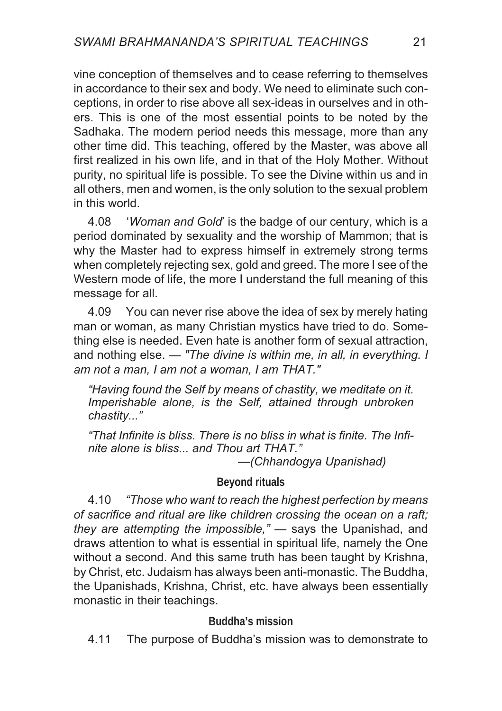<span id="page-20-0"></span>vine conception of themselves and to cease referring to themselves in accordance to their sex and body. We need to eliminate such conceptions, in order to rise above all sex-ideas in ourselves and in others. This is one of the most essential points to be noted by the Sadhaka. The modern period needs this message, more than any other time did. This teaching, offered by the Master, was above all first realized in his own life, and in that of the Holy Mother. Without purity, no spiritual life is possible. To see the Divine within us and in all others, men and women, is the only solution to the sexual problem in this world.

4.08 '*Woman and Gold*' is the badge of our century, which is a period dominated by sexuality and the worship of Mammon; that is why the Master had to express himself in extremely strong terms when completely rejecting sex, gold and greed. The more I see of the Western mode of life, the more I understand the full meaning of this message for all.

4.09 You can never rise above the idea of sex by merely hating man or woman, as many Christian mystics have tried to do. Something else is needed. Even hate is another form of sexual attraction, and nothing else. *— "The divine is within me, in all, in everything. I am not a man, I am not a woman, I am THAT."*

*"Having found the Self by means of chastity, we meditate on it. Imperishable alone, is the Self, attained through unbroken chastity..."*

*"That Infinite is bliss. There is no bliss in what is finite. The Infinite alone is bliss... and Thou art THAT."*

*—(Chhandogya Upanishad)*

### **Beyond rituals**

4.10 *"Those who want to reach the highest perfection by means of sacrifice and ritual are like children crossing the ocean on a raft; they are attempting the impossible,"* — says the Upanishad, and draws attention to what is essential in spiritual life, namely the One without a second. And this same truth has been taught by Krishna. by Christ, etc. Judaism has always been anti-monastic. The Buddha, the Upanishads, Krishna, Christ, etc. have always been essentially monastic in their teachings.

### **Buddha's mission**

4.11 The purpose of Buddha's mission was to demonstrate to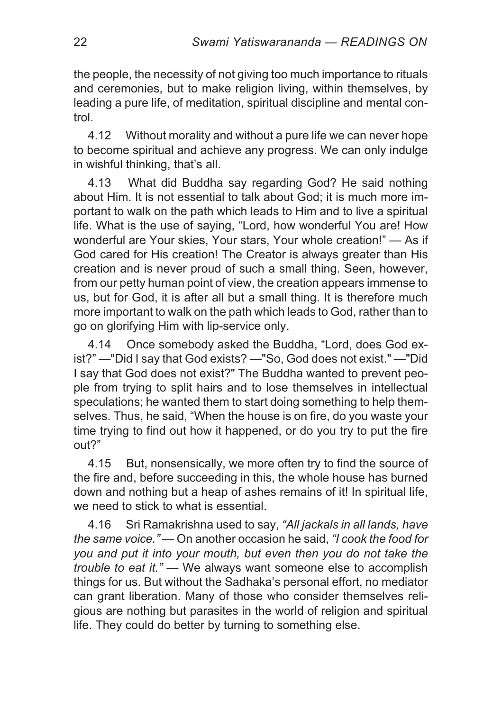the people, the necessity of not giving too much importance to rituals and ceremonies, but to make religion living, within themselves, by leading a pure life, of meditation, spiritual discipline and mental control.

4.12 Without morality and without a pure life we can never hope to become spiritual and achieve any progress. We can only indulge in wishful thinking, that's all.

4.13 What did Buddha say regarding God? He said nothing about Him. It is not essential to talk about God; it is much more important to walk on the path which leads to Him and to live a spiritual life. What is the use of saying, "Lord, how wonderful You are! How wonderful are Your skies, Your stars, Your whole creation!" — As if God cared for His creation! The Creator is always greater than His creation and is never proud of such a small thing. Seen, however, from our petty human point of view, the creation appears immense to us, but for God, it is after all but a small thing. It is therefore much more important to walk on the path which leads to God, rather than to go on glorifying Him with lip-service only.

4.14 Once somebody asked the Buddha, "Lord, does God exist?" —"Did I say that God exists? —"So, God does not exist." —"Did I say that God does not exist?" The Buddha wanted to prevent people from trying to split hairs and to lose themselves in intellectual speculations; he wanted them to start doing something to help themselves. Thus, he said, "When the house is on fire, do you waste your time trying to find out how it happened, or do you try to put the fire out?"

4.15 But, nonsensically, we more often try to find the source of the fire and, before succeeding in this, the whole house has burned down and nothing but a heap of ashes remains of it! In spiritual life, we need to stick to what is essential.

4.16 Sri Ramakrishna used to say, *"All jackals in all lands, have the same voice."* — On another occasion he said, *"I cook the food for you and put it into your mouth, but even then you do not take the trouble to eat it."* — We always want someone else to accomplish things for us. But without the Sadhaka's personal effort, no mediator can grant liberation. Many of those who consider themselves religious are nothing but parasites in the world of religion and spiritual life. They could do better by turning to something else.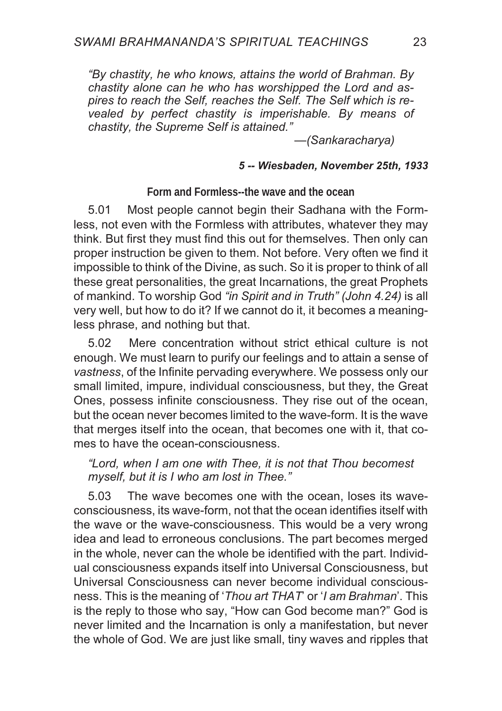<span id="page-22-0"></span>*"By chastity, he who knows, attains the world of Brahman. By chastity alone can he who has worshipped the Lord and aspires to reach the Self, reaches the Self. The Self which is revealed by perfect chastity is imperishable. By means of chastity, the Supreme Self is attained."*

*—(Sankaracharya)*

#### *5 -- Wiesbaden, November 25th, 1933*

**Form and Formless--the wave and the ocean**

5.01 Most people cannot begin their Sadhana with the Formless, not even with the Formless with attributes, whatever they may think. But first they must find this out for themselves. Then only can proper instruction be given to them. Not before. Very often we find it impossible to think of the Divine, as such. So it is proper to think of all these great personalities, the great Incarnations, the great Prophets of mankind. To worship God *"in Spirit and in Truth" (John 4.24)* is all very well, but how to do it? If we cannot do it, it becomes a meaningless phrase, and nothing but that.

5.02 Mere concentration without strict ethical culture is not enough. We must learn to purify our feelings and to attain a sense of *vastness*, of the Infinite pervading everywhere. We possess only our small limited, impure, individual consciousness, but they, the Great Ones, possess infinite consciousness. They rise out of the ocean, but the ocean never becomes limited to the wave-form. It is the wave that merges itself into the ocean, that becomes one with it, that comes to have the ocean-consciousness.

*"Lord, when I am one with Thee, it is not that Thou becomest myself, but it is I who am lost in Thee."*

5.03 The wave becomes one with the ocean, loses its waveconsciousness, its wave-form, not that the ocean identifies itself with the wave or the wave-consciousness. This would be a very wrong idea and lead to erroneous conclusions. The part becomes merged in the whole, never can the whole be identified with the part. Individual consciousness expands itself into Universal Consciousness, but Universal Consciousness can never become individual consciousness. This is the meaning of '*Thou art THAT*' or '*I am Brahman*'. This is the reply to those who say, "How can God become man?" God is never limited and the Incarnation is only a manifestation, but never the whole of God. We are just like small, tiny waves and ripples that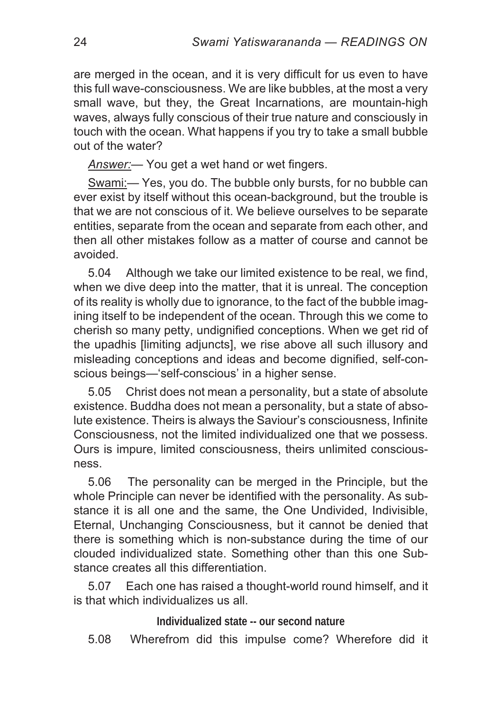<span id="page-23-0"></span>are merged in the ocean, and it is very difficult for us even to have this full wave-consciousness. We are like bubbles, at the most a very small wave, but they, the Great Incarnations, are mountain-high waves, always fully conscious of their true nature and consciously in touch with the ocean. What happens if you try to take a small bubble out of the water?

*Answer:*— You get a wet hand or wet fingers.

Swami:— Yes, you do. The bubble only bursts, for no bubble can ever exist by itself without this ocean-background, but the trouble is that we are not conscious of it. We believe ourselves to be separate entities, separate from the ocean and separate from each other, and then all other mistakes follow as a matter of course and cannot be avoided.

5.04 Although we take our limited existence to be real, we find, when we dive deep into the matter, that it is unreal. The conception of its reality is wholly due to ignorance, to the fact of the bubble imagining itself to be independent of the ocean. Through this we come to cherish so many petty, undignified conceptions. When we get rid of the upadhis [limiting adjuncts], we rise above all such illusory and misleading conceptions and ideas and become dignified, self-conscious beings—'self-conscious' in a higher sense.

5.05 Christ does not mean a personality, but a state of absolute existence. Buddha does not mean a personality, but a state of absolute existence. Theirs is always the Saviour's consciousness, Infinite Consciousness, not the limited individualized one that we possess. Ours is impure, limited consciousness, theirs unlimited consciousness.

5.06 The personality can be merged in the Principle, but the whole Principle can never be identified with the personality. As substance it is all one and the same, the One Undivided, Indivisible, Eternal, Unchanging Consciousness, but it cannot be denied that there is something which is non-substance during the time of our clouded individualized state. Something other than this one Substance creates all this differentiation.

5.07 Each one has raised a thought-world round himself, and it is that which individualizes us all.

**Individualized state -- our second nature**

5.08 Wherefrom did this impulse come? Wherefore did it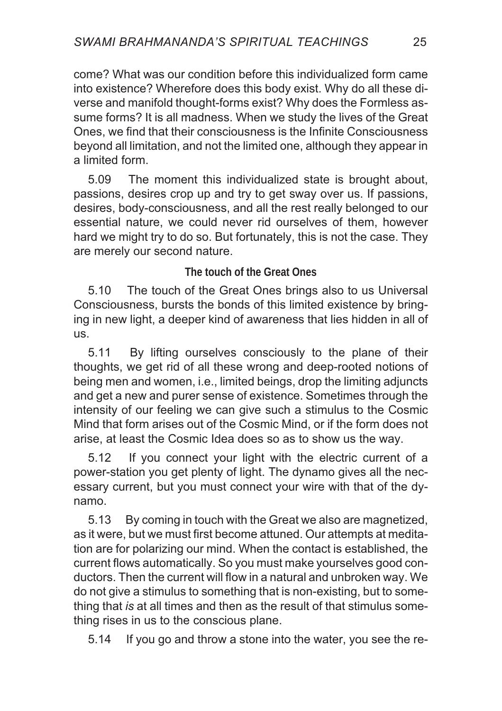<span id="page-24-0"></span>come? What was our condition before this individualized form came into existence? Wherefore does this body exist. Why do all these diverse and manifold thought-forms exist? Why does the Formless assume forms? It is all madness. When we study the lives of the Great Ones, we find that their consciousness is the Infinite Consciousness beyond all limitation, and not the limited one, although they appear in a limited form.

5.09 The moment this individualized state is brought about, passions, desires crop up and try to get sway over us. If passions, desires, body-consciousness, and all the rest really belonged to our essential nature, we could never rid ourselves of them, however hard we might try to do so. But fortunately, this is not the case. They are merely our second nature.

## **The touch of the Great Ones**

5.10 The touch of the Great Ones brings also to us Universal Consciousness, bursts the bonds of this limited existence by bringing in new light, a deeper kind of awareness that lies hidden in all of us.

5.11 By lifting ourselves consciously to the plane of their thoughts, we get rid of all these wrong and deep-rooted notions of being men and women, i.e., limited beings, drop the limiting adjuncts and get a new and purer sense of existence. Sometimes through the intensity of our feeling we can give such a stimulus to the Cosmic Mind that form arises out of the Cosmic Mind, or if the form does not arise, at least the Cosmic Idea does so as to show us the way.

5.12 If you connect your light with the electric current of a power-station you get plenty of light. The dynamo gives all the necessary current, but you must connect your wire with that of the dynamo.

5.13 By coming in touch with the Great we also are magnetized, as it were, but we must first become attuned. Our attempts at meditation are for polarizing our mind. When the contact is established, the current flows automatically. So you must make yourselves good conductors. Then the current will flow in a natural and unbroken way. We do not give a stimulus to something that is non-existing, but to something that *is* at all times and then as the result of that stimulus something rises in us to the conscious plane.

5.14 If you go and throw a stone into the water, you see the re-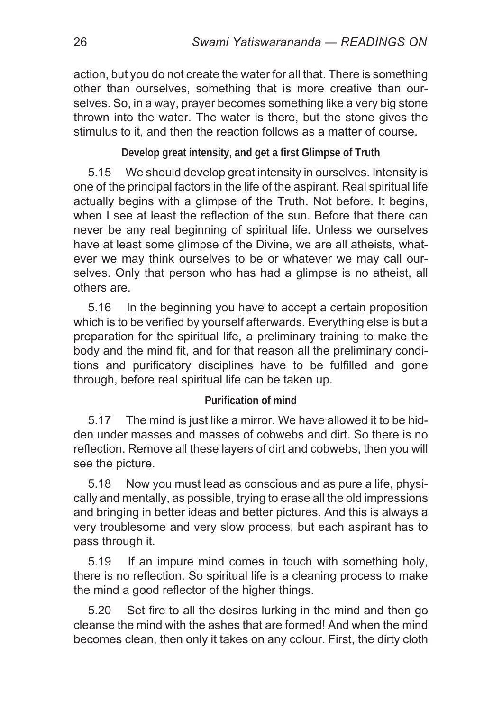<span id="page-25-0"></span>action, but you do not create the water for all that. There is something other than ourselves, something that is more creative than ourselves. So, in a way, prayer becomes something like a very big stone thrown into the water. The water is there, but the stone gives the stimulus to it, and then the reaction follows as a matter of course.

**Develop great intensity, and get a first Glimpse of Truth**

5.15 We should develop great intensity in ourselves. Intensity is one of the principal factors in the life of the aspirant. Real spiritual life actually begins with a glimpse of the Truth. Not before. It begins, when I see at least the reflection of the sun. Before that there can never be any real beginning of spiritual life. Unless we ourselves have at least some glimpse of the Divine, we are all atheists, whatever we may think ourselves to be or whatever we may call ourselves. Only that person who has had a glimpse is no atheist, all others are.

5.16 In the beginning you have to accept a certain proposition which is to be verified by yourself afterwards. Everything else is but a preparation for the spiritual life, a preliminary training to make the body and the mind fit, and for that reason all the preliminary conditions and purificatory disciplines have to be fulfilled and gone through, before real spiritual life can be taken up.

# **Purification of mind**

5.17 The mind is just like a mirror. We have allowed it to be hidden under masses and masses of cobwebs and dirt. So there is no reflection. Remove all these layers of dirt and cobwebs, then you will see the picture.

5.18 Now you must lead as conscious and as pure a life, physically and mentally, as possible, trying to erase all the old impressions and bringing in better ideas and better pictures. And this is always a very troublesome and very slow process, but each aspirant has to pass through it.

5.19 If an impure mind comes in touch with something holy, there is no reflection. So spiritual life is a cleaning process to make the mind a good reflector of the higher things.

5.20 Set fire to all the desires lurking in the mind and then go cleanse the mind with the ashes that are formed! And when the mind becomes clean, then only it takes on any colour. First, the dirty cloth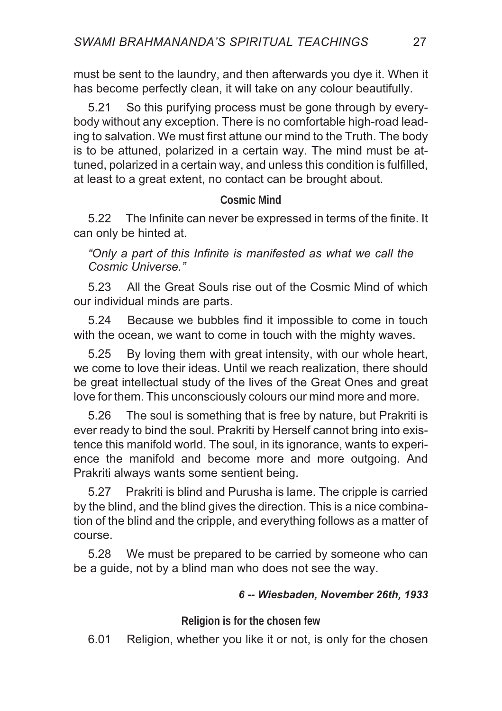<span id="page-26-0"></span>must be sent to the laundry, and then afterwards you dye it. When it has become perfectly clean, it will take on any colour beautifully.

5.21 So this purifying process must be gone through by everybody without any exception. There is no comfortable high-road leading to salvation. We must first attune our mind to the Truth. The body is to be attuned, polarized in a certain way. The mind must be attuned, polarized in a certain way, and unless this condition is fulfilled, at least to a great extent, no contact can be brought about.

## **Cosmic Mind**

5.22 The Infinite can never be expressed in terms of the finite. It can only be hinted at.

*"Only a part of this Infinite is manifested as what we call the Cosmic Universe."*

5.23 All the Great Souls rise out of the Cosmic Mind of which our individual minds are parts.

5.24 Because we bubbles find it impossible to come in touch with the ocean, we want to come in touch with the mighty waves.

5.25 By loving them with great intensity, with our whole heart, we come to love their ideas. Until we reach realization, there should be great intellectual study of the lives of the Great Ones and great love for them. This unconsciously colours our mind more and more.

5.26 The soul is something that is free by nature, but Prakriti is ever ready to bind the soul. Prakriti by Herself cannot bring into existence this manifold world. The soul, in its ignorance, wants to experience the manifold and become more and more outgoing. And Prakriti always wants some sentient being.

5.27 Prakriti is blind and Purusha is lame. The cripple is carried by the blind, and the blind gives the direction. This is a nice combination of the blind and the cripple, and everything follows as a matter of course.

5.28 We must be prepared to be carried by someone who can be a guide, not by a blind man who does not see the way.

### *6 -- Wiesbaden, November 26th, 1933*

**Religion is for the chosen few**

6.01 Religion, whether you like it or not, is only for the chosen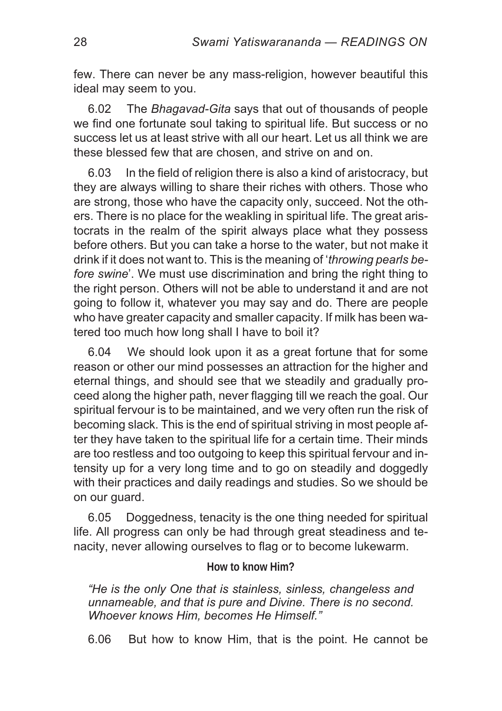<span id="page-27-0"></span>few. There can never be any mass-religion, however beautiful this ideal may seem to you.

6.02 The *Bhagavad-Gita* says that out of thousands of people we find one fortunate soul taking to spiritual life. But success or no success let us at least strive with all our heart. Let us all think we are these blessed few that are chosen, and strive on and on.

6.03 In the field of religion there is also a kind of aristocracy, but they are always willing to share their riches with others. Those who are strong, those who have the capacity only, succeed. Not the others. There is no place for the weakling in spiritual life. The great aristocrats in the realm of the spirit always place what they possess before others. But you can take a horse to the water, but not make it drink if it does not want to. This is the meaning of '*throwing pearls before swine*'. We must use discrimination and bring the right thing to the right person. Others will not be able to understand it and are not going to follow it, whatever you may say and do. There are people who have greater capacity and smaller capacity. If milk has been watered too much how long shall I have to boil it?

6.04 We should look upon it as a great fortune that for some reason or other our mind possesses an attraction for the higher and eternal things, and should see that we steadily and gradually proceed along the higher path, never flagging till we reach the goal. Our spiritual fervour is to be maintained, and we very often run the risk of becoming slack. This is the end of spiritual striving in most people after they have taken to the spiritual life for a certain time. Their minds are too restless and too outgoing to keep this spiritual fervour and intensity up for a very long time and to go on steadily and doggedly with their practices and daily readings and studies. So we should be on our guard.

6.05 Doggedness, tenacity is the one thing needed for spiritual life. All progress can only be had through great steadiness and tenacity, never allowing ourselves to flag or to become lukewarm.

## **How to know Him?**

*"He is the only One that is stainless, sinless, changeless and unnameable, and that is pure and Divine. There is no second. Whoever knows Him, becomes He Himself."*

6.06 But how to know Him, that is the point. He cannot be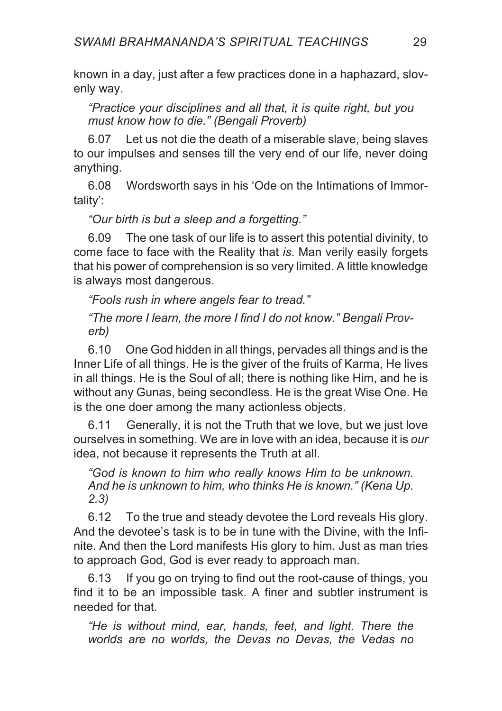known in a day, just after a few practices done in a haphazard, slovenly way.

*"Practice your disciplines and all that, it is quite right, but you must know how to die." (Bengali Proverb)*

6.07 Let us not die the death of a miserable slave, being slaves to our impulses and senses till the very end of our life, never doing anything.

6.08 Wordsworth says in his 'Ode on the Intimations of Immortality':

*"Our birth is but a sleep and a forgetting."*

6.09 The one task of our life is to assert this potential divinity, to come face to face with the Reality that *is*. Man verily easily forgets that his power of comprehension is so very limited. A little knowledge is always most dangerous.

*"Fools rush in where angels fear to tread."*

*"The more I learn, the more I find I do not know." Bengali Proverb)*

6.10 One God hidden in all things, pervades all things and is the Inner Life of all things. He is the giver of the fruits of Karma, He lives in all things. He is the Soul of all; there is nothing like Him, and he is without any Gunas, being secondless. He is the great Wise One. He is the one doer among the many actionless objects.

6.11 Generally, it is not the Truth that we love, but we just love ourselves in something. We are in love with an idea, because it is *our* idea, not because it represents the Truth at all.

*"God is known to him who really knows Him to be unknown. And he is unknown to him, who thinks He is known." (Kena Up. 2.3)*

6.12 To the true and steady devotee the Lord reveals His glory. And the devotee's task is to be in tune with the Divine, with the Infinite. And then the Lord manifests His glory to him. Just as man tries to approach God, God is ever ready to approach man.

6.13 If you go on trying to find out the root-cause of things, you find it to be an impossible task. A finer and subtler instrument is needed for that.

*"He is without mind, ear, hands, feet, and light. There the worlds are no worlds, the Devas no Devas, the Vedas no*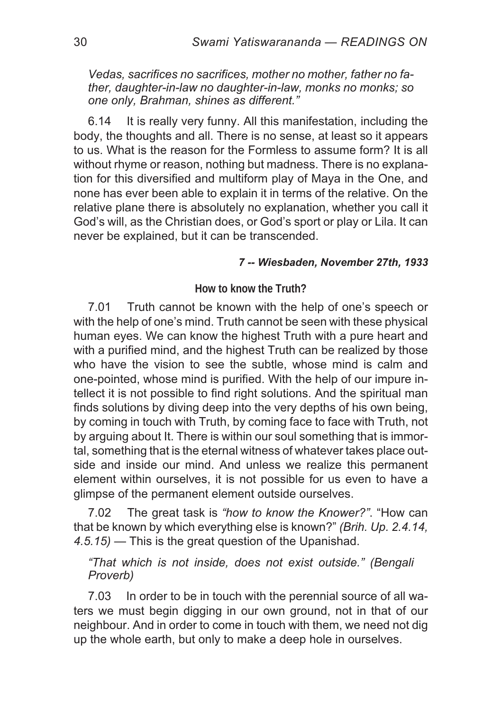<span id="page-29-0"></span>*Vedas, sacrifices no sacrifices, mother no mother, father no father, daughter-in-law no daughter-in-law, monks no monks; so one only, Brahman, shines as different."*

6.14 It is really very funny. All this manifestation, including the body, the thoughts and all. There is no sense, at least so it appears to us. What is the reason for the Formless to assume form? It is all without rhyme or reason, nothing but madness. There is no explanation for this diversified and multiform play of Maya in the One, and none has ever been able to explain it in terms of the relative. On the relative plane there is absolutely no explanation, whether you call it God's will, as the Christian does, or God's sport or play or Lila. It can never be explained, but it can be transcended.

## *7 -- Wiesbaden, November 27th, 1933*

### **How to know the Truth?**

7.01 Truth cannot be known with the help of one's speech or with the help of one's mind. Truth cannot be seen with these physical human eyes. We can know the highest Truth with a pure heart and with a purified mind, and the highest Truth can be realized by those who have the vision to see the subtle, whose mind is calm and one-pointed, whose mind is purified. With the help of our impure intellect it is not possible to find right solutions. And the spiritual man finds solutions by diving deep into the very depths of his own being, by coming in touch with Truth, by coming face to face with Truth, not by arguing about It. There is within our soul something that is immortal, something that is the eternal witness of whatever takes place outside and inside our mind. And unless we realize this permanent element within ourselves, it is not possible for us even to have a glimpse of the permanent element outside ourselves.

7.02 The great task is *"how to know the Knower?"*. "How can that be known by which everything else is known?" *(Brih. Up. 2.4.14, 4.5.15)* — This is the great question of the Upanishad.

*"That which is not inside, does not exist outside." (Bengali Proverb)*

7.03 In order to be in touch with the perennial source of all waters we must begin digging in our own ground, not in that of our neighbour. And in order to come in touch with them, we need not dig up the whole earth, but only to make a deep hole in ourselves.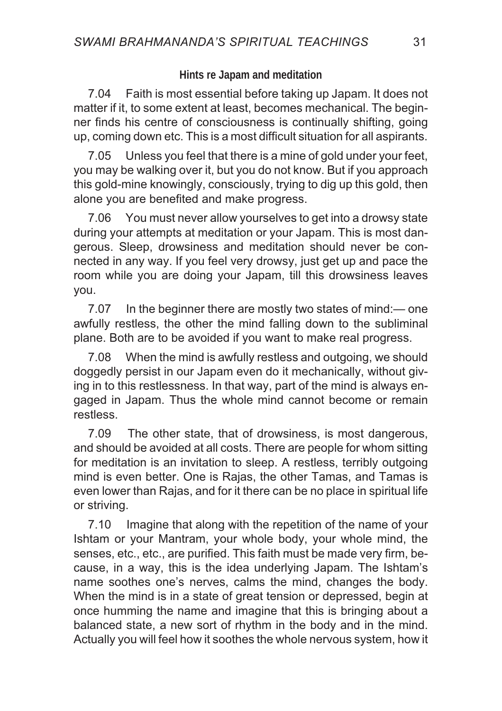#### <span id="page-30-0"></span>**Hints re Japam and meditation**

7.04 Faith is most essential before taking up Japam. It does not matter if it, to some extent at least, becomes mechanical. The beginner finds his centre of consciousness is continually shifting, going up, coming down etc. This is a most difficult situation for all aspirants.

7.05 Unless you feel that there is a mine of gold under your feet, you may be walking over it, but you do not know. But if you approach this gold-mine knowingly, consciously, trying to dig up this gold, then alone you are benefited and make progress.

7.06 You must never allow yourselves to get into a drowsy state during your attempts at meditation or your Japam. This is most dangerous. Sleep, drowsiness and meditation should never be connected in any way. If you feel very drowsy, just get up and pace the room while you are doing your Japam, till this drowsiness leaves you.

7.07 In the beginner there are mostly two states of mind:— one awfully restless, the other the mind falling down to the subliminal plane. Both are to be avoided if you want to make real progress.

7.08 When the mind is awfully restless and outgoing, we should doggedly persist in our Japam even do it mechanically, without giving in to this restlessness. In that way, part of the mind is always engaged in Japam. Thus the whole mind cannot become or remain restless.

7.09 The other state, that of drowsiness, is most dangerous, and should be avoided at all costs. There are people for whom sitting for meditation is an invitation to sleep. A restless, terribly outgoing mind is even better. One is Rajas, the other Tamas, and Tamas is even lower than Rajas, and for it there can be no place in spiritual life or striving.

7.10 Imagine that along with the repetition of the name of your Ishtam or your Mantram, your whole body, your whole mind, the senses, etc., etc., are purified. This faith must be made very firm, because, in a way, this is the idea underlying Japam. The Ishtam's name soothes one's nerves, calms the mind, changes the body. When the mind is in a state of great tension or depressed, begin at once humming the name and imagine that this is bringing about a balanced state, a new sort of rhythm in the body and in the mind. Actually you will feel how it soothes the whole nervous system, how it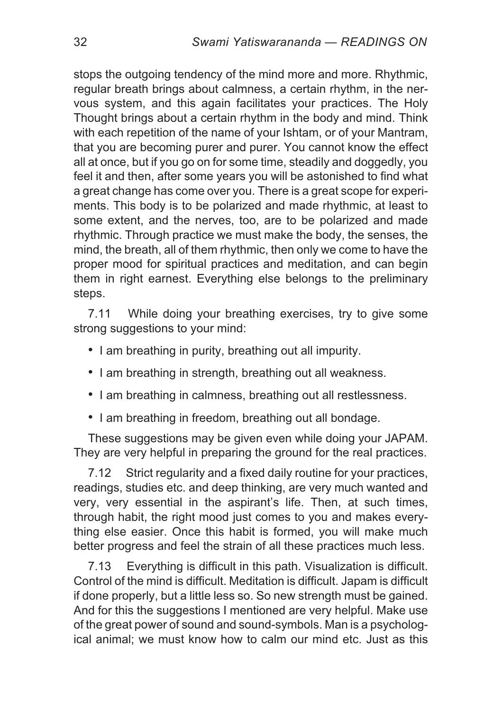stops the outgoing tendency of the mind more and more. Rhythmic, regular breath brings about calmness, a certain rhythm, in the nervous system, and this again facilitates your practices. The Holy Thought brings about a certain rhythm in the body and mind. Think with each repetition of the name of your Ishtam, or of your Mantram, that you are becoming purer and purer. You cannot know the effect all at once, but if you go on for some time, steadily and doggedly, you feel it and then, after some years you will be astonished to find what a great change has come over you. There is a great scope for experiments. This body is to be polarized and made rhythmic, at least to some extent, and the nerves, too, are to be polarized and made rhythmic. Through practice we must make the body, the senses, the mind, the breath, all of them rhythmic, then only we come to have the proper mood for spiritual practices and meditation, and can begin them in right earnest. Everything else belongs to the preliminary steps.

7.11 While doing your breathing exercises, try to give some strong suggestions to your mind:

- I am breathing in purity, breathing out all impurity.
- I am breathing in strength, breathing out all weakness.
- I am breathing in calmness, breathing out all restlessness.
- I am breathing in freedom, breathing out all bondage.

These suggestions may be given even while doing your JAPAM. They are very helpful in preparing the ground for the real practices.

7.12 Strict regularity and a fixed daily routine for your practices, readings, studies etc. and deep thinking, are very much wanted and very, very essential in the aspirant's life. Then, at such times, through habit, the right mood just comes to you and makes everything else easier. Once this habit is formed, you will make much better progress and feel the strain of all these practices much less.

7.13 Everything is difficult in this path. Visualization is difficult. Control of the mind is difficult. Meditation is difficult. Japam is difficult if done properly, but a little less so. So new strength must be gained. And for this the suggestions I mentioned are very helpful. Make use of the great power of sound and sound-symbols. Man is a psychological animal; we must know how to calm our mind etc. Just as this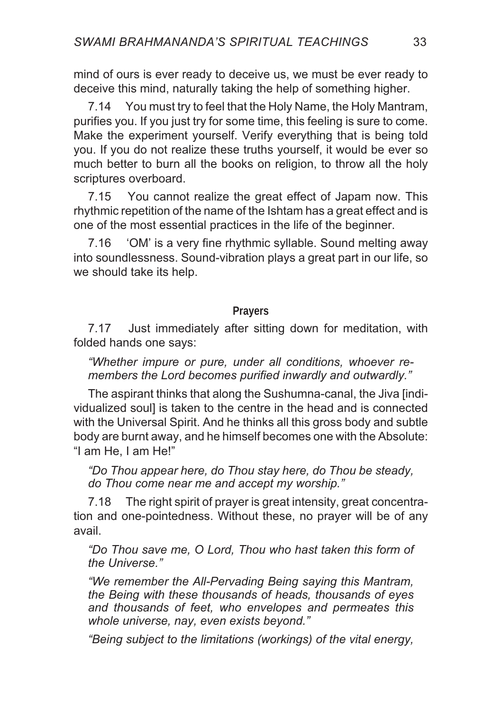<span id="page-32-0"></span>mind of ours is ever ready to deceive us, we must be ever ready to deceive this mind, naturally taking the help of something higher.

7.14 You must try to feel that the Holy Name, the Holy Mantram, purifies you. If you just try for some time, this feeling is sure to come. Make the experiment yourself. Verify everything that is being told you. If you do not realize these truths yourself, it would be ever so much better to burn all the books on religion, to throw all the holy scriptures overboard.

7.15 You cannot realize the great effect of Japam now. This rhythmic repetition of the name of the Ishtam has a great effect and is one of the most essential practices in the life of the beginner.

7.16 'OM' is a very fine rhythmic syllable. Sound melting away into soundlessness. Sound-vibration plays a great part in our life, so we should take its help.

#### **Prayers**

7.17 Just immediately after sitting down for meditation, with folded hands one says:

*"Whether impure or pure, under all conditions, whoever remembers the Lord becomes purified inwardly and outwardly."*

The aspirant thinks that along the Sushumna-canal, the Jiva [individualized soul] is taken to the centre in the head and is connected with the Universal Spirit. And he thinks all this gross body and subtle body are burnt away, and he himself becomes one with the Absolute: "I am He, I am He!"

*"Do Thou appear here, do Thou stay here, do Thou be steady, do Thou come near me and accept my worship."*

7.18 The right spirit of prayer is great intensity, great concentration and one-pointedness. Without these, no prayer will be of any avail.

*"Do Thou save me, O Lord, Thou who hast taken this form of the Universe."*

*"We remember the All-Pervading Being saying this Mantram, the Being with these thousands of heads, thousands of eyes and thousands of feet, who envelopes and permeates this whole universe, nay, even exists beyond."*

*"Being subject to the limitations (workings) of the vital energy,*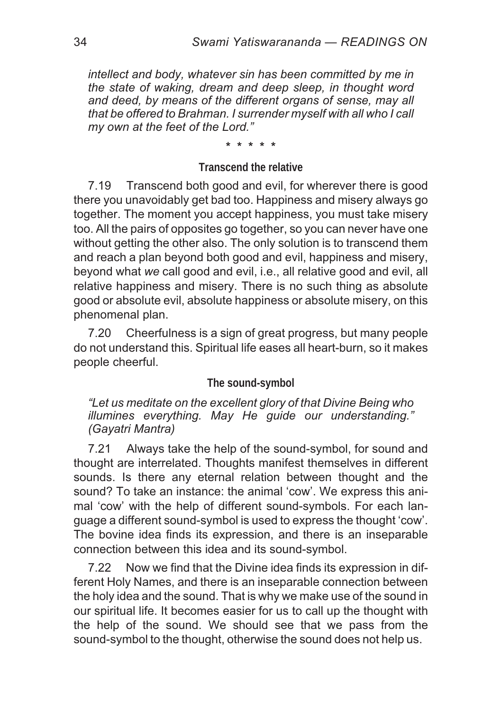<span id="page-33-0"></span>*intellect and body, whatever sin has been committed by me in the state of waking, dream and deep sleep, in thought word and deed, by means of the different organs of sense, may all that be offered to Brahman. I surrender myself with all who I call my own at the feet of the Lord."*

**\*\*\*\*\***

## **Transcend the relative**

7.19 Transcend both good and evil, for wherever there is good there you unavoidably get bad too. Happiness and misery always go together. The moment you accept happiness, you must take misery too. All the pairs of opposites go together, so you can never have one without getting the other also. The only solution is to transcend them and reach a plan beyond both good and evil, happiness and misery, beyond what *we* call good and evil, i.e., all relative good and evil, all relative happiness and misery. There is no such thing as absolute good or absolute evil, absolute happiness or absolute misery, on this phenomenal plan.

7.20 Cheerfulness is a sign of great progress, but many people do not understand this. Spiritual life eases all heart-burn, so it makes people cheerful.

## **The sound-symbol**

*"Let us meditate on the excellent glory of that Divine Being who illumines everything. May He guide our understanding." (Gayatri Mantra)*

7.21 Always take the help of the sound-symbol, for sound and thought are interrelated. Thoughts manifest themselves in different sounds. Is there any eternal relation between thought and the sound? To take an instance: the animal 'cow'. We express this animal 'cow' with the help of different sound-symbols. For each language a different sound-symbol is used to express the thought 'cow'. The bovine idea finds its expression, and there is an inseparable connection between this idea and its sound-symbol.

7.22 Now we find that the Divine idea finds its expression in different Holy Names, and there is an inseparable connection between the holy idea and the sound. That is why we make use of the sound in our spiritual life. It becomes easier for us to call up the thought with the help of the sound. We should see that we pass from the sound-symbol to the thought, otherwise the sound does not help us.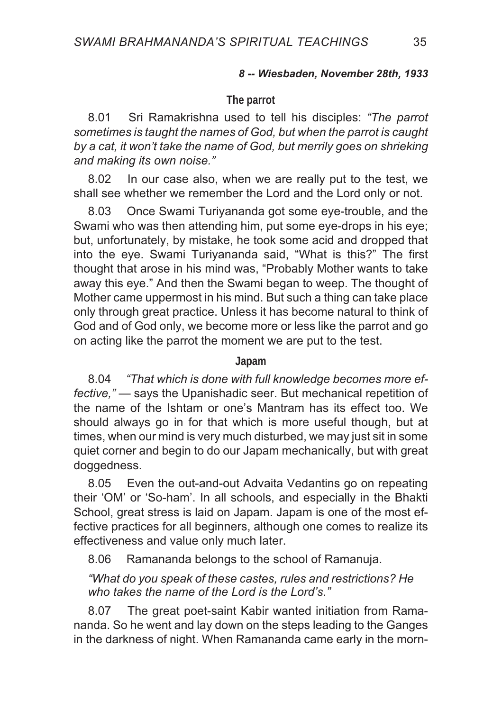#### <span id="page-34-0"></span>*8 -- Wiesbaden, November 28th, 1933*

#### **The parrot**

8.01 Sri Ramakrishna used to tell his disciples: *"The parrot sometimes is taught the names of God, but when the parrot is caught by a cat, it won't take the name of God, but merrily goes on shrieking and making its own noise."*

8.02 In our case also, when we are really put to the test, we shall see whether we remember the Lord and the Lord only or not.

8.03 Once Swami Turiyananda got some eye-trouble, and the Swami who was then attending him, put some eye-drops in his eye; but, unfortunately, by mistake, he took some acid and dropped that into the eye. Swami Turiyananda said, "What is this?" The first thought that arose in his mind was, "Probably Mother wants to take away this eye." And then the Swami began to weep. The thought of Mother came uppermost in his mind. But such a thing can take place only through great practice. Unless it has become natural to think of God and of God only, we become more or less like the parrot and go on acting like the parrot the moment we are put to the test.

#### **Japam**

8.04 *"That which is done with full knowledge becomes more effective,"* — says the Upanishadic seer. But mechanical repetition of the name of the Ishtam or one's Mantram has its effect too. We should always go in for that which is more useful though, but at times, when our mind is very much disturbed, we may just sit in some quiet corner and begin to do our Japam mechanically, but with great doggedness.

8.05 Even the out-and-out Advaita Vedantins go on repeating their 'OM' or 'So-ham'. In all schools, and especially in the Bhakti School, great stress is laid on Japam. Japam is one of the most effective practices for all beginners, although one comes to realize its effectiveness and value only much later.

8.06 Ramananda belongs to the school of Ramanuja.

*"What do you speak of these castes, rules and restrictions? He who takes the name of the Lord is the Lord's."*

8.07 The great poet-saint Kabir wanted initiation from Ramananda. So he went and lay down on the steps leading to the Ganges in the darkness of night. When Ramananda came early in the morn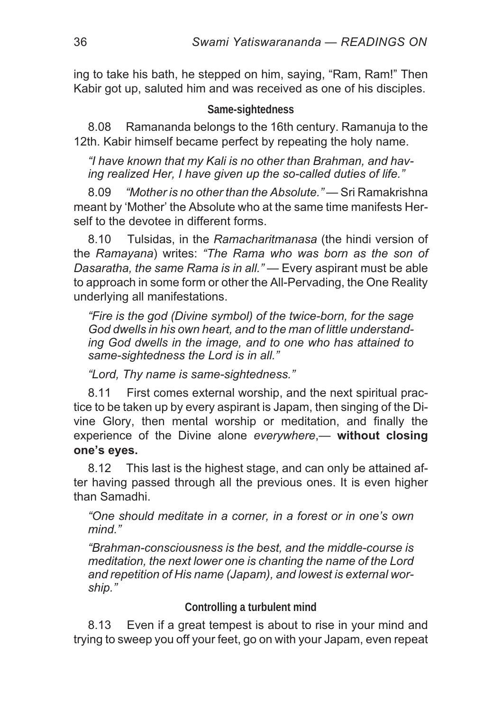<span id="page-35-0"></span>ing to take his bath, he stepped on him, saying, "Ram, Ram!" Then Kabir got up, saluted him and was received as one of his disciples.

**Same-sightedness**

8.08 Ramananda belongs to the 16th century. Ramanuja to the 12th. Kabir himself became perfect by repeating the holy name.

*"I have known that my Kali is no other than Brahman, and having realized Her, I have given up the so-called duties of life."*

8.09 *"Mother is no other than the Absolute."* — Sri Ramakrishna meant by 'Mother' the Absolute who at the same time manifests Herself to the devotee in different forms.

8.10 Tulsidas, in the *Ramacharitmanasa* (the hindi version of the *Ramayana*) writes: *"The Rama who was born as the son of Dasaratha, the same Rama is in all."* — Every aspirant must be able to approach in some form or other the All-Pervading, the One Reality underlying all manifestations.

*"Fire is the god (Divine symbol) of the twice-born, for the sage God dwells in his own heart, and to the man of little understanding God dwells in the image, and to one who has attained to same-sightedness the Lord is in all."*

*"Lord, Thy name is same-sightedness."*

8.11 First comes external worship, and the next spiritual practice to be taken up by every aspirant is Japam, then singing of the Divine Glory, then mental worship or meditation, and finally the experience of the Divine alone *everywhere*,— **without closing one's eyes.**

8.12 This last is the highest stage, and can only be attained after having passed through all the previous ones. It is even higher than Samadhi.

*"One should meditate in a corner, in a forest or in one's own mind."*

*"Brahman-consciousness is the best, and the middle-course is meditation, the next lower one is chanting the name of the Lord and repetition of His name (Japam), and lowest is external worship."*

# **Controlling a turbulent mind**

8.13 Even if a great tempest is about to rise in your mind and trying to sweep you off your feet, go on with your Japam, even repeat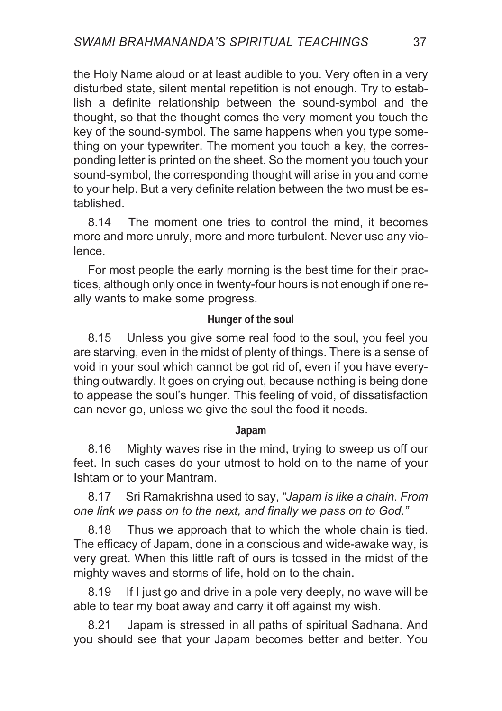the Holy Name aloud or at least audible to you. Very often in a very disturbed state, silent mental repetition is not enough. Try to establish a definite relationship between the sound-symbol and the thought, so that the thought comes the very moment you touch the key of the sound-symbol. The same happens when you type something on your typewriter. The moment you touch a key, the corresponding letter is printed on the sheet. So the moment you touch your sound-symbol, the corresponding thought will arise in you and come to your help. But a very definite relation between the two must be established.

8.14 The moment one tries to control the mind, it becomes more and more unruly, more and more turbulent. Never use any violence.

For most people the early morning is the best time for their practices, although only once in twenty-four hours is not enough if one really wants to make some progress.

# **Hunger of the soul**

8.15 Unless you give some real food to the soul, you feel you are starving, even in the midst of plenty of things. There is a sense of void in your soul which cannot be got rid of, even if you have everything outwardly. It goes on crying out, because nothing is being done to appease the soul's hunger. This feeling of void, of dissatisfaction can never go, unless we give the soul the food it needs.

#### **Japam**

8.16 Mighty waves rise in the mind, trying to sweep us off our feet. In such cases do your utmost to hold on to the name of your Ishtam or to your Mantram.

8.17 Sri Ramakrishna used to say, *"Japam is like a chain. From one link we pass on to the next, and finally we pass on to God."*

8.18 Thus we approach that to which the whole chain is tied. The efficacy of Japam, done in a conscious and wide-awake way, is very great. When this little raft of ours is tossed in the midst of the mighty waves and storms of life, hold on to the chain.

8.19 If I just go and drive in a pole very deeply, no wave will be able to tear my boat away and carry it off against my wish.

8.21 Japam is stressed in all paths of spiritual Sadhana. And you should see that your Japam becomes better and better. You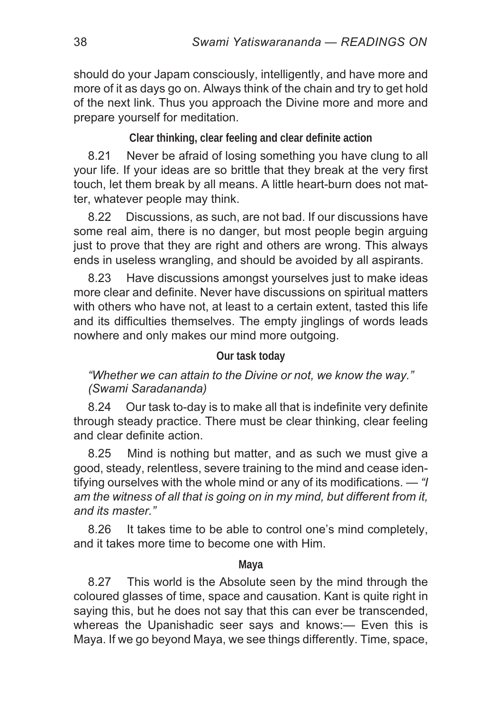should do your Japam consciously, intelligently, and have more and more of it as days go on. Always think of the chain and try to get hold of the next link. Thus you approach the Divine more and more and prepare yourself for meditation.

**Clear thinking, clear feeling and clear definite action**

8.21 Never be afraid of losing something you have clung to all your life. If your ideas are so brittle that they break at the very first touch, let them break by all means. A little heart-burn does not matter, whatever people may think.

8.22 Discussions, as such, are not bad. If our discussions have some real aim, there is no danger, but most people begin arguing just to prove that they are right and others are wrong. This always ends in useless wrangling, and should be avoided by all aspirants.

8.23 Have discussions amongst yourselves just to make ideas more clear and definite. Never have discussions on spiritual matters with others who have not, at least to a certain extent, tasted this life and its difficulties themselves. The empty jinglings of words leads nowhere and only makes our mind more outgoing.

# **Our task today**

*"Whether we can attain to the Divine or not, we know the way." (Swami Saradananda)*

8.24 Our task to-day is to make all that is indefinite very definite through steady practice. There must be clear thinking, clear feeling and clear definite action.

8.25 Mind is nothing but matter, and as such we must give a good, steady, relentless, severe training to the mind and cease identifying ourselves with the whole mind or any of its modifications. — *"I am the witness of all that is going on in my mind, but different from it, and its master."*

8.26 It takes time to be able to control one's mind completely, and it takes more time to become one with Him.

**Maya**

8.27 This world is the Absolute seen by the mind through the coloured glasses of time, space and causation. Kant is quite right in saying this, but he does not say that this can ever be transcended, whereas the Upanishadic seer says and knows:— Even this is Maya. If we go beyond Maya, we see things differently. Time, space,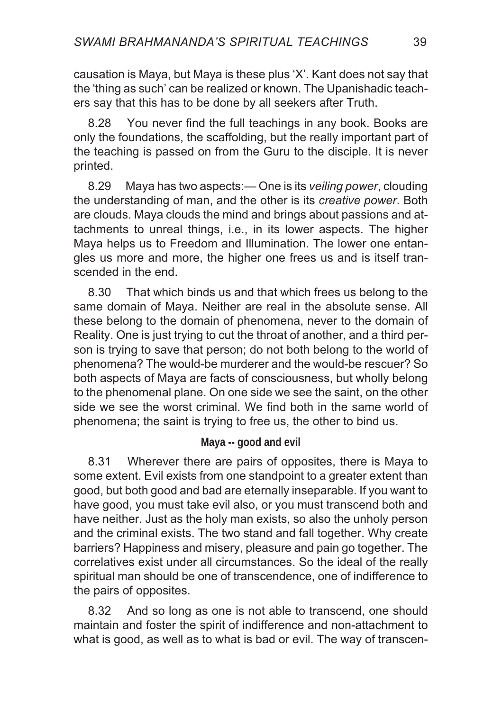causation is Maya, but Maya is these plus 'X'. Kant does not say that the 'thing as such' can be realized or known. The Upanishadic teachers say that this has to be done by all seekers after Truth.

8.28 You never find the full teachings in any book. Books are only the foundations, the scaffolding, but the really important part of the teaching is passed on from the Guru to the disciple. It is never printed.

8.29 Maya has two aspects:— One is its *veiling power*, clouding the understanding of man, and the other is its *creative power*. Both are clouds. Maya clouds the mind and brings about passions and attachments to unreal things, i.e., in its lower aspects. The higher Maya helps us to Freedom and Illumination. The lower one entangles us more and more, the higher one frees us and is itself transcended in the end.

8.30 That which binds us and that which frees us belong to the same domain of Maya. Neither are real in the absolute sense. All these belong to the domain of phenomena, never to the domain of Reality. One is just trying to cut the throat of another, and a third person is trying to save that person; do not both belong to the world of phenomena? The would-be murderer and the would-be rescuer? So both aspects of Maya are facts of consciousness, but wholly belong to the phenomenal plane. On one side we see the saint, on the other side we see the worst criminal. We find both in the same world of phenomena; the saint is trying to free us, the other to bind us.

### **Maya -- good and evil**

8.31 Wherever there are pairs of opposites, there is Maya to some extent. Evil exists from one standpoint to a greater extent than good, but both good and bad are eternally inseparable. If you want to have good, you must take evil also, or you must transcend both and have neither. Just as the holy man exists, so also the unholy person and the criminal exists. The two stand and fall together. Why create barriers? Happiness and misery, pleasure and pain go together. The correlatives exist under all circumstances. So the ideal of the really spiritual man should be one of transcendence, one of indifference to the pairs of opposites.

8.32 And so long as one is not able to transcend, one should maintain and foster the spirit of indifference and non-attachment to what is good, as well as to what is bad or evil. The way of transcen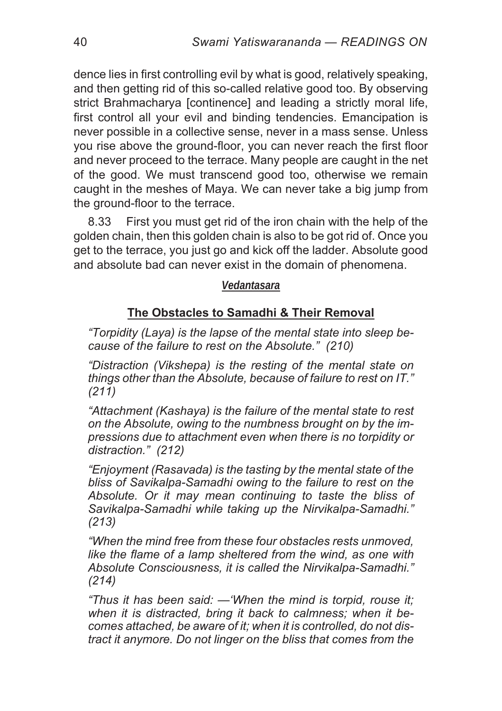dence lies in first controlling evil by what is good, relatively speaking, and then getting rid of this so-called relative good too. By observing strict Brahmacharya [continence] and leading a strictly moral life, first control all your evil and binding tendencies. Emancipation is never possible in a collective sense, never in a mass sense. Unless you rise above the ground-floor, you can never reach the first floor and never proceed to the terrace. Many people are caught in the net of the good. We must transcend good too, otherwise we remain caught in the meshes of Maya. We can never take a big jump from the ground-floor to the terrace.

8.33 First you must get rid of the iron chain with the help of the golden chain, then this golden chain is also to be got rid of. Once you get to the terrace, you just go and kick off the ladder. Absolute good and absolute bad can never exist in the domain of phenomena.

# *Vedantasara*

# **The Obstacles to Samadhi & Their Removal**

*"Torpidity (Laya) is the lapse of the mental state into sleep because of the failure to rest on the Absolute." (210)*

*"Distraction (Vikshepa) is the resting of the mental state on things other than the Absolute, because of failure to rest on IT." (211)*

*"Attachment (Kashaya) is the failure of the mental state to rest on the Absolute, owing to the numbness brought on by the impressions due to attachment even when there is no torpidity or distraction." (212)*

*"Enjoyment (Rasavada) is the tasting by the mental state of the bliss of Savikalpa-Samadhi owing to the failure to rest on the Absolute. Or it may mean continuing to taste the bliss of Savikalpa-Samadhi while taking up the Nirvikalpa-Samadhi." (213)*

*"When the mind free from these four obstacles rests unmoved, like the flame of a lamp sheltered from the wind, as one with Absolute Consciousness, it is called the Nirvikalpa-Samadhi." (214)*

*"Thus it has been said: —'When the mind is torpid, rouse it; when it is distracted, bring it back to calmness; when it becomes attached, be aware of it; when it is controlled, do not distract it anymore. Do not linger on the bliss that comes from the*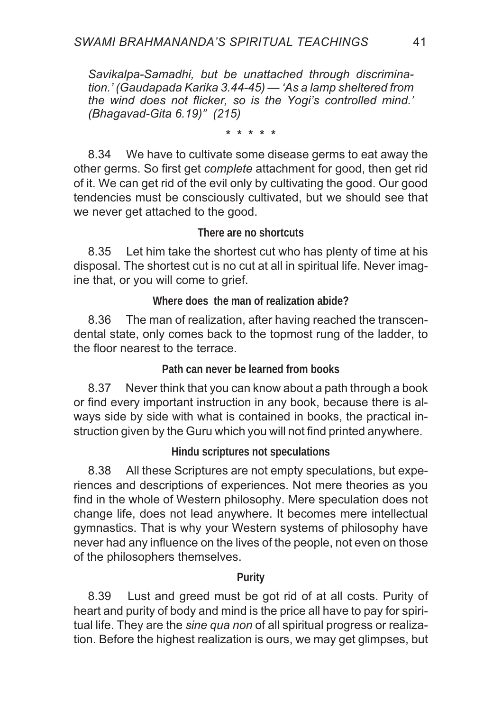*Savikalpa-Samadhi, but be unattached through discrimination.' (Gaudapada Karika 3.44-45) — 'As a lamp sheltered from the wind does not flicker, so is the Yogi's controlled mind.' (Bhagavad-Gita 6.19)" (215)*

**\*\*\*\*\***

8.34 We have to cultivate some disease germs to eat away the other germs. So first get *complete* attachment for good, then get rid of it. We can get rid of the evil only by cultivating the good. Our good tendencies must be consciously cultivated, but we should see that we never get attached to the good.

### **There are no shortcuts**

8.35 Let him take the shortest cut who has plenty of time at his disposal. The shortest cut is no cut at all in spiritual life. Never imagine that, or you will come to grief.

**Where does the man of realization abide?**

8.36 The man of realization, after having reached the transcendental state, only comes back to the topmost rung of the ladder, to the floor nearest to the terrace.

**Path can never be learned from books**

8.37 Never think that you can know about a path through a book or find every important instruction in any book, because there is always side by side with what is contained in books, the practical instruction given by the Guru which you will not find printed anywhere.

**Hindu scriptures not speculations**

8.38 All these Scriptures are not empty speculations, but experiences and descriptions of experiences. Not mere theories as you find in the whole of Western philosophy. Mere speculation does not change life, does not lead anywhere. It becomes mere intellectual gymnastics. That is why your Western systems of philosophy have never had any influence on the lives of the people, not even on those of the philosophers themselves.

# **Purity**

8.39 Lust and greed must be got rid of at all costs. Purity of heart and purity of body and mind is the price all have to pay for spiritual life. They are the *sine qua non* of all spiritual progress or realization. Before the highest realization is ours, we may get glimpses, but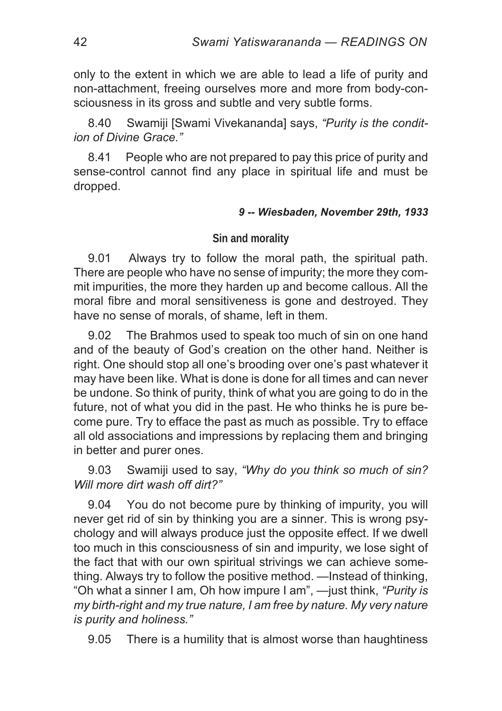only to the extent in which we are able to lead a life of purity and non-attachment, freeing ourselves more and more from body-consciousness in its gross and subtle and very subtle forms.

8.40 Swamiji [Swami Vivekananda] says, *"Purity is the condition of Divine Grace."*

8.41 People who are not prepared to pay this price of purity and sense-control cannot find any place in spiritual life and must be dropped.

### *9 -- Wiesbaden, November 29th, 1933*

### **Sin and morality**

9.01 Always try to follow the moral path, the spiritual path. There are people who have no sense of impurity; the more they commit impurities, the more they harden up and become callous. All the moral fibre and moral sensitiveness is gone and destroyed. They have no sense of morals, of shame, left in them.

9.02 The Brahmos used to speak too much of sin on one hand and of the beauty of God's creation on the other hand. Neither is right. One should stop all one's brooding over one's past whatever it may have been like. What is done is done for all times and can never be undone. So think of purity, think of what you are going to do in the future, not of what you did in the past. He who thinks he is pure become pure. Try to efface the past as much as possible. Try to efface all old associations and impressions by replacing them and bringing in better and purer ones.

9.03 Swamiji used to say, *"Why do you think so much of sin? Will more dirt wash off dirt?"*

9.04 You do not become pure by thinking of impurity, you will never get rid of sin by thinking you are a sinner. This is wrong psychology and will always produce just the opposite effect. If we dwell too much in this consciousness of sin and impurity, we lose sight of the fact that with our own spiritual strivings we can achieve something. Always try to follow the positive method. —Instead of thinking, "Oh what a sinner I am, Oh how impure I am", —just think, *"Purity is my birth-right and my true nature, I am free by nature. My very nature is purity and holiness."*

9.05 There is a humility that is almost worse than haughtiness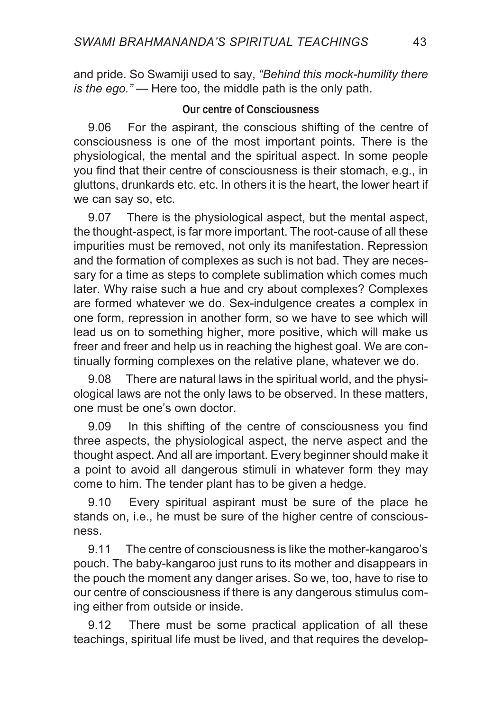and pride. So Swamiji used to say, *"Behind this mock-humility there is the ego."* — Here too, the middle path is the only path.

#### **Our centre of Consciousness**

9.06 For the aspirant, the conscious shifting of the centre of consciousness is one of the most important points. There is the physiological, the mental and the spiritual aspect. In some people you find that their centre of consciousness is their stomach, e.g., in gluttons, drunkards etc. etc. In others it is the heart, the lower heart if we can say so, etc.

9.07 There is the physiological aspect, but the mental aspect, the thought-aspect, is far more important. The root-cause of all these impurities must be removed, not only its manifestation. Repression and the formation of complexes as such is not bad. They are necessary for a time as steps to complete sublimation which comes much later. Why raise such a hue and cry about complexes? Complexes are formed whatever we do. Sex-indulgence creates a complex in one form, repression in another form, so we have to see which will lead us on to something higher, more positive, which will make us freer and freer and help us in reaching the highest goal. We are continually forming complexes on the relative plane, whatever we do.

9.08 There are natural laws in the spiritual world, and the physiological laws are not the only laws to be observed. In these matters, one must be one's own doctor.

9.09 In this shifting of the centre of consciousness you find three aspects, the physiological aspect, the nerve aspect and the thought aspect. And all are important. Every beginner should make it a point to avoid all dangerous stimuli in whatever form they may come to him. The tender plant has to be given a hedge.

9.10 Every spiritual aspirant must be sure of the place he stands on, i.e., he must be sure of the higher centre of consciousness.

9.11 The centre of consciousness is like the mother-kangaroo's pouch. The baby-kangaroo just runs to its mother and disappears in the pouch the moment any danger arises. So we, too, have to rise to our centre of consciousness if there is any dangerous stimulus coming either from outside or inside.

9.12 There must be some practical application of all these teachings, spiritual life must be lived, and that requires the develop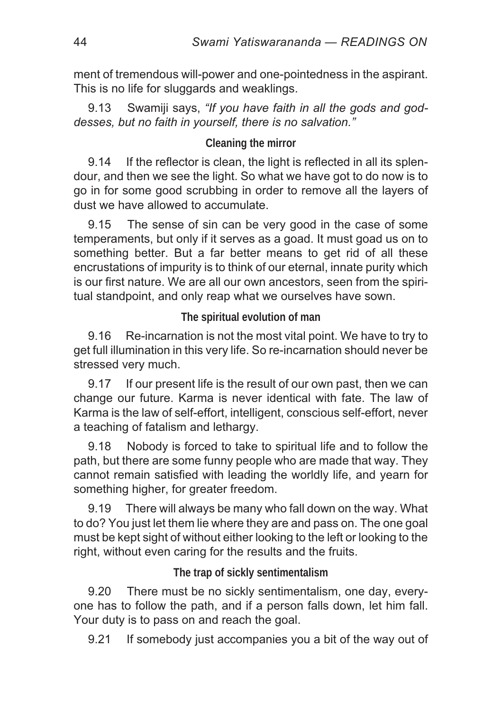ment of tremendous will-power and one-pointedness in the aspirant. This is no life for sluggards and weaklings.

9.13 Swamiji says, *"If you have faith in all the gods and goddesses, but no faith in yourself, there is no salvation."*

# **Cleaning the mirror**

9.14 If the reflector is clean, the light is reflected in all its splendour, and then we see the light. So what we have got to do now is to go in for some good scrubbing in order to remove all the layers of dust we have allowed to accumulate.

9.15 The sense of sin can be very good in the case of some temperaments, but only if it serves as a goad. It must goad us on to something better. But a far better means to get rid of all these encrustations of impurity is to think of our eternal, innate purity which is our first nature. We are all our own ancestors, seen from the spiritual standpoint, and only reap what we ourselves have sown.

# **The spiritual evolution of man**

9.16 Re-incarnation is not the most vital point. We have to try to get full illumination in this very life. So re-incarnation should never be stressed very much.

9.17 If our present life is the result of our own past, then we can change our future. Karma is never identical with fate. The law of Karma is the law of self-effort, intelligent, conscious self-effort, never a teaching of fatalism and lethargy.

9.18 Nobody is forced to take to spiritual life and to follow the path, but there are some funny people who are made that way. They cannot remain satisfied with leading the worldly life, and yearn for something higher, for greater freedom.

9.19 There will always be many who fall down on the way. What to do? You just let them lie where they are and pass on. The one goal must be kept sight of without either looking to the left or looking to the right, without even caring for the results and the fruits.

# **The trap of sickly sentimentalism**

9.20 There must be no sickly sentimentalism, one day, everyone has to follow the path, and if a person falls down, let him fall. Your duty is to pass on and reach the goal.

9.21 If somebody just accompanies you a bit of the way out of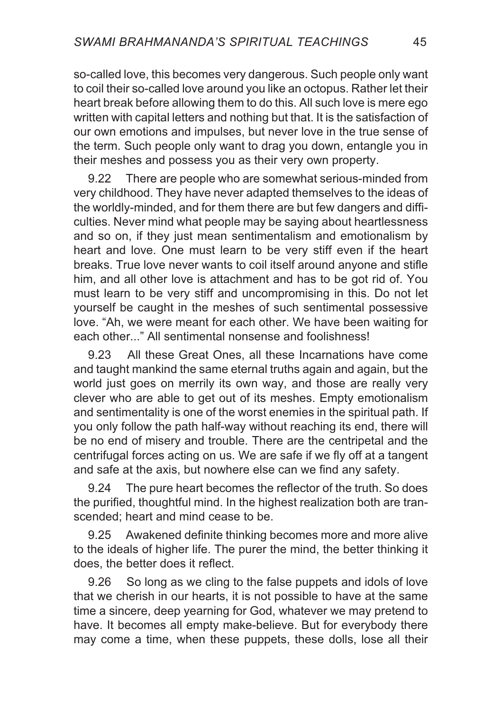so-called love, this becomes very dangerous. Such people only want to coil their so-called love around you like an octopus. Rather let their heart break before allowing them to do this. All such love is mere ego written with capital letters and nothing but that. It is the satisfaction of our own emotions and impulses, but never love in the true sense of the term. Such people only want to drag you down, entangle you in their meshes and possess you as their very own property.

9.22 There are people who are somewhat serious-minded from very childhood. They have never adapted themselves to the ideas of the worldly-minded, and for them there are but few dangers and difficulties. Never mind what people may be saying about heartlessness and so on, if they just mean sentimentalism and emotionalism by heart and love. One must learn to be very stiff even if the heart breaks. True love never wants to coil itself around anyone and stifle him, and all other love is attachment and has to be got rid of. You must learn to be very stiff and uncompromising in this. Do not let yourself be caught in the meshes of such sentimental possessive love. "Ah, we were meant for each other. We have been waiting for each other..." All sentimental nonsense and foolishness!

9.23 All these Great Ones, all these Incarnations have come and taught mankind the same eternal truths again and again, but the world just goes on merrily its own way, and those are really very clever who are able to get out of its meshes. Empty emotionalism and sentimentality is one of the worst enemies in the spiritual path. If you only follow the path half-way without reaching its end, there will be no end of misery and trouble. There are the centripetal and the centrifugal forces acting on us. We are safe if we fly off at a tangent and safe at the axis, but nowhere else can we find any safety.

9.24 The pure heart becomes the reflector of the truth. So does the purified, thoughtful mind. In the highest realization both are transcended; heart and mind cease to be.

9.25 Awakened definite thinking becomes more and more alive to the ideals of higher life. The purer the mind, the better thinking it does, the better does it reflect.

9.26 So long as we cling to the false puppets and idols of love that we cherish in our hearts, it is not possible to have at the same time a sincere, deep yearning for God, whatever we may pretend to have. It becomes all empty make-believe. But for everybody there may come a time, when these puppets, these dolls, lose all their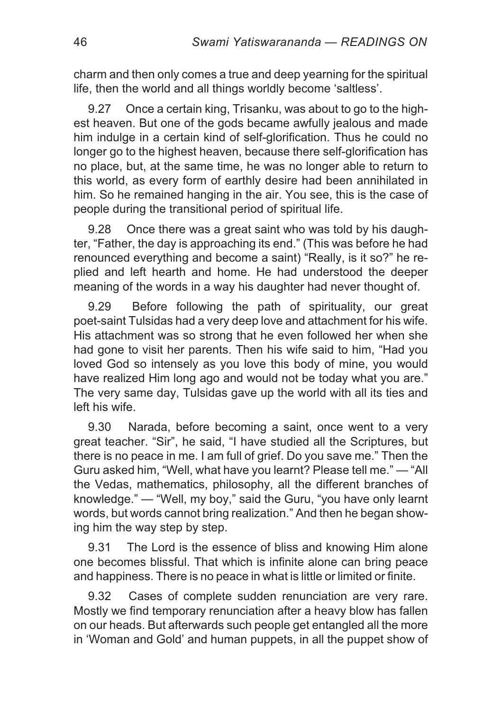charm and then only comes a true and deep yearning for the spiritual life, then the world and all things worldly become 'saltless'.

9.27 Once a certain king, Trisanku, was about to go to the highest heaven. But one of the gods became awfully jealous and made him indulge in a certain kind of self-glorification. Thus he could no longer go to the highest heaven, because there self-glorification has no place, but, at the same time, he was no longer able to return to this world, as every form of earthly desire had been annihilated in him. So he remained hanging in the air. You see, this is the case of people during the transitional period of spiritual life.

9.28 Once there was a great saint who was told by his daughter, "Father, the day is approaching its end." (This was before he had renounced everything and become a saint) "Really, is it so?" he replied and left hearth and home. He had understood the deeper meaning of the words in a way his daughter had never thought of.

9.29 Before following the path of spirituality, our great poet-saint Tulsidas had a very deep love and attachment for his wife. His attachment was so strong that he even followed her when she had gone to visit her parents. Then his wife said to him, "Had you loved God so intensely as you love this body of mine, you would have realized Him long ago and would not be today what you are." The very same day, Tulsidas gave up the world with all its ties and left his wife.

9.30 Narada, before becoming a saint, once went to a very great teacher. "Sir", he said, "I have studied all the Scriptures, but there is no peace in me. I am full of grief. Do you save me." Then the Guru asked him, "Well, what have you learnt? Please tell me." — "All the Vedas, mathematics, philosophy, all the different branches of knowledge." — "Well, my boy," said the Guru, "you have only learnt words, but words cannot bring realization." And then he began showing him the way step by step.

9.31 The Lord is the essence of bliss and knowing Him alone one becomes blissful. That which is infinite alone can bring peace and happiness. There is no peace in what is little or limited or finite.

9.32 Cases of complete sudden renunciation are very rare. Mostly we find temporary renunciation after a heavy blow has fallen on our heads. But afterwards such people get entangled all the more in 'Woman and Gold' and human puppets, in all the puppet show of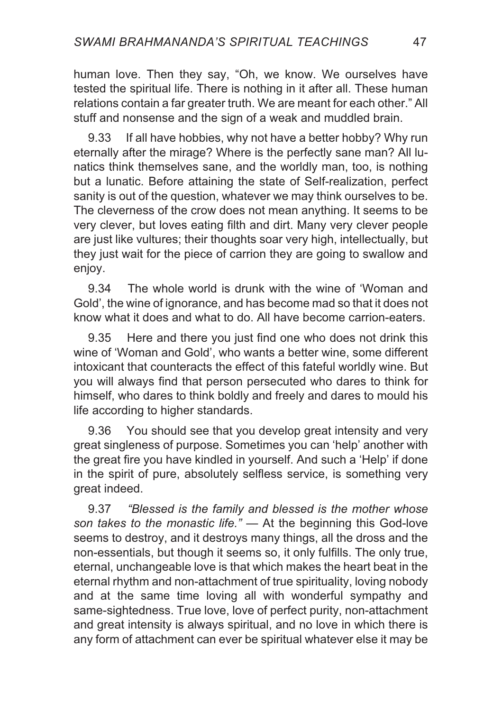human love. Then they say, "Oh, we know. We ourselves have tested the spiritual life. There is nothing in it after all. These human relations contain a far greater truth. We are meant for each other." All stuff and nonsense and the sign of a weak and muddled brain.

9.33 If all have hobbies, why not have a better hobby? Why run eternally after the mirage? Where is the perfectly sane man? All lunatics think themselves sane, and the worldly man, too, is nothing but a lunatic. Before attaining the state of Self-realization, perfect sanity is out of the question, whatever we may think ourselves to be. The cleverness of the crow does not mean anything. It seems to be very clever, but loves eating filth and dirt. Many very clever people are just like vultures; their thoughts soar very high, intellectually, but they just wait for the piece of carrion they are going to swallow and enjoy.

9.34 The whole world is drunk with the wine of 'Woman and Gold', the wine of ignorance, and has become mad so that it does not know what it does and what to do. All have become carrion-eaters.

9.35 Here and there you just find one who does not drink this wine of 'Woman and Gold', who wants a better wine, some different intoxicant that counteracts the effect of this fateful worldly wine. But you will always find that person persecuted who dares to think for himself, who dares to think boldly and freely and dares to mould his life according to higher standards.

9.36 You should see that you develop great intensity and very great singleness of purpose. Sometimes you can 'help' another with the great fire you have kindled in yourself. And such a 'Help' if done in the spirit of pure, absolutely selfless service, is something very great indeed.

9.37 *"Blessed is the family and blessed is the mother whose son takes to the monastic life."* — At the beginning this God-love seems to destroy, and it destroys many things, all the dross and the non-essentials, but though it seems so, it only fulfills. The only true, eternal, unchangeable love is that which makes the heart beat in the eternal rhythm and non-attachment of true spirituality, loving nobody and at the same time loving all with wonderful sympathy and same-sightedness. True love, love of perfect purity, non-attachment and great intensity is always spiritual, and no love in which there is any form of attachment can ever be spiritual whatever else it may be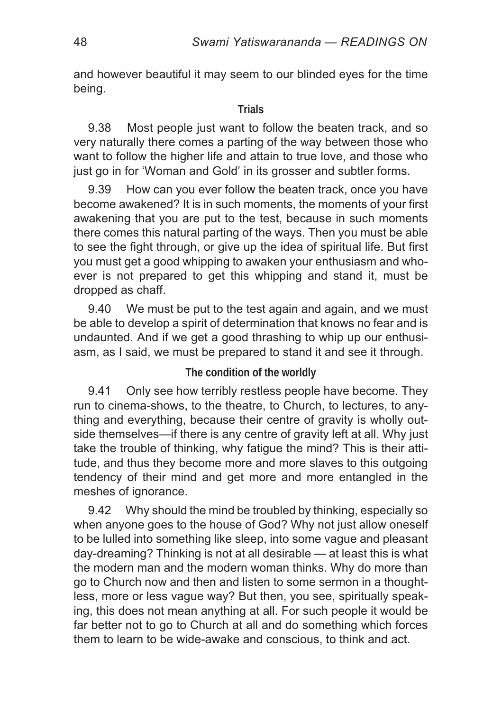and however beautiful it may seem to our blinded eyes for the time being.

### **Trials**

9.38 Most people just want to follow the beaten track, and so very naturally there comes a parting of the way between those who want to follow the higher life and attain to true love, and those who just go in for 'Woman and Gold' in its grosser and subtler forms.

9.39 How can you ever follow the beaten track, once you have become awakened? It is in such moments, the moments of your first awakening that you are put to the test, because in such moments there comes this natural parting of the ways. Then you must be able to see the fight through, or give up the idea of spiritual life. But first you must get a good whipping to awaken your enthusiasm and whoever is not prepared to get this whipping and stand it, must be dropped as chaff.

9.40 We must be put to the test again and again, and we must be able to develop a spirit of determination that knows no fear and is undaunted. And if we get a good thrashing to whip up our enthusiasm, as I said, we must be prepared to stand it and see it through.

# **The condition of the worldly**

9.41 Only see how terribly restless people have become. They run to cinema-shows, to the theatre, to Church, to lectures, to anything and everything, because their centre of gravity is wholly outside themselves—if there is any centre of gravity left at all. Why just take the trouble of thinking, why fatigue the mind? This is their attitude, and thus they become more and more slaves to this outgoing tendency of their mind and get more and more entangled in the meshes of ignorance.

9.42 Why should the mind be troubled by thinking, especially so when anyone goes to the house of God? Why not just allow oneself to be lulled into something like sleep, into some vague and pleasant day-dreaming? Thinking is not at all desirable — at least this is what the modern man and the modern woman thinks. Why do more than go to Church now and then and listen to some sermon in a thoughtless, more or less vague way? But then, you see, spiritually speaking, this does not mean anything at all. For such people it would be far better not to go to Church at all and do something which forces them to learn to be wide-awake and conscious, to think and act.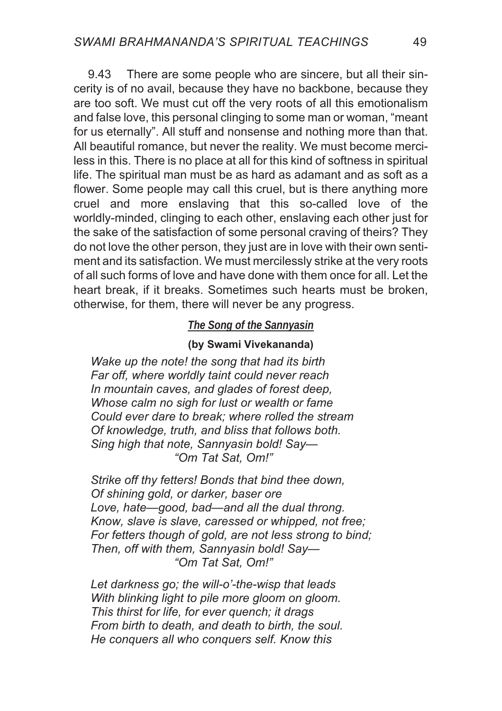9.43 There are some people who are sincere, but all their sincerity is of no avail, because they have no backbone, because they are too soft. We must cut off the very roots of all this emotionalism and false love, this personal clinging to some man or woman, "meant for us eternally". All stuff and nonsense and nothing more than that. All beautiful romance, but never the reality. We must become merciless in this. There is no place at all for this kind of softness in spiritual life. The spiritual man must be as hard as adamant and as soft as a flower. Some people may call this cruel, but is there anything more cruel and more enslaving that this so-called love of the worldly-minded, clinging to each other, enslaving each other just for the sake of the satisfaction of some personal craving of theirs? They do not love the other person, they just are in love with their own sentiment and its satisfaction. We must mercilessly strike at the very roots of all such forms of love and have done with them once for all. Let the heart break, if it breaks. Sometimes such hearts must be broken, otherwise, for them, there will never be any progress.

#### *The Song of the Sannyasin*

#### **(by Swami Vivekananda)**

*Wake up the note! the song that had its birth Far off, where worldly taint could never reach In mountain caves, and glades of forest deep, Whose calm no sigh for lust or wealth or fame Could ever dare to break; where rolled the stream Of knowledge, truth, and bliss that follows both. Sing high that note, Sannyasin bold! Say— "Om Tat Sat, Om!"*

*Strike off thy fetters! Bonds that bind thee down, Of shining gold, or darker, baser ore Love, hate—good, bad—and all the dual throng. Know, slave is slave, caressed or whipped, not free; For fetters though of gold, are not less strong to bind; Then, off with them, Sannyasin bold! Say— "Om Tat Sat, Om!"*

*Let darkness go; the will-o'-the-wisp that leads With blinking light to pile more gloom on gloom. This thirst for life, for ever quench; it drags From birth to death, and death to birth, the soul. He conquers all who conquers self. Know this*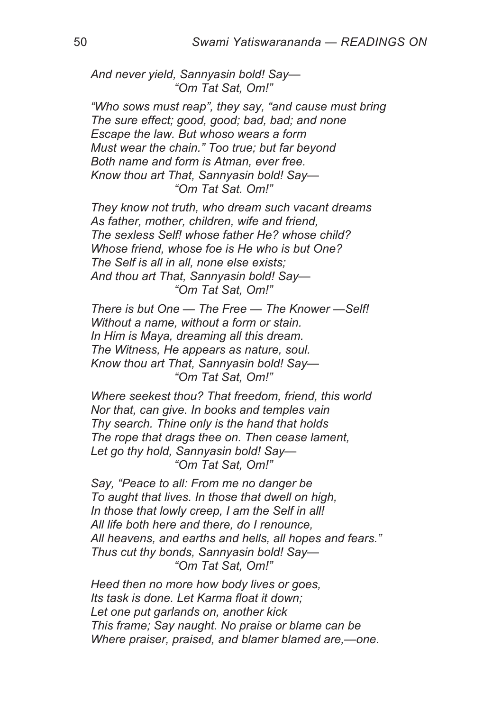*And never yield, Sannyasin bold! Say— "Om Tat Sat, Om!"*

*"Who sows must reap", they say, "and cause must bring The sure effect; good, good; bad, bad; and none Escape the law. But whoso wears a form Must wear the chain." Too true; but far beyond Both name and form is Atman, ever free. Know thou art That, Sannyasin bold! Say— "Om Tat Sat. Om!"*

*They know not truth, who dream such vacant dreams As father, mother, children, wife and friend, The sexless Self! whose father He? whose child? Whose friend, whose foe is He who is but One? The Self is all in all, none else exists; And thou art That, Sannyasin bold! Say— "Om Tat Sat, Om!"*

*There is but One — The Free — The Knower —Self! Without a name, without a form or stain. In Him is Maya, dreaming all this dream. The Witness, He appears as nature, soul. Know thou art That, Sannyasin bold! Say— "Om Tat Sat, Om!"*

*Where seekest thou? That freedom, friend, this world Nor that, can give. In books and temples vain Thy search. Thine only is the hand that holds The rope that drags thee on. Then cease lament, Let go thy hold, Sannyasin bold! Say— "Om Tat Sat, Om!"*

*Say, "Peace to all: From me no danger be To aught that lives. In those that dwell on high, In those that lowly creep, I am the Self in all! All life both here and there, do I renounce, All heavens, and earths and hells, all hopes and fears." Thus cut thy bonds, Sannyasin bold! Say— "Om Tat Sat, Om!"*

*Heed then no more how body lives or goes, Its task is done. Let Karma float it down; Let one put garlands on, another kick This frame; Say naught. No praise or blame can be Where praiser, praised, and blamer blamed are,—one.*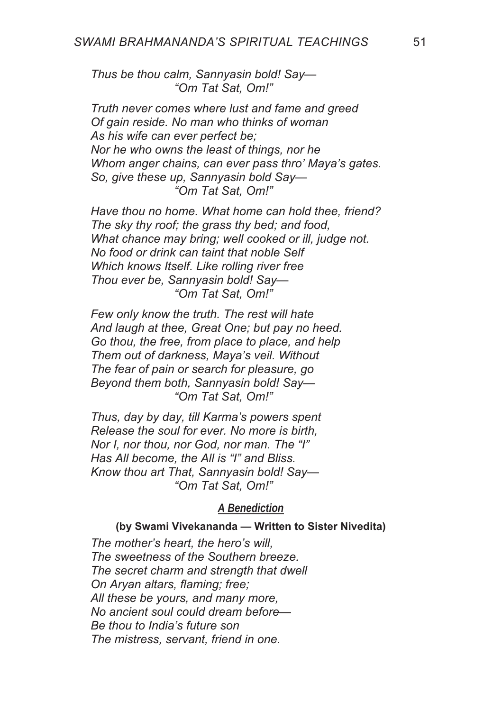*Thus be thou calm, Sannyasin bold! Say— "Om Tat Sat, Om!"*

*Truth never comes where lust and fame and greed Of gain reside. No man who thinks of woman As his wife can ever perfect be; Nor he who owns the least of things, nor he Whom anger chains, can ever pass thro' Maya's gates. So, give these up, Sannyasin bold Say— "Om Tat Sat, Om!"*

*Have thou no home. What home can hold thee, friend? The sky thy roof; the grass thy bed; and food, What chance may bring; well cooked or ill, judge not. No food or drink can taint that noble Self Which knows Itself. Like rolling river free Thou ever be, Sannyasin bold! Say— "Om Tat Sat, Om!"*

*Few only know the truth. The rest will hate And laugh at thee, Great One; but pay no heed. Go thou, the free, from place to place, and help Them out of darkness, Maya's veil. Without The fear of pain or search for pleasure, go Beyond them both, Sannyasin bold! Say— "Om Tat Sat, Om!"*

*Thus, day by day, till Karma's powers spent Release the soul for ever. No more is birth, Nor I, nor thou, nor God, nor man. The "I" Has All become, the All is "I" and Bliss. Know thou art That, Sannyasin bold! Say— "Om Tat Sat, Om!"*

#### *A Benediction*

#### **(by Swami Vivekananda — Written to Sister Nivedita)**

*The mother's heart, the hero's will, The sweetness of the Southern breeze. The secret charm and strength that dwell On Aryan altars, flaming; free; All these be yours, and many more, No ancient soul could dream before— Be thou to India's future son The mistress, servant, friend in one.*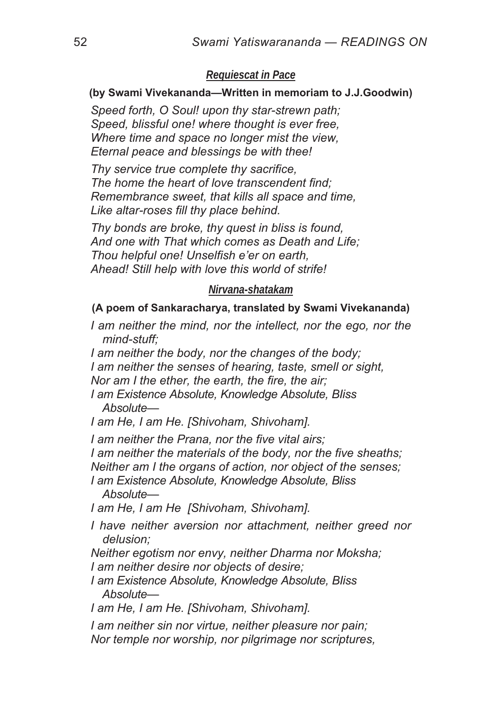### *Requiescat in Pace*

#### **(by Swami Vivekananda—Written in memoriam to J.J.Goodwin)**

*Speed forth, O Soul! upon thy star-strewn path; Speed, blissful one! where thought is ever free, Where time and space no longer mist the view, Eternal peace and blessings be with thee!*

*Thy service true complete thy sacrifice, The home the heart of love transcendent find; Remembrance sweet, that kills all space and time, Like altar-roses fill thy place behind.*

*Thy bonds are broke, thy quest in bliss is found, And one with That which comes as Death and Life; Thou helpful one! Unselfish e'er on earth, Ahead! Still help with love this world of strife!*

#### *Nirvana-shatakam*

#### **(A poem of Sankaracharya, translated by Swami Vivekananda)**

*I am neither the mind, nor the intellect, nor the ego, nor the mind-stuff;*

*I am neither the body, nor the changes of the body; I am neither the senses of hearing, taste, smell or sight,*

*Nor am I the ether, the earth, the fire, the air;*

*I am Existence Absolute, Knowledge Absolute, BIiss Absolute—*

*I am He, I am He. [Shivoham, Shivoham].*

*I am neither the Prana, nor the five vital airs; I am neither the materials of the body, nor the five sheaths; Neither am I the organs of action, nor object of the senses; I am Existence Absolute, Knowledge Absolute, Bliss Absolute—*

*I am He, I am He [Shivoham, Shivoham].*

*I have neither aversion nor attachment, neither greed nor delusion;*

*Neither egotism nor envy, neither Dharma nor Moksha;*

*I am neither desire nor objects of desire;*

*I am Existence Absolute, Knowledge Absolute, BIiss Absolute—*

*I am He, I am He. [Shivoham, Shivoham].*

*I am neither sin nor virtue, neither pleasure nor pain; Nor temple nor worship, nor pilgrimage nor scriptures,*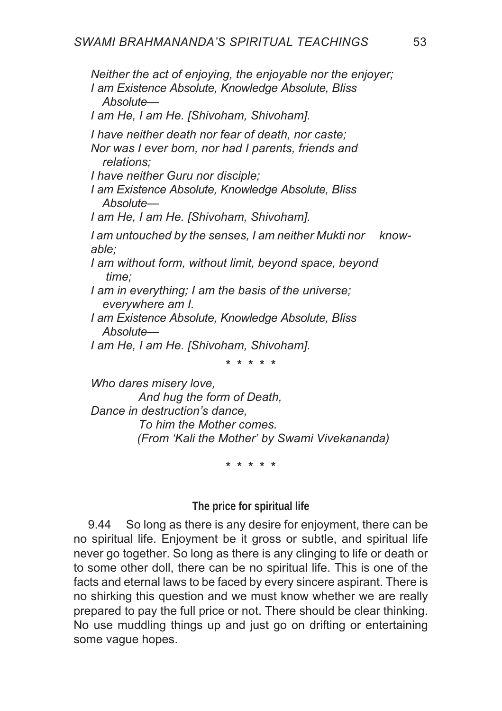*Neither the act of enjoying, the enjoyable nor the enjoyer; I am Existence Absolute, Knowledge Absolute, BIiss Absolute— I am He, I am He. [Shivoham, Shivoham]. I have neither death nor fear of death, nor caste; Nor was I ever born, nor had I parents, friends and relations; I have neither Guru nor disciple; I am Existence Absolute, Knowledge Absolute, BIiss Absolute— I am He, I am He. [Shivoham, Shivoham]. I am untouched by the senses, I am neither Mukti nor knowable; I am without form, without limit, beyond space, beyond time; I am in everything; I am the basis of the universe; everywhere am I. I am Existence Absolute, Knowledge Absolute, BIiss Absolute— I am He, I am He. [Shivoham, Shivoham].* **\*\*\*\*\***

*Who dares misery love, And hug the form of Death, Dance in destruction's dance, To him the Mother comes. (From 'Kali the Mother' by Swami Vivekananda)*

**\*\*\*\*\***

**The price for spiritual life**

9.44 So long as there is any desire for enjoyment, there can be no spiritual life. Enjoyment be it gross or subtle, and spiritual life never go together. So long as there is any clinging to life or death or to some other doll, there can be no spiritual life. This is one of the facts and eternal laws to be faced by every sincere aspirant. There is no shirking this question and we must know whether we are really prepared to pay the full price or not. There should be clear thinking. No use muddling things up and just go on drifting or entertaining some vague hopes.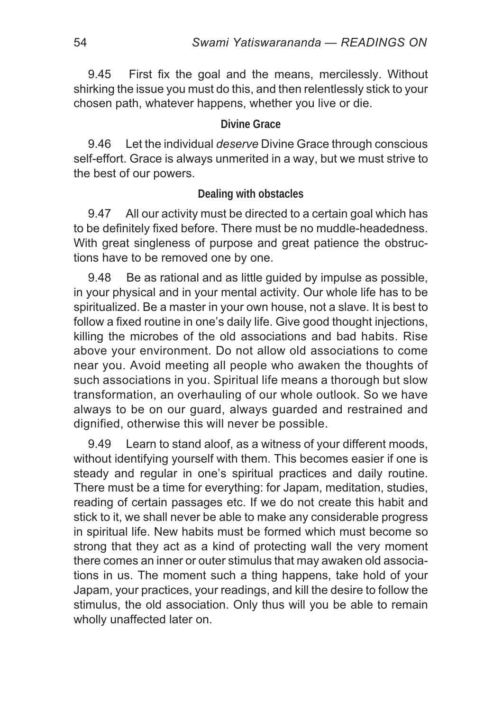9.45 First fix the goal and the means, mercilessly. Without shirking the issue you must do this, and then relentlessly stick to your chosen path, whatever happens, whether you live or die.

### **Divine Grace**

9.46 Let the individual *deserve* Divine Grace through conscious self-effort. Grace is always unmerited in a way, but we must strive to the best of our powers.

### **Dealing with obstacles**

9.47 All our activity must be directed to a certain goal which has to be definitely fixed before. There must be no muddle-headedness. With great singleness of purpose and great patience the obstructions have to be removed one by one.

9.48 Be as rational and as little guided by impulse as possible, in your physical and in your mental activity. Our whole life has to be spiritualized. Be a master in your own house, not a slave. It is best to follow a fixed routine in one's daily life. Give good thought injections, killing the microbes of the old associations and bad habits. Rise above your environment. Do not allow old associations to come near you. Avoid meeting all people who awaken the thoughts of such associations in you. Spiritual life means a thorough but slow transformation, an overhauling of our whole outlook. So we have always to be on our guard, always guarded and restrained and dignified, otherwise this will never be possible.

9.49 Learn to stand aloof, as a witness of your different moods, without identifying yourself with them. This becomes easier if one is steady and regular in one's spiritual practices and daily routine. There must be a time for everything: for Japam, meditation, studies, reading of certain passages etc. If we do not create this habit and stick to it, we shall never be able to make any considerable progress in spiritual life. New habits must be formed which must become so strong that they act as a kind of protecting wall the very moment there comes an inner or outer stimulus that may awaken old associations in us. The moment such a thing happens, take hold of your Japam, your practices, your readings, and kill the desire to follow the stimulus, the old association. Only thus will you be able to remain wholly unaffected later on.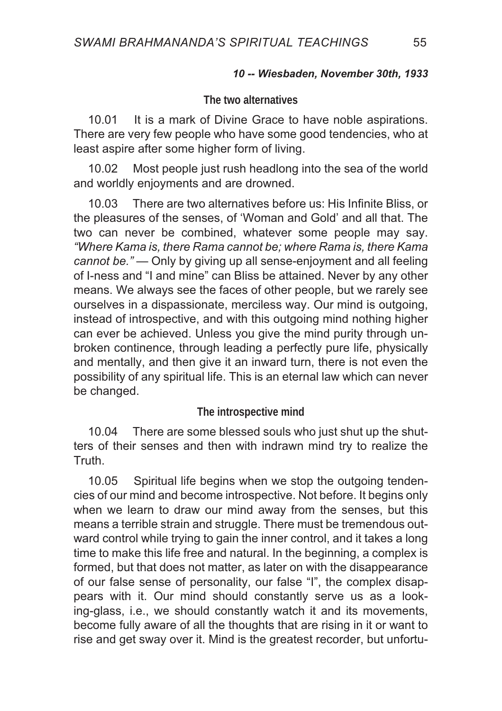#### *10 -- Wiesbaden, November 30th, 1933*

#### **The two alternatives**

10.01 It is a mark of Divine Grace to have noble aspirations. There are very few people who have some good tendencies, who at least aspire after some higher form of living.

10.02 Most people just rush headlong into the sea of the world and worldly enjoyments and are drowned.

10.03 There are two alternatives before us: His Infinite Bliss, or the pleasures of the senses, of 'Woman and Gold' and all that. The two can never be combined, whatever some people may say. *"Where Kama is, there Rama cannot be; where Rama is, there Kama cannot be."* — Only by giving up all sense-enjoyment and all feeling of I-ness and "I and mine" can Bliss be attained. Never by any other means. We always see the faces of other people, but we rarely see ourselves in a dispassionate, merciless way. Our mind is outgoing, instead of introspective, and with this outgoing mind nothing higher can ever be achieved. Unless you give the mind purity through unbroken continence, through leading a perfectly pure life, physically and mentally, and then give it an inward turn, there is not even the possibility of any spiritual life. This is an eternal law which can never be changed.

### **The introspective mind**

10.04 There are some blessed souls who just shut up the shutters of their senses and then with indrawn mind try to realize the Truth.

10.05 Spiritual life begins when we stop the outgoing tendencies of our mind and become introspective. Not before. It begins only when we learn to draw our mind away from the senses, but this means a terrible strain and struggle. There must be tremendous outward control while trying to gain the inner control, and it takes a long time to make this life free and natural. In the beginning, a complex is formed, but that does not matter, as later on with the disappearance of our false sense of personality, our false "I", the complex disappears with it. Our mind should constantly serve us as a looking-glass, i.e., we should constantly watch it and its movements, become fully aware of all the thoughts that are rising in it or want to rise and get sway over it. Mind is the greatest recorder, but unfortu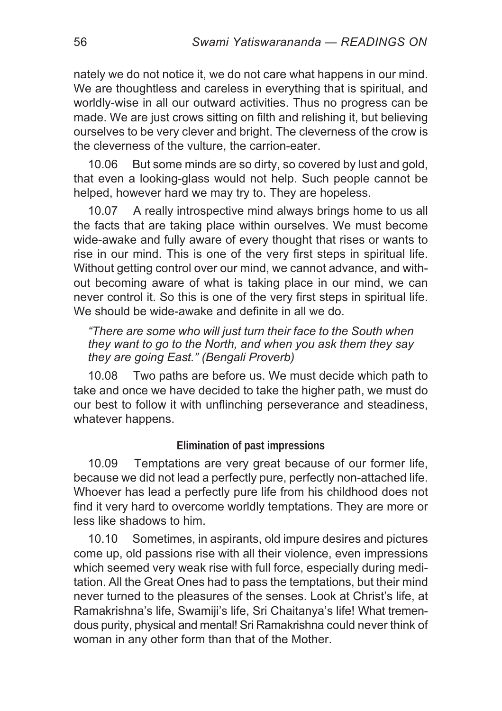nately we do not notice it, we do not care what happens in our mind. We are thoughtless and careless in everything that is spiritual, and worldly-wise in all our outward activities. Thus no progress can be made. We are just crows sitting on filth and relishing it, but believing ourselves to be very clever and bright. The cleverness of the crow is the cleverness of the vulture, the carrion-eater.

10.06 But some minds are so dirty, so covered by lust and gold, that even a looking-glass would not help. Such people cannot be helped, however hard we may try to. They are hopeless.

10.07 A really introspective mind always brings home to us all the facts that are taking place within ourselves. We must become wide-awake and fully aware of every thought that rises or wants to rise in our mind. This is one of the very first steps in spiritual life. Without getting control over our mind, we cannot advance, and without becoming aware of what is taking place in our mind, we can never control it. So this is one of the very first steps in spiritual life. We should be wide-awake and definite in all we do.

*"There are some who will just turn their face to the South when they want to go to the North, and when you ask them they say they are going East." (Bengali Proverb)*

10.08 Two paths are before us. We must decide which path to take and once we have decided to take the higher path, we must do our best to follow it with unflinching perseverance and steadiness, whatever happens.

### **Elimination of past impressions**

10.09 Temptations are very great because of our former life, because we did not lead a perfectly pure, perfectly non-attached life. Whoever has lead a perfectly pure life from his childhood does not find it very hard to overcome worldly temptations. They are more or less like shadows to him.

10.10 Sometimes, in aspirants, old impure desires and pictures come up, old passions rise with all their violence, even impressions which seemed very weak rise with full force, especially during meditation. All the Great Ones had to pass the temptations, but their mind never turned to the pleasures of the senses. Look at Christ's life, at Ramakrishna's life, Swamiji's life, Sri Chaitanya's life! What tremendous purity, physical and mental! Sri Ramakrishna could never think of woman in any other form than that of the Mother.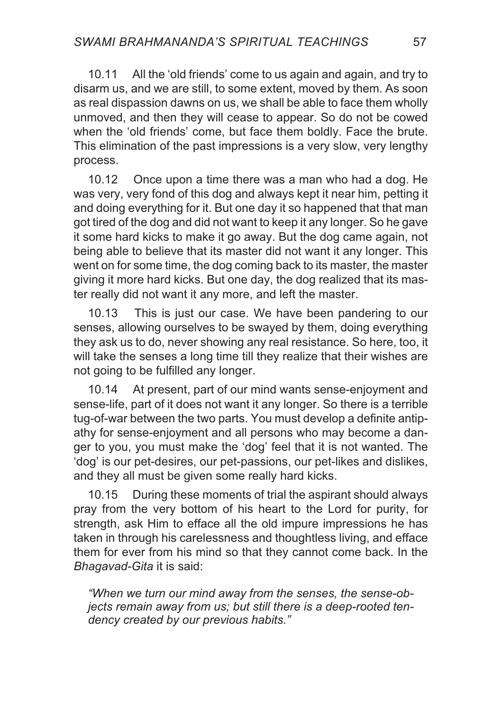10.11 All the 'old friends' come to us again and again, and try to disarm us, and we are still, to some extent, moved by them. As soon as real dispassion dawns on us, we shall be able to face them wholly unmoved, and then they will cease to appear. So do not be cowed when the 'old friends' come, but face them boldly. Face the brute. This elimination of the past impressions is a very slow, very lengthy process.

10.12 Once upon a time there was a man who had a dog. He was very, very fond of this dog and always kept it near him, petting it and doing everything for it. But one day it so happened that that man got tired of the dog and did not want to keep it any longer. So he gave it some hard kicks to make it go away. But the dog came again, not being able to believe that its master did not want it any longer. This went on for some time, the dog coming back to its master, the master giving it more hard kicks. But one day, the dog realized that its master really did not want it any more, and left the master.

10.13 This is just our case. We have been pandering to our senses, allowing ourselves to be swayed by them, doing everything they ask us to do, never showing any real resistance. So here, too, it will take the senses a long time till they realize that their wishes are not going to be fulfilled any longer.

10.14 At present, part of our mind wants sense-enjoyment and sense-life, part of it does not want it any longer. So there is a terrible tug-of-war between the two parts. You must develop a definite antipathy for sense-enjoyment and all persons who may become a danger to you, you must make the 'dog' feel that it is not wanted. The 'dog' is our pet-desires, our pet-passions, our pet-likes and dislikes, and they all must be given some really hard kicks.

10.15 During these moments of trial the aspirant should always pray from the very bottom of his heart to the Lord for purity, for strength, ask Him to efface all the old impure impressions he has taken in through his carelessness and thoughtless living, and efface them for ever from his mind so that they cannot come back. In the *Bhagavad-Gita* it is said:

*"When we turn our mind away from the senses, the sense-objects remain away from us; but still there is a deep-rooted tendency created by our previous habits."*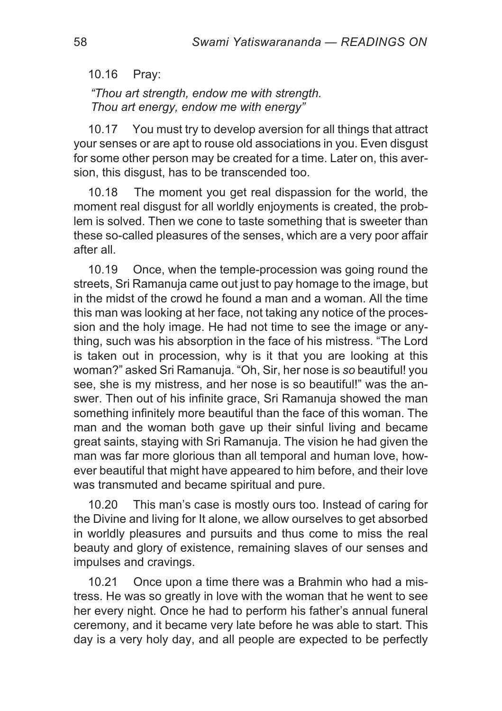10.16 Pray:

*"Thou art strength, endow me with strength. Thou art energy, endow me with energy"*

10.17 You must try to develop aversion for all things that attract your senses or are apt to rouse old associations in you. Even disgust for some other person may be created for a time. Later on, this aversion, this disgust, has to be transcended too.

10.18 The moment you get real dispassion for the world, the moment real disgust for all worldly enjoyments is created, the problem is solved. Then we cone to taste something that is sweeter than these so-called pleasures of the senses, which are a very poor affair after all.

10.19 Once, when the temple-procession was going round the streets, Sri Ramanuja came out just to pay homage to the image, but in the midst of the crowd he found a man and a woman. All the time this man was looking at her face, not taking any notice of the procession and the holy image. He had not time to see the image or anything, such was his absorption in the face of his mistress. "The Lord is taken out in procession, why is it that you are looking at this woman?" asked Sri Ramanuja. "Oh, Sir, her nose is *so* beautiful! you see, she is my mistress, and her nose is so beautiful!" was the answer. Then out of his infinite grace, Sri Ramanuja showed the man something infinitely more beautiful than the face of this woman. The man and the woman both gave up their sinful living and became great saints, staying with Sri Ramanuja. The vision he had given the man was far more glorious than all temporal and human love, however beautiful that might have appeared to him before, and their love was transmuted and became spiritual and pure.

10.20 This man's case is mostly ours too. Instead of caring for the Divine and living for It alone, we allow ourselves to get absorbed in worldly pleasures and pursuits and thus come to miss the real beauty and glory of existence, remaining slaves of our senses and impulses and cravings.

10.21 Once upon a time there was a Brahmin who had a mistress. He was so greatly in love with the woman that he went to see her every night. Once he had to perform his father's annual funeral ceremony, and it became very late before he was able to start. This day is a very holy day, and all people are expected to be perfectly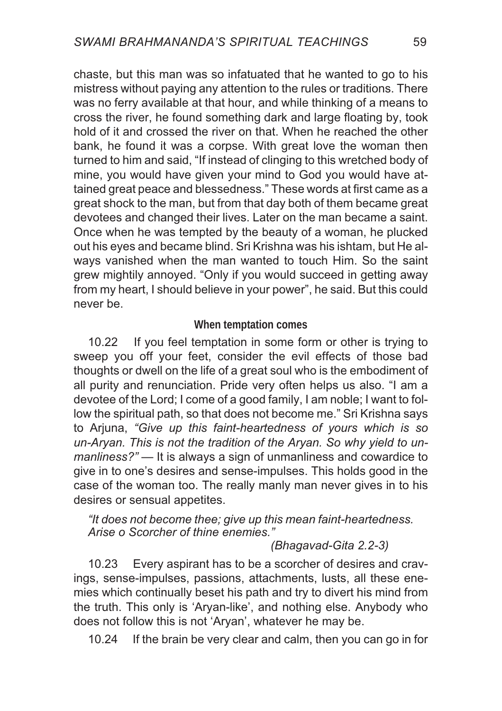chaste, but this man was so infatuated that he wanted to go to his mistress without paying any attention to the rules or traditions. There was no ferry available at that hour, and while thinking of a means to cross the river, he found something dark and large floating by, took hold of it and crossed the river on that. When he reached the other bank, he found it was a corpse. With great love the woman then turned to him and said, "If instead of clinging to this wretched body of mine, you would have given your mind to God you would have attained great peace and blessedness." These words at first came as a great shock to the man, but from that day both of them became great devotees and changed their lives. Later on the man became a saint. Once when he was tempted by the beauty of a woman, he plucked out his eyes and became blind. Sri Krishna was his ishtam, but He always vanished when the man wanted to touch Him. So the saint grew mightily annoyed. "Only if you would succeed in getting away from my heart, I should believe in your power", he said. But this could never be.

#### **When temptation comes**

10.22 If you feel temptation in some form or other is trying to sweep you off your feet, consider the evil effects of those bad thoughts or dwell on the life of a great soul who is the embodiment of all purity and renunciation. Pride very often helps us also. "I am a devotee of the Lord; I come of a good family, I am noble; I want to follow the spiritual path, so that does not become me." Sri Krishna says to Arjuna, *"Give up this faint-heartedness of yours which is so un-Aryan. This is not the tradition of the Aryan. So why yield to unmanliness?"* — It is always a sign of unmanliness and cowardice to give in to one's desires and sense-impulses. This holds good in the case of the woman too. The really manly man never gives in to his desires or sensual appetites.

*"It does not become thee; give up this mean faint-heartedness. Arise o Scorcher of thine enemies."*

#### *(Bhagavad-Gita 2.2-3)*

10.23 Every aspirant has to be a scorcher of desires and cravings, sense-impulses, passions, attachments, lusts, all these enemies which continually beset his path and try to divert his mind from the truth. This only is 'Aryan-like', and nothing else. Anybody who does not follow this is not 'Aryan', whatever he may be.

10.24 If the brain be very clear and calm, then you can go in for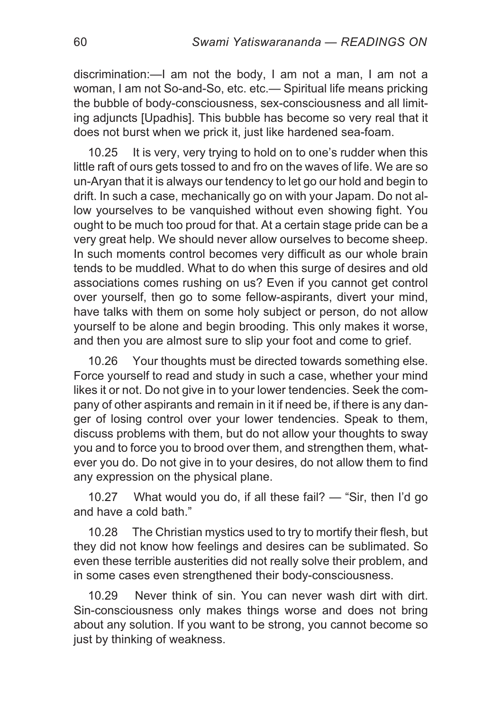discrimination:—I am not the body, I am not a man, I am not a woman, I am not So-and-So, etc. etc.— Spiritual life means pricking the bubble of body-consciousness, sex-consciousness and all limiting adjuncts [Upadhis]. This bubble has become so very real that it does not burst when we prick it, just like hardened sea-foam.

10.25 It is very, very trying to hold on to one's rudder when this little raft of ours gets tossed to and fro on the waves of life. We are so un-Aryan that it is always our tendency to let go our hold and begin to drift. In such a case, mechanically go on with your Japam. Do not allow yourselves to be vanquished without even showing fight. You ought to be much too proud for that. At a certain stage pride can be a very great help. We should never allow ourselves to become sheep. In such moments control becomes very difficult as our whole brain tends to be muddled. What to do when this surge of desires and old associations comes rushing on us? Even if you cannot get control over yourself, then go to some fellow-aspirants, divert your mind, have talks with them on some holy subject or person, do not allow yourself to be alone and begin brooding. This only makes it worse, and then you are almost sure to slip your foot and come to grief.

10.26 Your thoughts must be directed towards something else. Force yourself to read and study in such a case, whether your mind likes it or not. Do not give in to your lower tendencies. Seek the company of other aspirants and remain in it if need be, if there is any danger of losing control over your lower tendencies. Speak to them, discuss problems with them, but do not allow your thoughts to sway you and to force you to brood over them, and strengthen them, whatever you do. Do not give in to your desires, do not allow them to find any expression on the physical plane.

10.27 What would you do, if all these fail? — "Sir, then I'd go and have a cold hath."

10.28 The Christian mystics used to try to mortify their flesh, but they did not know how feelings and desires can be sublimated. So even these terrible austerities did not really solve their problem, and in some cases even strengthened their body-consciousness.

10.29 Never think of sin. You can never wash dirt with dirt. Sin-consciousness only makes things worse and does not bring about any solution. If you want to be strong, you cannot become so just by thinking of weakness.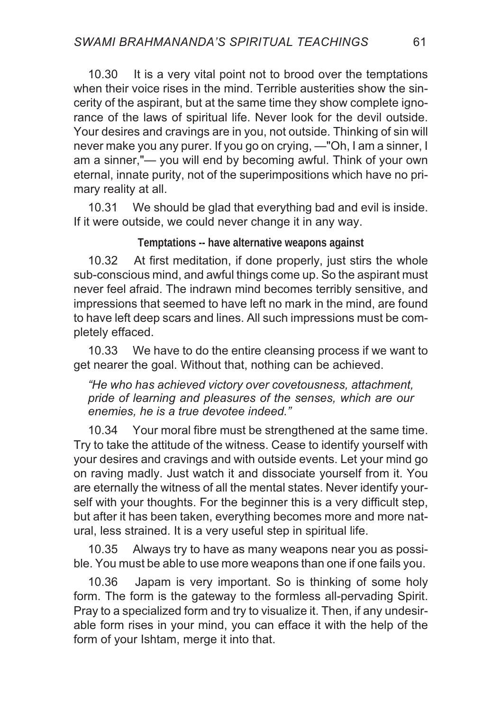10.30 It is a very vital point not to brood over the temptations when their voice rises in the mind. Terrible austerities show the sincerity of the aspirant, but at the same time they show complete ignorance of the laws of spiritual life. Never look for the devil outside. Your desires and cravings are in you, not outside. Thinking of sin will never make you any purer. If you go on crying, —"Oh, I am a sinner, I am a sinner,"— you will end by becoming awful. Think of your own eternal, innate purity, not of the superimpositions which have no primary reality at all.

10.31 We should be glad that everything bad and evil is inside. If it were outside, we could never change it in any way.

**Temptations -- have alternative weapons against**

10.32 At first meditation, if done properly, just stirs the whole sub-conscious mind, and awful things come up. So the aspirant must never feel afraid. The indrawn mind becomes terribly sensitive, and impressions that seemed to have left no mark in the mind, are found to have left deep scars and lines. All such impressions must be completely effaced.

10.33 We have to do the entire cleansing process if we want to get nearer the goal. Without that, nothing can be achieved.

*"He who has achieved victory over covetousness, attachment, pride of learning and pleasures of the senses, which are our enemies, he is a true devotee indeed."*

10.34 Your moral fibre must be strengthened at the same time. Try to take the attitude of the witness. Cease to identify yourself with your desires and cravings and with outside events. Let your mind go on raving madly. Just watch it and dissociate yourself from it. You are eternally the witness of all the mental states. Never identify yourself with your thoughts. For the beginner this is a very difficult step, but after it has been taken, everything becomes more and more natural, less strained. It is a very useful step in spiritual life.

10.35 Always try to have as many weapons near you as possible. You must be able to use more weapons than one if one fails you.

10.36 Japam is very important. So is thinking of some holy form. The form is the gateway to the formless all-pervading Spirit. Pray to a specialized form and try to visualize it. Then, if any undesirable form rises in your mind, you can efface it with the help of the form of your Ishtam, merge it into that.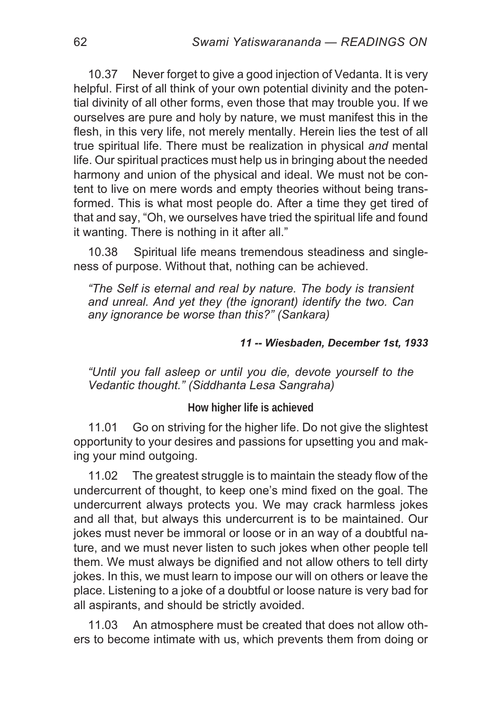10.37 Never forget to give a good injection of Vedanta. It is very helpful. First of all think of your own potential divinity and the potential divinity of all other forms, even those that may trouble you. If we ourselves are pure and holy by nature, we must manifest this in the flesh, in this very life, not merely mentally. Herein lies the test of all true spiritual life. There must be realization in physical *and* mental life. Our spiritual practices must help us in bringing about the needed harmony and union of the physical and ideal. We must not be content to live on mere words and empty theories without being transformed. This is what most people do. After a time they get tired of that and say, "Oh, we ourselves have tried the spiritual life and found it wanting. There is nothing in it after all."

10.38 Spiritual life means tremendous steadiness and singleness of purpose. Without that, nothing can be achieved.

*"The Self is eternal and real by nature. The body is transient and unreal. And yet they (the ignorant) identify the two. Can any ignorance be worse than this?" (Sankara)*

### *11 -- Wiesbaden, December 1st, 1933*

*"Until you fall asleep or until you die, devote yourself to the Vedantic thought." (Siddhanta Lesa Sangraha)*

### **How higher life is achieved**

11.01 Go on striving for the higher life. Do not give the slightest opportunity to your desires and passions for upsetting you and making your mind outgoing.

11.02 The greatest struggle is to maintain the steady flow of the undercurrent of thought, to keep one's mind fixed on the goal. The undercurrent always protects you. We may crack harmless jokes and all that, but always this undercurrent is to be maintained. Our jokes must never be immoral or loose or in an way of a doubtful nature, and we must never listen to such jokes when other people tell them. We must always be dignified and not allow others to tell dirty jokes. In this, we must learn to impose our will on others or leave the place. Listening to a joke of a doubtful or loose nature is very bad for all aspirants, and should be strictly avoided.

11.03 An atmosphere must be created that does not allow others to become intimate with us, which prevents them from doing or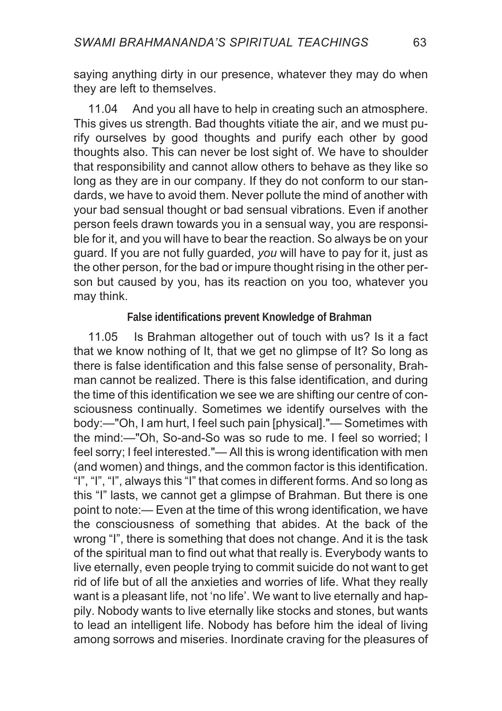saying anything dirty in our presence, whatever they may do when they are left to themselves.

11.04 And you all have to help in creating such an atmosphere. This gives us strength. Bad thoughts vitiate the air, and we must purify ourselves by good thoughts and purify each other by good thoughts also. This can never be lost sight of. We have to shoulder that responsibility and cannot allow others to behave as they like so long as they are in our company. If they do not conform to our standards, we have to avoid them. Never pollute the mind of another with your bad sensual thought or bad sensual vibrations. Even if another person feels drawn towards you in a sensual way, you are responsible for it, and you will have to bear the reaction. So always be on your guard. If you are not fully guarded, *you* will have to pay for it, just as the other person, for the bad or impure thought rising in the other person but caused by you, has its reaction on you too, whatever you may think.

### **False identifications prevent Knowledge of Brahman**

11.05 Is Brahman altogether out of touch with us? Is it a fact that we know nothing of It, that we get no glimpse of It? So long as there is false identification and this false sense of personality, Brahman cannot be realized. There is this false identification, and during the time of this identification we see we are shifting our centre of consciousness continually. Sometimes we identify ourselves with the body:—"Oh, I am hurt, I feel such pain [physical]."— Sometimes with the mind:—"Oh, So-and-So was so rude to me. I feel so worried; I feel sorry; I feel interested."— All this is wrong identification with men (and women) and things, and the common factor is this identification. "I", "I", "I", always this "I" that comes in different forms. And so long as this "I" lasts, we cannot get a glimpse of Brahman. But there is one point to note:— Even at the time of this wrong identification, we have the consciousness of something that abides. At the back of the wrong "I", there is something that does not change. And it is the task of the spiritual man to find out what that really is. Everybody wants to live eternally, even people trying to commit suicide do not want to get rid of life but of all the anxieties and worries of life. What they really want is a pleasant life, not 'no life'. We want to live eternally and happily. Nobody wants to live eternally like stocks and stones, but wants to lead an intelligent life. Nobody has before him the ideal of living among sorrows and miseries. Inordinate craving for the pleasures of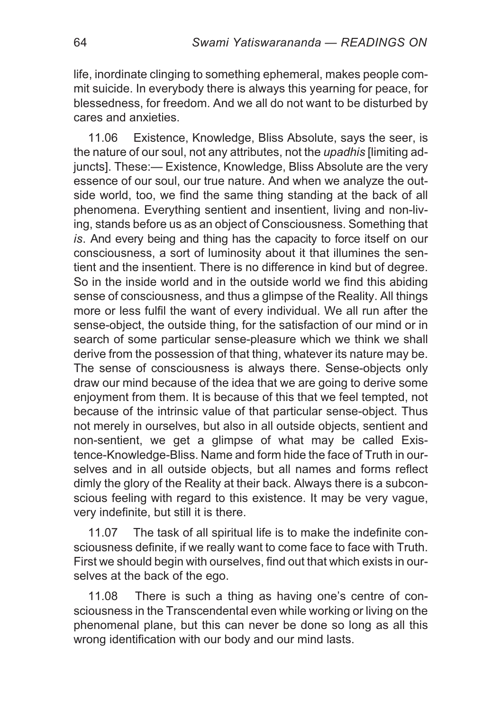life, inordinate clinging to something ephemeral, makes people commit suicide. In everybody there is always this yearning for peace, for blessedness, for freedom. And we all do not want to be disturbed by cares and anxieties.

11.06 Existence, Knowledge, Bliss Absolute, says the seer, is the nature of our soul, not any attributes, not the *upadhis* [limiting adjuncts]. These:— Existence, Knowledge, Bliss Absolute are the very essence of our soul, our true nature. And when we analyze the outside world, too, we find the same thing standing at the back of all phenomena. Everything sentient and insentient, living and non-living, stands before us as an object of Consciousness. Something that *is*. And every being and thing has the capacity to force itself on our consciousness, a sort of luminosity about it that illumines the sentient and the insentient. There is no difference in kind but of degree. So in the inside world and in the outside world we find this abiding sense of consciousness, and thus a glimpse of the Reality. All things more or less fulfil the want of every individual. We all run after the sense-object, the outside thing, for the satisfaction of our mind or in search of some particular sense-pleasure which we think we shall derive from the possession of that thing, whatever its nature may be. The sense of consciousness is always there. Sense-objects only draw our mind because of the idea that we are going to derive some enjoyment from them. It is because of this that we feel tempted, not because of the intrinsic value of that particular sense-object. Thus not merely in ourselves, but also in all outside objects, sentient and non-sentient, we get a glimpse of what may be called Existence-Knowledge-Bliss. Name and form hide the face of Truth in ourselves and in all outside objects, but all names and forms reflect dimly the glory of the Reality at their back. Always there is a subconscious feeling with regard to this existence. It may be very vague, very indefinite, but still it is there.

11.07 The task of all spiritual life is to make the indefinite consciousness definite, if we really want to come face to face with Truth. First we should begin with ourselves, find out that which exists in ourselves at the back of the ego.

11.08 There is such a thing as having one's centre of consciousness in the Transcendental even while working or living on the phenomenal plane, but this can never be done so long as all this wrong identification with our body and our mind lasts.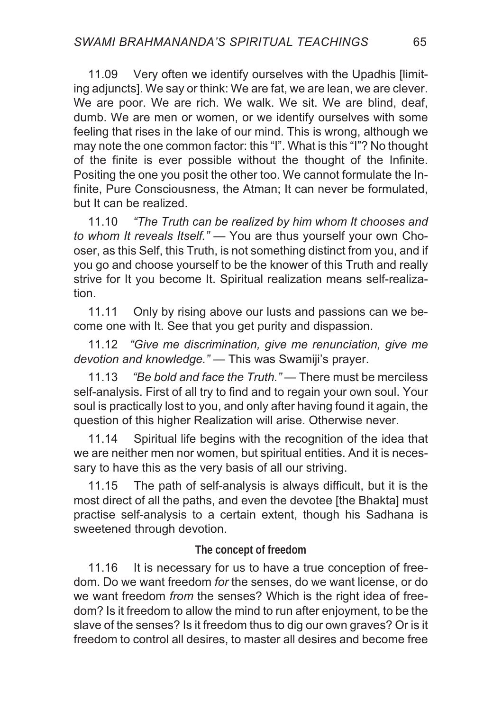11.09 Very often we identify ourselves with the Upadhis [limiting adjuncts]. We say or think: We are fat, we are lean, we are clever. We are poor. We are rich. We walk. We sit. We are blind, deaf, dumb. We are men or women, or we identify ourselves with some feeling that rises in the lake of our mind. This is wrong, although we may note the one common factor: this "I". What is this "I"? No thought of the finite is ever possible without the thought of the Infinite. Positing the one you posit the other too. We cannot formulate the Infinite, Pure Consciousness, the Atman; It can never be formulated, but It can be realized.

11.10 *"The Truth can be realized by him whom It chooses and to whom It reveals Itself."* — You are thus yourself your own Chooser, as this Self, this Truth, is not something distinct from you, and if you go and choose yourself to be the knower of this Truth and really strive for It you become It. Spiritual realization means self-realization.

11.11 Only by rising above our lusts and passions can we become one with It. See that you get purity and dispassion.

11.12 *"Give me discrimination, give me renunciation, give me devotion and knowledge."* — This was Swamiji's prayer.

11.13 *"Be bold and face the Truth."* — There must be merciless self-analysis. First of all try to find and to regain your own soul. Your soul is practically lost to you, and only after having found it again, the question of this higher Realization will arise. Otherwise never.

11.14 Spiritual life begins with the recognition of the idea that we are neither men nor women, but spiritual entities. And it is necessary to have this as the very basis of all our striving.

11.15 The path of self-analysis is always difficult, but it is the most direct of all the paths, and even the devotee [the Bhakta] must practise self-analysis to a certain extent, though his Sadhana is sweetened through devotion.

#### **The concept of freedom**

11.16 It is necessary for us to have a true conception of freedom. Do we want freedom *for* the senses, do we want license, or do we want freedom *from* the senses? Which is the right idea of freedom? Is it freedom to allow the mind to run after enjoyment, to be the slave of the senses? Is it freedom thus to dig our own graves? Or is it freedom to control all desires, to master all desires and become free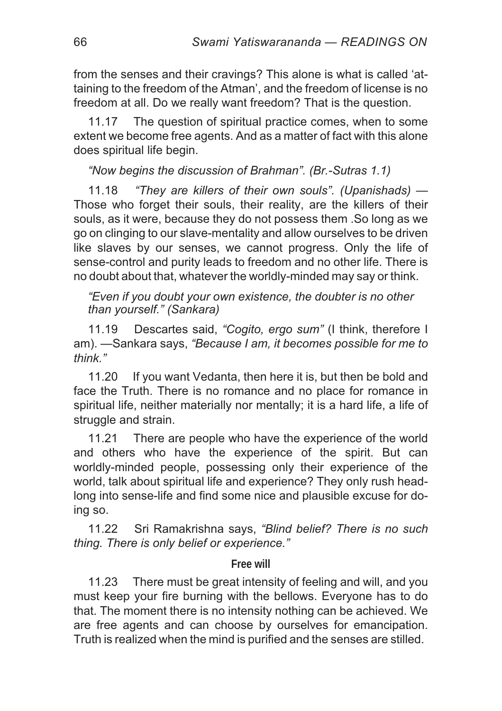from the senses and their cravings? This alone is what is called 'attaining to the freedom of the Atman', and the freedom of license is no freedom at all. Do we really want freedom? That is the question.

11.17 The question of spiritual practice comes, when to some extent we become free agents. And as a matter of fact with this alone does spiritual life begin.

*"Now begins the discussion of Brahman". (Br.-Sutras 1.1)*

11.18 *"They are killers of their own souls". (Upanishads)* — Those who forget their souls, their reality, are the killers of their souls, as it were, because they do not possess them .So long as we go on clinging to our slave-mentality and allow ourselves to be driven like slaves by our senses, we cannot progress. Only the life of sense-control and purity leads to freedom and no other life. There is no doubt about that, whatever the worldly-minded may say or think.

# *"Even if you doubt your own existence, the doubter is no other than yourself." (Sankara)*

11.19 Descartes said, *"Cogito, ergo sum"* (I think, therefore I am). —Sankara says, *"Because I am, it becomes possible for me to think."*

11.20 If you want Vedanta, then here it is, but then be bold and face the Truth. There is no romance and no place for romance in spiritual life, neither materially nor mentally; it is a hard life, a life of struggle and strain.

11.21 There are people who have the experience of the world and others who have the experience of the spirit. But can worldly-minded people, possessing only their experience of the world, talk about spiritual life and experience? They only rush headlong into sense-life and find some nice and plausible excuse for doing so.

11.22 Sri Ramakrishna says, *"Blind belief? There is no such thing. There is only belief or experience."*

# **Free will**

11.23 There must be great intensity of feeling and will, and you must keep your fire burning with the bellows. Everyone has to do that. The moment there is no intensity nothing can be achieved. We are free agents and can choose by ourselves for emancipation. Truth is realized when the mind is purified and the senses are stilled.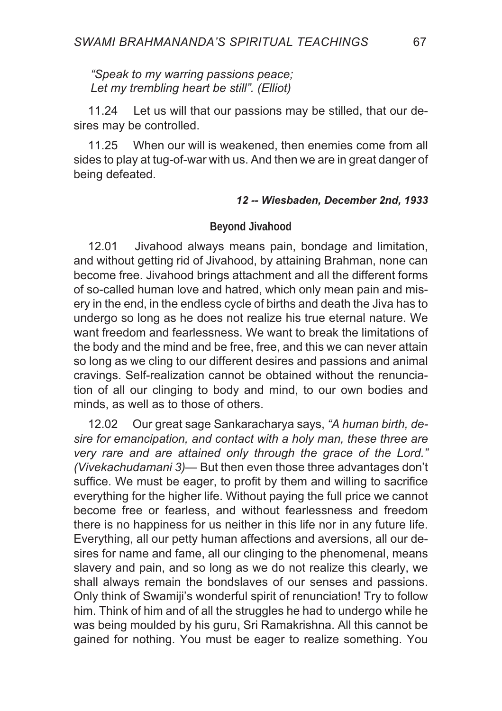*"Speak to my warring passions peace; Let my trembling heart be still". (Elliot)*

11.24 Let us will that our passions may be stilled, that our desires may be controlled.

11.25 When our will is weakened, then enemies come from all sides to play at tug-of-war with us. And then we are in great danger of being defeated.

#### *12 -- Wiesbaden, December 2nd, 1933*

#### **Beyond Jivahood**

12.01 Jivahood always means pain, bondage and limitation, and without getting rid of Jivahood, by attaining Brahman, none can become free. Jivahood brings attachment and all the different forms of so-called human love and hatred, which only mean pain and misery in the end, in the endless cycle of births and death the Jiva has to undergo so long as he does not realize his true eternal nature. We want freedom and fearlessness. We want to break the limitations of the body and the mind and be free, free, and this we can never attain so long as we cling to our different desires and passions and animal cravings. Self-realization cannot be obtained without the renunciation of all our clinging to body and mind, to our own bodies and minds, as well as to those of others.

12.02 Our great sage Sankaracharya says, *"A human birth, desire for emancipation, and contact with a holy man, these three are very rare and are attained only through the grace of the Lord." (Vivekachudamani 3)*— But then even those three advantages don't suffice. We must be eager, to profit by them and willing to sacrifice everything for the higher life. Without paying the full price we cannot become free or fearless, and without fearlessness and freedom there is no happiness for us neither in this life nor in any future life. Everything, all our petty human affections and aversions, all our desires for name and fame, all our clinging to the phenomenal, means slavery and pain, and so long as we do not realize this clearly, we shall always remain the bondslaves of our senses and passions. Only think of Swamiji's wonderful spirit of renunciation! Try to follow him. Think of him and of all the struggles he had to undergo while he was being moulded by his guru, Sri Ramakrishna. All this cannot be gained for nothing. You must be eager to realize something. You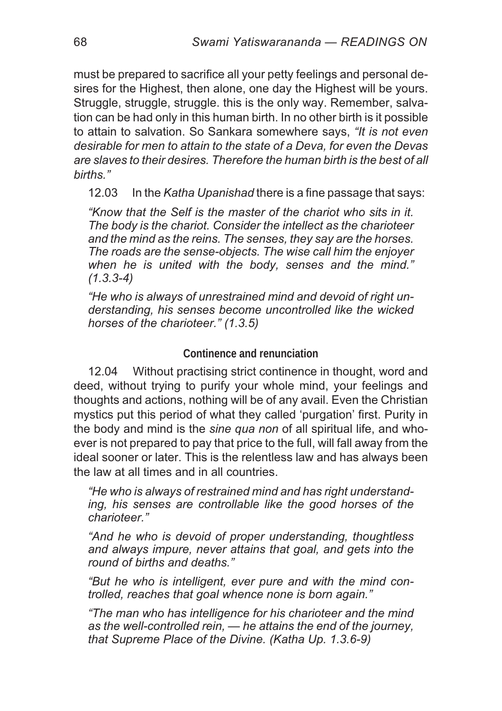must be prepared to sacrifice all your petty feelings and personal desires for the Highest, then alone, one day the Highest will be yours. Struggle, struggle, struggle. this is the only way. Remember, salvation can be had only in this human birth. In no other birth is it possible to attain to salvation. So Sankara somewhere says, *"It is not even desirable for men to attain to the state of a Deva, for even the Devas are slaves to their desires. Therefore the human birth is the best of all births."*

12.03 In the *Katha Upanishad* there is a fine passage that says:

*"Know that the Self is the master of the chariot who sits in it. The body is the chariot. Consider the intellect as the charioteer and the mind as the reins. The senses, they say are the horses. The roads are the sense-objects. The wise call him the enjoyer when he is united with the body, senses and the mind." (1.3.3-4)*

*"He who is always of unrestrained mind and devoid of right understanding, his senses become uncontrolled like the wicked horses of the charioteer." (1.3.5)*

## **Continence and renunciation**

12.04 Without practising strict continence in thought, word and deed, without trying to purify your whole mind, your feelings and thoughts and actions, nothing will be of any avail. Even the Christian mystics put this period of what they called 'purgation' first. Purity in the body and mind is the *sine qua non* of all spiritual life, and whoever is not prepared to pay that price to the full, will fall away from the ideal sooner or later. This is the relentless law and has always been the law at all times and in all countries.

*"He who is always of restrained mind and has right understanding, his senses are controllable like the good horses of the charioteer."*

*"And he who is devoid of proper understanding, thoughtless and always impure, never attains that goal, and gets into the round of births and deaths."*

*"But he who is intelligent, ever pure and with the mind controlled, reaches that goal whence none is born again."*

*"The man who has intelligence for his charioteer and the mind as the well-controlled rein, — he attains the end of the journey, that Supreme Place of the Divine. (Katha Up. 1.3.6-9)*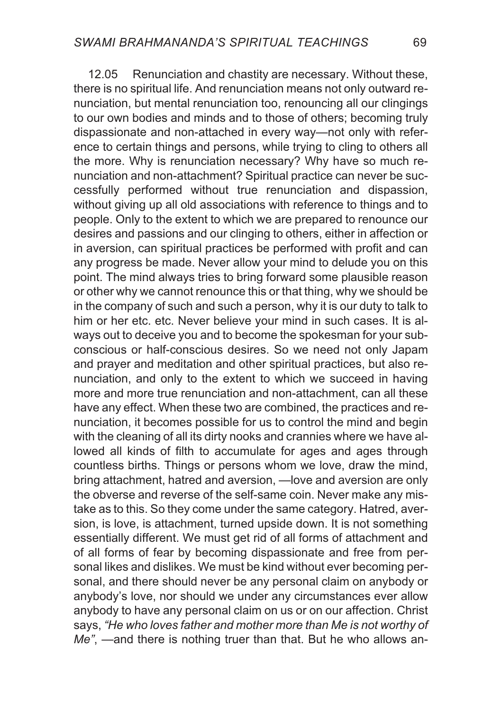12.05 Renunciation and chastity are necessary. Without these, there is no spiritual life. And renunciation means not only outward renunciation, but mental renunciation too, renouncing all our clingings to our own bodies and minds and to those of others; becoming truly dispassionate and non-attached in every way—not only with reference to certain things and persons, while trying to cling to others all the more. Why is renunciation necessary? Why have so much renunciation and non-attachment? Spiritual practice can never be successfully performed without true renunciation and dispassion, without giving up all old associations with reference to things and to people. Only to the extent to which we are prepared to renounce our desires and passions and our clinging to others, either in affection or in aversion, can spiritual practices be performed with profit and can any progress be made. Never allow your mind to delude you on this point. The mind always tries to bring forward some plausible reason or other why we cannot renounce this or that thing, why we should be in the company of such and such a person, why it is our duty to talk to him or her etc. etc. Never believe your mind in such cases. It is always out to deceive you and to become the spokesman for your subconscious or half-conscious desires. So we need not only Japam and prayer and meditation and other spiritual practices, but also renunciation, and only to the extent to which we succeed in having more and more true renunciation and non-attachment, can all these have any effect. When these two are combined, the practices and renunciation, it becomes possible for us to control the mind and begin with the cleaning of all its dirty nooks and crannies where we have allowed all kinds of filth to accumulate for ages and ages through countless births. Things or persons whom we love, draw the mind, bring attachment, hatred and aversion, —love and aversion are only the obverse and reverse of the self-same coin. Never make any mistake as to this. So they come under the same category. Hatred, aversion, is love, is attachment, turned upside down. It is not something essentially different. We must get rid of all forms of attachment and of all forms of fear by becoming dispassionate and free from personal likes and dislikes. We must be kind without ever becoming personal, and there should never be any personal claim on anybody or anybody's love, nor should we under any circumstances ever allow anybody to have any personal claim on us or on our affection. Christ says, *"He who loves father and mother more than Me is not worthy of Me"*, —and there is nothing truer than that. But he who allows an-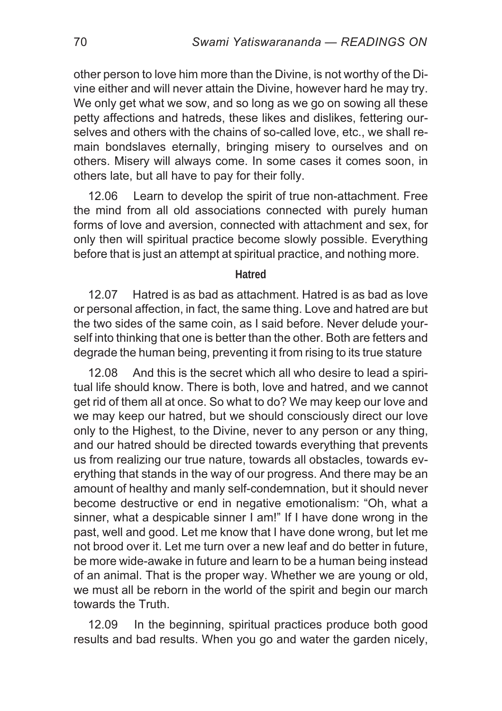other person to love him more than the Divine, is not worthy of the Divine either and will never attain the Divine, however hard he may try. We only get what we sow, and so long as we go on sowing all these petty affections and hatreds, these likes and dislikes, fettering ourselves and others with the chains of so-called love, etc., we shall remain bondslaves eternally, bringing misery to ourselves and on others. Misery will always come. In some cases it comes soon, in others late, but all have to pay for their folly.

12.06 Learn to develop the spirit of true non-attachment. Free the mind from all old associations connected with purely human forms of love and aversion, connected with attachment and sex, for only then will spiritual practice become slowly possible. Everything before that is just an attempt at spiritual practice, and nothing more.

**Hatred**

12.07 Hatred is as bad as attachment. Hatred is as bad as love or personal affection, in fact, the same thing. Love and hatred are but the two sides of the same coin, as I said before. Never delude yourself into thinking that one is better than the other. Both are fetters and degrade the human being, preventing it from rising to its true stature

12.08 And this is the secret which all who desire to lead a spiritual life should know. There is both, love and hatred, and we cannot get rid of them all at once. So what to do? We may keep our love and we may keep our hatred, but we should consciously direct our love only to the Highest, to the Divine, never to any person or any thing, and our hatred should be directed towards everything that prevents us from realizing our true nature, towards all obstacles, towards everything that stands in the way of our progress. And there may be an amount of healthy and manly self-condemnation, but it should never become destructive or end in negative emotionalism: "Oh, what a sinner, what a despicable sinner I am!" If I have done wrong in the past, well and good. Let me know that I have done wrong, but let me not brood over it. Let me turn over a new leaf and do better in future, be more wide-awake in future and learn to be a human being instead of an animal. That is the proper way. Whether we are young or old, we must all be reborn in the world of the spirit and begin our march towards the Truth.

12.09 In the beginning, spiritual practices produce both good results and bad results. When you go and water the garden nicely,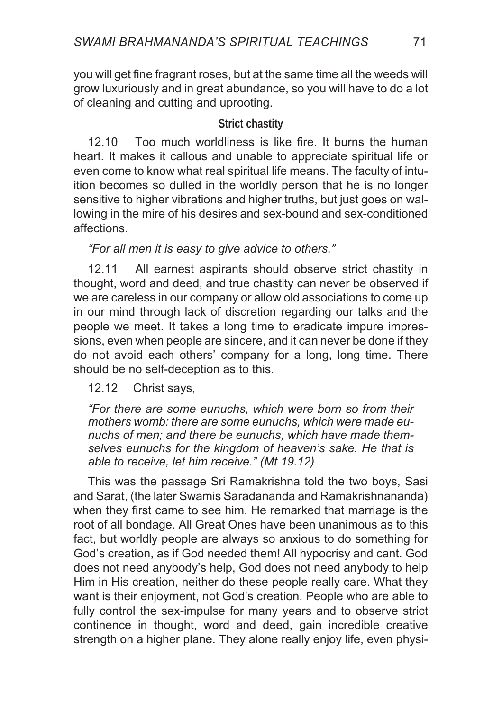you will get fine fragrant roses, but at the same time all the weeds will grow luxuriously and in great abundance, so you will have to do a lot of cleaning and cutting and uprooting.

### **Strict chastity**

12.10 Too much worldliness is like fire. It burns the human heart. It makes it callous and unable to appreciate spiritual life or even come to know what real spiritual life means. The faculty of intuition becomes so dulled in the worldly person that he is no longer sensitive to higher vibrations and higher truths, but just goes on wallowing in the mire of his desires and sex-bound and sex-conditioned affections.

*"For all men it is easy to give advice to others."*

12.11 All earnest aspirants should observe strict chastity in thought, word and deed, and true chastity can never be observed if we are careless in our company or allow old associations to come up in our mind through lack of discretion regarding our talks and the people we meet. It takes a long time to eradicate impure impressions, even when people are sincere, and it can never be done if they do not avoid each others' company for a long, long time. There should be no self-deception as to this.

12.12 Christ says,

*"For there are some eunuchs, which were born so from their mothers womb: there are some eunuchs, which were made eunuchs of men; and there be eunuchs, which have made themselves eunuchs for the kingdom of heaven's sake. He that is able to receive, let him receive." (Mt 19.12)*

This was the passage Sri Ramakrishna told the two boys, Sasi and Sarat, (the later Swamis Saradananda and Ramakrishnananda) when they first came to see him. He remarked that marriage is the root of all bondage. All Great Ones have been unanimous as to this fact, but worldly people are always so anxious to do something for God's creation, as if God needed them! All hypocrisy and cant. God does not need anybody's help, God does not need anybody to help Him in His creation, neither do these people really care. What they want is their enjoyment, not God's creation. People who are able to fully control the sex-impulse for many years and to observe strict continence in thought, word and deed, gain incredible creative strength on a higher plane. They alone really enjoy life, even physi-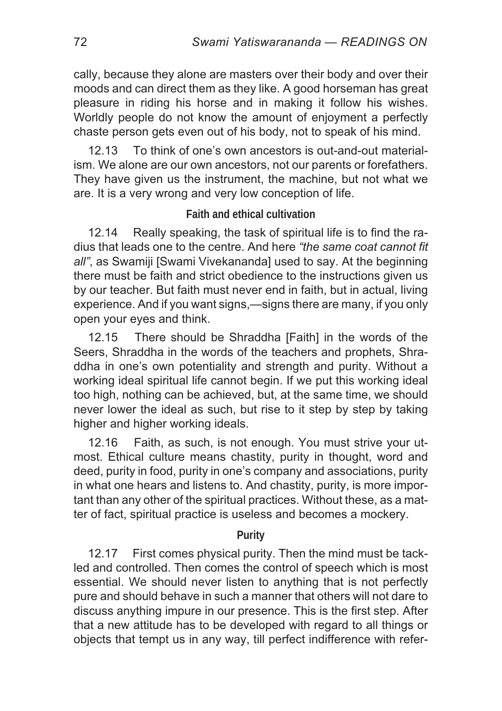cally, because they alone are masters over their body and over their moods and can direct them as they like. A good horseman has great pleasure in riding his horse and in making it follow his wishes. Worldly people do not know the amount of enjoyment a perfectly chaste person gets even out of his body, not to speak of his mind.

12.13 To think of one's own ancestors is out-and-out materialism. We alone are our own ancestors, not our parents or forefathers. They have given us the instrument, the machine, but not what we are. It is a very wrong and very low conception of life.

# **Faith and ethical cultivation**

12.14 Really speaking, the task of spiritual life is to find the radius that leads one to the centre. And here *"the same coat cannot fit* all", as Swamiji [Swami Vivekananda] used to say. At the beginning there must be faith and strict obedience to the instructions given us by our teacher. But faith must never end in faith, but in actual, living experience. And if you want signs,—signs there are many, if you only open your eyes and think.

12.15 There should be Shraddha [Faith] in the words of the Seers, Shraddha in the words of the teachers and prophets, Shraddha in one's own potentiality and strength and purity. Without a working ideal spiritual life cannot begin. If we put this working ideal too high, nothing can be achieved, but, at the same time, we should never lower the ideal as such, but rise to it step by step by taking higher and higher working ideals.

12.16 Faith, as such, is not enough. You must strive your utmost. Ethical culture means chastity, purity in thought, word and deed, purity in food, purity in one's company and associations, purity in what one hears and listens to. And chastity, purity, is more important than any other of the spiritual practices. Without these, as a matter of fact, spiritual practice is useless and becomes a mockery.

# **Purity**

12.17 First comes physical purity. Then the mind must be tackled and controlled. Then comes the control of speech which is most essential. We should never listen to anything that is not perfectly pure and should behave in such a manner that others will not dare to discuss anything impure in our presence. This is the first step. After that a new attitude has to be developed with regard to all things or objects that tempt us in any way, till perfect indifference with refer-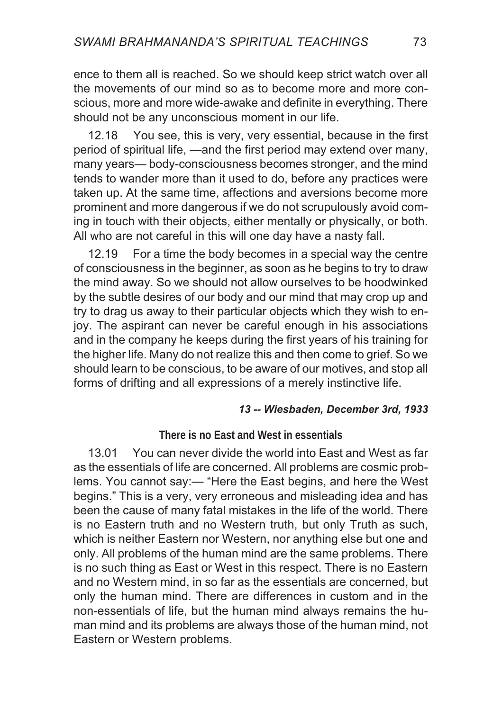ence to them all is reached. So we should keep strict watch over all the movements of our mind so as to become more and more conscious, more and more wide-awake and definite in everything. There should not be any unconscious moment in our life.

12.18 You see, this is very, very essential, because in the first period of spiritual life, —and the first period may extend over many, many years— body-consciousness becomes stronger, and the mind tends to wander more than it used to do, before any practices were taken up. At the same time, affections and aversions become more prominent and more dangerous if we do not scrupulously avoid coming in touch with their objects, either mentally or physically, or both. All who are not careful in this will one day have a nasty fall.

12.19 For a time the body becomes in a special way the centre of consciousness in the beginner, as soon as he begins to try to draw the mind away. So we should not allow ourselves to be hoodwinked by the subtle desires of our body and our mind that may crop up and try to drag us away to their particular objects which they wish to enjoy. The aspirant can never be careful enough in his associations and in the company he keeps during the first years of his training for the higher life. Many do not realize this and then come to grief. So we should learn to be conscious, to be aware of our motives, and stop all forms of drifting and all expressions of a merely instinctive life.

### *13 -- Wiesbaden, December 3rd, 1933*

### **There is no East and West in essentials**

13.01 You can never divide the world into East and West as far as the essentials of life are concerned. All problems are cosmic problems. You cannot say:— "Here the East begins, and here the West begins." This is a very, very erroneous and misleading idea and has been the cause of many fatal mistakes in the life of the world. There is no Eastern truth and no Western truth, but only Truth as such, which is neither Eastern nor Western, nor anything else but one and only. All problems of the human mind are the same problems. There is no such thing as East or West in this respect. There is no Eastern and no Western mind, in so far as the essentials are concerned, but only the human mind. There are differences in custom and in the non-essentials of life, but the human mind always remains the human mind and its problems are always those of the human mind, not Eastern or Western problems.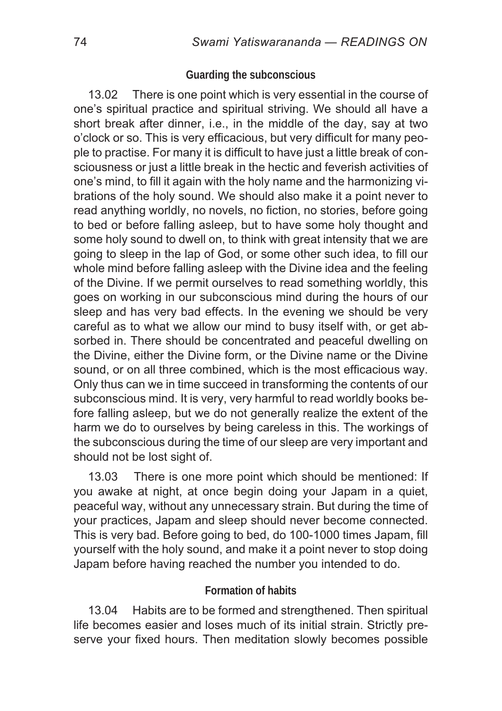#### **Guarding the subconscious**

13.02 There is one point which is very essential in the course of one's spiritual practice and spiritual striving. We should all have a short break after dinner, i.e., in the middle of the day, say at two o'clock or so. This is very efficacious, but very difficult for many people to practise. For many it is difficult to have just a little break of consciousness or just a little break in the hectic and feverish activities of one's mind, to fill it again with the holy name and the harmonizing vibrations of the holy sound. We should also make it a point never to read anything worldly, no novels, no fiction, no stories, before going to bed or before falling asleep, but to have some holy thought and some holy sound to dwell on, to think with great intensity that we are going to sleep in the lap of God, or some other such idea, to fill our whole mind before falling asleep with the Divine idea and the feeling of the Divine. If we permit ourselves to read something worldly, this goes on working in our subconscious mind during the hours of our sleep and has very bad effects. In the evening we should be very careful as to what we allow our mind to busy itself with, or get absorbed in. There should be concentrated and peaceful dwelling on the Divine, either the Divine form, or the Divine name or the Divine sound, or on all three combined, which is the most efficacious way. Only thus can we in time succeed in transforming the contents of our subconscious mind. It is very, very harmful to read worldly books before falling asleep, but we do not generally realize the extent of the harm we do to ourselves by being careless in this. The workings of the subconscious during the time of our sleep are very important and should not be lost sight of.

13.03 There is one more point which should be mentioned: If you awake at night, at once begin doing your Japam in a quiet, peaceful way, without any unnecessary strain. But during the time of your practices, Japam and sleep should never become connected. This is very bad. Before going to bed, do 100-1000 times Japam, fill yourself with the holy sound, and make it a point never to stop doing Japam before having reached the number you intended to do.

# **Formation of habits**

13.04 Habits are to be formed and strengthened. Then spiritual life becomes easier and loses much of its initial strain. Strictly preserve your fixed hours. Then meditation slowly becomes possible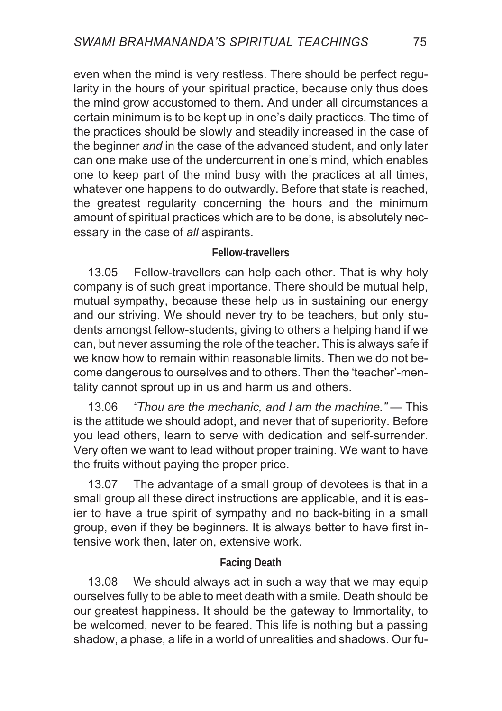even when the mind is very restless. There should be perfect regularity in the hours of your spiritual practice, because only thus does the mind grow accustomed to them. And under all circumstances a certain minimum is to be kept up in one's daily practices. The time of the practices should be slowly and steadily increased in the case of the beginner *and* in the case of the advanced student, and only later can one make use of the undercurrent in one's mind, which enables one to keep part of the mind busy with the practices at all times, whatever one happens to do outwardly. Before that state is reached, the greatest regularity concerning the hours and the minimum amount of spiritual practices which are to be done, is absolutely necessary in the case of *all* aspirants.

### **Fellow-travellers**

13.05 Fellow-travellers can help each other. That is why holy company is of such great importance. There should be mutual help, mutual sympathy, because these help us in sustaining our energy and our striving. We should never try to be teachers, but only students amongst fellow-students, giving to others a helping hand if we can, but never assuming the role of the teacher. This is always safe if we know how to remain within reasonable limits. Then we do not become dangerous to ourselves and to others. Then the 'teacher'-mentality cannot sprout up in us and harm us and others.

13.06 *"Thou are the mechanic, and I am the machine."* — This is the attitude we should adopt, and never that of superiority. Before you lead others, learn to serve with dedication and self-surrender. Very often we want to lead without proper training. We want to have the fruits without paying the proper price.

13.07 The advantage of a small group of devotees is that in a small group all these direct instructions are applicable, and it is easier to have a true spirit of sympathy and no back-biting in a small group, even if they be beginners. It is always better to have first intensive work then, later on, extensive work.

### **Facing Death**

13.08 We should always act in such a way that we may equip ourselves fully to be able to meet death with a smile. Death should be our greatest happiness. It should be the gateway to Immortality, to be welcomed, never to be feared. This life is nothing but a passing shadow, a phase, a life in a world of unrealities and shadows. Our fu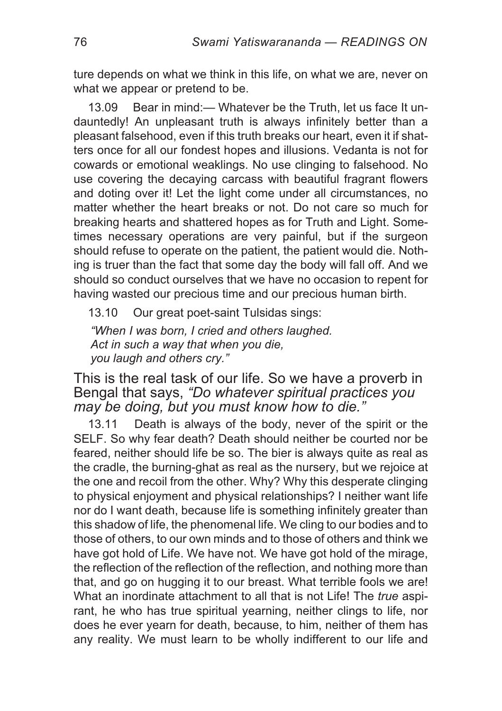ture depends on what we think in this life, on what we are, never on what we appear or pretend to be.

13.09 Bear in mind:— Whatever be the Truth, let us face It undauntedly! An unpleasant truth is always infinitely better than a pleasant falsehood, even if this truth breaks our heart, even it if shatters once for all our fondest hopes and illusions. Vedanta is not for cowards or emotional weaklings. No use clinging to falsehood. No use covering the decaying carcass with beautiful fragrant flowers and doting over it! Let the light come under all circumstances, no matter whether the heart breaks or not. Do not care so much for breaking hearts and shattered hopes as for Truth and Light. Sometimes necessary operations are very painful, but if the surgeon should refuse to operate on the patient, the patient would die. Nothing is truer than the fact that some day the body will fall off. And we should so conduct ourselves that we have no occasion to repent for having wasted our precious time and our precious human birth.

13.10 Our great poet-saint Tulsidas sings:

*"When I was born, I cried and others laughed. Act in such a way that when you die, you laugh and others cry."*

This is the real task of our life. So we have a proverb in Bengal that says, *"Do whatever spiritual practices you may be doing, but you must know how to die."*

13.11 Death is always of the body, never of the spirit or the SELF. So why fear death? Death should neither be courted nor be feared, neither should life be so. The bier is always quite as real as the cradle, the burning-ghat as real as the nursery, but we rejoice at the one and recoil from the other. Why? Why this desperate clinging to physical enjoyment and physical relationships? I neither want life nor do I want death, because life is something infinitely greater than this shadow of life, the phenomenal life. We cling to our bodies and to those of others, to our own minds and to those of others and think we have got hold of Life. We have not. We have got hold of the mirage, the reflection of the reflection of the reflection, and nothing more than that, and go on hugging it to our breast. What terrible fools we are! What an inordinate attachment to all that is not Life! The *true* aspirant, he who has true spiritual yearning, neither clings to life, nor does he ever yearn for death, because, to him, neither of them has any reality. We must learn to be wholly indifferent to our life and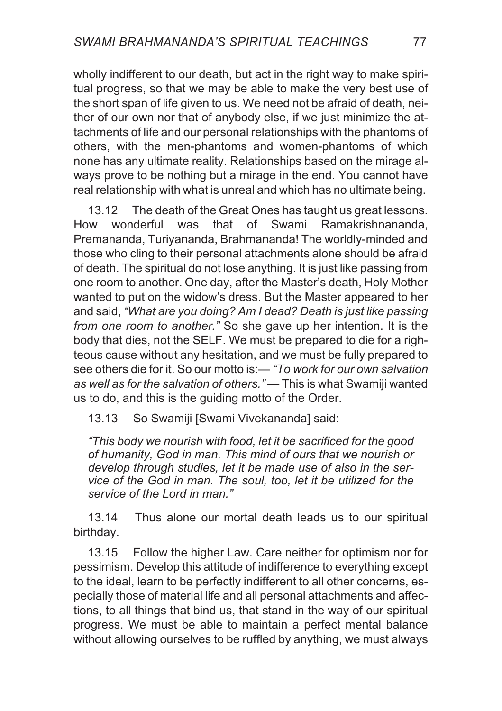wholly indifferent to our death, but act in the right way to make spiritual progress, so that we may be able to make the very best use of the short span of life given to us. We need not be afraid of death, neither of our own nor that of anybody else, if we just minimize the attachments of life and our personal relationships with the phantoms of others, with the men-phantoms and women-phantoms of which none has any ultimate reality. Relationships based on the mirage always prove to be nothing but a mirage in the end. You cannot have real relationship with what is unreal and which has no ultimate being.

13.12 The death of the Great Ones has taught us great lessons. How wonderful was that of Swami Ramakrishnananda, Premananda, Turiyananda, Brahmananda! The worldly-minded and those who cling to their personal attachments alone should be afraid of death. The spiritual do not lose anything. It is just like passing from one room to another. One day, after the Master's death, Holy Mother wanted to put on the widow's dress. But the Master appeared to her and said, *"What are you doing? Am I dead? Death is just like passing from one room to another."* So she gave up her intention. It is the body that dies, not the SELF. We must be prepared to die for a righteous cause without any hesitation, and we must be fully prepared to see others die for it. So our motto is:— *"To work for our own salvation as well as for the salvation of others."* — This is what Swamiji wanted us to do, and this is the guiding motto of the Order.

13.13 So Swamiji [Swami Vivekananda] said:

*"This body we nourish with food, let it be sacrificed for the good of humanity, God in man. This mind of ours that we nourish or develop through studies, let it be made use of also in the service of the God in man. The soul, too, let it be utilized for the service of the Lord in man."*

13.14 Thus alone our mortal death leads us to our spiritual birthday.

13.15 Follow the higher Law. Care neither for optimism nor for pessimism. Develop this attitude of indifference to everything except to the ideal, learn to be perfectly indifferent to all other concerns, especially those of material life and all personal attachments and affections, to all things that bind us, that stand in the way of our spiritual progress. We must be able to maintain a perfect mental balance without allowing ourselves to be ruffled by anything, we must always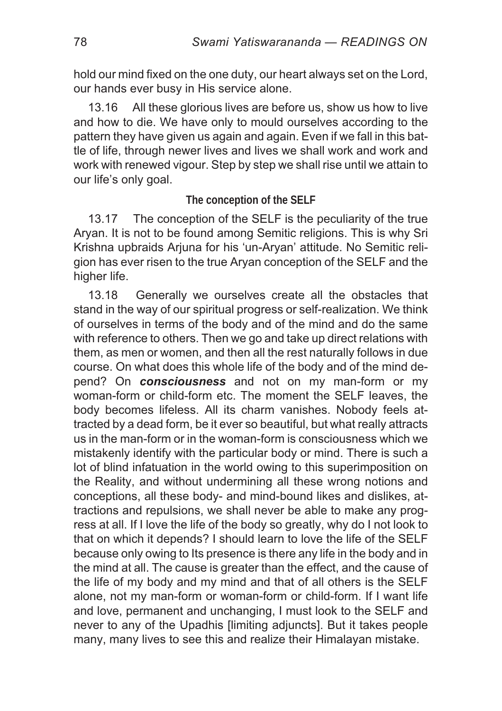hold our mind fixed on the one duty, our heart always set on the Lord, our hands ever busy in His service alone.

13.16 All these glorious lives are before us, show us how to live and how to die. We have only to mould ourselves according to the pattern they have given us again and again. Even if we fall in this battle of life, through newer lives and lives we shall work and work and work with renewed vigour. Step by step we shall rise until we attain to our life's only goal.

# **The conception of the SELF**

13.17 The conception of the SELF is the peculiarity of the true Aryan. It is not to be found among Semitic religions. This is why Sri Krishna upbraids Arjuna for his 'un-Aryan' attitude. No Semitic religion has ever risen to the true Aryan conception of the SELF and the higher life.

13.18 Generally we ourselves create all the obstacles that stand in the way of our spiritual progress or self-realization. We think of ourselves in terms of the body and of the mind and do the same with reference to others. Then we go and take up direct relations with them, as men or women, and then all the rest naturally follows in due course. On what does this whole life of the body and of the mind depend? On *consciousness* and not on my man-form or my woman-form or child-form etc. The moment the SELF leaves, the body becomes lifeless. All its charm vanishes. Nobody feels attracted by a dead form, be it ever so beautiful, but what really attracts us in the man-form or in the woman-form is consciousness which we mistakenly identify with the particular body or mind. There is such a lot of blind infatuation in the world owing to this superimposition on the Reality, and without undermining all these wrong notions and conceptions, all these body- and mind-bound likes and dislikes, attractions and repulsions, we shall never be able to make any progress at all. If I love the life of the body so greatly, why do I not look to that on which it depends? I should learn to love the life of the SELF because only owing to Its presence is there any life in the body and in the mind at all. The cause is greater than the effect, and the cause of the life of my body and my mind and that of all others is the SELF alone, not my man-form or woman-form or child-form. If I want life and love, permanent and unchanging, I must look to the SELF and never to any of the Upadhis [limiting adjuncts]. But it takes people many, many lives to see this and realize their Himalayan mistake.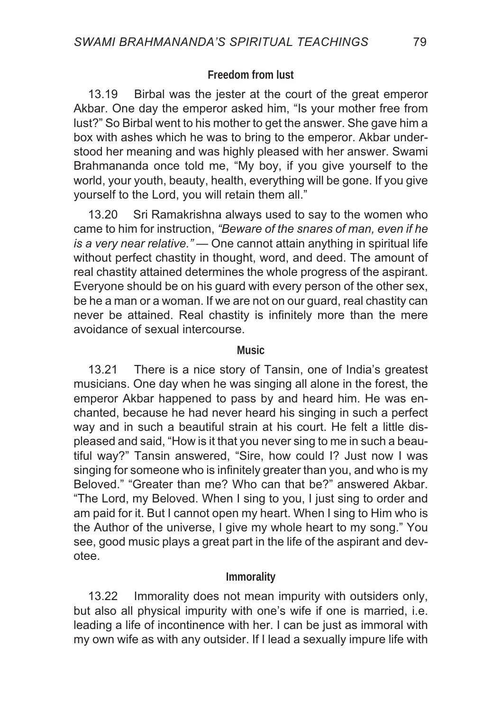### **Freedom from lust**

13.19 Birbal was the jester at the court of the great emperor Akbar. One day the emperor asked him, "Is your mother free from lust?" So Birbal went to his mother to get the answer. She gave him a box with ashes which he was to bring to the emperor. Akbar understood her meaning and was highly pleased with her answer. Swami Brahmananda once told me, "My boy, if you give yourself to the world, your youth, beauty, health, everything will be gone. If you give yourself to the Lord, you will retain them all."

13.20 Sri Ramakrishna always used to say to the women who came to him for instruction, *"Beware of the snares of man, even if he is a very near relative."* — One cannot attain anything in spiritual life without perfect chastity in thought, word, and deed. The amount of real chastity attained determines the whole progress of the aspirant. Everyone should be on his guard with every person of the other sex, be he a man or a woman. If we are not on our guard, real chastity can never be attained. Real chastity is infinitely more than the mere avoidance of sexual intercourse.

#### **Music**

13.21 There is a nice story of Tansin, one of India's greatest musicians. One day when he was singing all alone in the forest, the emperor Akbar happened to pass by and heard him. He was enchanted, because he had never heard his singing in such a perfect way and in such a beautiful strain at his court. He felt a little displeased and said, "How is it that you never sing to me in such a beautiful way?" Tansin answered, "Sire, how could I? Just now I was singing for someone who is infinitely greater than you, and who is my Beloved." "Greater than me? Who can that be?" answered Akbar. "The Lord, my Beloved. When I sing to you, I just sing to order and am paid for it. But I cannot open my heart. When I sing to Him who is the Author of the universe, I give my whole heart to my song." You see, good music plays a great part in the life of the aspirant and devotee.

### **Immorality**

13.22 Immorality does not mean impurity with outsiders only, but also all physical impurity with one's wife if one is married, i.e. leading a life of incontinence with her. I can be just as immoral with my own wife as with any outsider. If I lead a sexually impure life with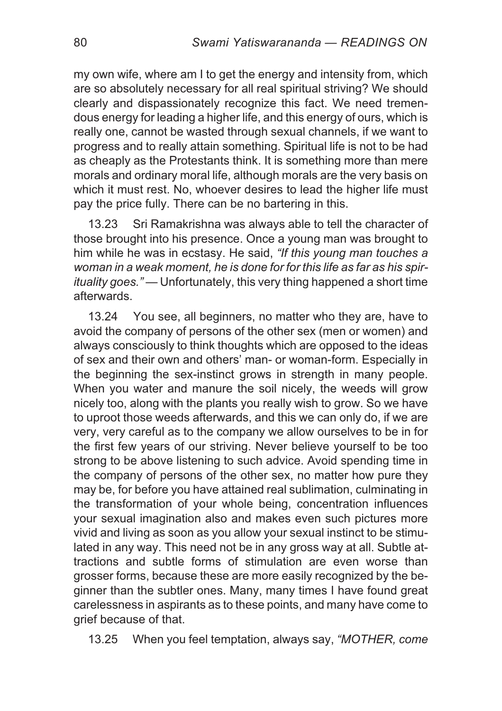my own wife, where am I to get the energy and intensity from, which are so absolutely necessary for all real spiritual striving? We should clearly and dispassionately recognize this fact. We need tremendous energy for leading a higher life, and this energy of ours, which is really one, cannot be wasted through sexual channels, if we want to progress and to really attain something. Spiritual life is not to be had as cheaply as the Protestants think. It is something more than mere morals and ordinary moral life, although morals are the very basis on which it must rest. No, whoever desires to lead the higher life must pay the price fully. There can be no bartering in this.

13.23 Sri Ramakrishna was always able to tell the character of those brought into his presence. Once a young man was brought to him while he was in ecstasy. He said, *"If this young man touches a woman in a weak moment, he is done for for this life as far as his spirituality goes."* — Unfortunately, this very thing happened a short time afterwards.

13.24 You see, all beginners, no matter who they are, have to avoid the company of persons of the other sex (men or women) and always consciously to think thoughts which are opposed to the ideas of sex and their own and others' man- or woman-form. Especially in the beginning the sex-instinct grows in strength in many people. When you water and manure the soil nicely, the weeds will grow nicely too, along with the plants you really wish to grow. So we have to uproot those weeds afterwards, and this we can only do, if we are very, very careful as to the company we allow ourselves to be in for the first few years of our striving. Never believe yourself to be too strong to be above listening to such advice. Avoid spending time in the company of persons of the other sex, no matter how pure they may be, for before you have attained real sublimation, culminating in the transformation of your whole being, concentration influences your sexual imagination also and makes even such pictures more vivid and living as soon as you allow your sexual instinct to be stimulated in any way. This need not be in any gross way at all. Subtle attractions and subtle forms of stimulation are even worse than grosser forms, because these are more easily recognized by the beginner than the subtler ones. Many, many times I have found great carelessness in aspirants as to these points, and many have come to grief because of that.

13.25 When you feel temptation, always say, *"MOTHER, come*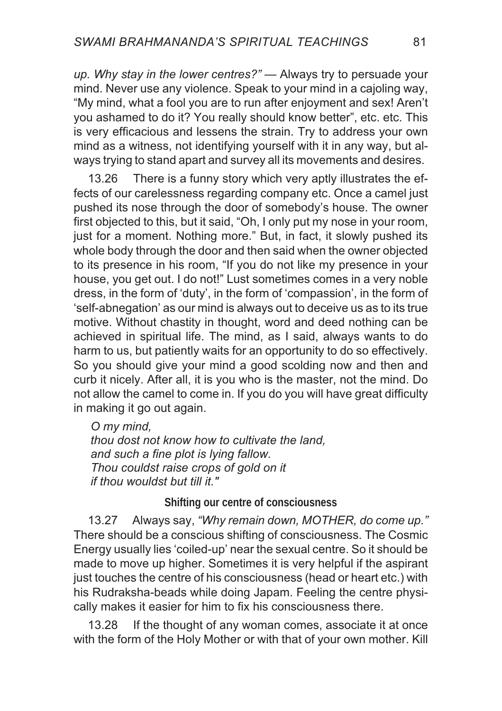*up. Why stay in the lower centres?"* — Always try to persuade your mind. Never use any violence. Speak to your mind in a cajoling way, "My mind, what a fool you are to run after enjoyment and sex! Aren't you ashamed to do it? You really should know better", etc. etc. This is very efficacious and lessens the strain. Try to address your own mind as a witness, not identifying yourself with it in any way, but always trying to stand apart and survey all its movements and desires.

13.26 There is a funny story which very aptly illustrates the effects of our carelessness regarding company etc. Once a camel just pushed its nose through the door of somebody's house. The owner first objected to this, but it said, "Oh, I only put my nose in your room, just for a moment. Nothing more." But, in fact, it slowly pushed its whole body through the door and then said when the owner objected to its presence in his room, "If you do not like my presence in your house, you get out. I do not!" Lust sometimes comes in a very noble dress, in the form of 'duty', in the form of 'compassion', in the form of 'self-abnegation' as our mind is always out to deceive us as to its true motive. Without chastity in thought, word and deed nothing can be achieved in spiritual life. The mind, as I said, always wants to do harm to us, but patiently waits for an opportunity to do so effectively. So you should give your mind a good scolding now and then and curb it nicely. After all, it is you who is the master, not the mind. Do not allow the camel to come in. If you do you will have great difficulty in making it go out again.

*O my mind, thou dost not know how to cultivate the land, and such a fine plot is lying fallow. Thou couldst raise crops of gold on it if thou wouldst but till it."*

**Shifting our centre of consciousness**

13.27 Always say, *"Why remain down, MOTHER, do come up."* There should be a conscious shifting of consciousness. The Cosmic Energy usually lies 'coiled-up' near the sexual centre. So it should be made to move up higher. Sometimes it is very helpful if the aspirant just touches the centre of his consciousness (head or heart etc.) with his Rudraksha-beads while doing Japam. Feeling the centre physically makes it easier for him to fix his consciousness there.

13.28 If the thought of any woman comes, associate it at once with the form of the Holy Mother or with that of your own mother. Kill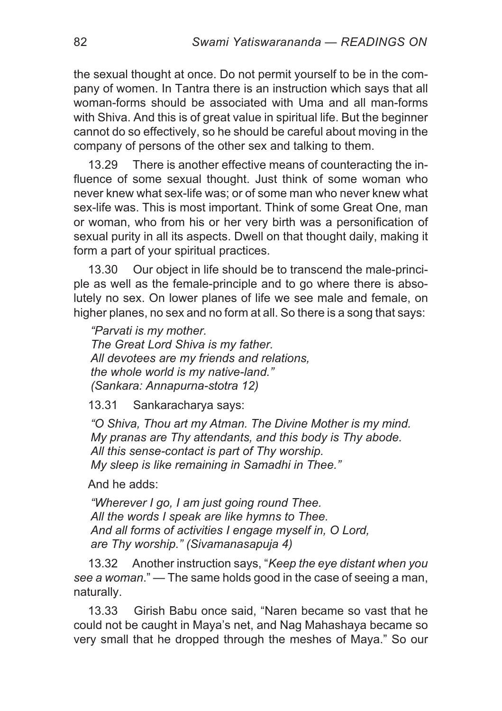the sexual thought at once. Do not permit yourself to be in the company of women. In Tantra there is an instruction which says that all woman-forms should be associated with Uma and all man-forms with Shiva. And this is of great value in spiritual life. But the beginner cannot do so effectively, so he should be careful about moving in the company of persons of the other sex and talking to them.

13.29 There is another effective means of counteracting the influence of some sexual thought. Just think of some woman who never knew what sex-life was; or of some man who never knew what sex-life was. This is most important. Think of some Great One, man or woman, who from his or her very birth was a personification of sexual purity in all its aspects. Dwell on that thought daily, making it form a part of your spiritual practices.

13.30 Our object in life should be to transcend the male-principle as well as the female-principle and to go where there is absolutely no sex. On lower planes of life we see male and female, on higher planes, no sex and no form at all. So there is a song that says:

*"Parvati is my mother. The Great Lord Shiva is my father. All devotees are my friends and relations, the whole world is my native-land." (Sankara: Annapurna-stotra 12)*

13.31 Sankaracharya says:

*"O Shiva, Thou art my Atman. The Divine Mother is my mind. My pranas are Thy attendants, and this body is Thy abode. All this sense-contact is part of Thy worship. My sleep is like remaining in Samadhi in Thee."*

And he adds:

*"Wherever I go, I am just going round Thee. All the words I speak are like hymns to Thee. And all forms of activities I engage myself in, O Lord, are Thy worship." (Sivamanasapuja 4)*

13.32 Another instruction says, "*Keep the eye distant when you see a woman*." — The same holds good in the case of seeing a man, naturally.

13.33 Girish Babu once said, "Naren became so vast that he could not be caught in Maya's net, and Nag Mahashaya became so very small that he dropped through the meshes of Maya." So our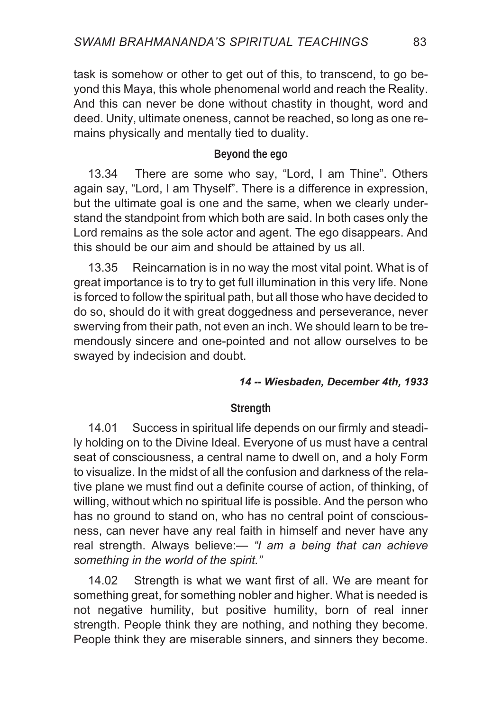task is somehow or other to get out of this, to transcend, to go beyond this Maya, this whole phenomenal world and reach the Reality. And this can never be done without chastity in thought, word and deed. Unity, ultimate oneness, cannot be reached, so long as one remains physically and mentally tied to duality.

### **Beyond the ego**

13.34 There are some who say, "Lord, I am Thine". Others again say, "Lord, I am Thyself". There is a difference in expression, but the ultimate goal is one and the same, when we clearly understand the standpoint from which both are said. In both cases only the Lord remains as the sole actor and agent. The ego disappears. And this should be our aim and should be attained by us all.

13.35 Reincarnation is in no way the most vital point. What is of great importance is to try to get full illumination in this very life. None is forced to follow the spiritual path, but all those who have decided to do so, should do it with great doggedness and perseverance, never swerving from their path, not even an inch. We should learn to be tremendously sincere and one-pointed and not allow ourselves to be swayed by indecision and doubt.

### *14 -- Wiesbaden, December 4th, 1933*

### **Strength**

14.01 Success in spiritual life depends on our firmly and steadily holding on to the Divine Ideal. Everyone of us must have a central seat of consciousness, a central name to dwell on, and a holy Form to visualize. In the midst of all the confusion and darkness of the relative plane we must find out a definite course of action, of thinking, of willing, without which no spiritual life is possible. And the person who has no ground to stand on, who has no central point of consciousness, can never have any real faith in himself and never have any real strength. Always believe:— *"I am a being that can achieve something in the world of the spirit."*

14.02 Strength is what we want first of all. We are meant for something great, for something nobler and higher. What is needed is not negative humility, but positive humility, born of real inner strength. People think they are nothing, and nothing they become. People think they are miserable sinners, and sinners they become.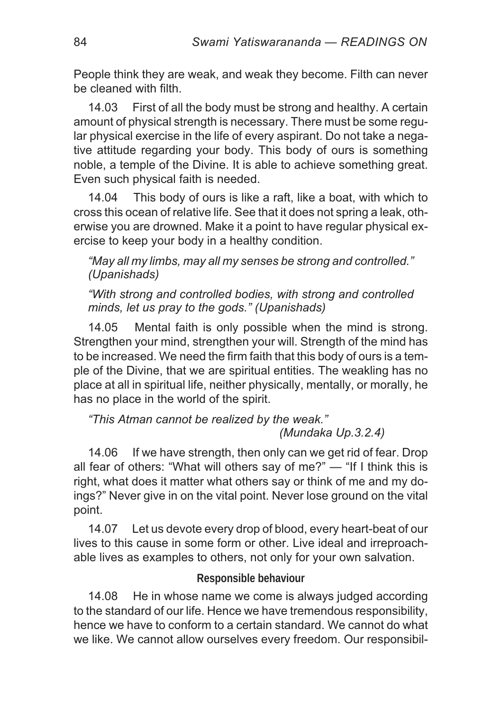People think they are weak, and weak they become. Filth can never be cleaned with filth.

14.03 First of all the body must be strong and healthy. A certain amount of physical strength is necessary. There must be some regular physical exercise in the life of every aspirant. Do not take a negative attitude regarding your body. This body of ours is something noble, a temple of the Divine. It is able to achieve something great. Even such physical faith is needed.

14.04 This body of ours is like a raft, like a boat, with which to cross this ocean of relative life. See that it does not spring a leak, otherwise you are drowned. Make it a point to have regular physical exercise to keep your body in a healthy condition.

*"May all my limbs, may all my senses be strong and controlled." (Upanishads)*

*"With strong and controlled bodies, with strong and controlled minds, let us pray to the gods." (Upanishads)*

14.05 Mental faith is only possible when the mind is strong. Strengthen your mind, strengthen your will. Strength of the mind has to be increased. We need the firm faith that this body of ours is a temple of the Divine, that we are spiritual entities. The weakling has no place at all in spiritual life, neither physically, mentally, or morally, he has no place in the world of the spirit.

*"This Atman cannot be realized by the weak." (Mundaka Up.3.2.4)*

14.06 If we have strength, then only can we get rid of fear. Drop all fear of others: "What will others say of me?" — "If I think this is right, what does it matter what others say or think of me and my doings?" Never give in on the vital point. Never lose ground on the vital point.

14.07 Let us devote every drop of blood, every heart-beat of our lives to this cause in some form or other. Live ideal and irreproachable lives as examples to others, not only for your own salvation.

# **Responsible behaviour**

14.08 He in whose name we come is always judged according to the standard of our life. Hence we have tremendous responsibility, hence we have to conform to a certain standard. We cannot do what we like. We cannot allow ourselves every freedom. Our responsibil-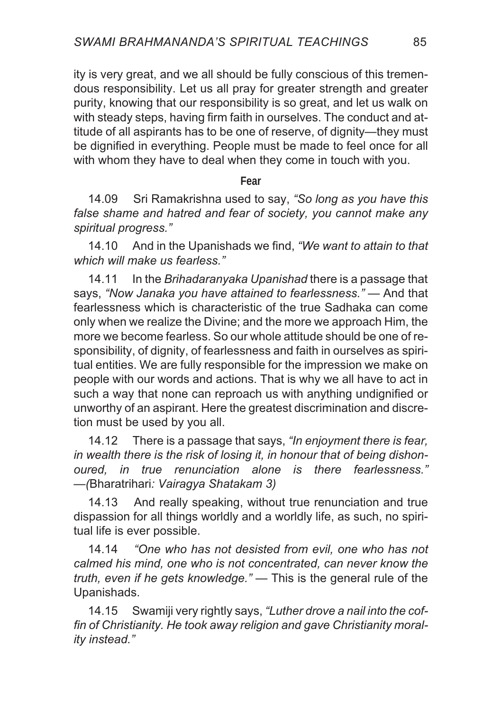ity is very great, and we all should be fully conscious of this tremendous responsibility. Let us all pray for greater strength and greater purity, knowing that our responsibility is so great, and let us walk on with steady steps, having firm faith in ourselves. The conduct and attitude of all aspirants has to be one of reserve, of dignity—they must be dignified in everything. People must be made to feel once for all with whom they have to deal when they come in touch with you.

**Fear**

14.09 Sri Ramakrishna used to say, *"So long as you have this false shame and hatred and fear of society, you cannot make any spiritual progress."*

14.10 And in the Upanishads we find, *"We want to attain to that which will make us fearless."*

14.11 In the *Brihadaranyaka Upanishad* there is a passage that says, *"Now Janaka you have attained to fearlessness."* — And that fearlessness which is characteristic of the true Sadhaka can come only when we realize the Divine; and the more we approach Him, the more we become fearless. So our whole attitude should be one of responsibility, of dignity, of fearlessness and faith in ourselves as spiritual entities. We are fully responsible for the impression we make on people with our words and actions. That is why we all have to act in such a way that none can reproach us with anything undignified or unworthy of an aspirant. Here the greatest discrimination and discretion must be used by you all.

14.12 There is a passage that says, *"In enjoyment there is fear, in wealth there is the risk of losing it, in honour that of being dishonoured, in true renunciation alone is there fearlessness." —(*Bharatrihari*: Vairagya Shatakam 3)*

14.13 And really speaking, without true renunciation and true dispassion for all things worldly and a worldly life, as such, no spiritual life is ever possible.

14.14 *"One who has not desisted from evil, one who has not calmed his mind, one who is not concentrated, can never know the truth, even if he gets knowledge."* — This is the general rule of the Upanishads.

14.15 Swamiji very rightly says, *"Luther drove a nail into the coffin of Christianity. He took away religion and gave Christianity morality instead."*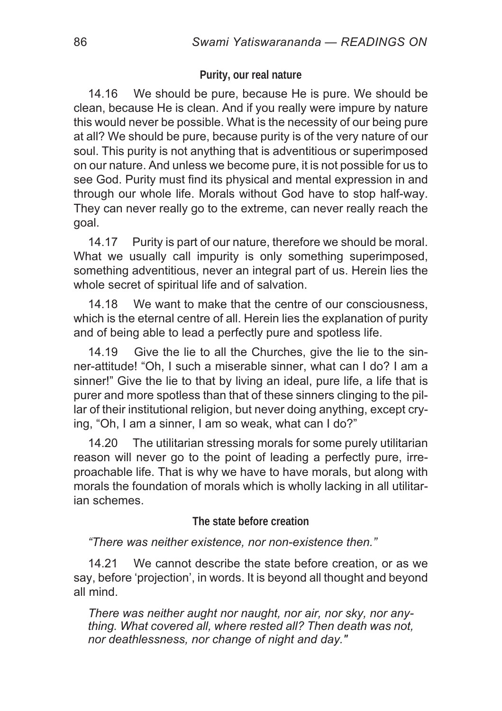### **Purity, our real nature**

14.16 We should be pure, because He is pure. We should be clean, because He is clean. And if you really were impure by nature this would never be possible. What is the necessity of our being pure at all? We should be pure, because purity is of the very nature of our soul. This purity is not anything that is adventitious or superimposed on our nature. And unless we become pure, it is not possible for us to see God. Purity must find its physical and mental expression in and through our whole life. Morals without God have to stop half-way. They can never really go to the extreme, can never really reach the goal.

14.17 Purity is part of our nature, therefore we should be moral. What we usually call impurity is only something superimposed, something adventitious, never an integral part of us. Herein lies the whole secret of spiritual life and of salvation.

14.18 We want to make that the centre of our consciousness, which is the eternal centre of all. Herein lies the explanation of purity and of being able to lead a perfectly pure and spotless life.

14.19 Give the lie to all the Churches, give the lie to the sinner-attitude! "Oh, I such a miserable sinner, what can I do? I am a sinner!" Give the lie to that by living an ideal, pure life, a life that is purer and more spotless than that of these sinners clinging to the pillar of their institutional religion, but never doing anything, except crying, "Oh, I am a sinner, I am so weak, what can I do?"

14.20 The utilitarian stressing morals for some purely utilitarian reason will never go to the point of leading a perfectly pure, irreproachable life. That is why we have to have morals, but along with morals the foundation of morals which is wholly lacking in all utilitarian schemes.

**The state before creation**

*"There was neither existence, nor non-existence then."*

14.21 We cannot describe the state before creation, or as we say, before 'projection', in words. It is beyond all thought and beyond all mind.

*There was neither aught nor naught, nor air, nor sky, nor anything. What covered all, where rested all? Then death was not, nor deathlessness, nor change of night and day."*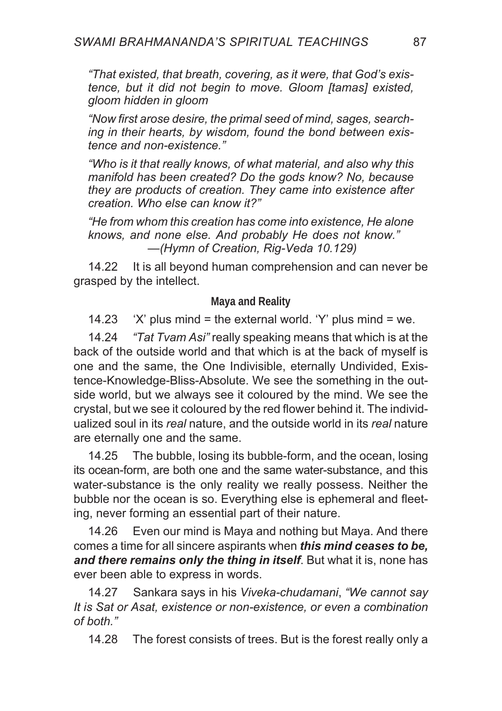*"That existed, that breath, covering, as it were, that God's existence, but it did not begin to move. Gloom [tamas] existed, gloom hidden in gloom*

*"Now first arose desire, the primal seed of mind, sages, searching in their hearts, by wisdom, found the bond between existence and non-existence."*

*"Who is it that really knows, of what material, and also why this manifold has been created? Do the gods know? No, because they are products of creation. They came into existence after creation. Who else can know it?"*

*"He from whom this creation has come into existence, He alone knows, and none else. And probably He does not know." —(Hymn of Creation, Rig-Veda 10.129)*

14.22 It is all beyond human comprehension and can never be grasped by the intellect.

# **Maya and Reality**

14.23  $\forall$  plus mind = the external world. 'Y' plus mind = we.

14.24 *"Tat Tvam Asi"* really speaking means that which is at the back of the outside world and that which is at the back of myself is one and the same, the One Indivisible, eternally Undivided, Existence-Knowledge-Bliss-Absolute. We see the something in the outside world, but we always see it coloured by the mind. We see the crystal, but we see it coloured by the red flower behind it. The individualized soul in its *real* nature, and the outside world in its *real* nature are eternally one and the same.

14.25 The bubble, losing its bubble-form, and the ocean, losing its ocean-form, are both one and the same water-substance, and this water-substance is the only reality we really possess. Neither the bubble nor the ocean is so. Everything else is ephemeral and fleeting, never forming an essential part of their nature.

14.26 Even our mind is Maya and nothing but Maya. And there comes a time for all sincere aspirants when *this mind ceases to be, and there remains only the thing in itself*. But what it is, none has ever been able to express in words.

14.27 Sankara says in his *Viveka-chudamani*, *"We cannot say It is Sat or Asat, existence or non-existence, or even a combination of both."*

14.28 The forest consists of trees. But is the forest really only a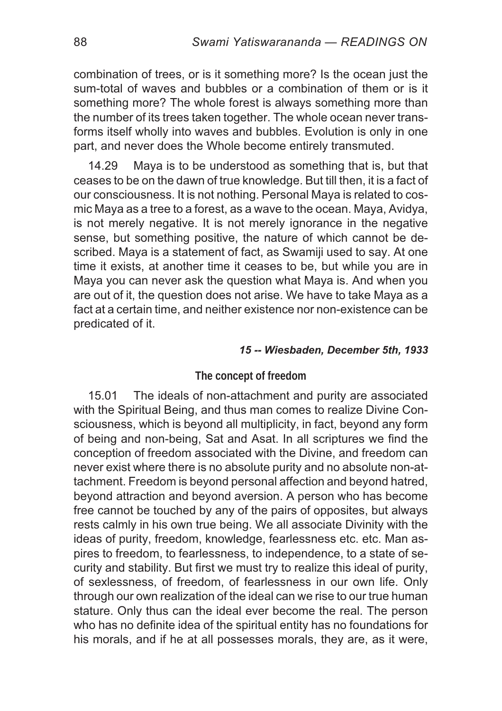combination of trees, or is it something more? Is the ocean just the sum-total of waves and bubbles or a combination of them or is it something more? The whole forest is always something more than the number of its trees taken together. The whole ocean never transforms itself wholly into waves and bubbles. Evolution is only in one part, and never does the Whole become entirely transmuted.

14.29 Maya is to be understood as something that is, but that ceases to be on the dawn of true knowledge. But till then, it is a fact of our consciousness. It is not nothing. Personal Maya is related to cosmic Maya as a tree to a forest, as a wave to the ocean. Maya, Avidya, is not merely negative. It is not merely ignorance in the negative sense, but something positive, the nature of which cannot be described. Maya is a statement of fact, as Swamiji used to say. At one time it exists, at another time it ceases to be, but while you are in Maya you can never ask the question what Maya is. And when you are out of it, the question does not arise. We have to take Maya as a fact at a certain time, and neither existence nor non-existence can be predicated of it.

### *15 -- Wiesbaden, December 5th, 1933*

# **The concept of freedom**

15.01 The ideals of non-attachment and purity are associated with the Spiritual Being, and thus man comes to realize Divine Consciousness, which is beyond all multiplicity, in fact, beyond any form of being and non-being, Sat and Asat. In all scriptures we find the conception of freedom associated with the Divine, and freedom can never exist where there is no absolute purity and no absolute non-attachment. Freedom is beyond personal affection and beyond hatred, beyond attraction and beyond aversion. A person who has become free cannot be touched by any of the pairs of opposites, but always rests calmly in his own true being. We all associate Divinity with the ideas of purity, freedom, knowledge, fearlessness etc. etc. Man aspires to freedom, to fearlessness, to independence, to a state of security and stability. But first we must try to realize this ideal of purity, of sexlessness, of freedom, of fearlessness in our own life. Only through our own realization of the ideal can we rise to our true human stature. Only thus can the ideal ever become the real. The person who has no definite idea of the spiritual entity has no foundations for his morals, and if he at all possesses morals, they are, as it were,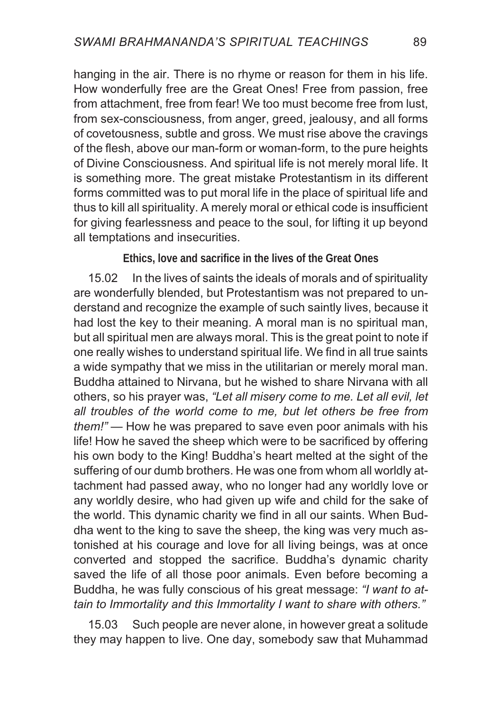hanging in the air. There is no rhyme or reason for them in his life. How wonderfully free are the Great Ones! Free from passion, free from attachment, free from fear! We too must become free from lust, from sex-consciousness, from anger, greed, jealousy, and all forms of covetousness, subtle and gross. We must rise above the cravings of the flesh, above our man-form or woman-form, to the pure heights of Divine Consciousness. And spiritual life is not merely moral life. It is something more. The great mistake Protestantism in its different forms committed was to put moral life in the place of spiritual life and thus to kill all spirituality. A merely moral or ethical code is insufficient for giving fearlessness and peace to the soul, for lifting it up beyond all temptations and insecurities.

**Ethics, love and sacrifice in the lives of the Great Ones**

15.02 In the lives of saints the ideals of morals and of spirituality are wonderfully blended, but Protestantism was not prepared to understand and recognize the example of such saintly lives, because it had lost the key to their meaning. A moral man is no spiritual man, but all spiritual men are always moral. This is the great point to note if one really wishes to understand spiritual life. We find in all true saints a wide sympathy that we miss in the utilitarian or merely moral man. Buddha attained to Nirvana, but he wished to share Nirvana with all others, so his prayer was, *"Let all misery come to me. Let all evil, let all troubles of the world come to me, but let others be free from them!"* — How he was prepared to save even poor animals with his life! How he saved the sheep which were to be sacrificed by offering his own body to the King! Buddha's heart melted at the sight of the suffering of our dumb brothers. He was one from whom all worldly attachment had passed away, who no longer had any worldly love or any worldly desire, who had given up wife and child for the sake of the world. This dynamic charity we find in all our saints. When Buddha went to the king to save the sheep, the king was very much astonished at his courage and love for all living beings, was at once converted and stopped the sacrifice. Buddha's dynamic charity saved the life of all those poor animals. Even before becoming a Buddha, he was fully conscious of his great message: *"I want to attain to Immortality and this Immortality I want to share with others."*

15.03 Such people are never alone, in however great a solitude they may happen to live. One day, somebody saw that Muhammad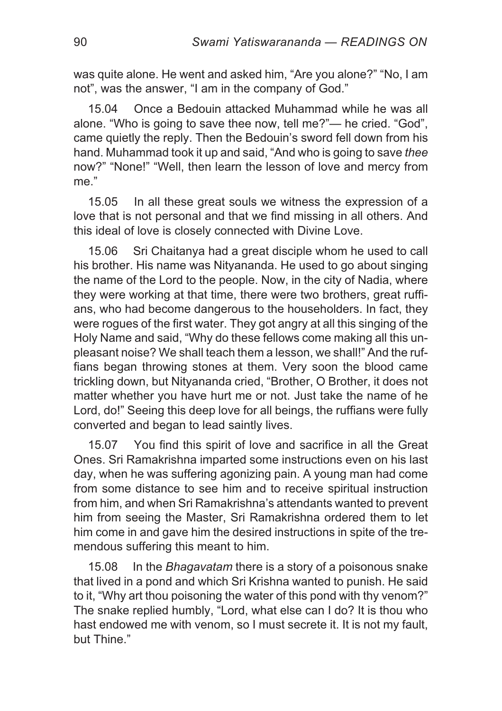was quite alone. He went and asked him, "Are you alone?" "No, I am not", was the answer, "I am in the company of God."

15.04 Once a Bedouin attacked Muhammad while he was all alone. "Who is going to save thee now, tell me?"— he cried. "God", came quietly the reply. Then the Bedouin's sword fell down from his hand. Muhammad took it up and said, "And who is going to save *thee* now?" "None!" "Well, then learn the lesson of love and mercy from me."

15.05 In all these great souls we witness the expression of a love that is not personal and that we find missing in all others. And this ideal of love is closely connected with Divine Love.

15.06 Sri Chaitanya had a great disciple whom he used to call his brother. His name was Nityananda. He used to go about singing the name of the Lord to the people. Now, in the city of Nadia, where they were working at that time, there were two brothers, great ruffians, who had become dangerous to the householders. In fact, they were rogues of the first water. They got angry at all this singing of the Holy Name and said, "Why do these fellows come making all this unpleasant noise? We shall teach them a lesson, we shall!" And the ruffians began throwing stones at them. Very soon the blood came trickling down, but Nityananda cried, "Brother, O Brother, it does not matter whether you have hurt me or not. Just take the name of he Lord, do!" Seeing this deep love for all beings, the ruffians were fully converted and began to lead saintly lives.

15.07 You find this spirit of love and sacrifice in all the Great Ones. Sri Ramakrishna imparted some instructions even on his last day, when he was suffering agonizing pain. A young man had come from some distance to see him and to receive spiritual instruction from him, and when Sri Ramakrishna's attendants wanted to prevent him from seeing the Master, Sri Ramakrishna ordered them to let him come in and gave him the desired instructions in spite of the tremendous suffering this meant to him.

15.08 In the *Bhagavatam* there is a story of a poisonous snake that lived in a pond and which Sri Krishna wanted to punish. He said to it, "Why art thou poisoning the water of this pond with thy venom?" The snake replied humbly, "Lord, what else can I do? It is thou who hast endowed me with venom, so I must secrete it. It is not my fault, but Thine."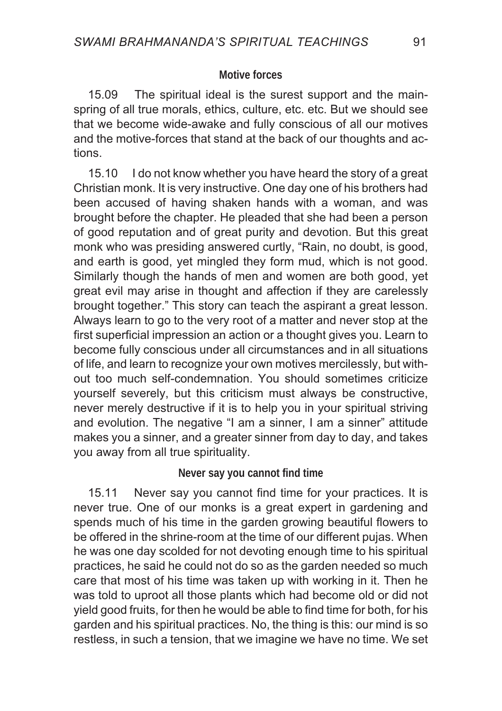### **Motive forces**

15.09 The spiritual ideal is the surest support and the mainspring of all true morals, ethics, culture, etc. etc. But we should see that we become wide-awake and fully conscious of all our motives and the motive-forces that stand at the back of our thoughts and actions.

15.10 I do not know whether you have heard the story of a great Christian monk. It is very instructive. One day one of his brothers had been accused of having shaken hands with a woman, and was brought before the chapter. He pleaded that she had been a person of good reputation and of great purity and devotion. But this great monk who was presiding answered curtly, "Rain, no doubt, is good, and earth is good, yet mingled they form mud, which is not good. Similarly though the hands of men and women are both good, yet great evil may arise in thought and affection if they are carelessly brought together." This story can teach the aspirant a great lesson. Always learn to go to the very root of a matter and never stop at the first superficial impression an action or a thought gives you. Learn to become fully conscious under all circumstances and in all situations of life, and learn to recognize your own motives mercilessly, but without too much self-condemnation. You should sometimes criticize yourself severely, but this criticism must always be constructive, never merely destructive if it is to help you in your spiritual striving and evolution. The negative "I am a sinner, I am a sinner" attitude makes you a sinner, and a greater sinner from day to day, and takes you away from all true spirituality.

# **Never say you cannot find time**

15.11 Never say you cannot find time for your practices. It is never true. One of our monks is a great expert in gardening and spends much of his time in the garden growing beautiful flowers to be offered in the shrine-room at the time of our different pujas. When he was one day scolded for not devoting enough time to his spiritual practices, he said he could not do so as the garden needed so much care that most of his time was taken up with working in it. Then he was told to uproot all those plants which had become old or did not yield good fruits, for then he would be able to find time for both, for his garden and his spiritual practices. No, the thing is this: our mind is so restless, in such a tension, that we imagine we have no time. We set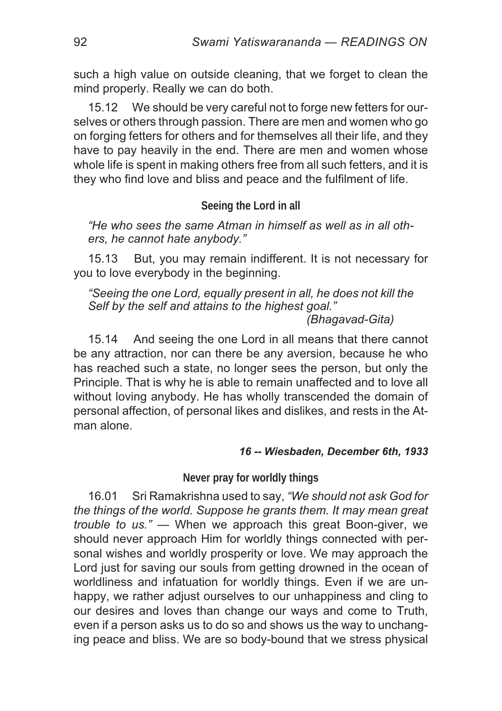such a high value on outside cleaning, that we forget to clean the mind properly. Really we can do both.

15.12 We should be very careful not to forge new fetters for ourselves or others through passion. There are men and women who go on forging fetters for others and for themselves all their life, and they have to pay heavily in the end. There are men and women whose whole life is spent in making others free from all such fetters, and it is they who find love and bliss and peace and the fulfilment of life.

# **Seeing the Lord in all**

*"He who sees the same Atman in himself as well as in all others, he cannot hate anybody."*

15.13 But, you may remain indifferent. It is not necessary for you to love everybody in the beginning.

*"Seeing the one Lord, equally present in all, he does not kill the Self by the self and attains to the highest goal." (Bhagavad-Gita)*

15.14 And seeing the one Lord in all means that there cannot be any attraction, nor can there be any aversion, because he who has reached such a state, no longer sees the person, but only the Principle. That is why he is able to remain unaffected and to love all without loving anybody. He has wholly transcended the domain of personal affection, of personal likes and dislikes, and rests in the Atman alone.

### *16 -- Wiesbaden, December 6th, 1933*

**Never pray for worldly things**

16.01 Sri Ramakrishna used to say, *"We should not ask God for the things of the world. Suppose he grants them. It may mean great trouble to us."* — When we approach this great Boon-giver, we should never approach Him for worldly things connected with personal wishes and worldly prosperity or love. We may approach the Lord just for saving our souls from getting drowned in the ocean of worldliness and infatuation for worldly things. Even if we are unhappy, we rather adjust ourselves to our unhappiness and cling to our desires and loves than change our ways and come to Truth, even if a person asks us to do so and shows us the way to unchanging peace and bliss. We are so body-bound that we stress physical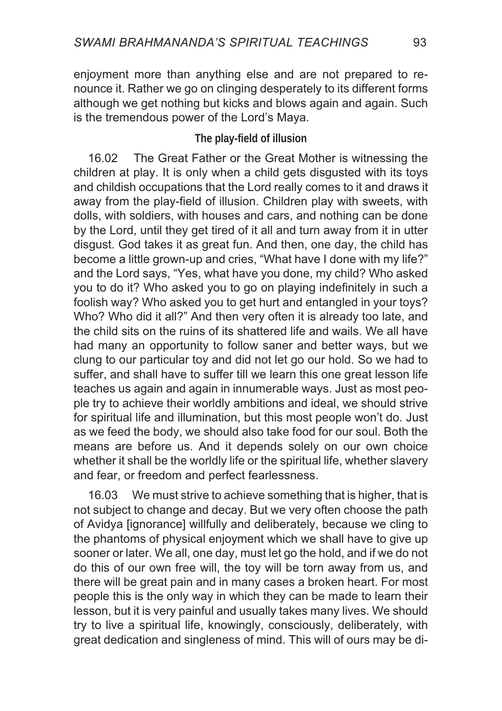enjoyment more than anything else and are not prepared to renounce it. Rather we go on clinging desperately to its different forms although we get nothing but kicks and blows again and again. Such is the tremendous power of the Lord's Maya.

# **The play-field of illusion**

16.02 The Great Father or the Great Mother is witnessing the children at play. It is only when a child gets disgusted with its toys and childish occupations that the Lord really comes to it and draws it away from the play-field of illusion. Children play with sweets, with dolls, with soldiers, with houses and cars, and nothing can be done by the Lord, until they get tired of it all and turn away from it in utter disgust. God takes it as great fun. And then, one day, the child has become a little grown-up and cries, "What have I done with my life?" and the Lord says, "Yes, what have you done, my child? Who asked you to do it? Who asked you to go on playing indefinitely in such a foolish way? Who asked you to get hurt and entangled in your toys? Who? Who did it all?" And then very often it is already too late, and the child sits on the ruins of its shattered life and wails. We all have had many an opportunity to follow saner and better ways, but we clung to our particular toy and did not let go our hold. So we had to suffer, and shall have to suffer till we learn this one great lesson life teaches us again and again in innumerable ways. Just as most people try to achieve their worldly ambitions and ideal, we should strive for spiritual life and illumination, but this most people won't do. Just as we feed the body, we should also take food for our soul. Both the means are before us. And it depends solely on our own choice whether it shall be the worldly life or the spiritual life, whether slavery and fear, or freedom and perfect fearlessness.

16.03 We must strive to achieve something that is higher, that is not subject to change and decay. But we very often choose the path of Avidya [ignorance] willfully and deliberately, because we cling to the phantoms of physical enjoyment which we shall have to give up sooner or later. We all, one day, must let go the hold, and if we do not do this of our own free will, the toy will be torn away from us, and there will be great pain and in many cases a broken heart. For most people this is the only way in which they can be made to learn their lesson, but it is very painful and usually takes many lives. We should try to live a spiritual life, knowingly, consciously, deliberately, with great dedication and singleness of mind. This will of ours may be di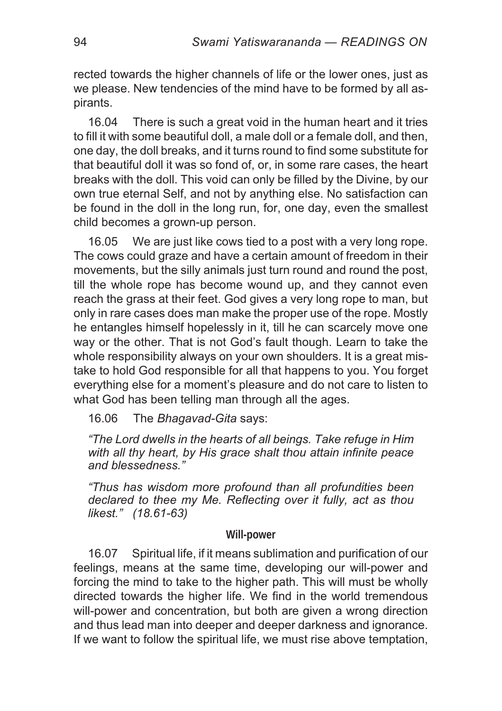rected towards the higher channels of life or the lower ones, just as we please. New tendencies of the mind have to be formed by all aspirants.

16.04 There is such a great void in the human heart and it tries to fill it with some beautiful doll, a male doll or a female doll, and then, one day, the doll breaks, and it turns round to find some substitute for that beautiful doll it was so fond of, or, in some rare cases, the heart breaks with the doll. This void can only be filled by the Divine, by our own true eternal Self, and not by anything else. No satisfaction can be found in the doll in the long run, for, one day, even the smallest child becomes a grown-up person.

16.05 We are just like cows tied to a post with a very long rope. The cows could graze and have a certain amount of freedom in their movements, but the silly animals just turn round and round the post, till the whole rope has become wound up, and they cannot even reach the grass at their feet. God gives a very long rope to man, but only in rare cases does man make the proper use of the rope. Mostly he entangles himself hopelessly in it, till he can scarcely move one way or the other. That is not God's fault though. Learn to take the whole responsibility always on your own shoulders. It is a great mistake to hold God responsible for all that happens to you. You forget everything else for a moment's pleasure and do not care to listen to what God has been telling man through all the ages.

16.06 The *Bhagavad-Gita* says:

*"The Lord dwells in the hearts of all beings. Take refuge in Him with all thy heart, by His grace shalt thou attain infinite peace and blessedness."*

*"Thus has wisdom more profound than all profundities been declared to thee my Me. Reflecting over it fully, act as thou likest." (18.61-63)*

### **Will-power**

16.07 Spiritual life, if it means sublimation and purification of our feelings, means at the same time, developing our will-power and forcing the mind to take to the higher path. This will must be wholly directed towards the higher life. We find in the world tremendous will-power and concentration, but both are given a wrong direction and thus lead man into deeper and deeper darkness and ignorance. If we want to follow the spiritual life, we must rise above temptation,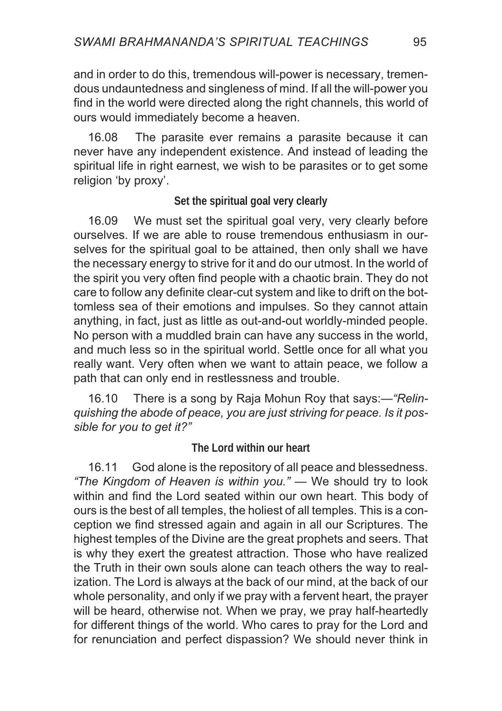and in order to do this, tremendous will-power is necessary, tremendous undauntedness and singleness of mind. If all the will-power you find in the world were directed along the right channels, this world of ours would immediately become a heaven.

16.08 The parasite ever remains a parasite because it can never have any independent existence. And instead of leading the spiritual life in right earnest, we wish to be parasites or to get some religion 'by proxy'.

### **Set the spiritual goal very clearly**

16.09 We must set the spiritual goal very, very clearly before ourselves. If we are able to rouse tremendous enthusiasm in ourselves for the spiritual goal to be attained, then only shall we have the necessary energy to strive for it and do our utmost. In the world of the spirit you very often find people with a chaotic brain. They do not care to follow any definite clear-cut system and like to drift on the bottomless sea of their emotions and impulses. So they cannot attain anything, in fact, just as little as out-and-out worldly-minded people. No person with a muddled brain can have any success in the world, and much less so in the spiritual world. Settle once for all what you really want. Very often when we want to attain peace, we follow a path that can only end in restlessness and trouble.

16.10 There is a song by Raja Mohun Roy that says:—*"Relinquishing the abode of peace, you are just striving for peace. Is it possible for you to get it?"*

### **The Lord within our heart**

16.11 God alone is the repository of all peace and blessedness. *"The Kingdom of Heaven is within you."* — We should try to look within and find the Lord seated within our own heart. This body of ours is the best of all temples, the holiest of all temples. This is a conception we find stressed again and again in all our Scriptures. The highest temples of the Divine are the great prophets and seers. That is why they exert the greatest attraction. Those who have realized the Truth in their own souls alone can teach others the way to realization. The Lord is always at the back of our mind, at the back of our whole personality, and only if we pray with a fervent heart, the prayer will be heard, otherwise not. When we pray, we pray half-heartedly for different things of the world. Who cares to pray for the Lord and for renunciation and perfect dispassion? We should never think in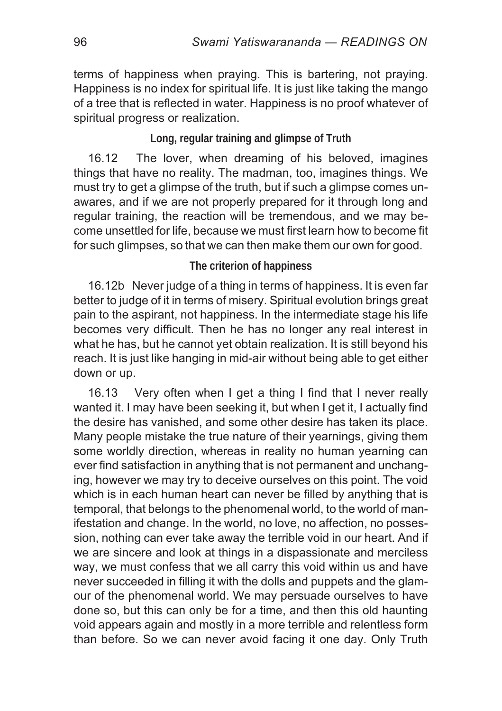terms of happiness when praying. This is bartering, not praying. Happiness is no index for spiritual life. It is just like taking the mango of a tree that is reflected in water. Happiness is no proof whatever of spiritual progress or realization.

# **Long, regular training and glimpse of Truth**

16.12 The lover, when dreaming of his beloved, imagines things that have no reality. The madman, too, imagines things. We must try to get a glimpse of the truth, but if such a glimpse comes unawares, and if we are not properly prepared for it through long and regular training, the reaction will be tremendous, and we may become unsettled for life, because we must first learn how to become fit for such glimpses, so that we can then make them our own for good.

# **The criterion of happiness**

16.12b Never judge of a thing in terms of happiness. It is even far better to judge of it in terms of misery. Spiritual evolution brings great pain to the aspirant, not happiness. In the intermediate stage his life becomes very difficult. Then he has no longer any real interest in what he has, but he cannot yet obtain realization. It is still beyond his reach. It is just like hanging in mid-air without being able to get either down or up.

16.13 Very often when I get a thing I find that I never really wanted it. I may have been seeking it, but when I get it, I actually find the desire has vanished, and some other desire has taken its place. Many people mistake the true nature of their yearnings, giving them some worldly direction, whereas in reality no human yearning can ever find satisfaction in anything that is not permanent and unchanging, however we may try to deceive ourselves on this point. The void which is in each human heart can never be filled by anything that is temporal, that belongs to the phenomenal world, to the world of manifestation and change. In the world, no love, no affection, no possession, nothing can ever take away the terrible void in our heart. And if we are sincere and look at things in a dispassionate and merciless way, we must confess that we all carry this void within us and have never succeeded in filling it with the dolls and puppets and the glamour of the phenomenal world. We may persuade ourselves to have done so, but this can only be for a time, and then this old haunting void appears again and mostly in a more terrible and relentless form than before. So we can never avoid facing it one day. Only Truth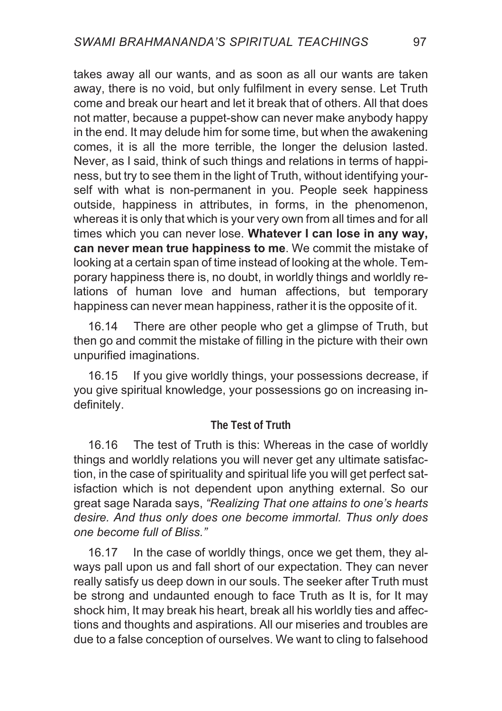takes away all our wants, and as soon as all our wants are taken away, there is no void, but only fulfilment in every sense. Let Truth come and break our heart and let it break that of others. All that does not matter, because a puppet-show can never make anybody happy in the end. It may delude him for some time, but when the awakening comes, it is all the more terrible, the longer the delusion lasted. Never, as I said, think of such things and relations in terms of happiness, but try to see them in the light of Truth, without identifying yourself with what is non-permanent in you. People seek happiness outside, happiness in attributes, in forms, in the phenomenon, whereas it is only that which is your very own from all times and for all times which you can never lose. **Whatever I can lose in any way, can never mean true happiness to me**. We commit the mistake of looking at a certain span of time instead of looking at the whole. Temporary happiness there is, no doubt, in worldly things and worldly relations of human love and human affections, but temporary happiness can never mean happiness, rather it is the opposite of it.

16.14 There are other people who get a glimpse of Truth, but then go and commit the mistake of filling in the picture with their own unpurified imaginations.

16.15 If you give worldly things, your possessions decrease, if you give spiritual knowledge, your possessions go on increasing indefinitely.

### **The Test of Truth**

16.16 The test of Truth is this: Whereas in the case of worldly things and worldly relations you will never get any ultimate satisfaction, in the case of spirituality and spiritual life you will get perfect satisfaction which is not dependent upon anything external. So our great sage Narada says, *"Realizing That one attains to one's hearts desire. And thus only does one become immortal. Thus only does one become full of Bliss."*

16.17 In the case of worldly things, once we get them, they always pall upon us and fall short of our expectation. They can never really satisfy us deep down in our souls. The seeker after Truth must be strong and undaunted enough to face Truth as It is, for It may shock him, It may break his heart, break all his worldly ties and affections and thoughts and aspirations. All our miseries and troubles are due to a false conception of ourselves. We want to cling to falsehood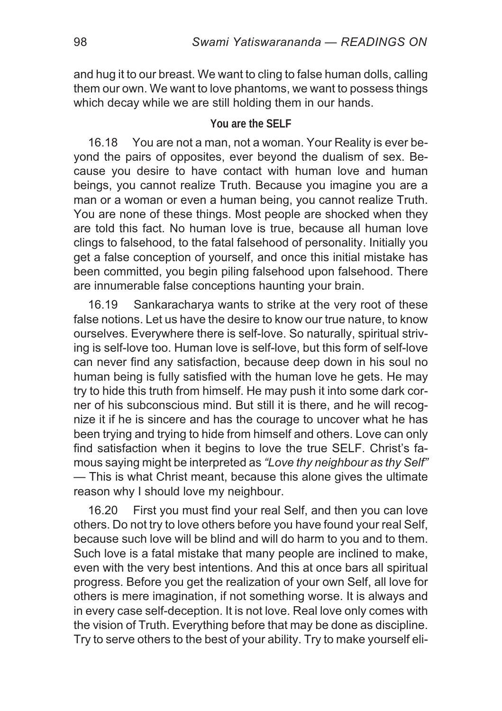and hug it to our breast. We want to cling to false human dolls, calling them our own. We want to love phantoms, we want to possess things which decay while we are still holding them in our hands.

### **You are the SELF**

16.18 You are not a man, not a woman. Your Reality is ever beyond the pairs of opposites, ever beyond the dualism of sex. Because you desire to have contact with human love and human beings, you cannot realize Truth. Because you imagine you are a man or a woman or even a human being, you cannot realize Truth. You are none of these things. Most people are shocked when they are told this fact. No human love is true, because all human love clings to falsehood, to the fatal falsehood of personality. Initially you get a false conception of yourself, and once this initial mistake has been committed, you begin piling falsehood upon falsehood. There are innumerable false conceptions haunting your brain.

16.19 Sankaracharya wants to strike at the very root of these false notions. Let us have the desire to know our true nature, to know ourselves. Everywhere there is self-love. So naturally, spiritual striving is self-love too. Human love is self-love, but this form of self-love can never find any satisfaction, because deep down in his soul no human being is fully satisfied with the human love he gets. He may try to hide this truth from himself. He may push it into some dark corner of his subconscious mind. But still it is there, and he will recognize it if he is sincere and has the courage to uncover what he has been trying and trying to hide from himself and others. Love can only find satisfaction when it begins to love the true SELF. Christ's famous saying might be interpreted as *"Love thy neighbour as thy Self"* — This is what Christ meant, because this alone gives the ultimate reason why I should love my neighbour.

16.20 First you must find your real Self, and then you can love others. Do not try to love others before you have found your real Self, because such love will be blind and will do harm to you and to them. Such love is a fatal mistake that many people are inclined to make, even with the very best intentions. And this at once bars all spiritual progress. Before you get the realization of your own Self, all love for others is mere imagination, if not something worse. It is always and in every case self-deception. It is not love. Real love only comes with the vision of Truth. Everything before that may be done as discipline. Try to serve others to the best of your ability. Try to make yourself eli-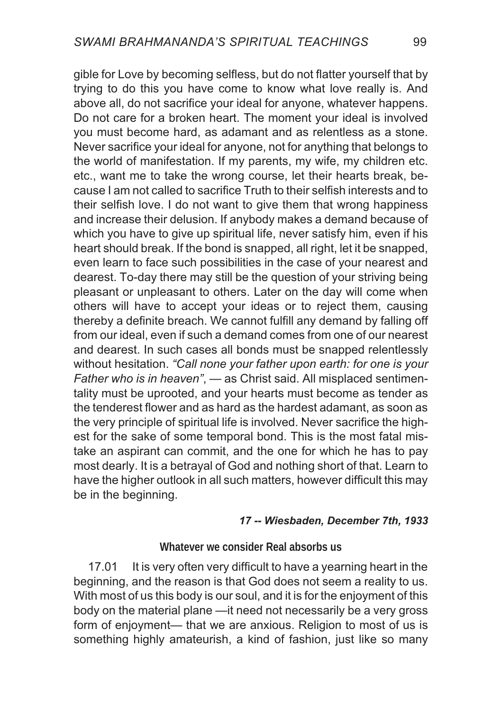gible for Love by becoming selfless, but do not flatter yourself that by trying to do this you have come to know what love really is. And above all, do not sacrifice your ideal for anyone, whatever happens. Do not care for a broken heart. The moment your ideal is involved you must become hard, as adamant and as relentless as a stone. Never sacrifice your ideal for anyone, not for anything that belongs to the world of manifestation. If my parents, my wife, my children etc. etc., want me to take the wrong course, let their hearts break, because I am not called to sacrifice Truth to their selfish interests and to their selfish love. I do not want to give them that wrong happiness and increase their delusion. If anybody makes a demand because of which you have to give up spiritual life, never satisfy him, even if his heart should break. If the bond is snapped, all right, let it be snapped, even learn to face such possibilities in the case of your nearest and dearest. To-day there may still be the question of your striving being pleasant or unpleasant to others. Later on the day will come when others will have to accept your ideas or to reject them, causing thereby a definite breach. We cannot fulfill any demand by falling off from our ideal, even if such a demand comes from one of our nearest and dearest. In such cases all bonds must be snapped relentlessly without hesitation. *"Call none your father upon earth: for one is your Father who is in heaven"*, — as Christ said. All misplaced sentimentality must be uprooted, and your hearts must become as tender as the tenderest flower and as hard as the hardest adamant, as soon as the very principle of spiritual life is involved. Never sacrifice the highest for the sake of some temporal bond. This is the most fatal mistake an aspirant can commit, and the one for which he has to pay most dearly. It is a betrayal of God and nothing short of that. Learn to have the higher outlook in all such matters, however difficult this may be in the beginning.

#### *17 -- Wiesbaden, December 7th, 1933*

**Whatever we consider Real absorbs us**

17.01 It is very often very difficult to have a yearning heart in the beginning, and the reason is that God does not seem a reality to us. With most of us this body is our soul, and it is for the enjoyment of this body on the material plane —it need not necessarily be a very gross form of enjoyment— that we are anxious. Religion to most of us is something highly amateurish, a kind of fashion, just like so many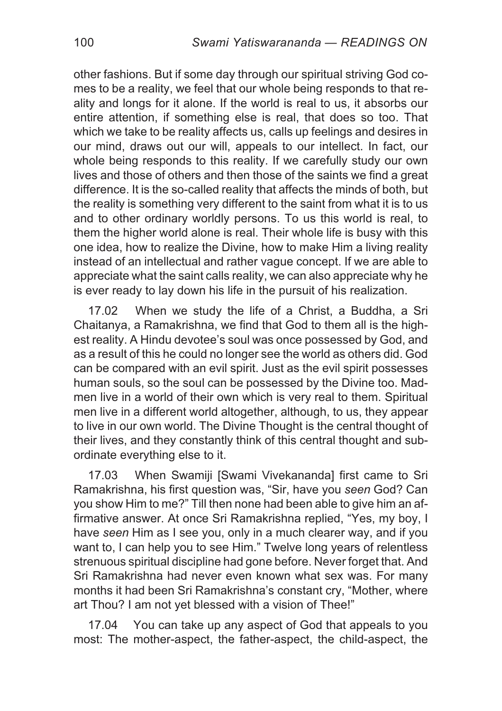other fashions. But if some day through our spiritual striving God comes to be a reality, we feel that our whole being responds to that reality and longs for it alone. If the world is real to us, it absorbs our entire attention, if something else is real, that does so too. That which we take to be reality affects us, calls up feelings and desires in our mind, draws out our will, appeals to our intellect. In fact, our whole being responds to this reality. If we carefully study our own lives and those of others and then those of the saints we find a great difference. It is the so-called reality that affects the minds of both, but the reality is something very different to the saint from what it is to us and to other ordinary worldly persons. To us this world is real, to them the higher world alone is real. Their whole life is busy with this one idea, how to realize the Divine, how to make Him a living reality instead of an intellectual and rather vague concept. If we are able to appreciate what the saint calls reality, we can also appreciate why he is ever ready to lay down his life in the pursuit of his realization.

17.02 When we study the life of a Christ, a Buddha, a Sri Chaitanya, a Ramakrishna, we find that God to them all is the highest reality. A Hindu devotee's soul was once possessed by God, and as a result of this he could no longer see the world as others did. God can be compared with an evil spirit. Just as the evil spirit possesses human souls, so the soul can be possessed by the Divine too. Madmen live in a world of their own which is very real to them. Spiritual men live in a different world altogether, although, to us, they appear to live in our own world. The Divine Thought is the central thought of their lives, and they constantly think of this central thought and subordinate everything else to it.

17.03 When Swamiji [Swami Vivekananda] first came to Sri Ramakrishna, his first question was, "Sir, have you *seen* God? Can you show Him to me?" Till then none had been able to give him an affirmative answer. At once Sri Ramakrishna replied, "Yes, my boy, I have *seen* Him as I see you, only in a much clearer way, and if you want to, I can help you to see Him." Twelve long years of relentless strenuous spiritual discipline had gone before. Never forget that. And Sri Ramakrishna had never even known what sex was. For many months it had been Sri Ramakrishna's constant cry, "Mother, where art Thou? I am not yet blessed with a vision of Thee!"

17.04 You can take up any aspect of God that appeals to you most: The mother-aspect, the father-aspect, the child-aspect, the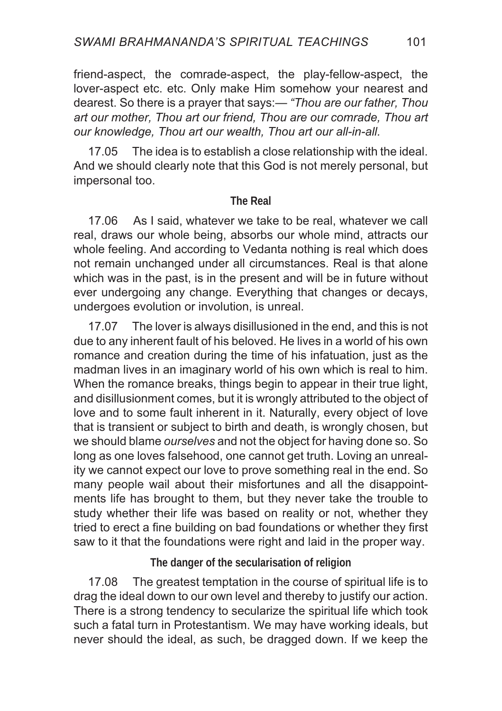friend-aspect, the comrade-aspect, the play-fellow-aspect, the lover-aspect etc. etc. Only make Him somehow your nearest and dearest. So there is a prayer that says:— *"Thou are our father, Thou art our mother, Thou art our friend, Thou are our comrade, Thou art our knowledge, Thou art our wealth, Thou art our all-in-all.*

17.05 The idea is to establish a close relationship with the ideal. And we should clearly note that this God is not merely personal, but impersonal too.

### **The Real**

17.06 As I said, whatever we take to be real, whatever we call real, draws our whole being, absorbs our whole mind, attracts our whole feeling. And according to Vedanta nothing is real which does not remain unchanged under all circumstances. Real is that alone which was in the past, is in the present and will be in future without ever undergoing any change. Everything that changes or decays, undergoes evolution or involution, is unreal.

17.07 The lover is always disillusioned in the end, and this is not due to any inherent fault of his beloved. He lives in a world of his own romance and creation during the time of his infatuation, just as the madman lives in an imaginary world of his own which is real to him. When the romance breaks, things begin to appear in their true light, and disillusionment comes, but it is wrongly attributed to the object of love and to some fault inherent in it. Naturally, every object of love that is transient or subject to birth and death, is wrongly chosen, but we should blame *ourselves* and not the object for having done so. So long as one loves falsehood, one cannot get truth. Loving an unreality we cannot expect our love to prove something real in the end. So many people wail about their misfortunes and all the disappointments life has brought to them, but they never take the trouble to study whether their life was based on reality or not, whether they tried to erect a fine building on bad foundations or whether they first saw to it that the foundations were right and laid in the proper way.

**The danger of the secularisation of religion**

17.08 The greatest temptation in the course of spiritual life is to drag the ideal down to our own level and thereby to justify our action. There is a strong tendency to secularize the spiritual life which took such a fatal turn in Protestantism. We may have working ideals, but never should the ideal, as such, be dragged down. If we keep the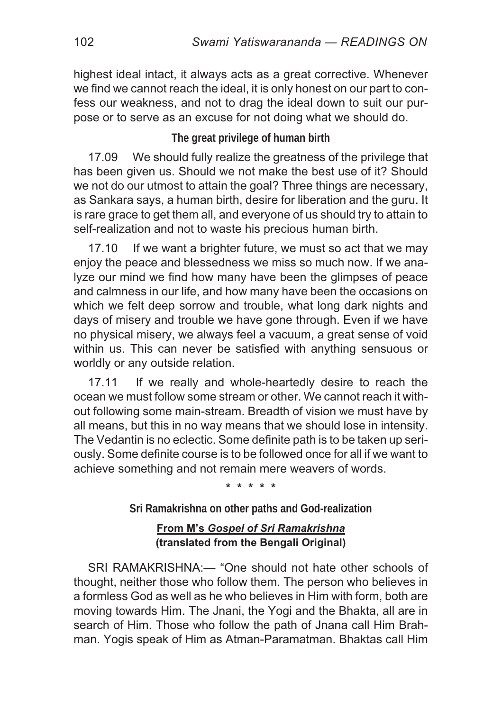highest ideal intact, it always acts as a great corrective. Whenever we find we cannot reach the ideal, it is only honest on our part to confess our weakness, and not to drag the ideal down to suit our purpose or to serve as an excuse for not doing what we should do.

**The great privilege of human birth**

17.09 We should fully realize the greatness of the privilege that has been given us. Should we not make the best use of it? Should we not do our utmost to attain the goal? Three things are necessary, as Sankara says, a human birth, desire for liberation and the guru. It is rare grace to get them all, and everyone of us should try to attain to self-realization and not to waste his precious human birth.

17.10 If we want a brighter future, we must so act that we may enjoy the peace and blessedness we miss so much now. If we analyze our mind we find how many have been the glimpses of peace and calmness in our life, and how many have been the occasions on which we felt deep sorrow and trouble, what long dark nights and days of misery and trouble we have gone through. Even if we have no physical misery, we always feel a vacuum, a great sense of void within us. This can never be satisfied with anything sensuous or worldly or any outside relation.

17.11 If we really and whole-heartedly desire to reach the ocean we must follow some stream or other. We cannot reach it without following some main-stream. Breadth of vision we must have by all means, but this in no way means that we should lose in intensity. The Vedantin is no eclectic. Some definite path is to be taken up seriously. Some definite course is to be followed once for all if we want to achieve something and not remain mere weavers of words.

**\*\*\*\*\***

**Sri Ramakrishna on other paths and God-realization**

# **From M's** *Gospel of Sri Ramakrishna* **(translated from the Bengali Original)**

SRI RAMAKRISHNA:— "One should not hate other schools of thought, neither those who follow them. The person who believes in a formless God as well as he who believes in Him with form, both are moving towards Him. The Jnani, the Yogi and the Bhakta, all are in search of Him. Those who follow the path of Jnana call Him Brahman. Yogis speak of Him as Atman-Paramatman. Bhaktas call Him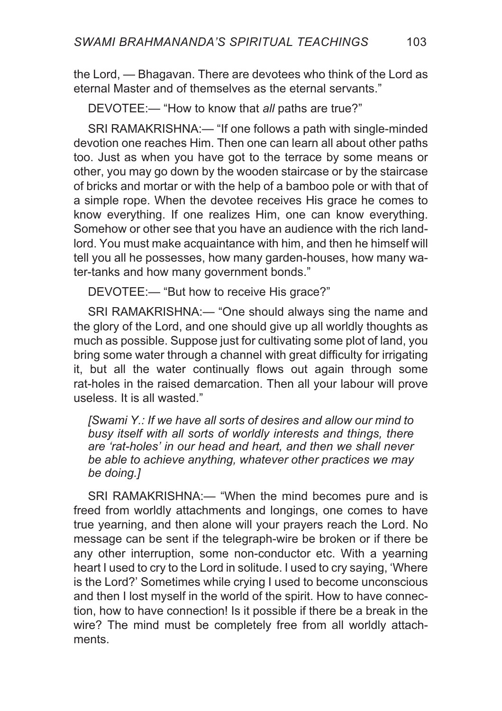the Lord, — Bhagavan. There are devotees who think of the Lord as eternal Master and of themselves as the eternal servants."

DEVOTEE:— "How to know that *all* paths are true?"

SRI RAMAKRISHNA:— "If one follows a path with single-minded devotion one reaches Him. Then one can learn all about other paths too. Just as when you have got to the terrace by some means or other, you may go down by the wooden staircase or by the staircase of bricks and mortar or with the help of a bamboo pole or with that of a simple rope. When the devotee receives His grace he comes to know everything. If one realizes Him, one can know everything. Somehow or other see that you have an audience with the rich landlord. You must make acquaintance with him, and then he himself will tell you all he possesses, how many garden-houses, how many water-tanks and how many government bonds."

DEVOTEE:— "But how to receive His grace?"

SRI RAMAKRISHNA:— "One should always sing the name and the glory of the Lord, and one should give up all worldly thoughts as much as possible. Suppose just for cultivating some plot of land, you bring some water through a channel with great difficulty for irrigating it, but all the water continually flows out again through some rat-holes in the raised demarcation. Then all your labour will prove useless. It is all wasted."

*[Swami Y.: If we have all sorts of desires and allow our mind to busy itself with all sorts of worldly interests and things, there are 'rat-holes' in our head and heart, and then we shall never be able to achieve anything, whatever other practices we may be doing.]*

SRI RAMAKRISHNA:— "When the mind becomes pure and is freed from worldly attachments and longings, one comes to have true yearning, and then alone will your prayers reach the Lord. No message can be sent if the telegraph-wire be broken or if there be any other interruption, some non-conductor etc. With a yearning heart I used to cry to the Lord in solitude. I used to cry saying, 'Where is the Lord?' Sometimes while crying I used to become unconscious and then I lost myself in the world of the spirit. How to have connection, how to have connection! Is it possible if there be a break in the wire? The mind must be completely free from all worldly attachments.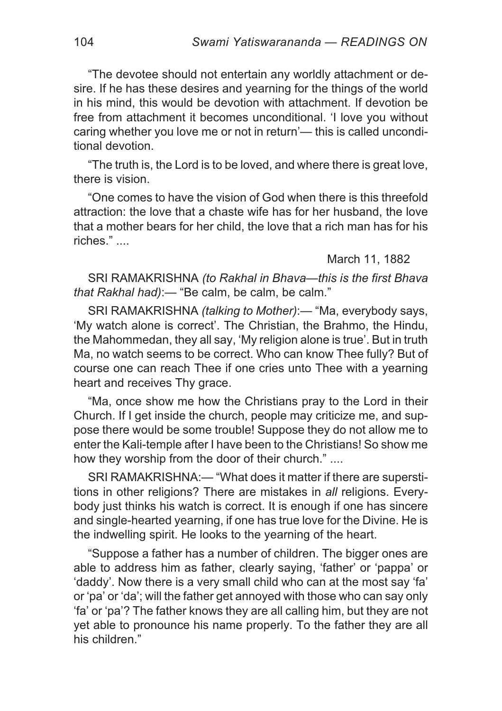"The devotee should not entertain any worldly attachment or desire. If he has these desires and yearning for the things of the world in his mind, this would be devotion with attachment. If devotion be free from attachment it becomes unconditional. 'I love you without caring whether you love me or not in return'— this is called unconditional devotion.

"The truth is, the Lord is to be loved, and where there is great love, there is vision.

"One comes to have the vision of God when there is this threefold attraction: the love that a chaste wife has for her husband, the love that a mother bears for her child, the love that a rich man has for his riches." ....

March 11, 1882

SRI RAMAKRISHNA *(to Rakhal in Bhava—this is the first Bhava that Rakhal had)*:— "Be calm, be calm, be calm."

SRI RAMAKRISHNA *(talking to Mother)*:— "Ma, everybody says, 'My watch alone is correct'. The Christian, the Brahmo, the Hindu, the Mahommedan, they all say, 'My religion alone is true'. But in truth Ma, no watch seems to be correct. Who can know Thee fully? But of course one can reach Thee if one cries unto Thee with a yearning heart and receives Thy grace.

"Ma, once show me how the Christians pray to the Lord in their Church. If I get inside the church, people may criticize me, and suppose there would be some trouble! Suppose they do not allow me to enter the Kali-temple after I have been to the Christians! So show me how they worship from the door of their church." ....

SRI RAMAKRISHNA:— "What does it matter if there are superstitions in other religions? There are mistakes in *all* religions. Everybody just thinks his watch is correct. It is enough if one has sincere and single-hearted yearning, if one has true love for the Divine. He is the indwelling spirit. He looks to the yearning of the heart.

"Suppose a father has a number of children. The bigger ones are able to address him as father, clearly saying, 'father' or 'pappa' or 'daddy'. Now there is a very small child who can at the most say 'fa' or 'pa' or 'da'; will the father get annoyed with those who can say only 'fa' or 'pa'? The father knows they are all calling him, but they are not yet able to pronounce his name properly. To the father they are all his children."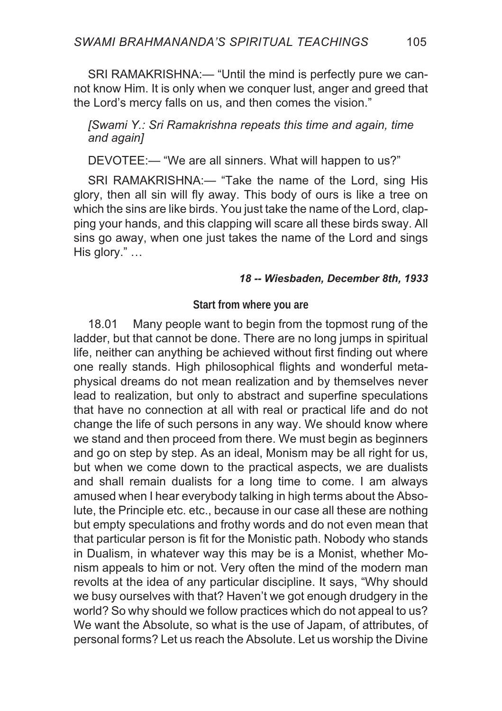SRI RAMAKRISHNA:— "Until the mind is perfectly pure we cannot know Him. It is only when we conquer lust, anger and greed that the Lord's mercy falls on us, and then comes the vision."

*[Swami Y.: Sri Ramakrishna repeats this time and again, time and again]*

DEVOTEE:— "We are all sinners. What will happen to us?"

SRI RAMAKRISHNA:— "Take the name of the Lord, sing His glory, then all sin will fly away. This body of ours is like a tree on which the sins are like birds. You just take the name of the Lord, clapping your hands, and this clapping will scare all these birds sway. All sins go away, when one just takes the name of the Lord and sings His glory." …

#### *18 -- Wiesbaden, December 8th, 1933*

#### **Start from where you are**

18.01 Many people want to begin from the topmost rung of the ladder, but that cannot be done. There are no long jumps in spiritual life, neither can anything be achieved without first finding out where one really stands. High philosophical flights and wonderful metaphysical dreams do not mean realization and by themselves never lead to realization, but only to abstract and superfine speculations that have no connection at all with real or practical life and do not change the life of such persons in any way. We should know where we stand and then proceed from there. We must begin as beginners and go on step by step. As an ideal, Monism may be all right for us, but when we come down to the practical aspects, we are dualists and shall remain dualists for a long time to come. I am always amused when I hear everybody talking in high terms about the Absolute, the Principle etc. etc., because in our case all these are nothing but empty speculations and frothy words and do not even mean that that particular person is fit for the Monistic path. Nobody who stands in Dualism, in whatever way this may be is a Monist, whether Monism appeals to him or not. Very often the mind of the modern man revolts at the idea of any particular discipline. It says, "Why should we busy ourselves with that? Haven't we got enough drudgery in the world? So why should we follow practices which do not appeal to us? We want the Absolute, so what is the use of Japam, of attributes, of personal forms? Let us reach the Absolute. Let us worship the Divine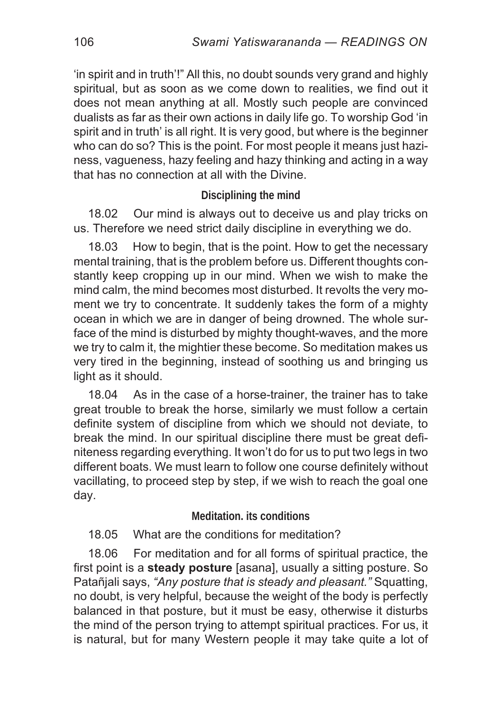'in spirit and in truth'!" All this, no doubt sounds very grand and highly spiritual, but as soon as we come down to realities, we find out it does not mean anything at all. Mostly such people are convinced dualists as far as their own actions in daily life go. To worship God 'in spirit and in truth' is all right. It is very good, but where is the beginner who can do so? This is the point. For most people it means just haziness, vagueness, hazy feeling and hazy thinking and acting in a way that has no connection at all with the Divine.

# **Disciplining the mind**

18.02 Our mind is always out to deceive us and play tricks on us. Therefore we need strict daily discipline in everything we do.

18.03 How to begin, that is the point. How to get the necessary mental training, that is the problem before us. Different thoughts constantly keep cropping up in our mind. When we wish to make the mind calm, the mind becomes most disturbed. It revolts the very moment we try to concentrate. It suddenly takes the form of a mighty ocean in which we are in danger of being drowned. The whole surface of the mind is disturbed by mighty thought-waves, and the more we try to calm it, the mightier these become. So meditation makes us very tired in the beginning, instead of soothing us and bringing us light as it should.

18.04 As in the case of a horse-trainer, the trainer has to take great trouble to break the horse, similarly we must follow a certain definite system of discipline from which we should not deviate, to break the mind. In our spiritual discipline there must be great definiteness regarding everything. It won't do for us to put two legs in two different boats. We must learn to follow one course definitely without vacillating, to proceed step by step, if we wish to reach the goal one day.

# **Meditation. its conditions**

18.05 What are the conditions for meditation?

18.06 For meditation and for all forms of spiritual practice, the first point is a **steady posture** [asana], usually a sitting posture. So Patañjali says, *"Any posture that is steady and pleasant."* Squatting, no doubt, is very helpful, because the weight of the body is perfectly balanced in that posture, but it must be easy, otherwise it disturbs the mind of the person trying to attempt spiritual practices. For us, it is natural, but for many Western people it may take quite a lot of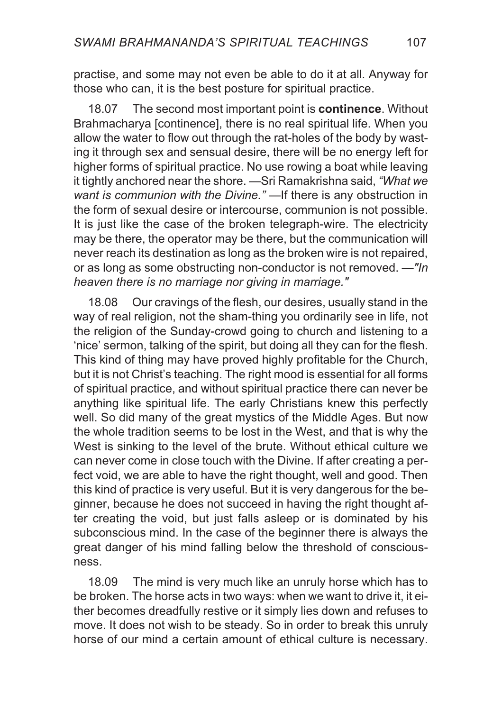practise, and some may not even be able to do it at all. Anyway for those who can, it is the best posture for spiritual practice.

18.07 The second most important point is **continence**. Without Brahmacharya [continence], there is no real spiritual life. When you allow the water to flow out through the rat-holes of the body by wasting it through sex and sensual desire, there will be no energy left for higher forms of spiritual practice. No use rowing a boat while leaving it tightly anchored near the shore. —Sri Ramakrishna said, *"What we want is communion with the Divine."* —If there is any obstruction in the form of sexual desire or intercourse, communion is not possible. It is just like the case of the broken telegraph-wire. The electricity may be there, the operator may be there, but the communication will never reach its destination as long as the broken wire is not repaired, or as long as some obstructing non-conductor is not removed. *—"In heaven there is no marriage nor giving in marriage."*

18.08 Our cravings of the flesh, our desires, usually stand in the way of real religion, not the sham-thing you ordinarily see in life, not the religion of the Sunday-crowd going to church and listening to a 'nice' sermon, talking of the spirit, but doing all they can for the flesh. This kind of thing may have proved highly profitable for the Church, but it is not Christ's teaching. The right mood is essential for all forms of spiritual practice, and without spiritual practice there can never be anything like spiritual life. The early Christians knew this perfectly well. So did many of the great mystics of the Middle Ages. But now the whole tradition seems to be lost in the West, and that is why the West is sinking to the level of the brute. Without ethical culture we can never come in close touch with the Divine. If after creating a perfect void, we are able to have the right thought, well and good. Then this kind of practice is very useful. But it is very dangerous for the beginner, because he does not succeed in having the right thought after creating the void, but just falls asleep or is dominated by his subconscious mind. In the case of the beginner there is always the great danger of his mind falling below the threshold of consciousness.

18.09 The mind is very much like an unruly horse which has to be broken. The horse acts in two ways: when we want to drive it, it either becomes dreadfully restive or it simply lies down and refuses to move. It does not wish to be steady. So in order to break this unruly horse of our mind a certain amount of ethical culture is necessary.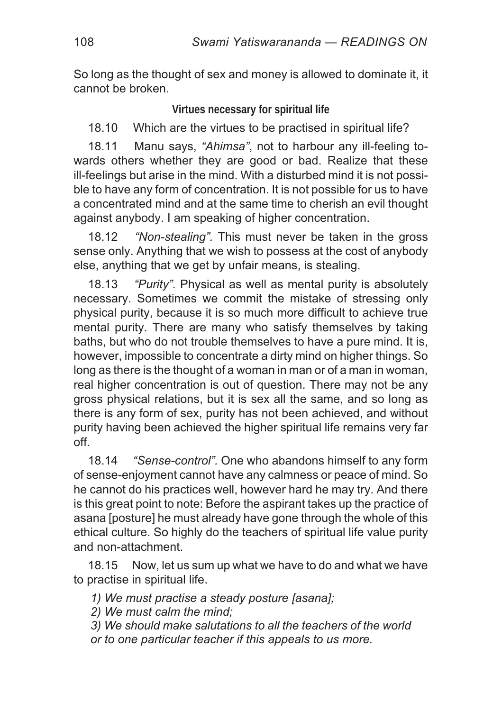So long as the thought of sex and money is allowed to dominate it, it cannot be broken.

**Virtues necessary for spiritual life**

18.10 Which are the virtues to be practised in spiritual life?

18.11 Manu says, *"Ahimsa"*, not to harbour any ill-feeling towards others whether they are good or bad. Realize that these ill-feelings but arise in the mind. With a disturbed mind it is not possible to have any form of concentration. It is not possible for us to have a concentrated mind and at the same time to cherish an evil thought against anybody. I am speaking of higher concentration.

18.12 *"Non-stealing".* This must never be taken in the gross sense only. Anything that we wish to possess at the cost of anybody else, anything that we get by unfair means, is stealing.

18.13 *"Purity".* Physical as well as mental purity is absolutely necessary. Sometimes we commit the mistake of stressing only physical purity, because it is so much more difficult to achieve true mental purity. There are many who satisfy themselves by taking baths, but who do not trouble themselves to have a pure mind. It is, however, impossible to concentrate a dirty mind on higher things. So long as there is the thought of a woman in man or of a man in woman, real higher concentration is out of question. There may not be any gross physical relations, but it is sex all the same, and so long as there is any form of sex, purity has not been achieved, and without purity having been achieved the higher spiritual life remains very far off.

18.14 *"Sense-control".* One who abandons himself to any form of sense-enjoyment cannot have any calmness or peace of mind. So he cannot do his practices well, however hard he may try. And there is this great point to note: Before the aspirant takes up the practice of asana [posture] he must already have gone through the whole of this ethical culture. So highly do the teachers of spiritual life value purity and non-attachment.

18.15 Now, let us sum up what we have to do and what we have to practise in spiritual life.

*1) We must practise a steady posture [asana];*

*2) We must calm the mind;*

*3) We should make salutations to all the teachers of the world or to one particular teacher if this appeals to us more.*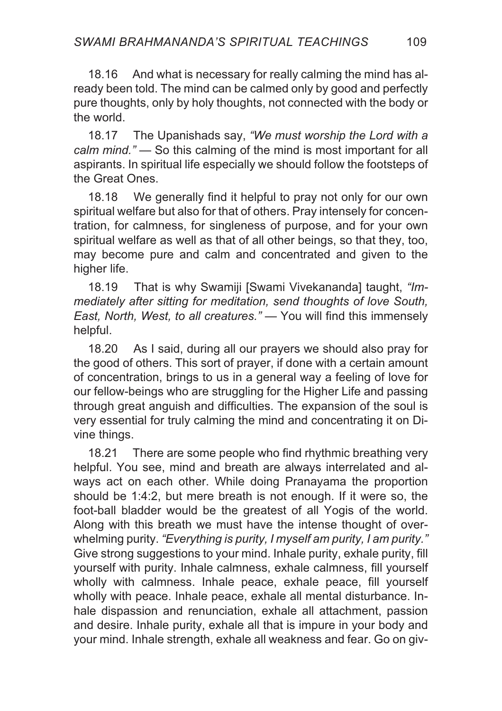18.16 And what is necessary for really calming the mind has already been told. The mind can be calmed only by good and perfectly pure thoughts, only by holy thoughts, not connected with the body or the world.

18.17 The Upanishads say, *"We must worship the Lord with a calm mind."* — So this calming of the mind is most important for all aspirants. In spiritual life especially we should follow the footsteps of the Great Ones.

18.18 We generally find it helpful to pray not only for our own spiritual welfare but also for that of others. Pray intensely for concentration, for calmness, for singleness of purpose, and for your own spiritual welfare as well as that of all other beings, so that they, too, may become pure and calm and concentrated and given to the higher life.

18.19 That is why Swamiji [Swami Vivekananda] taught, *"Immediately after sitting for meditation, send thoughts of love South, East, North, West, to all creatures."* — You will find this immensely helpful.

18.20 As I said, during all our prayers we should also pray for the good of others. This sort of prayer, if done with a certain amount of concentration, brings to us in a general way a feeling of love for our fellow-beings who are struggling for the Higher Life and passing through great anguish and difficulties. The expansion of the soul is very essential for truly calming the mind and concentrating it on Divine things.

18.21 There are some people who find rhythmic breathing very helpful. You see, mind and breath are always interrelated and always act on each other. While doing Pranayama the proportion should be 1:4:2, but mere breath is not enough. If it were so, the foot-ball bladder would be the greatest of all Yogis of the world. Along with this breath we must have the intense thought of overwhelming purity. *"Everything is purity, I myself am purity, I am purity."* Give strong suggestions to your mind. Inhale purity, exhale purity, fill yourself with purity. Inhale calmness, exhale calmness, fill yourself wholly with calmness. Inhale peace, exhale peace, fill yourself wholly with peace. Inhale peace, exhale all mental disturbance. Inhale dispassion and renunciation, exhale all attachment, passion and desire. Inhale purity, exhale all that is impure in your body and your mind. Inhale strength, exhale all weakness and fear. Go on giv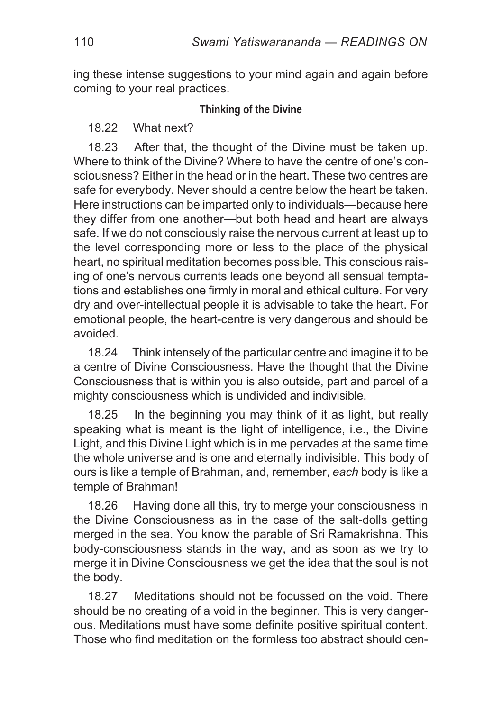ing these intense suggestions to your mind again and again before coming to your real practices.

**Thinking of the Divine**

# 18.22 What next?

18.23 After that, the thought of the Divine must be taken up. Where to think of the Divine? Where to have the centre of one's consciousness? Either in the head or in the heart. These two centres are safe for everybody. Never should a centre below the heart be taken. Here instructions can be imparted only to individuals—because here they differ from one another—but both head and heart are always safe. If we do not consciously raise the nervous current at least up to the level corresponding more or less to the place of the physical heart, no spiritual meditation becomes possible. This conscious raising of one's nervous currents leads one beyond all sensual temptations and establishes one firmly in moral and ethical culture. For very dry and over-intellectual people it is advisable to take the heart. For emotional people, the heart-centre is very dangerous and should be avoided.

18.24 Think intensely of the particular centre and imagine it to be a centre of Divine Consciousness. Have the thought that the Divine Consciousness that is within you is also outside, part and parcel of a mighty consciousness which is undivided and indivisible.

18.25 In the beginning you may think of it as light, but really speaking what is meant is the light of intelligence, i.e., the Divine Light, and this Divine Light which is in me pervades at the same time the whole universe and is one and eternally indivisible. This body of ours is like a temple of Brahman, and, remember, *each* body is like a temple of Brahman!

18.26 Having done all this, try to merge your consciousness in the Divine Consciousness as in the case of the salt-dolls getting merged in the sea. You know the parable of Sri Ramakrishna. This body-consciousness stands in the way, and as soon as we try to merge it in Divine Consciousness we get the idea that the soul is not the body.

18.27 Meditations should not be focussed on the void. There should be no creating of a void in the beginner. This is very dangerous. Meditations must have some definite positive spiritual content. Those who find meditation on the formless too abstract should cen-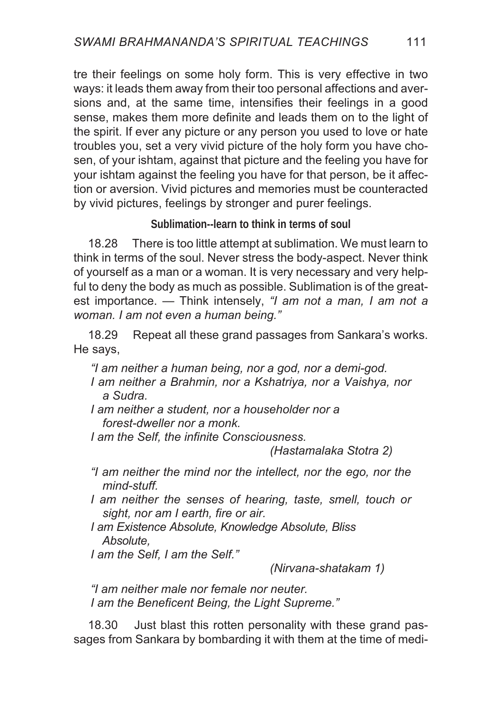tre their feelings on some holy form. This is very effective in two ways: it leads them away from their too personal affections and aversions and, at the same time, intensifies their feelings in a good sense, makes them more definite and leads them on to the light of the spirit. If ever any picture or any person you used to love or hate troubles you, set a very vivid picture of the holy form you have chosen, of your ishtam, against that picture and the feeling you have for your ishtam against the feeling you have for that person, be it affection or aversion. Vivid pictures and memories must be counteracted by vivid pictures, feelings by stronger and purer feelings.

**Sublimation--learn to think in terms of soul**

18.28 There is too little attempt at sublimation. We must learn to think in terms of the soul. Never stress the body-aspect. Never think of yourself as a man or a woman. It is very necessary and very helpful to deny the body as much as possible. Sublimation is of the greatest importance. — Think intensely, *"I am not a man, I am not a woman. I am not even a human being."*

18.29 Repeat all these grand passages from Sankara's works. He says,

*"I am neither a human being, nor a god, nor a demi-god. I am neither a Brahmin, nor a Kshatriya, nor a Vaishya, nor a Sudra.*

- *I am neither a student, nor a householder nor a forest-dweller nor a monk.*
- *I am the Self, the infinite Consciousness.*

*(Hastamalaka Stotra 2)*

- *"I am neither the mind nor the intellect, nor the ego, nor the mind-stuff.*
- *I am neither the senses of hearing, taste, smell, touch or sight, nor am I earth, fire or air.*

*I am Existence Absolute, Knowledge Absolute, Bliss Absolute,*

*I am the Self, I am the Self."*

*(Nirvana-shatakam 1)*

*"I am neither male nor female nor neuter. I am the Beneficent Being, the Light Supreme."*

18.30 Just blast this rotten personality with these grand passages from Sankara by bombarding it with them at the time of medi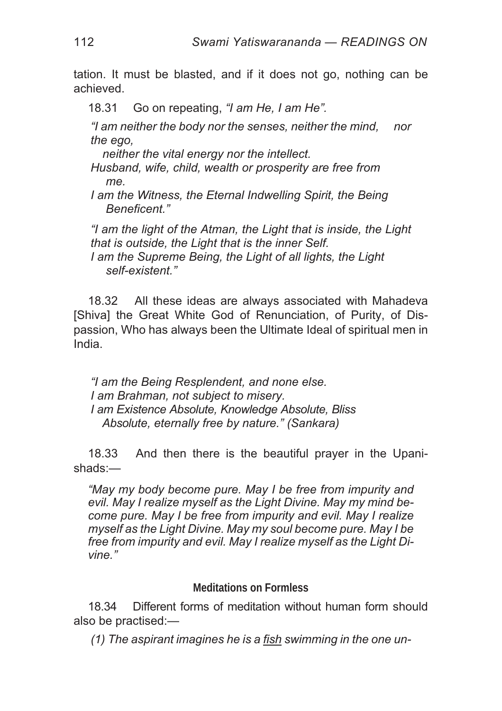tation. It must be blasted, and if it does not go, nothing can be achieved.

18.31 Go on repeating, *"I am He, I am He".*

*"I am neither the body nor the senses, neither the mind, nor the ego,*

*neither the vital energy nor the intellect.*

*Husband, wife, child, wealth or prosperity are free from me.*

*I am the Witness, the Eternal Indwelling Spirit, the Being Beneficent."*

*"I am the light of the Atman, the Light that is inside, the Light that is outside, the Light that is the inner Self. I am the Supreme Being, the Light of all lights, the Light self-existent."*

18.32 All these ideas are always associated with Mahadeva [Shiva] the Great White God of Renunciation, of Purity, of Dispassion, Who has always been the Ultimate Ideal of spiritual men in India.

*"I am the Being Resplendent, and none else. I am Brahman, not subject to misery. I am Existence Absolute, Knowledge Absolute, Bliss Absolute, eternally free by nature." (Sankara)*

18.33 And then there is the beautiful prayer in the Upanishads:—

*"May my body become pure. May I be free from impurity and evil. May I realize myself as the Light Divine. May my mind become pure. May I be free from impurity and evil. May I realize myself as the Light Divine. May my soul become pure. May I be free from impurity and evil. May I realize myself as the Light Divine."*

# **Meditations on Formless**

18.34 Different forms of meditation without human form should also be practised:—

*(1) The aspirant imagines he is a fish swimming in the one un-*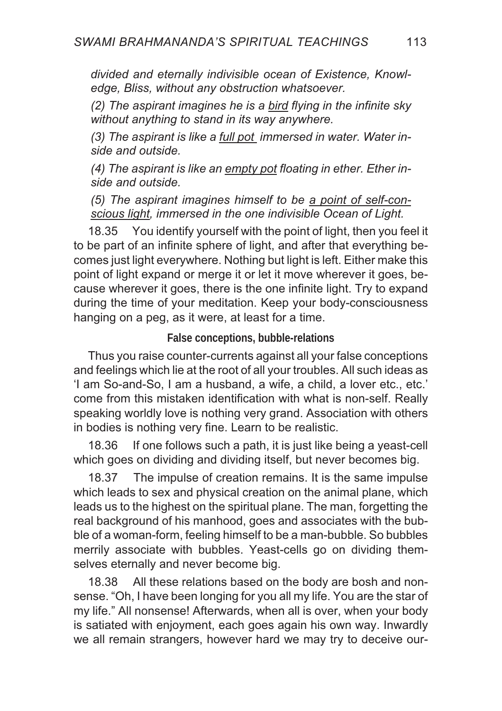*divided and eternally indivisible ocean of Existence, Knowledge, Bliss, without any obstruction whatsoever.*

*(2) The aspirant imagines he is a bird flying in the infinite sky without anything to stand in its way anywhere.*

*(3) The aspirant is like a full pot immersed in water. Water inside and outside.*

*(4) The aspirant is like an empty pot floating in ether. Ether inside and outside.*

*(5) The aspirant imagines himself to be a point of self-conscious light, immersed in the one indivisible Ocean of Light.*

18.35 You identify yourself with the point of light, then you feel it to be part of an infinite sphere of light, and after that everything becomes just light everywhere. Nothing but light is left. Either make this point of light expand or merge it or let it move wherever it goes, because wherever it goes, there is the one infinite light. Try to expand during the time of your meditation. Keep your body-consciousness hanging on a peg, as it were, at least for a time.

## **False conceptions, bubble-relations**

Thus you raise counter-currents against all your false conceptions and feelings which lie at the root of all your troubles. All such ideas as 'I am So-and-So, I am a husband, a wife, a child, a lover etc., etc.' come from this mistaken identification with what is non-self. Really speaking worldly love is nothing very grand. Association with others in bodies is nothing very fine. Learn to be realistic.

18.36 If one follows such a path, it is just like being a yeast-cell which goes on dividing and dividing itself, but never becomes big.

18.37 The impulse of creation remains. It is the same impulse which leads to sex and physical creation on the animal plane, which leads us to the highest on the spiritual plane. The man, forgetting the real background of his manhood, goes and associates with the bubble of a woman-form, feeling himself to be a man-bubble. So bubbles merrily associate with bubbles. Yeast-cells go on dividing themselves eternally and never become big.

18.38 All these relations based on the body are bosh and nonsense. "Oh, I have been longing for you all my life. You are the star of my life." All nonsense! Afterwards, when all is over, when your body is satiated with enjoyment, each goes again his own way. Inwardly we all remain strangers, however hard we may try to deceive our-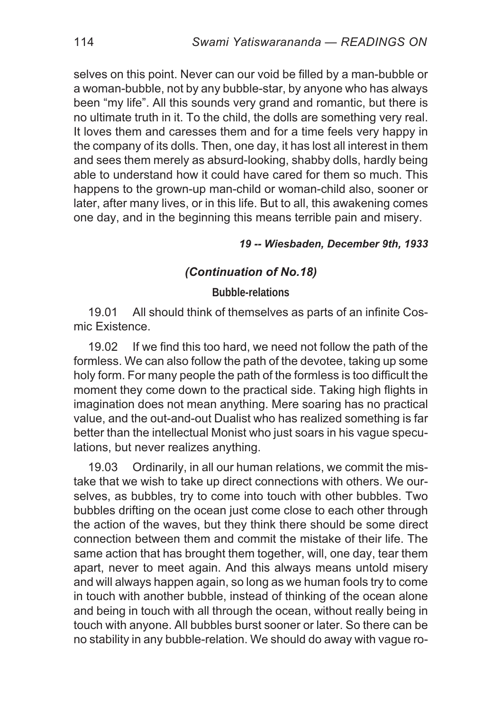selves on this point. Never can our void be filled by a man-bubble or a woman-bubble, not by any bubble-star, by anyone who has always been "my life". All this sounds very grand and romantic, but there is no ultimate truth in it. To the child, the dolls are something very real. It loves them and caresses them and for a time feels very happy in the company of its dolls. Then, one day, it has lost all interest in them and sees them merely as absurd-looking, shabby dolls, hardly being able to understand how it could have cared for them so much. This happens to the grown-up man-child or woman-child also, sooner or later, after many lives, or in this life. But to all, this awakening comes one day, and in the beginning this means terrible pain and misery.

### *19 -- Wiesbaden, December 9th, 1933*

# *(Continuation of No.18)*

## **Bubble-relations**

19.01 All should think of themselves as parts of an infinite Cosmic Existence.

19.02 If we find this too hard, we need not follow the path of the formless. We can also follow the path of the devotee, taking up some holy form. For many people the path of the formless is too difficult the moment they come down to the practical side. Taking high flights in imagination does not mean anything. Mere soaring has no practical value, and the out-and-out Dualist who has realized something is far better than the intellectual Monist who just soars in his vague speculations, but never realizes anything.

19.03 Ordinarily, in all our human relations, we commit the mistake that we wish to take up direct connections with others. We ourselves, as bubbles, try to come into touch with other bubbles. Two bubbles drifting on the ocean just come close to each other through the action of the waves, but they think there should be some direct connection between them and commit the mistake of their life. The same action that has brought them together, will, one day, tear them apart, never to meet again. And this always means untold misery and will always happen again, so long as we human fools try to come in touch with another bubble, instead of thinking of the ocean alone and being in touch with all through the ocean, without really being in touch with anyone. All bubbles burst sooner or later. So there can be no stability in any bubble-relation. We should do away with vague ro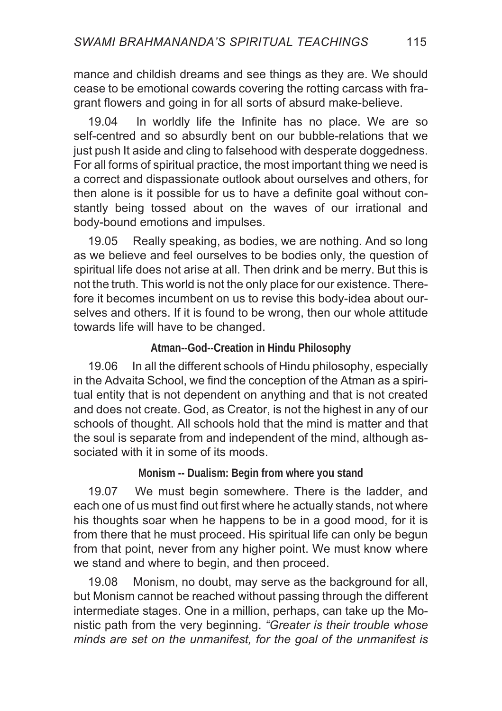mance and childish dreams and see things as they are. We should cease to be emotional cowards covering the rotting carcass with fragrant flowers and going in for all sorts of absurd make-believe.

19.04 In worldly life the Infinite has no place. We are so self-centred and so absurdly bent on our bubble-relations that we just push It aside and cling to falsehood with desperate doggedness. For all forms of spiritual practice, the most important thing we need is a correct and dispassionate outlook about ourselves and others, for then alone is it possible for us to have a definite goal without constantly being tossed about on the waves of our irrational and body-bound emotions and impulses.

19.05 Really speaking, as bodies, we are nothing. And so long as we believe and feel ourselves to be bodies only, the question of spiritual life does not arise at all. Then drink and be merry. But this is not the truth. This world is not the only place for our existence. Therefore it becomes incumbent on us to revise this body-idea about ourselves and others. If it is found to be wrong, then our whole attitude towards life will have to be changed.

# **Atman--God--Creation in Hindu Philosophy**

19.06 In all the different schools of Hindu philosophy, especially in the Advaita School, we find the conception of the Atman as a spiritual entity that is not dependent on anything and that is not created and does not create. God, as Creator, is not the highest in any of our schools of thought. All schools hold that the mind is matter and that the soul is separate from and independent of the mind, although associated with it in some of its moods.

## **Monism -- Dualism: Begin from where you stand**

19.07 We must begin somewhere. There is the ladder, and each one of us must find out first where he actually stands, not where his thoughts soar when he happens to be in a good mood, for it is from there that he must proceed. His spiritual life can only be begun from that point, never from any higher point. We must know where we stand and where to begin, and then proceed.

19.08 Monism, no doubt, may serve as the background for all, but Monism cannot be reached without passing through the different intermediate stages. One in a million, perhaps, can take up the Monistic path from the very beginning. *"Greater is their trouble whose minds are set on the unmanifest, for the goal of the unmanifest is*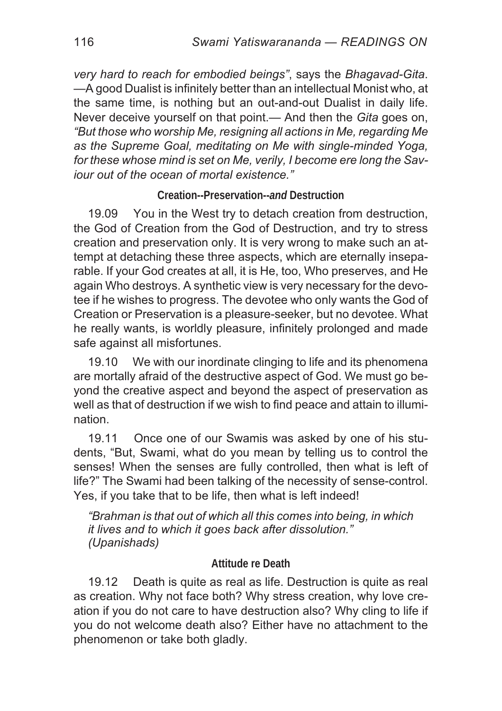*very hard to reach for embodied beings"*, says the *Bhagavad-Gita*. —A good Dualist is infinitely better than an intellectual Monist who, at the same time, is nothing but an out-and-out Dualist in daily life. Never deceive yourself on that point.— And then the *Gita* goes on, *"But those who worship Me, resigning all actions in Me, regarding Me as the Supreme Goal, meditating on Me with single-minded Yoga, for these whose mind is set on Me, verily, I become ere long the Saviour out of the ocean of mortal existence."*

### **Creation--Preservation--***and* **Destruction**

19.09 You in the West try to detach creation from destruction, the God of Creation from the God of Destruction, and try to stress creation and preservation only. It is very wrong to make such an attempt at detaching these three aspects, which are eternally inseparable. If your God creates at all, it is He, too, Who preserves, and He again Who destroys. A synthetic view is very necessary for the devotee if he wishes to progress. The devotee who only wants the God of Creation or Preservation is a pleasure-seeker, but no devotee. What he really wants, is worldly pleasure, infinitely prolonged and made safe against all misfortunes.

19.10 We with our inordinate clinging to life and its phenomena are mortally afraid of the destructive aspect of God. We must go beyond the creative aspect and beyond the aspect of preservation as well as that of destruction if we wish to find peace and attain to illumination.

19.11 Once one of our Swamis was asked by one of his students, "But, Swami, what do you mean by telling us to control the senses! When the senses are fully controlled, then what is left of life?" The Swami had been talking of the necessity of sense-control. Yes, if you take that to be life, then what is left indeed!

*"Brahman is that out of which all this comes into being, in which it lives and to which it goes back after dissolution." (Upanishads)*

# **Attitude re Death**

19.12 Death is quite as real as life. Destruction is quite as real as creation. Why not face both? Why stress creation, why love creation if you do not care to have destruction also? Why cling to life if you do not welcome death also? Either have no attachment to the phenomenon or take both gladly.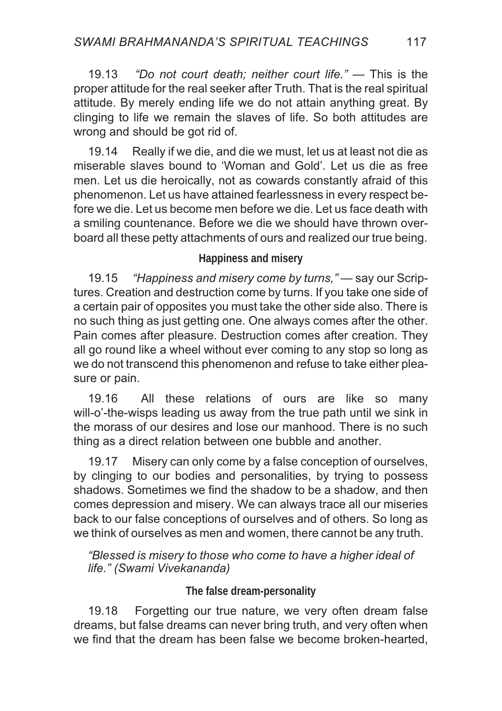19.13 *"Do not court death; neither court life."* — This is the proper attitude for the real seeker after Truth. That is the real spiritual attitude. By merely ending life we do not attain anything great. By clinging to life we remain the slaves of life. So both attitudes are wrong and should be got rid of.

19.14 Really if we die, and die we must, let us at least not die as miserable slaves bound to 'Woman and Gold'. Let us die as free men. Let us die heroically, not as cowards constantly afraid of this phenomenon. Let us have attained fearlessness in every respect before we die. Let us become men before we die. Let us face death with a smiling countenance. Before we die we should have thrown overboard all these petty attachments of ours and realized our true being.

## **Happiness and misery**

19.15 *"Happiness and misery come by turns,"* — say our Scriptures. Creation and destruction come by turns. If you take one side of a certain pair of opposites you must take the other side also. There is no such thing as just getting one. One always comes after the other. Pain comes after pleasure. Destruction comes after creation. They all go round like a wheel without ever coming to any stop so long as we do not transcend this phenomenon and refuse to take either pleasure or pain.

19.16 All these relations of ours are like so many will-o'-the-wisps leading us away from the true path until we sink in the morass of our desires and lose our manhood. There is no such thing as a direct relation between one bubble and another.

19.17 Misery can only come by a false conception of ourselves, by clinging to our bodies and personalities, by trying to possess shadows. Sometimes we find the shadow to be a shadow, and then comes depression and misery. We can always trace all our miseries back to our false conceptions of ourselves and of others. So long as we think of ourselves as men and women, there cannot be any truth.

*"Blessed is misery to those who come to have a higher ideal of life." (Swami Vivekananda)*

**The false dream-personality**

19.18 Forgetting our true nature, we very often dream false dreams, but false dreams can never bring truth, and very often when we find that the dream has been false we become broken-hearted,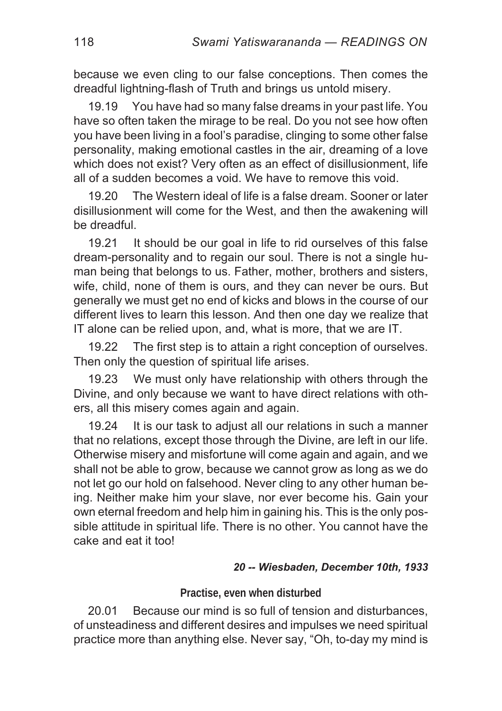because we even cling to our false conceptions. Then comes the dreadful lightning-flash of Truth and brings us untold misery.

19.19 You have had so many false dreams in your past life. You have so often taken the mirage to be real. Do you not see how often you have been living in a fool's paradise, clinging to some other false personality, making emotional castles in the air, dreaming of a love which does not exist? Very often as an effect of disillusionment, life all of a sudden becomes a void. We have to remove this void.

19.20 The Western ideal of life is a false dream. Sooner or later disillusionment will come for the West, and then the awakening will be dreadful.

19.21 It should be our goal in life to rid ourselves of this false dream-personality and to regain our soul. There is not a single human being that belongs to us. Father, mother, brothers and sisters, wife, child, none of them is ours, and they can never be ours. But generally we must get no end of kicks and blows in the course of our different lives to learn this lesson. And then one day we realize that IT alone can be relied upon, and, what is more, that we are IT.

19.22 The first step is to attain a right conception of ourselves. Then only the question of spiritual life arises.

19.23 We must only have relationship with others through the Divine, and only because we want to have direct relations with others, all this misery comes again and again.

19.24 It is our task to adjust all our relations in such a manner that no relations, except those through the Divine, are left in our life. Otherwise misery and misfortune will come again and again, and we shall not be able to grow, because we cannot grow as long as we do not let go our hold on falsehood. Never cling to any other human being. Neither make him your slave, nor ever become his. Gain your own eternal freedom and help him in gaining his. This is the only possible attitude in spiritual life. There is no other. You cannot have the cake and eat it too!

# *20 -- Wiesbaden, December 10th, 1933*

## **Practise, even when disturbed**

20.01 Because our mind is so full of tension and disturbances, of unsteadiness and different desires and impulses we need spiritual practice more than anything else. Never say, "Oh, to-day my mind is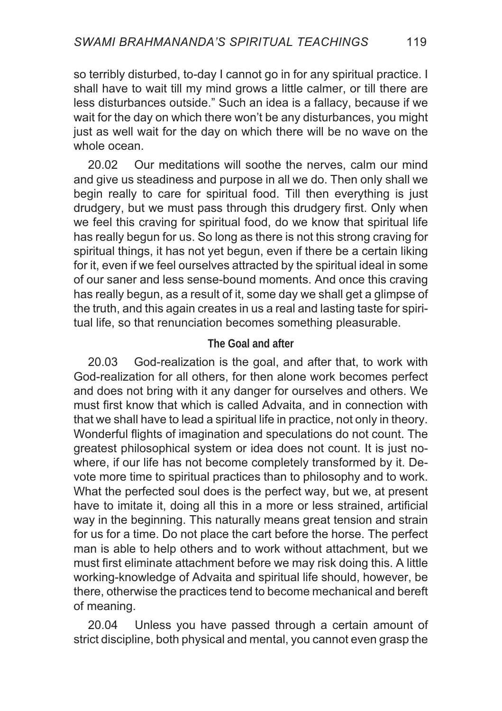so terribly disturbed, to-day I cannot go in for any spiritual practice. I shall have to wait till my mind grows a little calmer, or till there are less disturbances outside." Such an idea is a fallacy, because if we wait for the day on which there won't be any disturbances, you might just as well wait for the day on which there will be no wave on the whole ocean.

20.02 Our meditations will soothe the nerves, calm our mind and give us steadiness and purpose in all we do. Then only shall we begin really to care for spiritual food. Till then everything is just drudgery, but we must pass through this drudgery first. Only when we feel this craving for spiritual food, do we know that spiritual life has really begun for us. So long as there is not this strong craving for spiritual things, it has not yet begun, even if there be a certain liking for it, even if we feel ourselves attracted by the spiritual ideal in some of our saner and less sense-bound moments. And once this craving has really begun, as a result of it, some day we shall get a glimpse of the truth, and this again creates in us a real and lasting taste for spiritual life, so that renunciation becomes something pleasurable.

## **The Goal and after**

20.03 God-realization is the goal, and after that, to work with God-realization for all others, for then alone work becomes perfect and does not bring with it any danger for ourselves and others. We must first know that which is called Advaita, and in connection with that we shall have to lead a spiritual life in practice, not only in theory. Wonderful flights of imagination and speculations do not count. The greatest philosophical system or idea does not count. It is just nowhere, if our life has not become completely transformed by it. Devote more time to spiritual practices than to philosophy and to work. What the perfected soul does is the perfect way, but we, at present have to imitate it, doing all this in a more or less strained, artificial way in the beginning. This naturally means great tension and strain for us for a time. Do not place the cart before the horse. The perfect man is able to help others and to work without attachment, but we must first eliminate attachment before we may risk doing this. A little working-knowledge of Advaita and spiritual life should, however, be there, otherwise the practices tend to become mechanical and bereft of meaning.

20.04 Unless you have passed through a certain amount of strict discipline, both physical and mental, you cannot even grasp the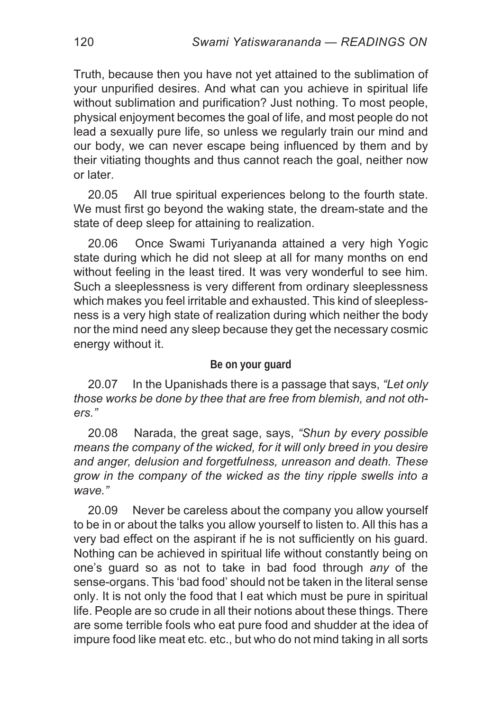Truth, because then you have not yet attained to the sublimation of your unpurified desires. And what can you achieve in spiritual life without sublimation and purification? Just nothing. To most people, physical enjoyment becomes the goal of life, and most people do not lead a sexually pure life, so unless we regularly train our mind and our body, we can never escape being influenced by them and by their vitiating thoughts and thus cannot reach the goal, neither now or later.

20.05 All true spiritual experiences belong to the fourth state. We must first go beyond the waking state, the dream-state and the state of deep sleep for attaining to realization.

20.06 Once Swami Turiyananda attained a very high Yogic state during which he did not sleep at all for many months on end without feeling in the least tired. It was very wonderful to see him. Such a sleeplessness is very different from ordinary sleeplessness which makes you feel irritable and exhausted. This kind of sleeplessness is a very high state of realization during which neither the body nor the mind need any sleep because they get the necessary cosmic energy without it.

# **Be on your guard**

20.07 In the Upanishads there is a passage that says, *"Let only those works be done by thee that are free from blemish, and not others."*

20.08 Narada, the great sage, says, *"Shun by every possible means the company of the wicked, for it will only breed in you desire and anger, delusion and forgetfulness, unreason and death. These grow in the company of the wicked as the tiny ripple swells into a wave."*

20.09 Never be careless about the company you allow yourself to be in or about the talks you allow yourself to listen to. All this has a very bad effect on the aspirant if he is not sufficiently on his guard. Nothing can be achieved in spiritual life without constantly being on one's guard so as not to take in bad food through *any* of the sense-organs. This 'bad food' should not be taken in the literal sense only. It is not only the food that I eat which must be pure in spiritual life. People are so crude in all their notions about these things. There are some terrible fools who eat pure food and shudder at the idea of impure food like meat etc. etc., but who do not mind taking in all sorts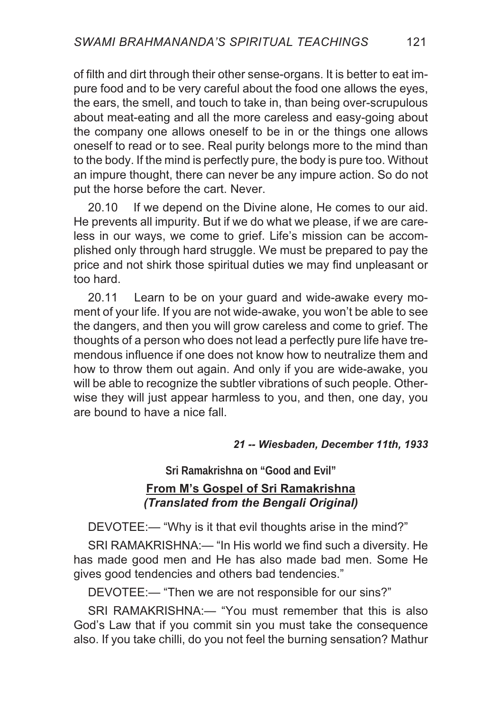of filth and dirt through their other sense-organs. It is better to eat impure food and to be very careful about the food one allows the eyes, the ears, the smell, and touch to take in, than being over-scrupulous about meat-eating and all the more careless and easy-going about the company one allows oneself to be in or the things one allows oneself to read or to see. Real purity belongs more to the mind than to the body. If the mind is perfectly pure, the body is pure too. Without an impure thought, there can never be any impure action. So do not put the horse before the cart. Never.

20.10 If we depend on the Divine alone, He comes to our aid. He prevents all impurity. But if we do what we please, if we are careless in our ways, we come to grief. Life's mission can be accomplished only through hard struggle. We must be prepared to pay the price and not shirk those spiritual duties we may find unpleasant or too hard.

20.11 Learn to be on your guard and wide-awake every moment of your life. If you are not wide-awake, you won't be able to see the dangers, and then you will grow careless and come to grief. The thoughts of a person who does not lead a perfectly pure life have tremendous influence if one does not know how to neutralize them and how to throw them out again. And only if you are wide-awake, you will be able to recognize the subtler vibrations of such people. Otherwise they will just appear harmless to you, and then, one day, you are bound to have a nice fall.

#### *21 -- Wiesbaden, December 11th, 1933*

**Sri Ramakrishna on "Good and Evil"**

## **From M's Gospel of Sri Ramakrishna** *(Translated from the Bengali Original)*

DEVOTEE:— "Why is it that evil thoughts arise in the mind?"

SRI RAMAKRISHNA:— "In His world we find such a diversity. He has made good men and He has also made bad men. Some He gives good tendencies and others bad tendencies."

DEVOTEE:— "Then we are not responsible for our sins?"

SRI RAMAKRISHNA:— "You must remember that this is also God's Law that if you commit sin you must take the consequence also. If you take chilli, do you not feel the burning sensation? Mathur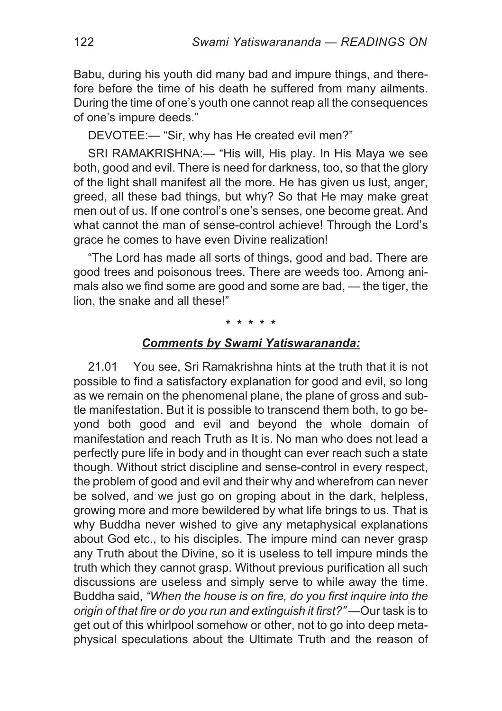Babu, during his youth did many bad and impure things, and therefore before the time of his death he suffered from many ailments. During the time of one's youth one cannot reap all the consequences of one's impure deeds."

DEVOTEE:— "Sir, why has He created evil men?"

SRI RAMAKRISHNA:— "His will, His play. In His Maya we see both, good and evil. There is need for darkness, too, so that the glory of the light shall manifest all the more. He has given us lust, anger, greed, all these bad things, but why? So that He may make great men out of us. If one control's one's senses, one become great. And what cannot the man of sense-control achieve! Through the Lord's grace he comes to have even Divine realization!

"The Lord has made all sorts of things, good and bad. There are good trees and poisonous trees. There are weeds too. Among animals also we find some are good and some are bad, — the tiger, the lion, the snake and all these!"

**\*\*\*\*\***

# *Comments by Swami Yatiswarananda:*

21.01 You see, Sri Ramakrishna hints at the truth that it is not possible to find a satisfactory explanation for good and evil, so long as we remain on the phenomenal plane, the plane of gross and subtle manifestation. But it is possible to transcend them both, to go beyond both good and evil and beyond the whole domain of manifestation and reach Truth as It is. No man who does not lead a perfectly pure life in body and in thought can ever reach such a state though. Without strict discipline and sense-control in every respect, the problem of good and evil and their why and wherefrom can never be solved, and we just go on groping about in the dark, helpless, growing more and more bewildered by what life brings to us. That is why Buddha never wished to give any metaphysical explanations about God etc., to his disciples. The impure mind can never grasp any Truth about the Divine, so it is useless to tell impure minds the truth which they cannot grasp. Without previous purification all such discussions are useless and simply serve to while away the time. Buddha said, *"When the house is on fire, do you first inquire into the origin of that fire or do you run and extinguish it first?"* —Our task is to get out of this whirlpool somehow or other, not to go into deep metaphysical speculations about the Ultimate Truth and the reason of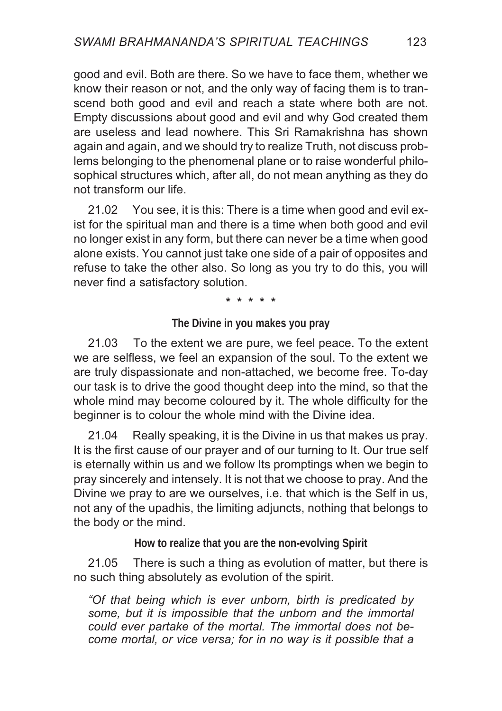good and evil. Both are there. So we have to face them, whether we know their reason or not, and the only way of facing them is to transcend both good and evil and reach a state where both are not. Empty discussions about good and evil and why God created them are useless and lead nowhere. This Sri Ramakrishna has shown again and again, and we should try to realize Truth, not discuss problems belonging to the phenomenal plane or to raise wonderful philosophical structures which, after all, do not mean anything as they do not transform our life.

21.02 You see, it is this: There is a time when good and evil exist for the spiritual man and there is a time when both good and evil no longer exist in any form, but there can never be a time when good alone exists. You cannot just take one side of a pair of opposites and refuse to take the other also. So long as you try to do this, you will never find a satisfactory solution.

**\*\*\*\*\***

#### **The Divine in you makes you pray**

21.03 To the extent we are pure, we feel peace. To the extent we are selfless, we feel an expansion of the soul. To the extent we are truly dispassionate and non-attached, we become free. To-day our task is to drive the good thought deep into the mind, so that the whole mind may become coloured by it. The whole difficulty for the beginner is to colour the whole mind with the Divine idea.

21.04 Really speaking, it is the Divine in us that makes us pray. It is the first cause of our prayer and of our turning to It. Our true self is eternally within us and we follow Its promptings when we begin to pray sincerely and intensely. It is not that we choose to pray. And the Divine we pray to are we ourselves, i.e. that which is the Self in us, not any of the upadhis, the limiting adjuncts, nothing that belongs to the body or the mind.

**How to realize that you are the non-evolving Spirit**

21.05 There is such a thing as evolution of matter, but there is no such thing absolutely as evolution of the spirit.

*"Of that being which is ever unborn, birth is predicated by some, but it is impossible that the unborn and the immortal could ever partake of the mortal. The immortal does not become mortal, or vice versa; for in no way is it possible that a*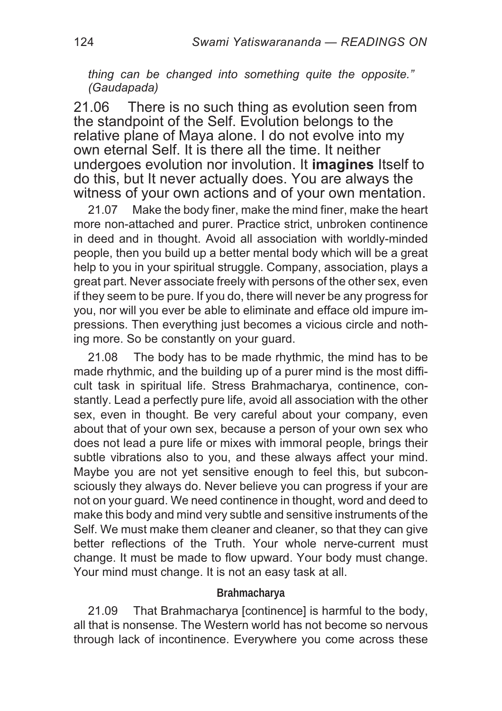*thing can be changed into something quite the opposite." (Gaudapada)*

21.06 There is no such thing as evolution seen from the standpoint of the Self. Evolution belongs to the relative plane of Maya alone. I do not evolve into my own eternal Self. It is there all the time. It neither undergoes evolution nor involution. It **imagines** Itself to do this, but It never actually does. You are always the witness of your own actions and of your own mentation.

21.07 Make the body finer, make the mind finer, make the heart more non-attached and purer. Practice strict, unbroken continence in deed and in thought. Avoid all association with worldly-minded people, then you build up a better mental body which will be a great help to you in your spiritual struggle. Company, association, plays a great part. Never associate freely with persons of the other sex, even if they seem to be pure. If you do, there will never be any progress for you, nor will you ever be able to eliminate and efface old impure impressions. Then everything just becomes a vicious circle and nothing more. So be constantly on your guard.

21.08 The body has to be made rhythmic, the mind has to be made rhythmic, and the building up of a purer mind is the most difficult task in spiritual life. Stress Brahmacharya, continence, constantly. Lead a perfectly pure life, avoid all association with the other sex, even in thought. Be very careful about your company, even about that of your own sex, because a person of your own sex who does not lead a pure life or mixes with immoral people, brings their subtle vibrations also to you, and these always affect your mind. Maybe you are not yet sensitive enough to feel this, but subconsciously they always do. Never believe you can progress if your are not on your guard. We need continence in thought, word and deed to make this body and mind very subtle and sensitive instruments of the Self. We must make them cleaner and cleaner, so that they can give better reflections of the Truth. Your whole nerve-current must change. It must be made to flow upward. Your body must change. Your mind must change. It is not an easy task at all.

# **Brahmacharya**

21.09 That Brahmacharya [continence] is harmful to the body, all that is nonsense. The Western world has not become so nervous through lack of incontinence. Everywhere you come across these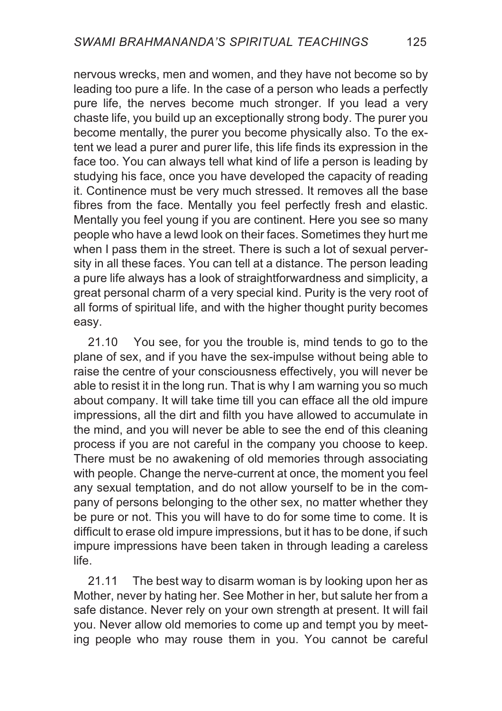nervous wrecks, men and women, and they have not become so by leading too pure a life. In the case of a person who leads a perfectly pure life, the nerves become much stronger. If you lead a very chaste life, you build up an exceptionally strong body. The purer you become mentally, the purer you become physically also. To the extent we lead a purer and purer life, this life finds its expression in the face too. You can always tell what kind of life a person is leading by studying his face, once you have developed the capacity of reading it. Continence must be very much stressed. It removes all the base fibres from the face. Mentally you feel perfectly fresh and elastic. Mentally you feel young if you are continent. Here you see so many people who have a lewd look on their faces. Sometimes they hurt me when I pass them in the street. There is such a lot of sexual perversity in all these faces. You can tell at a distance. The person leading a pure life always has a look of straightforwardness and simplicity, a great personal charm of a very special kind. Purity is the very root of all forms of spiritual life, and with the higher thought purity becomes easy.

21.10 You see, for you the trouble is, mind tends to go to the plane of sex, and if you have the sex-impulse without being able to raise the centre of your consciousness effectively, you will never be able to resist it in the long run. That is why I am warning you so much about company. It will take time till you can efface all the old impure impressions, all the dirt and filth you have allowed to accumulate in the mind, and you will never be able to see the end of this cleaning process if you are not careful in the company you choose to keep. There must be no awakening of old memories through associating with people. Change the nerve-current at once, the moment you feel any sexual temptation, and do not allow yourself to be in the company of persons belonging to the other sex, no matter whether they be pure or not. This you will have to do for some time to come. It is difficult to erase old impure impressions, but it has to be done, if such impure impressions have been taken in through leading a careless life.

21.11 The best way to disarm woman is by looking upon her as Mother, never by hating her. See Mother in her, but salute her from a safe distance. Never rely on your own strength at present. It will fail you. Never allow old memories to come up and tempt you by meeting people who may rouse them in you. You cannot be careful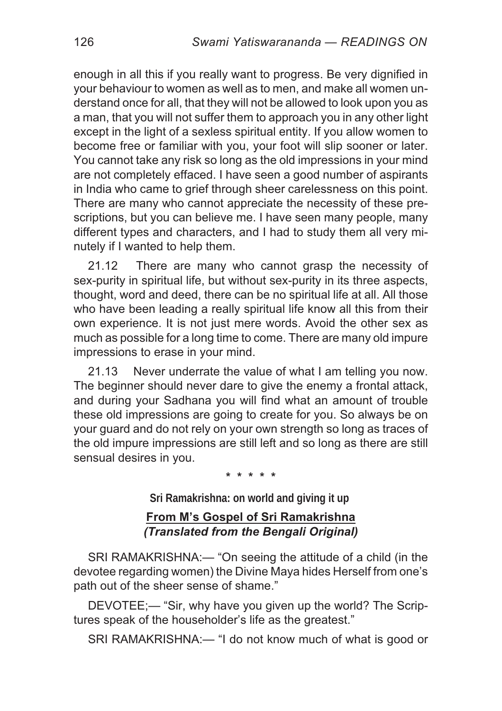enough in all this if you really want to progress. Be very dignified in your behaviour to women as well as to men, and make all women understand once for all, that they will not be allowed to look upon you as a man, that you will not suffer them to approach you in any other light except in the light of a sexless spiritual entity. If you allow women to become free or familiar with you, your foot will slip sooner or later. You cannot take any risk so long as the old impressions in your mind are not completely effaced. I have seen a good number of aspirants in India who came to grief through sheer carelessness on this point. There are many who cannot appreciate the necessity of these prescriptions, but you can believe me. I have seen many people, many different types and characters, and I had to study them all very minutely if I wanted to help them.

21.12 There are many who cannot grasp the necessity of sex-purity in spiritual life, but without sex-purity in its three aspects, thought, word and deed, there can be no spiritual life at all. All those who have been leading a really spiritual life know all this from their own experience. It is not just mere words. Avoid the other sex as much as possible for a long time to come. There are many old impure impressions to erase in your mind.

21.13 Never underrate the value of what I am telling you now. The beginner should never dare to give the enemy a frontal attack, and during your Sadhana you will find what an amount of trouble these old impressions are going to create for you. So always be on your guard and do not rely on your own strength so long as traces of the old impure impressions are still left and so long as there are still sensual desires in you.

**\*\*\*\*\***

**Sri Ramakrishna: on world and giving it up**

# **From M's Gospel of Sri Ramakrishna** *(Translated from the Bengali Original)*

SRI RAMAKRISHNA:— "On seeing the attitude of a child (in the devotee regarding women) the Divine Maya hides Herself from one's path out of the sheer sense of shame."

DEVOTEE;— "Sir, why have you given up the world? The Scriptures speak of the householder's life as the greatest."

SRI RAMAKRISHNA:— "I do not know much of what is good or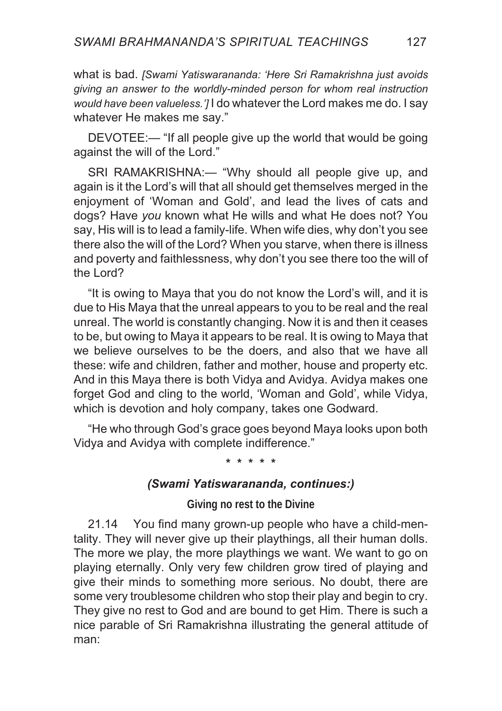what is bad. *[Swami Yatiswarananda: 'Here Sri Ramakrishna just avoids giving an answer to the worldly-minded person for whom real instruction would have been valueless.']* I do whatever the Lord makes me do. I say whatever He makes me say."

DEVOTEE:— "If all people give up the world that would be going against the will of the Lord."

SRI RAMAKRISHNA:— "Why should all people give up, and again is it the Lord's will that all should get themselves merged in the enjoyment of 'Woman and Gold', and lead the lives of cats and dogs? Have *you* known what He wills and what He does not? You say, His will is to lead a family-life. When wife dies, why don't you see there also the will of the Lord? When you starve, when there is illness and poverty and faithlessness, why don't you see there too the will of the Lord?

"It is owing to Maya that you do not know the Lord's will, and it is due to His Maya that the unreal appears to you to be real and the real unreal. The world is constantly changing. Now it is and then it ceases to be, but owing to Maya it appears to be real. It is owing to Maya that we believe ourselves to be the doers, and also that we have all these: wife and children, father and mother, house and property etc. And in this Maya there is both Vidya and Avidya. Avidya makes one forget God and cling to the world, 'Woman and Gold', while Vidya, which is devotion and holy company, takes one Godward.

"He who through God's grace goes beyond Maya looks upon both Vidya and Avidya with complete indifference."

**\*\*\*\*\***

#### *(Swami Yatiswarananda, continues:)*

**Giving no rest to the Divine**

21.14 You find many grown-up people who have a child-mentality. They will never give up their playthings, all their human dolls. The more we play, the more playthings we want. We want to go on playing eternally. Only very few children grow tired of playing and give their minds to something more serious. No doubt, there are some very troublesome children who stop their play and begin to cry. They give no rest to God and are bound to get Him. There is such a nice parable of Sri Ramakrishna illustrating the general attitude of man: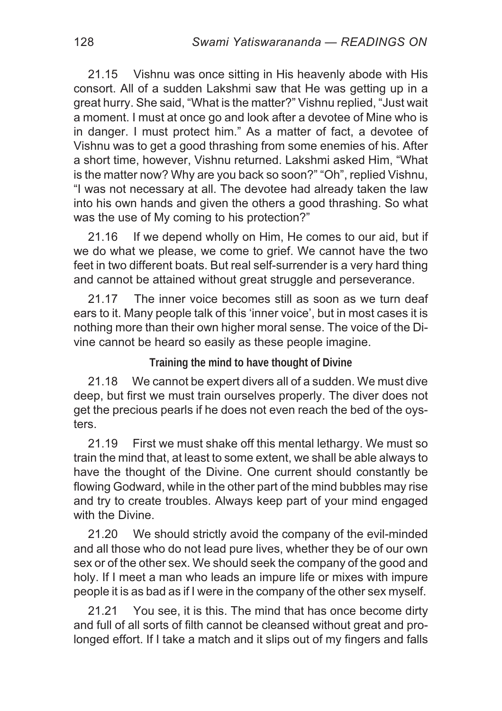21.15 Vishnu was once sitting in His heavenly abode with His consort. All of a sudden Lakshmi saw that He was getting up in a great hurry. She said, "What is the matter?" Vishnu replied, "Just wait a moment. I must at once go and look after a devotee of Mine who is in danger. I must protect him." As a matter of fact, a devotee of Vishnu was to get a good thrashing from some enemies of his. After a short time, however, Vishnu returned. Lakshmi asked Him, "What is the matter now? Why are you back so soon?" "Oh", replied Vishnu, "I was not necessary at all. The devotee had already taken the law into his own hands and given the others a good thrashing. So what was the use of My coming to his protection?"

21.16 If we depend wholly on Him, He comes to our aid, but if we do what we please, we come to grief. We cannot have the two feet in two different boats. But real self-surrender is a very hard thing and cannot be attained without great struggle and perseverance.

21.17 The inner voice becomes still as soon as we turn deaf ears to it. Many people talk of this 'inner voice', but in most cases it is nothing more than their own higher moral sense. The voice of the Divine cannot be heard so easily as these people imagine.

**Training the mind to have thought of Divine**

21.18 We cannot be expert divers all of a sudden. We must dive deep, but first we must train ourselves properly. The diver does not get the precious pearls if he does not even reach the bed of the oysters.

21.19 First we must shake off this mental lethargy. We must so train the mind that, at least to some extent, we shall be able always to have the thought of the Divine. One current should constantly be flowing Godward, while in the other part of the mind bubbles may rise and try to create troubles. Always keep part of your mind engaged with the Divine.

21.20 We should strictly avoid the company of the evil-minded and all those who do not lead pure lives, whether they be of our own sex or of the other sex. We should seek the company of the good and holy. If I meet a man who leads an impure life or mixes with impure people it is as bad as if I were in the company of the other sex myself.

21.21 You see, it is this. The mind that has once become dirty and full of all sorts of filth cannot be cleansed without great and prolonged effort. If I take a match and it slips out of my fingers and falls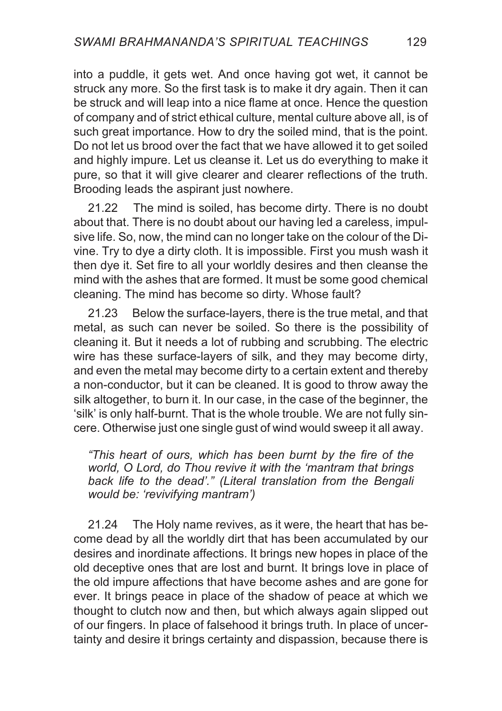into a puddle, it gets wet. And once having got wet, it cannot be struck any more. So the first task is to make it dry again. Then it can be struck and will leap into a nice flame at once. Hence the question of company and of strict ethical culture, mental culture above all, is of such great importance. How to dry the soiled mind, that is the point. Do not let us brood over the fact that we have allowed it to get soiled and highly impure. Let us cleanse it. Let us do everything to make it pure, so that it will give clearer and clearer reflections of the truth. Brooding leads the aspirant just nowhere.

21.22 The mind is soiled, has become dirty. There is no doubt about that. There is no doubt about our having led a careless, impulsive life. So, now, the mind can no longer take on the colour of the Divine. Try to dye a dirty cloth. It is impossible. First you mush wash it then dye it. Set fire to all your worldly desires and then cleanse the mind with the ashes that are formed. It must be some good chemical cleaning. The mind has become so dirty. Whose fault?

21.23 Below the surface-layers, there is the true metal, and that metal, as such can never be soiled. So there is the possibility of cleaning it. But it needs a lot of rubbing and scrubbing. The electric wire has these surface-layers of silk, and they may become dirty, and even the metal may become dirty to a certain extent and thereby a non-conductor, but it can be cleaned. It is good to throw away the silk altogether, to burn it. In our case, in the case of the beginner, the 'silk' is only half-burnt. That is the whole trouble. We are not fully sincere. Otherwise just one single gust of wind would sweep it all away.

*"This heart of ours, which has been burnt by the fire of the world, O Lord, do Thou revive it with the 'mantram that brings back life to the dead'." (Literal translation from the Bengali would be: 'revivifying mantram')*

21.24 The Holy name revives, as it were, the heart that has become dead by all the worldly dirt that has been accumulated by our desires and inordinate affections. It brings new hopes in place of the old deceptive ones that are lost and burnt. It brings love in place of the old impure affections that have become ashes and are gone for ever. It brings peace in place of the shadow of peace at which we thought to clutch now and then, but which always again slipped out of our fingers. In place of falsehood it brings truth. In place of uncertainty and desire it brings certainty and dispassion, because there is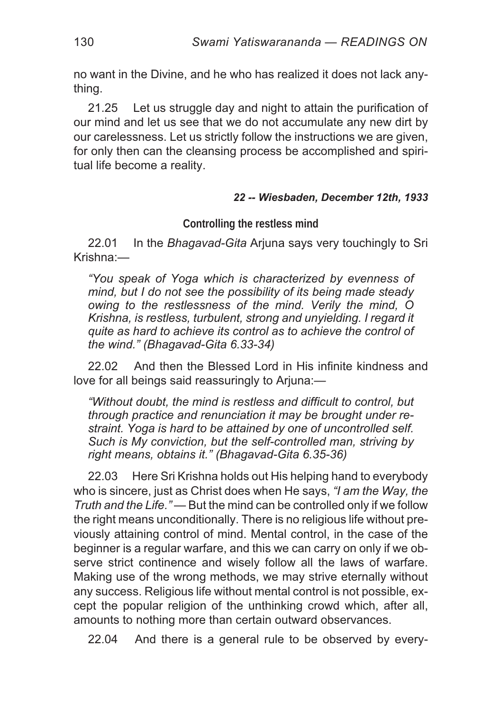no want in the Divine, and he who has realized it does not lack anything.

21.25 Let us struggle day and night to attain the purification of our mind and let us see that we do not accumulate any new dirt by our carelessness. Let us strictly follow the instructions we are given, for only then can the cleansing process be accomplished and spiritual life become a reality.

# *22 -- Wiesbaden, December 12th, 1933*

# **Controlling the restless mind**

22.01 In the *Bhagavad-Gita* Arjuna says very touchingly to Sri Krishna:—

*"You speak of Yoga which is characterized by evenness of mind, but I do not see the possibility of its being made steady owing to the restlessness of the mind. Verily the mind, O Krishna, is restless, turbulent, strong and unyielding. I regard it quite as hard to achieve its control as to achieve the control of the wind." (Bhagavad-Gita 6.33-34)*

22.02 And then the Blessed Lord in His infinite kindness and love for all beings said reassuringly to Arjuna:—

*"Without doubt, the mind is restless and difficult to control, but through practice and renunciation it may be brought under restraint. Yoga is hard to be attained by one of uncontrolled self. Such is My conviction, but the self-controlled man, striving by right means, obtains it." (Bhagavad-Gita 6.35-36)*

22.03 Here Sri Krishna holds out His helping hand to everybody who is sincere, just as Christ does when He says, *"I am the Way, the Truth and the Life."* — But the mind can be controlled only if we follow the right means unconditionally. There is no religious life without previously attaining control of mind. Mental control, in the case of the beginner is a regular warfare, and this we can carry on only if we observe strict continence and wisely follow all the laws of warfare. Making use of the wrong methods, we may strive eternally without any success. Religious life without mental control is not possible, except the popular religion of the unthinking crowd which, after all, amounts to nothing more than certain outward observances.

22.04 And there is a general rule to be observed by every-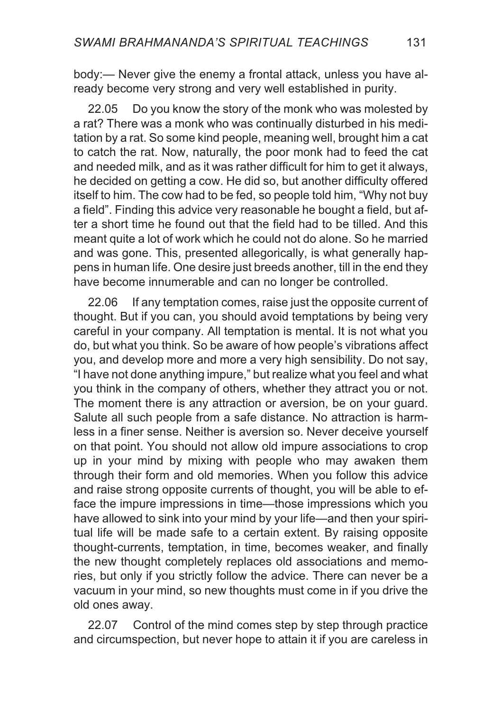body:— Never give the enemy a frontal attack, unless you have already become very strong and very well established in purity.

22.05 Do you know the story of the monk who was molested by a rat? There was a monk who was continually disturbed in his meditation by a rat. So some kind people, meaning well, brought him a cat to catch the rat. Now, naturally, the poor monk had to feed the cat and needed milk, and as it was rather difficult for him to get it always, he decided on getting a cow. He did so, but another difficulty offered itself to him. The cow had to be fed, so people told him, "Why not buy a field". Finding this advice very reasonable he bought a field, but after a short time he found out that the field had to be tilled. And this meant quite a lot of work which he could not do alone. So he married and was gone. This, presented allegorically, is what generally happens in human life. One desire just breeds another, till in the end they have become innumerable and can no longer be controlled.

22.06 If any temptation comes, raise just the opposite current of thought. But if you can, you should avoid temptations by being very careful in your company. All temptation is mental. It is not what you do, but what you think. So be aware of how people's vibrations affect you, and develop more and more a very high sensibility. Do not say, "I have not done anything impure," but realize what you feel and what you think in the company of others, whether they attract you or not. The moment there is any attraction or aversion, be on your guard. Salute all such people from a safe distance. No attraction is harmless in a finer sense. Neither is aversion so. Never deceive yourself on that point. You should not allow old impure associations to crop up in your mind by mixing with people who may awaken them through their form and old memories. When you follow this advice and raise strong opposite currents of thought, you will be able to efface the impure impressions in time—those impressions which you have allowed to sink into your mind by your life—and then your spiritual life will be made safe to a certain extent. By raising opposite thought-currents, temptation, in time, becomes weaker, and finally the new thought completely replaces old associations and memories, but only if you strictly follow the advice. There can never be a vacuum in your mind, so new thoughts must come in if you drive the old ones away.

22.07 Control of the mind comes step by step through practice and circumspection, but never hope to attain it if you are careless in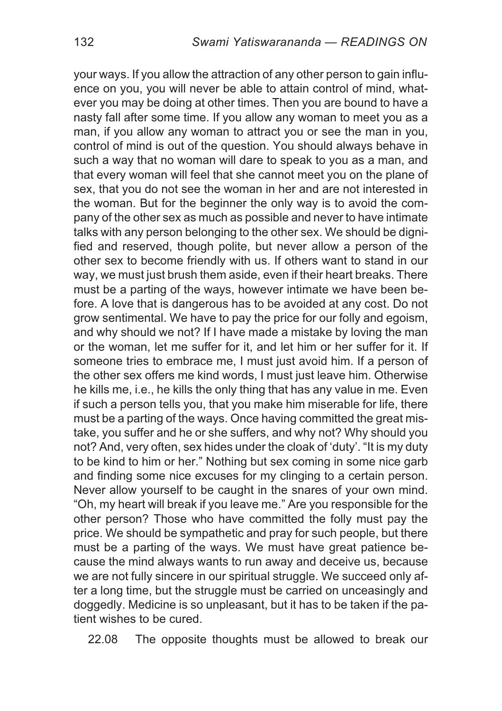your ways. If you allow the attraction of any other person to gain influence on you, you will never be able to attain control of mind, whatever you may be doing at other times. Then you are bound to have a nasty fall after some time. If you allow any woman to meet you as a man, if you allow any woman to attract you or see the man in you, control of mind is out of the question. You should always behave in such a way that no woman will dare to speak to you as a man, and that every woman will feel that she cannot meet you on the plane of sex, that you do not see the woman in her and are not interested in the woman. But for the beginner the only way is to avoid the company of the other sex as much as possible and never to have intimate talks with any person belonging to the other sex. We should be dignified and reserved, though polite, but never allow a person of the other sex to become friendly with us. If others want to stand in our way, we must just brush them aside, even if their heart breaks. There must be a parting of the ways, however intimate we have been before. A love that is dangerous has to be avoided at any cost. Do not grow sentimental. We have to pay the price for our folly and egoism, and why should we not? If I have made a mistake by loving the man or the woman, let me suffer for it, and let him or her suffer for it. If someone tries to embrace me, I must just avoid him. If a person of the other sex offers me kind words, I must just leave him. Otherwise he kills me, i.e., he kills the only thing that has any value in me. Even if such a person tells you, that you make him miserable for life, there must be a parting of the ways. Once having committed the great mistake, you suffer and he or she suffers, and why not? Why should you not? And, very often, sex hides under the cloak of 'duty'. "It is my duty to be kind to him or her." Nothing but sex coming in some nice garb and finding some nice excuses for my clinging to a certain person. Never allow yourself to be caught in the snares of your own mind. "Oh, my heart will break if you leave me." Are you responsible for the other person? Those who have committed the folly must pay the price. We should be sympathetic and pray for such people, but there must be a parting of the ways. We must have great patience because the mind always wants to run away and deceive us, because we are not fully sincere in our spiritual struggle. We succeed only after a long time, but the struggle must be carried on unceasingly and doggedly. Medicine is so unpleasant, but it has to be taken if the patient wishes to be cured.

22.08 The opposite thoughts must be allowed to break our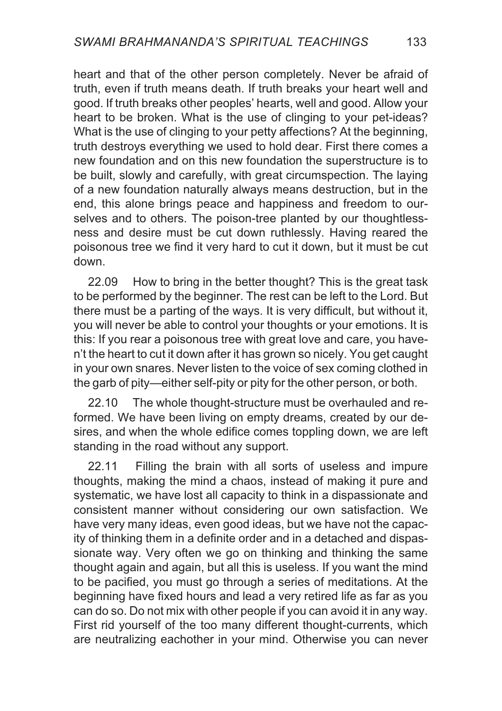heart and that of the other person completely. Never be afraid of truth, even if truth means death. If truth breaks your heart well and good. If truth breaks other peoples' hearts, well and good. Allow your heart to be broken. What is the use of clinging to your pet-ideas? What is the use of clinging to your petty affections? At the beginning, truth destroys everything we used to hold dear. First there comes a new foundation and on this new foundation the superstructure is to be built, slowly and carefully, with great circumspection. The laying of a new foundation naturally always means destruction, but in the end, this alone brings peace and happiness and freedom to ourselves and to others. The poison-tree planted by our thoughtlessness and desire must be cut down ruthlessly. Having reared the poisonous tree we find it very hard to cut it down, but it must be cut down.

22.09 How to bring in the better thought? This is the great task to be performed by the beginner. The rest can be left to the Lord. But there must be a parting of the ways. It is very difficult, but without it, you will never be able to control your thoughts or your emotions. It is this: If you rear a poisonous tree with great love and care, you haven't the heart to cut it down after it has grown so nicely. You get caught in your own snares. Never listen to the voice of sex coming clothed in the garb of pity—either self-pity or pity for the other person, or both.

22.10 The whole thought-structure must be overhauled and reformed. We have been living on empty dreams, created by our desires, and when the whole edifice comes toppling down, we are left standing in the road without any support.

22.11 Filling the brain with all sorts of useless and impure thoughts, making the mind a chaos, instead of making it pure and systematic, we have lost all capacity to think in a dispassionate and consistent manner without considering our own satisfaction. We have very many ideas, even good ideas, but we have not the capacity of thinking them in a definite order and in a detached and dispassionate way. Very often we go on thinking and thinking the same thought again and again, but all this is useless. If you want the mind to be pacified, you must go through a series of meditations. At the beginning have fixed hours and lead a very retired life as far as you can do so. Do not mix with other people if you can avoid it in any way. First rid yourself of the too many different thought-currents, which are neutralizing eachother in your mind. Otherwise you can never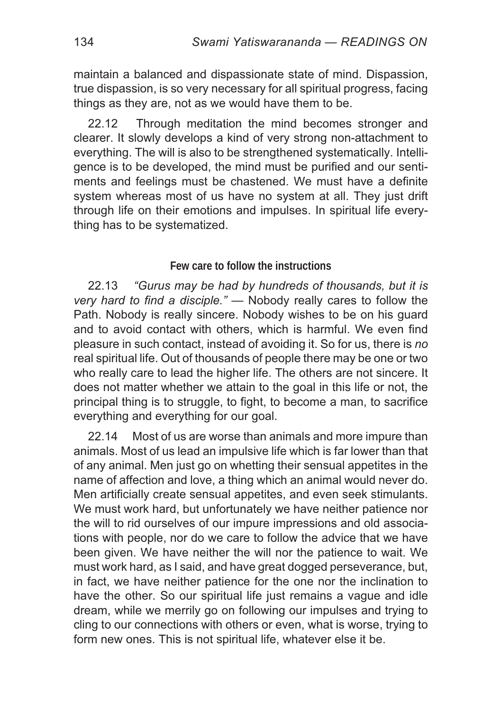maintain a balanced and dispassionate state of mind. Dispassion, true dispassion, is so very necessary for all spiritual progress, facing things as they are, not as we would have them to be.

22.12 Through meditation the mind becomes stronger and clearer. It slowly develops a kind of very strong non-attachment to everything. The will is also to be strengthened systematically. Intelligence is to be developed, the mind must be purified and our sentiments and feelings must be chastened. We must have a definite system whereas most of us have no system at all. They just drift through life on their emotions and impulses. In spiritual life everything has to be systematized.

# **Few care to follow the instructions**

22.13 *"Gurus may be had by hundreds of thousands, but it is very hard to find a disciple."* — Nobody really cares to follow the Path. Nobody is really sincere. Nobody wishes to be on his guard and to avoid contact with others, which is harmful. We even find pleasure in such contact, instead of avoiding it. So for us, there is *no* real spiritual life. Out of thousands of people there may be one or two who really care to lead the higher life. The others are not sincere. It does not matter whether we attain to the goal in this life or not, the principal thing is to struggle, to fight, to become a man, to sacrifice everything and everything for our goal.

22.14 Most of us are worse than animals and more impure than animals. Most of us lead an impulsive life which is far lower than that of any animal. Men just go on whetting their sensual appetites in the name of affection and love, a thing which an animal would never do. Men artificially create sensual appetites, and even seek stimulants. We must work hard, but unfortunately we have neither patience nor the will to rid ourselves of our impure impressions and old associations with people, nor do we care to follow the advice that we have been given. We have neither the will nor the patience to wait. We must work hard, as I said, and have great dogged perseverance, but, in fact, we have neither patience for the one nor the inclination to have the other. So our spiritual life just remains a vague and idle dream, while we merrily go on following our impulses and trying to cling to our connections with others or even, what is worse, trying to form new ones. This is not spiritual life, whatever else it be.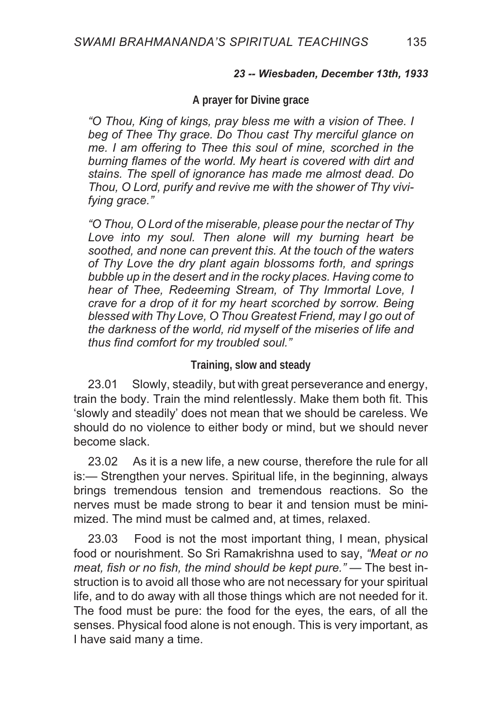### *23 -- Wiesbaden, December 13th, 1933*

### **A prayer for Divine grace**

*"O Thou, King of kings, pray bless me with a vision of Thee. I beg of Thee Thy grace. Do Thou cast Thy merciful glance on me. I am offering to Thee this soul of mine, scorched in the burning flames of the world. My heart is covered with dirt and stains. The spell of ignorance has made me almost dead. Do Thou, O Lord, purify and revive me with the shower of Thy vivifying grace."*

*"O Thou, O Lord of the miserable, please pour the nectar of Thy Love into my soul. Then alone will my burning heart be soothed, and none can prevent this. At the touch of the waters of Thy Love the dry plant again blossoms forth, and springs bubble up in the desert and in the rocky places. Having come to hear of Thee, Redeeming Stream, of Thy Immortal Love, I crave for a drop of it for my heart scorched by sorrow. Being blessed with Thy Love, O Thou Greatest Friend, may I go out of the darkness of the world, rid myself of the miseries of life and thus find comfort for my troubled soul."*

# **Training, slow and steady**

23.01 Slowly, steadily, but with great perseverance and energy, train the body. Train the mind relentlessly. Make them both fit. This 'slowly and steadily' does not mean that we should be careless. We should do no violence to either body or mind, but we should never become slack.

23.02 As it is a new life, a new course, therefore the rule for all is:— Strengthen your nerves. Spiritual life, in the beginning, always brings tremendous tension and tremendous reactions. So the nerves must be made strong to bear it and tension must be minimized. The mind must be calmed and, at times, relaxed.

23.03 Food is not the most important thing, I mean, physical food or nourishment. So Sri Ramakrishna used to say, *"Meat or no meat, fish or no fish, the mind should be kept pure."* — The best instruction is to avoid all those who are not necessary for your spiritual life, and to do away with all those things which are not needed for it. The food must be pure: the food for the eyes, the ears, of all the senses. Physical food alone is not enough. This is very important, as I have said many a time.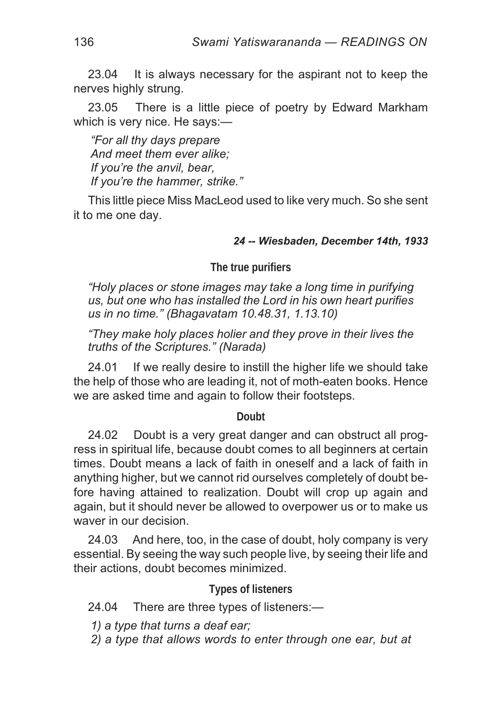23.04 It is always necessary for the aspirant not to keep the nerves highly strung.

23.05 There is a little piece of poetry by Edward Markham which is very nice. He says:—

*"For all thy days prepare And meet them ever alike; If you're the anvil, bear, If you're the hammer, strike."*

This little piece Miss MacLeod used to like very much. So she sent it to me one day.

### *24 -- Wiesbaden, December 14th, 1933*

**The true purifiers**

*"Holy places or stone images may take a long time in purifying us, but one who has installed the Lord in his own heart purifies us in no time." (Bhagavatam 10.48.31, 1.13.10)*

*"They make holy places holier and they prove in their lives the truths of the Scriptures." (Narada)*

24.01 If we really desire to instill the higher life we should take the help of those who are leading it, not of moth-eaten books. Hence we are asked time and again to follow their footsteps.

**Doubt**

24.02 Doubt is a very great danger and can obstruct all progress in spiritual life, because doubt comes to all beginners at certain times. Doubt means a lack of faith in oneself and a lack of faith in anything higher, but we cannot rid ourselves completely of doubt before having attained to realization. Doubt will crop up again and again, but it should never be allowed to overpower us or to make us waver in our decision.

24.03 And here, too, in the case of doubt, holy company is very essential. By seeing the way such people live, by seeing their life and their actions, doubt becomes minimized.

**Types of listeners**

24.04 There are three types of listeners:—

*1) a type that turns a deaf ear;*

*2) a type that allows words to enter through one ear, but at*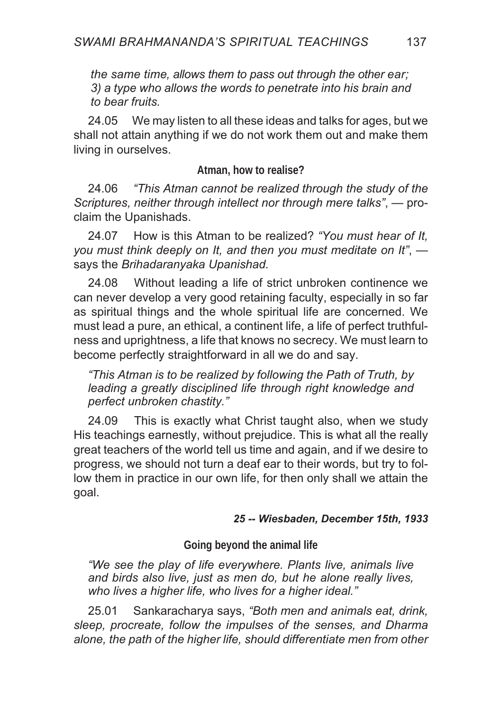*the same time, allows them to pass out through the other ear; 3) a type who allows the words to penetrate into his brain and to bear fruits.*

24.05 We may listen to all these ideas and talks for ages, but we shall not attain anything if we do not work them out and make them living in ourselves.

**Atman, how to realise?**

24.06 *"This Atman cannot be realized through the study of the Scriptures, neither through intellect nor through mere talks"*, — proclaim the Upanishads.

24.07 How is this Atman to be realized? *"You must hear of It, you must think deeply on It, and then you must meditate on It"*, says the *Brihadaranyaka Upanishad.*

24.08 Without leading a life of strict unbroken continence we can never develop a very good retaining faculty, especially in so far as spiritual things and the whole spiritual life are concerned. We must lead a pure, an ethical, a continent life, a life of perfect truthfulness and uprightness, a life that knows no secrecy. We must learn to become perfectly straightforward in all we do and say.

*"This Atman is to be realized by following the Path of Truth, by leading a greatly disciplined life through right knowledge and perfect unbroken chastity."*

24.09 This is exactly what Christ taught also, when we study His teachings earnestly, without prejudice. This is what all the really great teachers of the world tell us time and again, and if we desire to progress, we should not turn a deaf ear to their words, but try to follow them in practice in our own life, for then only shall we attain the goal.

#### *25 -- Wiesbaden, December 15th, 1933*

**Going beyond the animal life**

*"We see the play of life everywhere. Plants live, animals live and birds also live, just as men do, but he alone really lives, who lives a higher life, who lives for a higher ideal."*

25.01 Sankaracharya says, *"Both men and animals eat, drink, sleep, procreate, follow the impulses of the senses, and Dharma alone, the path of the higher life, should differentiate men from other*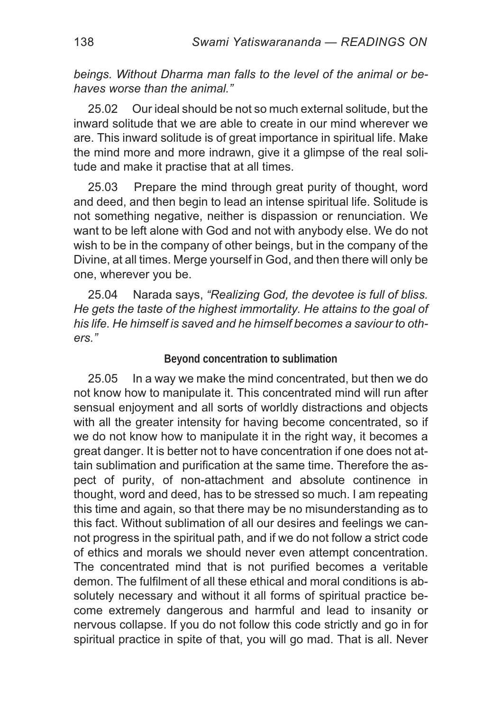*beings. Without Dharma man falls to the level of the animal or behaves worse than the animal."*

25.02 Our ideal should be not so much external solitude, but the inward solitude that we are able to create in our mind wherever we are. This inward solitude is of great importance in spiritual life. Make the mind more and more indrawn, give it a glimpse of the real solitude and make it practise that at all times.

25.03 Prepare the mind through great purity of thought, word and deed, and then begin to lead an intense spiritual life. Solitude is not something negative, neither is dispassion or renunciation. We want to be left alone with God and not with anybody else. We do not wish to be in the company of other beings, but in the company of the Divine, at all times. Merge yourself in God, and then there will only be one, wherever you be.

25.04 Narada says, *"Realizing God, the devotee is full of bliss. He gets the taste of the highest immortality. He attains to the goal of his life. He himself is saved and he himself becomes a saviour to others."*

# **Beyond concentration to sublimation**

25.05 In a way we make the mind concentrated, but then we do not know how to manipulate it. This concentrated mind will run after sensual enjoyment and all sorts of worldly distractions and objects with all the greater intensity for having become concentrated, so if we do not know how to manipulate it in the right way, it becomes a great danger. It is better not to have concentration if one does not attain sublimation and purification at the same time. Therefore the aspect of purity, of non-attachment and absolute continence in thought, word and deed, has to be stressed so much. I am repeating this time and again, so that there may be no misunderstanding as to this fact. Without sublimation of all our desires and feelings we cannot progress in the spiritual path, and if we do not follow a strict code of ethics and morals we should never even attempt concentration. The concentrated mind that is not purified becomes a veritable demon. The fulfilment of all these ethical and moral conditions is absolutely necessary and without it all forms of spiritual practice become extremely dangerous and harmful and lead to insanity or nervous collapse. If you do not follow this code strictly and go in for spiritual practice in spite of that, you will go mad. That is all. Never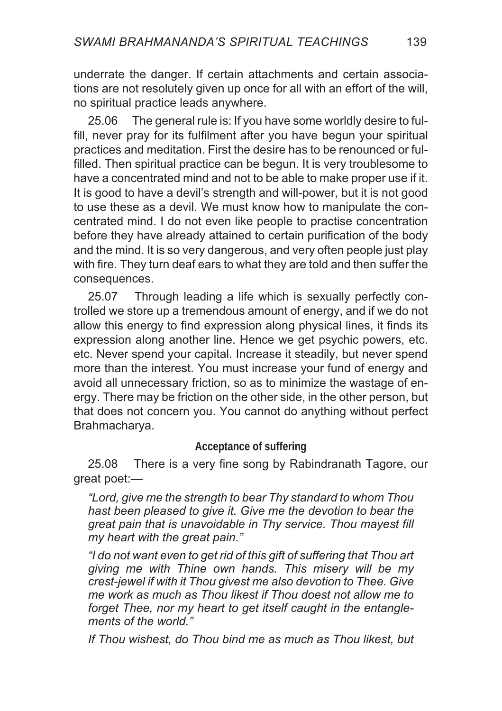underrate the danger. If certain attachments and certain associations are not resolutely given up once for all with an effort of the will, no spiritual practice leads anywhere.

25.06 The general rule is: If you have some worldly desire to fulfill, never pray for its fulfilment after you have begun your spiritual practices and meditation. First the desire has to be renounced or fulfilled. Then spiritual practice can be begun. It is very troublesome to have a concentrated mind and not to be able to make proper use if it. It is good to have a devil's strength and will-power, but it is not good to use these as a devil. We must know how to manipulate the concentrated mind. I do not even like people to practise concentration before they have already attained to certain purification of the body and the mind. It is so very dangerous, and very often people just play with fire. They turn deaf ears to what they are told and then suffer the consequences.

25.07 Through leading a life which is sexually perfectly controlled we store up a tremendous amount of energy, and if we do not allow this energy to find expression along physical lines, it finds its expression along another line. Hence we get psychic powers, etc. etc. Never spend your capital. Increase it steadily, but never spend more than the interest. You must increase your fund of energy and avoid all unnecessary friction, so as to minimize the wastage of energy. There may be friction on the other side, in the other person, but that does not concern you. You cannot do anything without perfect Brahmacharya.

#### **Acceptance of suffering**

25.08 There is a very fine song by Rabindranath Tagore, our great poet:—

*"Lord, give me the strength to bear Thy standard to whom Thou hast been pleased to give it. Give me the devotion to bear the great pain that is unavoidable in Thy service. Thou mayest fill my heart with the great pain."*

*"I do not want even to get rid of this gift of suffering that Thou art giving me with Thine own hands. This misery will be my crest-jewel if with it Thou givest me also devotion to Thee. Give me work as much as Thou likest if Thou doest not allow me to forget Thee, nor my heart to get itself caught in the entanglements of the world."*

*If Thou wishest, do Thou bind me as much as Thou likest, but*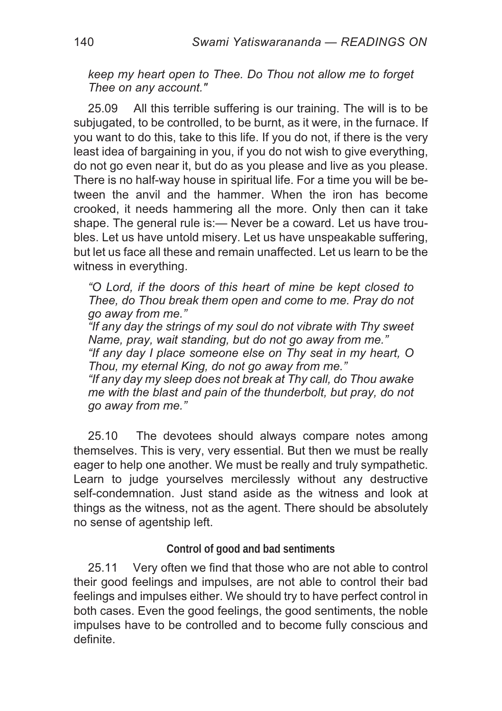*keep my heart open to Thee. Do Thou not allow me to forget Thee on any account."*

25.09 All this terrible suffering is our training. The will is to be subjugated, to be controlled, to be burnt, as it were, in the furnace. If you want to do this, take to this life. If you do not, if there is the very least idea of bargaining in you, if you do not wish to give everything, do not go even near it, but do as you please and live as you please. There is no half-way house in spiritual life. For a time you will be between the anvil and the hammer. When the iron has become crooked, it needs hammering all the more. Only then can it take shape. The general rule is:— Never be a coward. Let us have troubles. Let us have untold misery. Let us have unspeakable suffering, but let us face all these and remain unaffected. Let us learn to be the witness in everything.

*"O Lord, if the doors of this heart of mine be kept closed to Thee, do Thou break them open and come to me. Pray do not go away from me."*

*"If any day the strings of my soul do not vibrate with Thy sweet Name, pray, wait standing, but do not go away from me."*

*"If any day I place someone else on Thy seat in my heart, O Thou, my eternal King, do not go away from me."*

*"If any day my sleep does not break at Thy call, do Thou awake me with the blast and pain of the thunderbolt, but pray, do not go away from me."*

25.10 The devotees should always compare notes among themselves. This is very, very essential. But then we must be really eager to help one another. We must be really and truly sympathetic. Learn to judge yourselves mercilessly without any destructive self-condemnation. Just stand aside as the witness and look at things as the witness, not as the agent. There should be absolutely no sense of agentship left.

**Control of good and bad sentiments**

25.11 Very often we find that those who are not able to control their good feelings and impulses, are not able to control their bad feelings and impulses either. We should try to have perfect control in both cases. Even the good feelings, the good sentiments, the noble impulses have to be controlled and to become fully conscious and definite.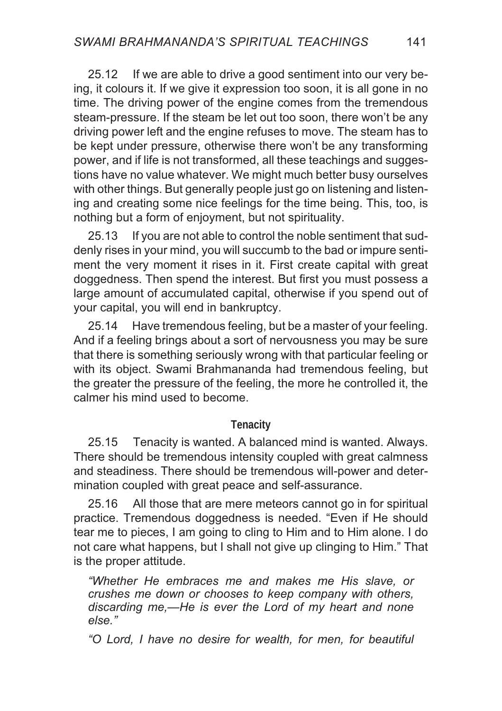25.12 If we are able to drive a good sentiment into our very being, it colours it. If we give it expression too soon, it is all gone in no time. The driving power of the engine comes from the tremendous steam-pressure. If the steam be let out too soon, there won't be any driving power left and the engine refuses to move. The steam has to be kept under pressure, otherwise there won't be any transforming power, and if life is not transformed, all these teachings and suggestions have no value whatever. We might much better busy ourselves with other things. But generally people just go on listening and listening and creating some nice feelings for the time being. This, too, is nothing but a form of enjoyment, but not spirituality.

25.13 If you are not able to control the noble sentiment that suddenly rises in your mind, you will succumb to the bad or impure sentiment the very moment it rises in it. First create capital with great doggedness. Then spend the interest. But first you must possess a large amount of accumulated capital, otherwise if you spend out of your capital, you will end in bankruptcy.

25.14 Have tremendous feeling, but be a master of your feeling. And if a feeling brings about a sort of nervousness you may be sure that there is something seriously wrong with that particular feeling or with its object. Swami Brahmananda had tremendous feeling, but the greater the pressure of the feeling, the more he controlled it, the calmer his mind used to become.

#### **Tenacity**

25.15 Tenacity is wanted. A balanced mind is wanted. Always. There should be tremendous intensity coupled with great calmness and steadiness. There should be tremendous will-power and determination coupled with great peace and self-assurance.

25.16 All those that are mere meteors cannot go in for spiritual practice. Tremendous doggedness is needed. "Even if He should tear me to pieces, I am going to cling to Him and to Him alone. I do not care what happens, but I shall not give up clinging to Him." That is the proper attitude.

*"Whether He embraces me and makes me His slave, or crushes me down or chooses to keep company with others, discarding me,—He is ever the Lord of my heart and none else."*

*"O Lord, I have no desire for wealth, for men, for beautiful*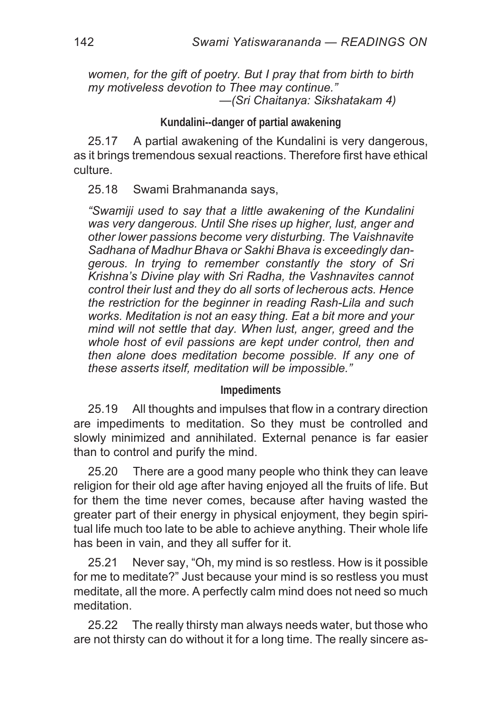*women, for the gift of poetry. But I pray that from birth to birth my motiveless devotion to Thee may continue." —(Sri Chaitanya: Sikshatakam 4)*

**Kundalini--danger of partial awakening**

25.17 A partial awakening of the Kundalini is very dangerous, as it brings tremendous sexual reactions. Therefore first have ethical culture.

25.18 Swami Brahmananda says,

*"Swamiji used to say that a little awakening of the Kundalini was very dangerous. Until She rises up higher, lust, anger and other lower passions become very disturbing. The Vaishnavite Sadhana of Madhur Bhava or Sakhi Bhava is exceedingly dangerous. In trying to remember constantly the story of Sri Krishna's Divine play with Sri Radha, the Vashnavites cannot control their lust and they do all sorts of lecherous acts. Hence the restriction for the beginner in reading Rash-Lila and such works. Meditation is not an easy thing. Eat a bit more and your mind will not settle that day. When lust, anger, greed and the whole host of evil passions are kept under control, then and then alone does meditation become possible. If any one of these asserts itself, meditation will be impossible."*

## **Impediments**

25.19 All thoughts and impulses that flow in a contrary direction are impediments to meditation. So they must be controlled and slowly minimized and annihilated. External penance is far easier than to control and purify the mind.

25.20 There are a good many people who think they can leave religion for their old age after having enjoyed all the fruits of life. But for them the time never comes, because after having wasted the greater part of their energy in physical enjoyment, they begin spiritual life much too late to be able to achieve anything. Their whole life has been in vain, and they all suffer for it.

25.21 Never say, "Oh, my mind is so restless. How is it possible for me to meditate?" Just because your mind is so restless you must meditate, all the more. A perfectly calm mind does not need so much meditation.

25.22 The really thirsty man always needs water, but those who are not thirsty can do without it for a long time. The really sincere as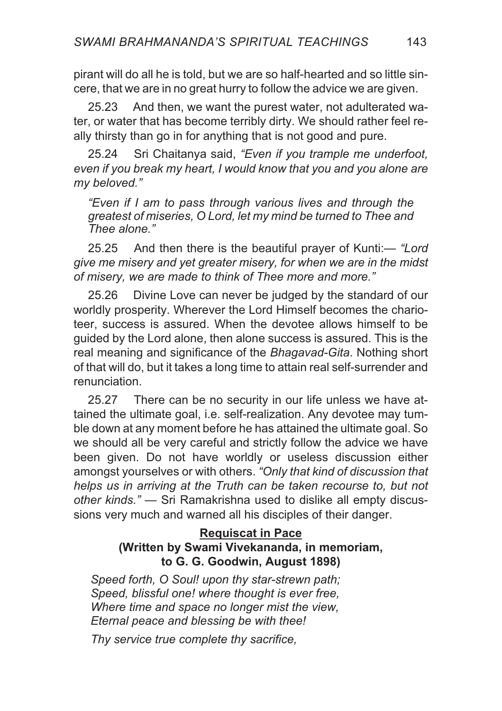pirant will do all he is told, but we are so half-hearted and so little sincere, that we are in no great hurry to follow the advice we are given.

25.23 And then, we want the purest water, not adulterated water, or water that has become terribly dirty. We should rather feel really thirsty than go in for anything that is not good and pure.

25.24 Sri Chaitanya said, *"Even if you trample me underfoot, even if you break my heart, I would know that you and you alone are my beloved."*

*"Even if I am to pass through various lives and through the greatest of miseries, O Lord, let my mind be turned to Thee and Thee alone."*

25.25 And then there is the beautiful prayer of Kunti:— *"Lord give me misery and yet greater misery, for when we are in the midst of misery, we are made to think of Thee more and more."*

25.26 Divine Love can never be judged by the standard of our worldly prosperity. Wherever the Lord Himself becomes the charioteer, success is assured. When the devotee allows himself to be guided by the Lord alone, then alone success is assured. This is the real meaning and significance of the *Bhagavad-Gita*. Nothing short of that will do, but it takes a long time to attain real self-surrender and renunciation.

25.27 There can be no security in our life unless we have attained the ultimate goal, i.e. self-realization. Any devotee may tumble down at any moment before he has attained the ultimate goal. So we should all be very careful and strictly follow the advice we have been given. Do not have worldly or useless discussion either amongst yourselves or with others. *"Only that kind of discussion that helps us in arriving at the Truth can be taken recourse to, but not other kinds."* — Sri Ramakrishna used to dislike all empty discussions very much and warned all his disciples of their danger.

# **Requiscat in Pace (Written by Swami Vivekananda, in memoriam, to G. G. Goodwin, August 1898)**

*Speed forth, O Soul! upon thy star-strewn path; Speed, blissful one! where thought is ever free, Where time and space no longer mist the view, Eternal peace and blessing be with thee!*

*Thy service true complete thy sacrifice,*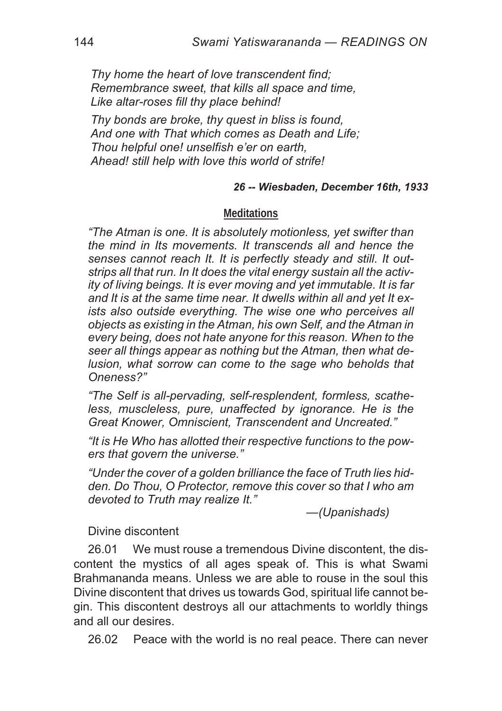*Thy home the heart of love transcendent find; Remembrance sweet, that kills all space and time, Like altar-roses fill thy place behind!*

*Thy bonds are broke, thy quest in bliss is found, And one with That which comes as Death and Life; Thou helpful one! unselfish e'er on earth, Ahead! still help with love this world of strife!*

#### *26 -- Wiesbaden, December 16th, 1933*

#### **Meditations**

*"The Atman is one. It is absolutely motionless, yet swifter than the mind in Its movements. It transcends all and hence the senses cannot reach It. It is perfectly steady and still. It outstrips all that run. In It does the vital energy sustain all the activity of living beings. It is ever moving and yet immutable. It is far and It is at the same time near. It dwells within all and yet It exists also outside everything. The wise one who perceives all objects as existing in the Atman, his own Self, and the Atman in every being, does not hate anyone for this reason. When to the seer all things appear as nothing but the Atman, then what delusion, what sorrow can come to the sage who beholds that Oneness?"*

*"The Self is all-pervading, self-resplendent, formless, scatheless, muscleless, pure, unaffected by ignorance. He is the Great Knower, Omniscient, Transcendent and Uncreated."*

*"It is He Who has allotted their respective functions to the powers that govern the universe."*

*"Under the cover of a golden brilliance the face of Truth lies hidden. Do Thou, O Protector, remove this cover so that I who am devoted to Truth may realize It."*

*—(Upanishads)*

## Divine discontent

26.01 We must rouse a tremendous Divine discontent, the discontent the mystics of all ages speak of. This is what Swami Brahmananda means. Unless we are able to rouse in the soul this Divine discontent that drives us towards God, spiritual life cannot begin. This discontent destroys all our attachments to worldly things and all our desires.

26.02 Peace with the world is no real peace. There can never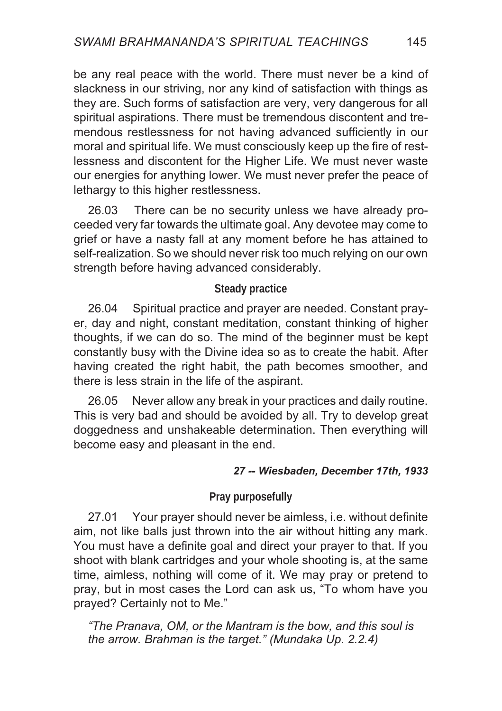be any real peace with the world. There must never be a kind of slackness in our striving, nor any kind of satisfaction with things as they are. Such forms of satisfaction are very, very dangerous for all spiritual aspirations. There must be tremendous discontent and tremendous restlessness for not having advanced sufficiently in our moral and spiritual life. We must consciously keep up the fire of restlessness and discontent for the Higher Life. We must never waste our energies for anything lower. We must never prefer the peace of lethargy to this higher restlessness.

26.03 There can be no security unless we have already proceeded very far towards the ultimate goal. Any devotee may come to grief or have a nasty fall at any moment before he has attained to self-realization. So we should never risk too much relying on our own strength before having advanced considerably.

### **Steady practice**

26.04 Spiritual practice and prayer are needed. Constant prayer, day and night, constant meditation, constant thinking of higher thoughts, if we can do so. The mind of the beginner must be kept constantly busy with the Divine idea so as to create the habit. After having created the right habit, the path becomes smoother, and there is less strain in the life of the aspirant.

26.05 Never allow any break in your practices and daily routine. This is very bad and should be avoided by all. Try to develop great doggedness and unshakeable determination. Then everything will become easy and pleasant in the end.

### *27 -- Wiesbaden, December 17th, 1933*

## **Pray purposefully**

27.01 Your prayer should never be aimless, i.e. without definite aim, not like balls just thrown into the air without hitting any mark. You must have a definite goal and direct your prayer to that. If you shoot with blank cartridges and your whole shooting is, at the same time, aimless, nothing will come of it. We may pray or pretend to pray, but in most cases the Lord can ask us, "To whom have you prayed? Certainly not to Me."

*"The Pranava, OM, or the Mantram is the bow, and this soul is the arrow. Brahman is the target." (Mundaka Up. 2.2.4)*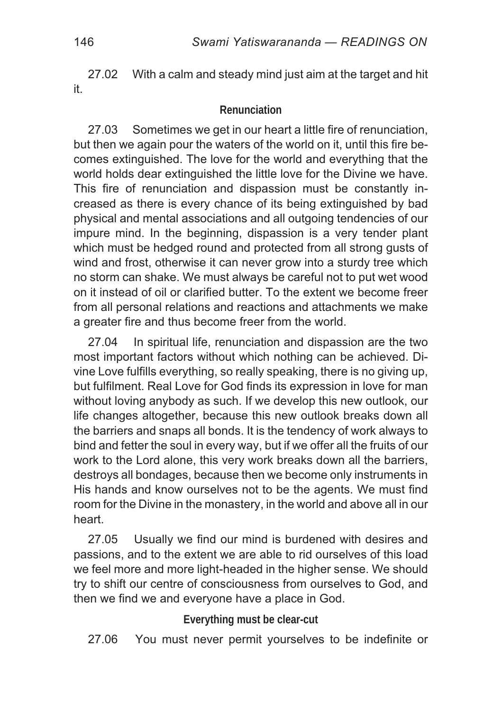27.02 With a calm and steady mind just aim at the target and hit it.

## **Renunciation**

27.03 Sometimes we get in our heart a little fire of renunciation, but then we again pour the waters of the world on it, until this fire becomes extinguished. The love for the world and everything that the world holds dear extinguished the little love for the Divine we have. This fire of renunciation and dispassion must be constantly increased as there is every chance of its being extinguished by bad physical and mental associations and all outgoing tendencies of our impure mind. In the beginning, dispassion is a very tender plant which must be hedged round and protected from all strong gusts of wind and frost, otherwise it can never grow into a sturdy tree which no storm can shake. We must always be careful not to put wet wood on it instead of oil or clarified butter. To the extent we become freer from all personal relations and reactions and attachments we make a greater fire and thus become freer from the world.

27.04 In spiritual life, renunciation and dispassion are the two most important factors without which nothing can be achieved. Divine Love fulfills everything, so really speaking, there is no giving up, but fulfilment. Real Love for God finds its expression in love for man without loving anybody as such. If we develop this new outlook, our life changes altogether, because this new outlook breaks down all the barriers and snaps all bonds. It is the tendency of work always to bind and fetter the soul in every way, but if we offer all the fruits of our work to the Lord alone, this very work breaks down all the barriers, destroys all bondages, because then we become only instruments in His hands and know ourselves not to be the agents. We must find room for the Divine in the monastery, in the world and above all in our heart.

27.05 Usually we find our mind is burdened with desires and passions, and to the extent we are able to rid ourselves of this load we feel more and more light-headed in the higher sense. We should try to shift our centre of consciousness from ourselves to God, and then we find we and everyone have a place in God.

# **Everything must be clear-cut**

27.06 You must never permit yourselves to be indefinite or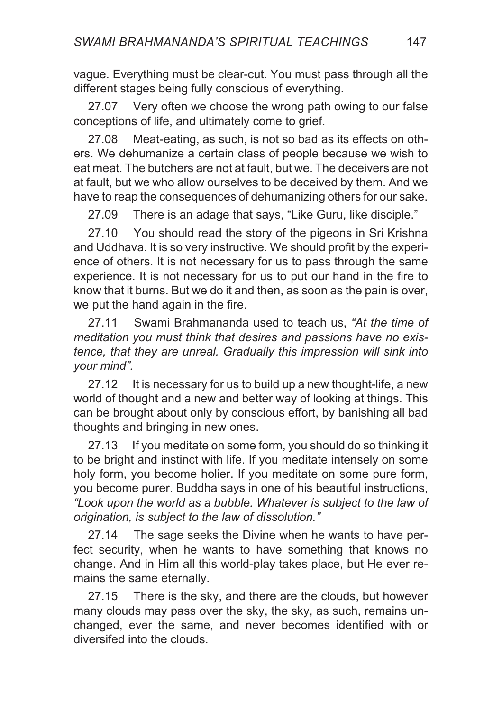vague. Everything must be clear-cut. You must pass through all the different stages being fully conscious of everything.

27.07 Very often we choose the wrong path owing to our false conceptions of life, and ultimately come to grief.

27.08 Meat-eating, as such, is not so bad as its effects on others. We dehumanize a certain class of people because we wish to eat meat. The butchers are not at fault, but we. The deceivers are not at fault, but we who allow ourselves to be deceived by them. And we have to reap the consequences of dehumanizing others for our sake.

27.09 There is an adage that says, "Like Guru, like disciple."

27.10 You should read the story of the pigeons in Sri Krishna and Uddhava. It is so very instructive. We should profit by the experience of others. It is not necessary for us to pass through the same experience. It is not necessary for us to put our hand in the fire to know that it burns. But we do it and then, as soon as the pain is over, we put the hand again in the fire.

27.11 Swami Brahmananda used to teach us, *"At the time of meditation you must think that desires and passions have no existence, that they are unreal. Gradually this impression will sink into your mind".*

27.12 It is necessary for us to build up a new thought-life, a new world of thought and a new and better way of looking at things. This can be brought about only by conscious effort, by banishing all bad thoughts and bringing in new ones.

27.13 If you meditate on some form, you should do so thinking it to be bright and instinct with life. If you meditate intensely on some holy form, you become holier. If you meditate on some pure form, you become purer. Buddha says in one of his beautiful instructions, *"Look upon the world as a bubble. Whatever is subject to the law of origination, is subject to the law of dissolution."*

27.14 The sage seeks the Divine when he wants to have perfect security, when he wants to have something that knows no change. And in Him all this world-play takes place, but He ever remains the same eternally.

27.15 There is the sky, and there are the clouds, but however many clouds may pass over the sky, the sky, as such, remains unchanged, ever the same, and never becomes identified with or diversifed into the clouds.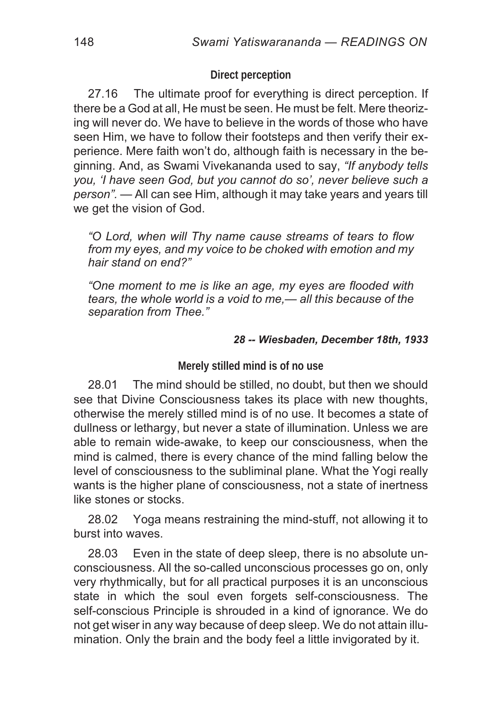## **Direct perception**

27.16 The ultimate proof for everything is direct perception. If there be a God at all, He must be seen. He must be felt. Mere theorizing will never do. We have to believe in the words of those who have seen Him, we have to follow their footsteps and then verify their experience. Mere faith won't do, although faith is necessary in the beginning. And, as Swami Vivekananda used to say, *"If anybody tells you, 'I have seen God, but you cannot do so', never believe such a person".* — All can see Him, although it may take years and years till we get the vision of God.

*"O Lord, when will Thy name cause streams of tears to flow from my eyes, and my voice to be choked with emotion and my hair stand on end?"*

*"One moment to me is like an age, my eyes are flooded with tears, the whole world is a void to me,— all this because of the separation from Thee."*

### *28 -- Wiesbaden, December 18th, 1933*

### **Merely stilled mind is of no use**

28.01 The mind should be stilled, no doubt, but then we should see that Divine Consciousness takes its place with new thoughts, otherwise the merely stilled mind is of no use. It becomes a state of dullness or lethargy, but never a state of illumination. Unless we are able to remain wide-awake, to keep our consciousness, when the mind is calmed, there is every chance of the mind falling below the level of consciousness to the subliminal plane. What the Yogi really wants is the higher plane of consciousness, not a state of inertness like stones or stocks.

28.02 Yoga means restraining the mind-stuff, not allowing it to burst into waves.

28.03 Even in the state of deep sleep, there is no absolute unconsciousness. All the so-called unconscious processes go on, only very rhythmically, but for all practical purposes it is an unconscious state in which the soul even forgets self-consciousness. The self-conscious Principle is shrouded in a kind of ignorance. We do not get wiser in any way because of deep sleep. We do not attain illumination. Only the brain and the body feel a little invigorated by it.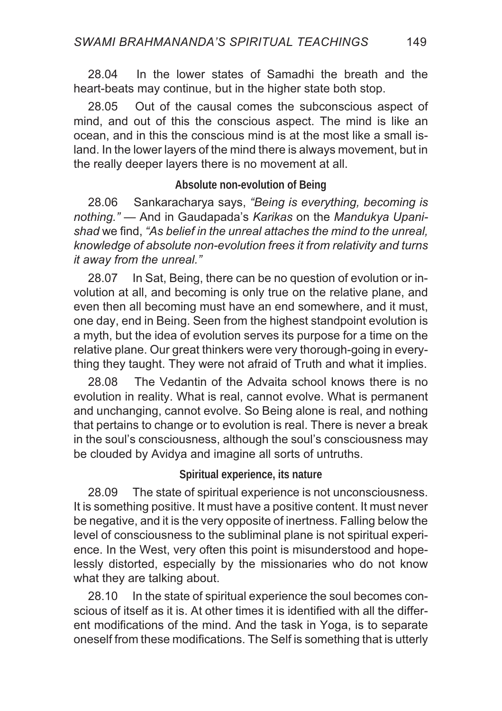28.04 In the lower states of Samadhi the breath and the heart-beats may continue, but in the higher state both stop.

28.05 Out of the causal comes the subconscious aspect of mind, and out of this the conscious aspect. The mind is like an ocean, and in this the conscious mind is at the most like a small island. In the lower layers of the mind there is always movement, but in the really deeper layers there is no movement at all.

## **Absolute non-evolution of Being**

28.06 Sankaracharya says, *"Being is everything, becoming is nothing."* — And in Gaudapada's *Karikas* on the *Mandukya Upanishad* we find, *"As belief in the unreal attaches the mind to the unreal, knowledge of absolute non-evolution frees it from relativity and turns it away from the unreal."*

28.07 In Sat, Being, there can be no question of evolution or involution at all, and becoming is only true on the relative plane, and even then all becoming must have an end somewhere, and it must, one day, end in Being. Seen from the highest standpoint evolution is a myth, but the idea of evolution serves its purpose for a time on the relative plane. Our great thinkers were very thorough-going in everything they taught. They were not afraid of Truth and what it implies.

28.08 The Vedantin of the Advaita school knows there is no evolution in reality. What is real, cannot evolve. What is permanent and unchanging, cannot evolve. So Being alone is real, and nothing that pertains to change or to evolution is real. There is never a break in the soul's consciousness, although the soul's consciousness may be clouded by Avidya and imagine all sorts of untruths.

### **Spiritual experience, its nature**

28.09 The state of spiritual experience is not unconsciousness. It is something positive. It must have a positive content. It must never be negative, and it is the very opposite of inertness. Falling below the level of consciousness to the subliminal plane is not spiritual experience. In the West, very often this point is misunderstood and hopelessly distorted, especially by the missionaries who do not know what they are talking about.

28.10 In the state of spiritual experience the soul becomes conscious of itself as it is. At other times it is identified with all the different modifications of the mind. And the task in Yoga, is to separate oneself from these modifications. The Self is something that is utterly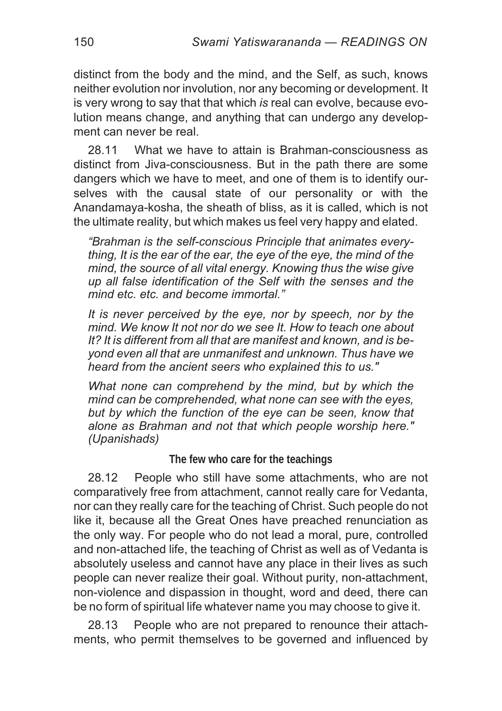distinct from the body and the mind, and the Self, as such, knows neither evolution nor involution, nor any becoming or development. It is very wrong to say that that which *is* real can evolve, because evolution means change, and anything that can undergo any development can never be real.

28.11 What we have to attain is Brahman-consciousness as distinct from Jiva-consciousness. But in the path there are some dangers which we have to meet, and one of them is to identify ourselves with the causal state of our personality or with the Anandamaya-kosha, the sheath of bliss, as it is called, which is not the ultimate reality, but which makes us feel very happy and elated.

*"Brahman is the self-conscious Principle that animates everything, It is the ear of the ear, the eye of the eye, the mind of the mind, the source of all vital energy. Knowing thus the wise give up all false identification of the Self with the senses and the mind etc. etc. and become immortal."*

*It is never perceived by the eye, nor by speech, nor by the mind. We know It not nor do we see It. How to teach one about It? It is different from all that are manifest and known, and is beyond even all that are unmanifest and unknown. Thus have we heard from the ancient seers who explained this to us."*

*What none can comprehend by the mind, but by which the mind can be comprehended, what none can see with the eyes, but by which the function of the eye can be seen, know that alone as Brahman and not that which people worship here." (Upanishads)*

**The few who care for the teachings**

28.12 People who still have some attachments, who are not comparatively free from attachment, cannot really care for Vedanta, nor can they really care for the teaching of Christ. Such people do not like it, because all the Great Ones have preached renunciation as the only way. For people who do not lead a moral, pure, controlled and non-attached life, the teaching of Christ as well as of Vedanta is absolutely useless and cannot have any place in their lives as such people can never realize their goal. Without purity, non-attachment, non-violence and dispassion in thought, word and deed, there can be no form of spiritual life whatever name you may choose to give it.

28.13 People who are not prepared to renounce their attachments, who permit themselves to be governed and influenced by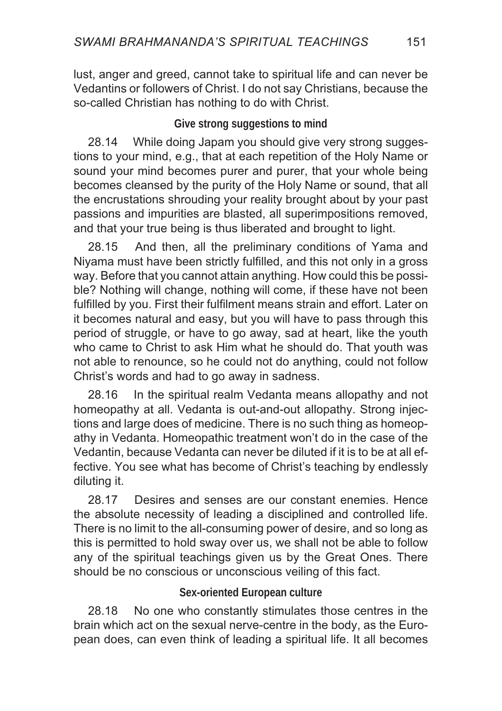lust, anger and greed, cannot take to spiritual life and can never be Vedantins or followers of Christ. I do not say Christians, because the so-called Christian has nothing to do with Christ.

## **Give strong suggestions to mind**

28.14 While doing Japam you should give very strong suggestions to your mind, e.g., that at each repetition of the Holy Name or sound your mind becomes purer and purer, that your whole being becomes cleansed by the purity of the Holy Name or sound, that all the encrustations shrouding your reality brought about by your past passions and impurities are blasted, all superimpositions removed, and that your true being is thus liberated and brought to light.

28.15 And then, all the preliminary conditions of Yama and Niyama must have been strictly fulfilled, and this not only in a gross way. Before that you cannot attain anything. How could this be possible? Nothing will change, nothing will come, if these have not been fulfilled by you. First their fulfilment means strain and effort. Later on it becomes natural and easy, but you will have to pass through this period of struggle, or have to go away, sad at heart, like the youth who came to Christ to ask Him what he should do. That youth was not able to renounce, so he could not do anything, could not follow Christ's words and had to go away in sadness.

28.16 In the spiritual realm Vedanta means allopathy and not homeopathy at all. Vedanta is out-and-out allopathy. Strong injections and large does of medicine. There is no such thing as homeopathy in Vedanta. Homeopathic treatment won't do in the case of the Vedantin, because Vedanta can never be diluted if it is to be at all effective. You see what has become of Christ's teaching by endlessly diluting it.

28.17 Desires and senses are our constant enemies. Hence the absolute necessity of leading a disciplined and controlled life. There is no limit to the all-consuming power of desire, and so long as this is permitted to hold sway over us, we shall not be able to follow any of the spiritual teachings given us by the Great Ones. There should be no conscious or unconscious veiling of this fact.

# **Sex-oriented European culture**

28.18 No one who constantly stimulates those centres in the brain which act on the sexual nerve-centre in the body, as the European does, can even think of leading a spiritual life. It all becomes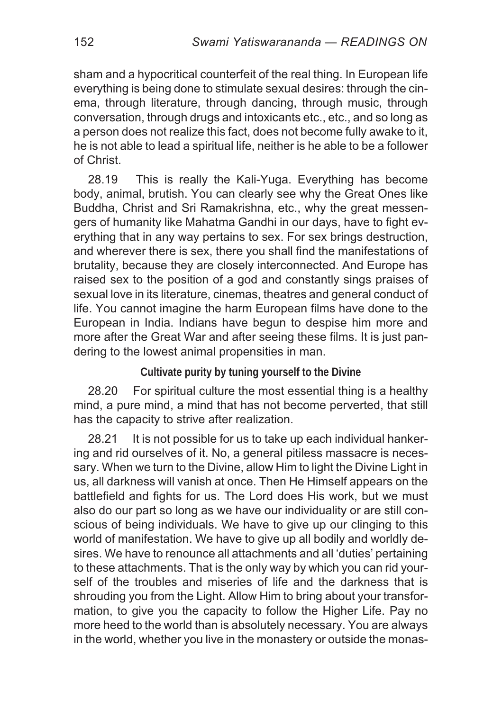sham and a hypocritical counterfeit of the real thing. In European life everything is being done to stimulate sexual desires: through the cinema, through literature, through dancing, through music, through conversation, through drugs and intoxicants etc., etc., and so long as a person does not realize this fact, does not become fully awake to it, he is not able to lead a spiritual life, neither is he able to be a follower of Christ.

28.19 This is really the Kali-Yuga. Everything has become body, animal, brutish. You can clearly see why the Great Ones like Buddha, Christ and Sri Ramakrishna, etc., why the great messengers of humanity like Mahatma Gandhi in our days, have to fight everything that in any way pertains to sex. For sex brings destruction, and wherever there is sex, there you shall find the manifestations of brutality, because they are closely interconnected. And Europe has raised sex to the position of a god and constantly sings praises of sexual love in its literature, cinemas, theatres and general conduct of life. You cannot imagine the harm European films have done to the European in India. Indians have begun to despise him more and more after the Great War and after seeing these films. It is just pandering to the lowest animal propensities in man.

**Cultivate purity by tuning yourself to the Divine**

28.20 For spiritual culture the most essential thing is a healthy mind, a pure mind, a mind that has not become perverted, that still has the capacity to strive after realization.

28.21 It is not possible for us to take up each individual hankering and rid ourselves of it. No, a general pitiless massacre is necessary. When we turn to the Divine, allow Him to light the Divine Light in us, all darkness will vanish at once. Then He Himself appears on the battlefield and fights for us. The Lord does His work, but we must also do our part so long as we have our individuality or are still conscious of being individuals. We have to give up our clinging to this world of manifestation. We have to give up all bodily and worldly desires. We have to renounce all attachments and all 'duties' pertaining to these attachments. That is the only way by which you can rid yourself of the troubles and miseries of life and the darkness that is shrouding you from the Light. Allow Him to bring about your transformation, to give you the capacity to follow the Higher Life. Pay no more heed to the world than is absolutely necessary. You are always in the world, whether you live in the monastery or outside the monas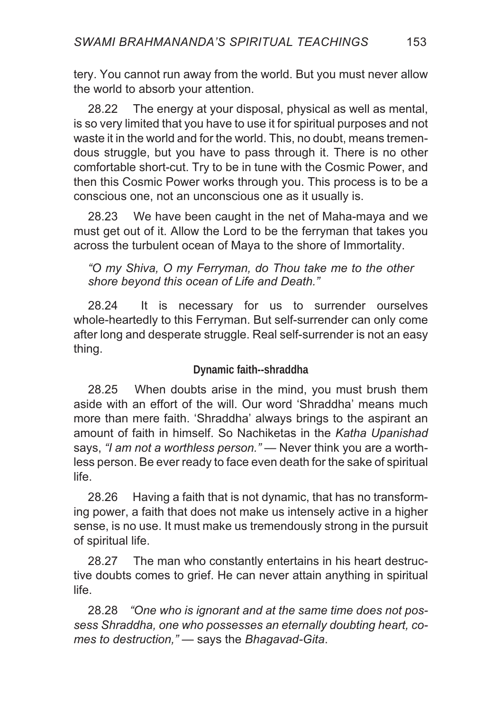tery. You cannot run away from the world. But you must never allow the world to absorb your attention.

28.22 The energy at your disposal, physical as well as mental, is so very limited that you have to use it for spiritual purposes and not waste it in the world and for the world. This, no doubt, means tremendous struggle, but you have to pass through it. There is no other comfortable short-cut. Try to be in tune with the Cosmic Power, and then this Cosmic Power works through you. This process is to be a conscious one, not an unconscious one as it usually is.

28.23 We have been caught in the net of Maha-maya and we must get out of it. Allow the Lord to be the ferryman that takes you across the turbulent ocean of Maya to the shore of Immortality.

*"O my Shiva, O my Ferryman, do Thou take me to the other shore beyond this ocean of Life and Death."*

28.24 It is necessary for us to surrender ourselves whole-heartedly to this Ferryman. But self-surrender can only come after long and desperate struggle. Real self-surrender is not an easy thing.

# **Dynamic faith--shraddha**

28.25 When doubts arise in the mind, you must brush them aside with an effort of the will. Our word 'Shraddha' means much more than mere faith. 'Shraddha' always brings to the aspirant an amount of faith in himself. So Nachiketas in the *Katha Upanishad* says, *"I am not a worthless person."* — Never think you are a worthless person. Be ever ready to face even death for the sake of spiritual life.

28.26 Having a faith that is not dynamic, that has no transforming power, a faith that does not make us intensely active in a higher sense, is no use. It must make us tremendously strong in the pursuit of spiritual life.

28.27 The man who constantly entertains in his heart destructive doubts comes to grief. He can never attain anything in spiritual life.

28.28 *"One who is ignorant and at the same time does not possess Shraddha, one who possesses an eternally doubting heart, comes to destruction,"* — says the *Bhagavad-Gita*.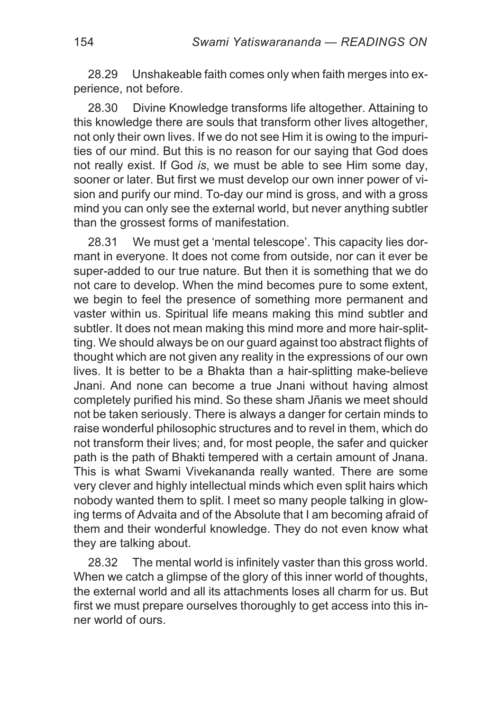28.29 Unshakeable faith comes only when faith merges into experience, not before.

28.30 Divine Knowledge transforms life altogether. Attaining to this knowledge there are souls that transform other lives altogether. not only their own lives. If we do not see Him it is owing to the impurities of our mind. But this is no reason for our saying that God does not really exist. If God *is*, we must be able to see Him some day, sooner or later. But first we must develop our own inner power of vision and purify our mind. To-day our mind is gross, and with a gross mind you can only see the external world, but never anything subtler than the grossest forms of manifestation.

28.31 We must get a 'mental telescope'. This capacity lies dormant in everyone. It does not come from outside, nor can it ever be super-added to our true nature. But then it is something that we do not care to develop. When the mind becomes pure to some extent, we begin to feel the presence of something more permanent and vaster within us. Spiritual life means making this mind subtler and subtler. It does not mean making this mind more and more hair-splitting. We should always be on our guard against too abstract flights of thought which are not given any reality in the expressions of our own lives. It is better to be a Bhakta than a hair-splitting make-believe Jnani. And none can become a true Jnani without having almost completely purified his mind. So these sham Jñanis we meet should not be taken seriously. There is always a danger for certain minds to raise wonderful philosophic structures and to revel in them, which do not transform their lives; and, for most people, the safer and quicker path is the path of Bhakti tempered with a certain amount of Jnana. This is what Swami Vivekananda really wanted. There are some very clever and highly intellectual minds which even split hairs which nobody wanted them to split. I meet so many people talking in glowing terms of Advaita and of the Absolute that I am becoming afraid of them and their wonderful knowledge. They do not even know what they are talking about.

28.32 The mental world is infinitely vaster than this gross world. When we catch a glimpse of the glory of this inner world of thoughts, the external world and all its attachments loses all charm for us. But first we must prepare ourselves thoroughly to get access into this inner world of ours.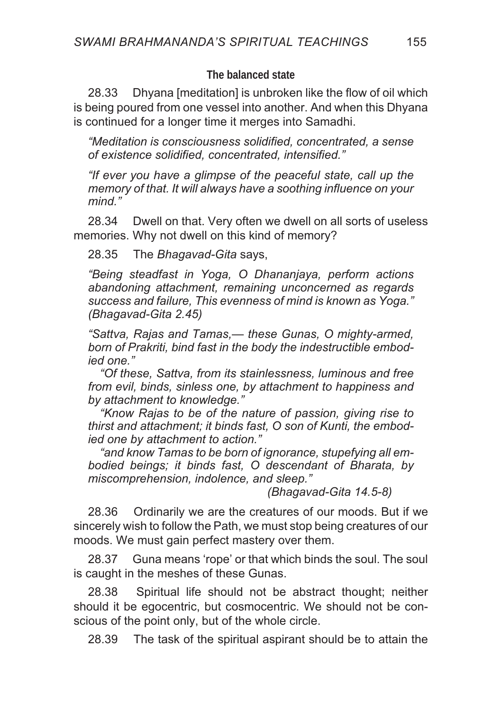### **The balanced state**

28.33 Dhyana [meditation] is unbroken like the flow of oil which is being poured from one vessel into another. And when this Dhyana is continued for a longer time it merges into Samadhi.

*"Meditation is consciousness solidified, concentrated, a sense of existence solidified, concentrated, intensified."*

*"If ever you have a glimpse of the peaceful state, call up the memory of that. It will always have a soothing influence on your mind."*

28.34 Dwell on that. Very often we dwell on all sorts of useless memories. Why not dwell on this kind of memory?

28.35 The *Bhagavad-Gita* says,

*"Being steadfast in Yoga, O Dhananjaya, perform actions abandoning attachment, remaining unconcerned as regards success and failure, This evenness of mind is known as Yoga." (Bhagavad-Gita 2.45)*

*"Sattva, Rajas and Tamas,— these Gunas, O mighty-armed, born of Prakriti, bind fast in the body the indestructible embodied one."*

*"Of these, Sattva, from its stainlessness, luminous and free from evil, binds, sinless one, by attachment to happiness and by attachment to knowledge."*

*"Know Rajas to be of the nature of passion, giving rise to thirst and attachment; it binds fast, O son of Kunti, the embodied one by attachment to action."*

*"and know Tamas to be born of ignorance, stupefying all embodied beings; it binds fast, O descendant of Bharata, by miscomprehension, indolence, and sleep."*

*(Bhagavad-Gita 14.5-8)*

28.36 Ordinarily we are the creatures of our moods. But if we sincerely wish to follow the Path, we must stop being creatures of our moods. We must gain perfect mastery over them.

28.37 Guna means 'rope' or that which binds the soul. The soul is caught in the meshes of these Gunas.

28.38 Spiritual life should not be abstract thought; neither should it be egocentric, but cosmocentric. We should not be conscious of the point only, but of the whole circle.

28.39 The task of the spiritual aspirant should be to attain the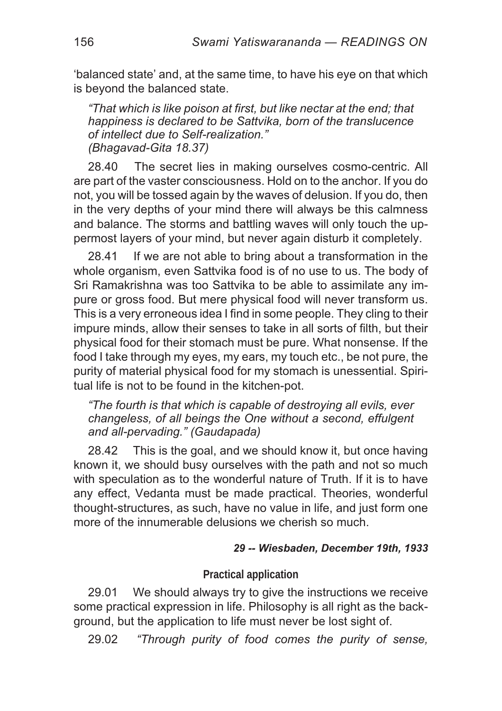'balanced state' and, at the same time, to have his eye on that which is beyond the balanced state.

*"That which is like poison at first, but like nectar at the end; that happiness is declared to be Sattvika, born of the translucence of intellect due to Self-realization." (Bhagavad-Gita 18.37)*

28.40 The secret lies in making ourselves cosmo-centric. All are part of the vaster consciousness. Hold on to the anchor. If you do not, you will be tossed again by the waves of delusion. If you do, then in the very depths of your mind there will always be this calmness and balance. The storms and battling waves will only touch the uppermost layers of your mind, but never again disturb it completely.

28.41 If we are not able to bring about a transformation in the whole organism, even Sattvika food is of no use to us. The body of Sri Ramakrishna was too Sattvika to be able to assimilate any impure or gross food. But mere physical food will never transform us. This is a very erroneous idea I find in some people. They cling to their impure minds, allow their senses to take in all sorts of filth, but their physical food for their stomach must be pure. What nonsense. If the food I take through my eyes, my ears, my touch etc., be not pure, the purity of material physical food for my stomach is unessential. Spiritual life is not to be found in the kitchen-pot.

*"The fourth is that which is capable of destroying all evils, ever changeless, of all beings the One without a second, effulgent and all-pervading." (Gaudapada)*

28.42 This is the goal, and we should know it, but once having known it, we should busy ourselves with the path and not so much with speculation as to the wonderful nature of Truth. If it is to have any effect, Vedanta must be made practical. Theories, wonderful thought-structures, as such, have no value in life, and just form one more of the innumerable delusions we cherish so much.

# *29 -- Wiesbaden, December 19th, 1933*

## **Practical application**

29.01 We should always try to give the instructions we receive some practical expression in life. Philosophy is all right as the background, but the application to life must never be lost sight of.

29.02 *"Through purity of food comes the purity of sense,*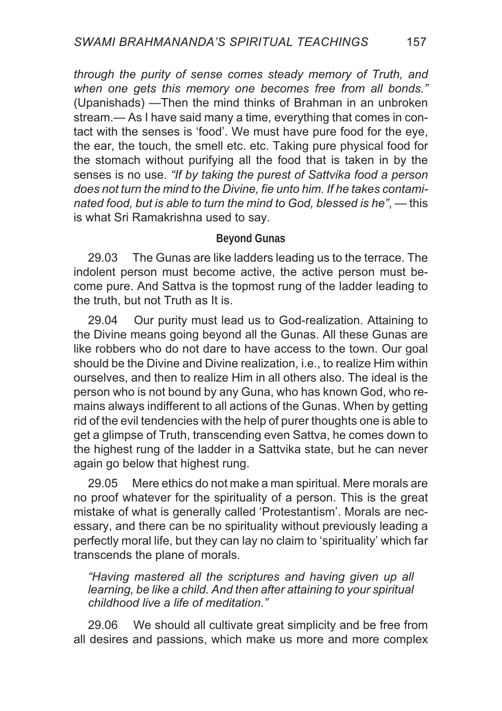*through the purity of sense comes steady memory of Truth, and when one gets this memory one becomes free from all bonds."* (Upanishads) —Then the mind thinks of Brahman in an unbroken stream.— As I have said many a time, everything that comes in contact with the senses is 'food'. We must have pure food for the eye, the ear, the touch, the smell etc. etc. Taking pure physical food for the stomach without purifying all the food that is taken in by the senses is no use. *"If by taking the purest of Sattvika food a person does not turn the mind to the Divine, fie unto him. If he takes contaminated food, but is able to turn the mind to God, blessed is he"*, — this is what Sri Ramakrishna used to say.

## **Beyond Gunas**

29.03 The Gunas are like ladders leading us to the terrace. The indolent person must become active, the active person must become pure. And Sattva is the topmost rung of the ladder leading to the truth, but not Truth as It is.

29.04 Our purity must lead us to God-realization. Attaining to the Divine means going beyond all the Gunas. All these Gunas are like robbers who do not dare to have access to the town. Our goal should be the Divine and Divine realization, i.e., to realize Him within ourselves, and then to realize Him in all others also. The ideal is the person who is not bound by any Guna, who has known God, who remains always indifferent to all actions of the Gunas. When by getting rid of the evil tendencies with the help of purer thoughts one is able to get a glimpse of Truth, transcending even Sattva, he comes down to the highest rung of the ladder in a Sattvika state, but he can never again go below that highest rung.

29.05 Mere ethics do not make a man spiritual. Mere morals are no proof whatever for the spirituality of a person. This is the great mistake of what is generally called 'Protestantism'. Morals are necessary, and there can be no spirituality without previously leading a perfectly moral life, but they can lay no claim to 'spirituality' which far transcends the plane of morals.

*"Having mastered all the scriptures and having given up all learning, be like a child. And then after attaining to your spiritual childhood live a life of meditation."*

29.06 We should all cultivate great simplicity and be free from all desires and passions, which make us more and more complex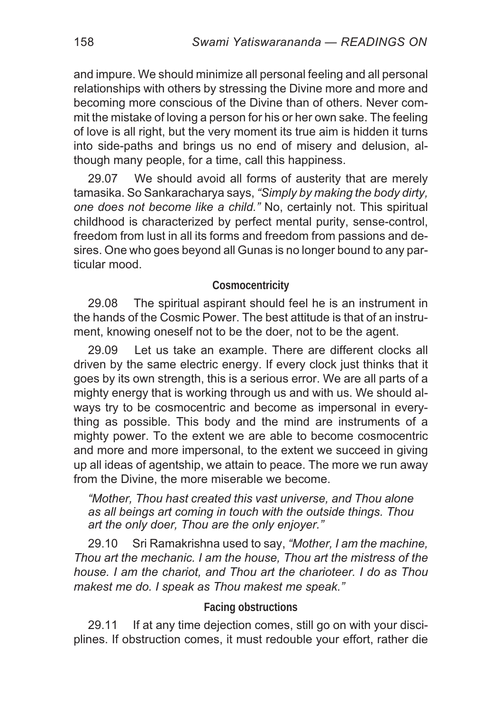and impure. We should minimize all personal feeling and all personal relationships with others by stressing the Divine more and more and becoming more conscious of the Divine than of others. Never commit the mistake of loving a person for his or her own sake. The feeling of love is all right, but the very moment its true aim is hidden it turns into side-paths and brings us no end of misery and delusion, although many people, for a time, call this happiness.

29.07 We should avoid all forms of austerity that are merely tamasika. So Sankaracharya says, *"Simply by making the body dirty, one does not become like a child."* No, certainly not. This spiritual childhood is characterized by perfect mental purity, sense-control, freedom from lust in all its forms and freedom from passions and desires. One who goes beyond all Gunas is no longer bound to any particular mood.

# **Cosmocentricity**

29.08 The spiritual aspirant should feel he is an instrument in the hands of the Cosmic Power. The best attitude is that of an instrument, knowing oneself not to be the doer, not to be the agent.

29.09 Let us take an example. There are different clocks all driven by the same electric energy. If every clock just thinks that it goes by its own strength, this is a serious error. We are all parts of a mighty energy that is working through us and with us. We should always try to be cosmocentric and become as impersonal in everything as possible. This body and the mind are instruments of a mighty power. To the extent we are able to become cosmocentric and more and more impersonal, to the extent we succeed in giving up all ideas of agentship, we attain to peace. The more we run away from the Divine, the more miserable we become.

*"Mother, Thou hast created this vast universe, and Thou alone as all beings art coming in touch with the outside things. Thou art the only doer, Thou are the only enjoyer."*

29.10 Sri Ramakrishna used to say, *"Mother, I am the machine, Thou art the mechanic. I am the house, Thou art the mistress of the house. I am the chariot, and Thou art the charioteer. I do as Thou makest me do. I speak as Thou makest me speak."*

## **Facing obstructions**

29.11 If at any time dejection comes, still go on with your disciplines. If obstruction comes, it must redouble your effort, rather die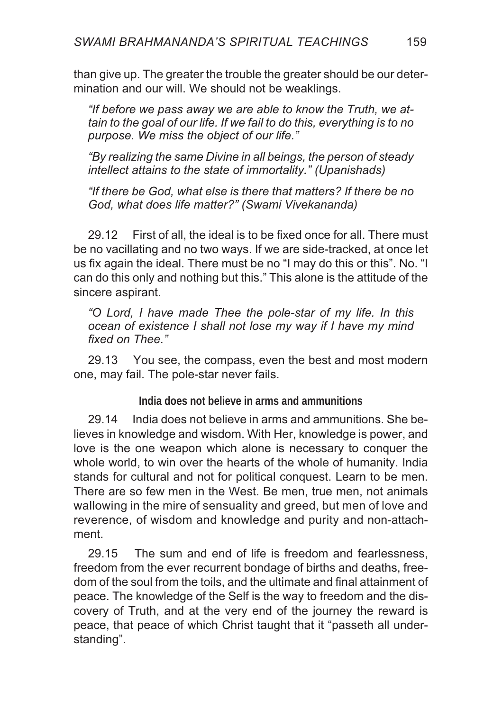than give up. The greater the trouble the greater should be our determination and our will. We should not be weaklings.

*"If before we pass away we are able to know the Truth, we attain to the goal of our life. If we fail to do this, everything is to no purpose. We miss the object of our life."*

*"By realizing the same Divine in all beings, the person of steady intellect attains to the state of immortality." (Upanishads)*

*"If there be God, what else is there that matters? If there be no God, what does life matter?" (Swami Vivekananda)*

29.12 First of all, the ideal is to be fixed once for all. There must be no vacillating and no two ways. If we are side-tracked, at once let us fix again the ideal. There must be no "I may do this or this". No. "I can do this only and nothing but this." This alone is the attitude of the sincere aspirant.

*"O Lord, I have made Thee the pole-star of my life. In this ocean of existence I shall not lose my way if I have my mind fixed on Thee."*

29.13 You see, the compass, even the best and most modern one, may fail. The pole-star never fails.

**India does not believe in arms and ammunitions**

29.14 India does not believe in arms and ammunitions. She believes in knowledge and wisdom. With Her, knowledge is power, and love is the one weapon which alone is necessary to conquer the whole world, to win over the hearts of the whole of humanity. India stands for cultural and not for political conquest. Learn to be men. There are so few men in the West. Be men, true men, not animals wallowing in the mire of sensuality and greed, but men of love and reverence, of wisdom and knowledge and purity and non-attachment.

29.15 The sum and end of life is freedom and fearlessness, freedom from the ever recurrent bondage of births and deaths, freedom of the soul from the toils, and the ultimate and final attainment of peace. The knowledge of the Self is the way to freedom and the discovery of Truth, and at the very end of the journey the reward is peace, that peace of which Christ taught that it "passeth all understanding".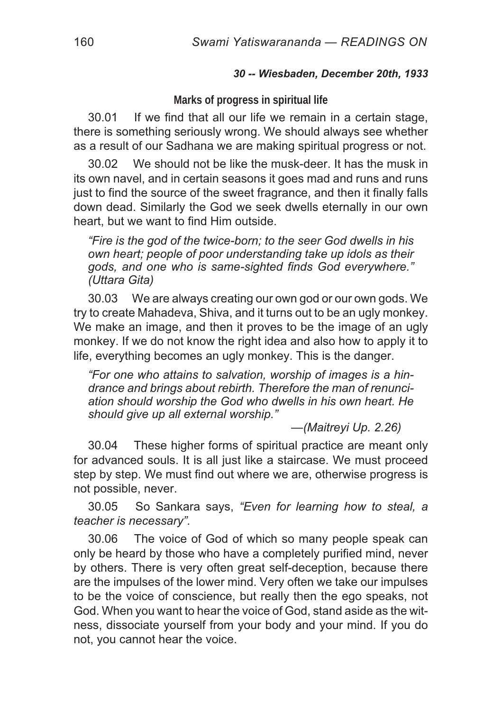### *30 -- Wiesbaden, December 20th, 1933*

**Marks of progress in spiritual life**

30.01 If we find that all our life we remain in a certain stage, there is something seriously wrong. We should always see whether as a result of our Sadhana we are making spiritual progress or not.

30.02 We should not be like the musk-deer. It has the musk in its own navel, and in certain seasons it goes mad and runs and runs just to find the source of the sweet fragrance, and then it finally falls down dead. Similarly the God we seek dwells eternally in our own heart, but we want to find Him outside.

*"Fire is the god of the twice-born; to the seer God dwells in his own heart; people of poor understanding take up idols as their gods, and one who is same-sighted finds God everywhere." (Uttara Gita)*

30.03 We are always creating our own god or our own gods. We try to create Mahadeva, Shiva, and it turns out to be an ugly monkey. We make an image, and then it proves to be the image of an ugly monkey. If we do not know the right idea and also how to apply it to life, everything becomes an ugly monkey. This is the danger.

*"For one who attains to salvation, worship of images is a hindrance and brings about rebirth. Therefore the man of renunciation should worship the God who dwells in his own heart. He should give up all external worship."*

*—(Maitreyi Up. 2.26)*

30.04 These higher forms of spiritual practice are meant only for advanced souls. It is all just like a staircase. We must proceed step by step. We must find out where we are, otherwise progress is not possible, never.

30.05 So Sankara says, *"Even for learning how to steal, a teacher is necessary".*

30.06 The voice of God of which so many people speak can only be heard by those who have a completely purified mind, never by others. There is very often great self-deception, because there are the impulses of the lower mind. Very often we take our impulses to be the voice of conscience, but really then the ego speaks, not God. When you want to hear the voice of God, stand aside as the witness, dissociate yourself from your body and your mind. If you do not, you cannot hear the voice.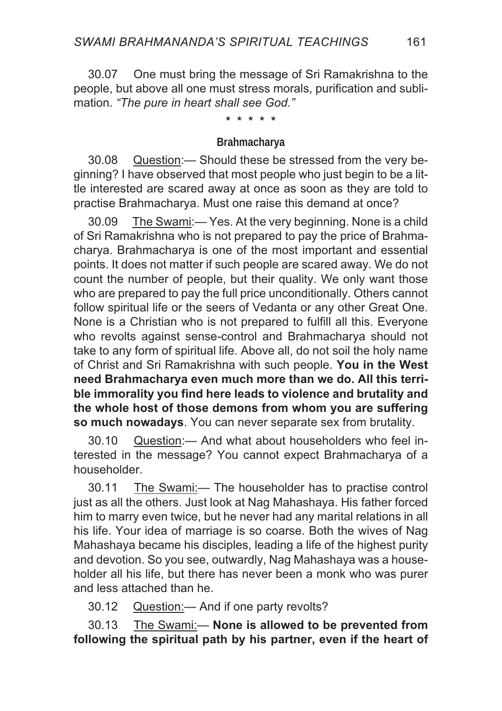30.07 One must bring the message of Sri Ramakrishna to the people, but above all one must stress morals, purification and sublimation. *"The pure in heart shall see God."*

**\*\*\*\*\***

# **Brahmacharya**

30.08 Question:— Should these be stressed from the very beginning? I have observed that most people who just begin to be a little interested are scared away at once as soon as they are told to practise Brahmacharya. Must one raise this demand at once?

30.09 The Swami:— Yes. At the very beginning. None is a child of Sri Ramakrishna who is not prepared to pay the price of Brahmacharya. Brahmacharya is one of the most important and essential points. It does not matter if such people are scared away. We do not count the number of people, but their quality. We only want those who are prepared to pay the full price unconditionally. Others cannot follow spiritual life or the seers of Vedanta or any other Great One. None is a Christian who is not prepared to fulfill all this. Everyone who revolts against sense-control and Brahmacharya should not take to any form of spiritual life. Above all, do not soil the holy name of Christ and Sri Ramakrishna with such people. **You in the West need Brahmacharya even much more than we do. All this terrible immorality you find here leads to violence and brutality and the whole host of those demons from whom you are suffering so much nowadays**. You can never separate sex from brutality.

30.10 Question:— And what about householders who feel interested in the message? You cannot expect Brahmacharya of a householder.

30.11 The Swami:— The householder has to practise control just as all the others. Just look at Nag Mahashaya. His father forced him to marry even twice, but he never had any marital relations in all his life. Your idea of marriage is so coarse. Both the wives of Nag Mahashaya became his disciples, leading a life of the highest purity and devotion. So you see, outwardly, Nag Mahashaya was a householder all his life, but there has never been a monk who was purer and less attached than he.

30.12 Question:— And if one party revolts?

30.13 The Swami:— **None is allowed to be prevented from following the spiritual path by his partner, even if the heart of**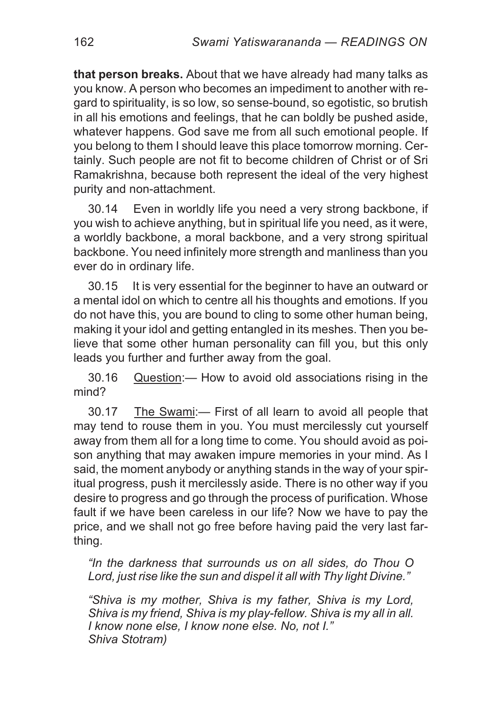**that person breaks.** About that we have already had many talks as you know. A person who becomes an impediment to another with regard to spirituality, is so low, so sense-bound, so egotistic, so brutish in all his emotions and feelings, that he can boldly be pushed aside, whatever happens. God save me from all such emotional people. If you belong to them I should leave this place tomorrow morning. Certainly. Such people are not fit to become children of Christ or of Sri Ramakrishna, because both represent the ideal of the very highest purity and non-attachment.

30.14 Even in worldly life you need a very strong backbone, if you wish to achieve anything, but in spiritual life you need, as it were, a worldly backbone, a moral backbone, and a very strong spiritual backbone. You need infinitely more strength and manliness than you ever do in ordinary life.

30.15 It is very essential for the beginner to have an outward or a mental idol on which to centre all his thoughts and emotions. If you do not have this, you are bound to cling to some other human being, making it your idol and getting entangled in its meshes. Then you believe that some other human personality can fill you, but this only leads you further and further away from the goal.

30.16 Question:— How to avoid old associations rising in the mind?

30.17 The Swami:— First of all learn to avoid all people that may tend to rouse them in you. You must mercilessly cut yourself away from them all for a long time to come. You should avoid as poison anything that may awaken impure memories in your mind. As I said, the moment anybody or anything stands in the way of your spiritual progress, push it mercilessly aside. There is no other way if you desire to progress and go through the process of purification. Whose fault if we have been careless in our life? Now we have to pay the price, and we shall not go free before having paid the very last farthing.

*"In the darkness that surrounds us on all sides, do Thou O Lord, just rise like the sun and dispel it all with Thy light Divine."*

*"Shiva is my mother, Shiva is my father, Shiva is my Lord, Shiva is my friend, Shiva is my play-fellow. Shiva is my all in all. I know none else, I know none else. No, not I." Shiva Stotram)*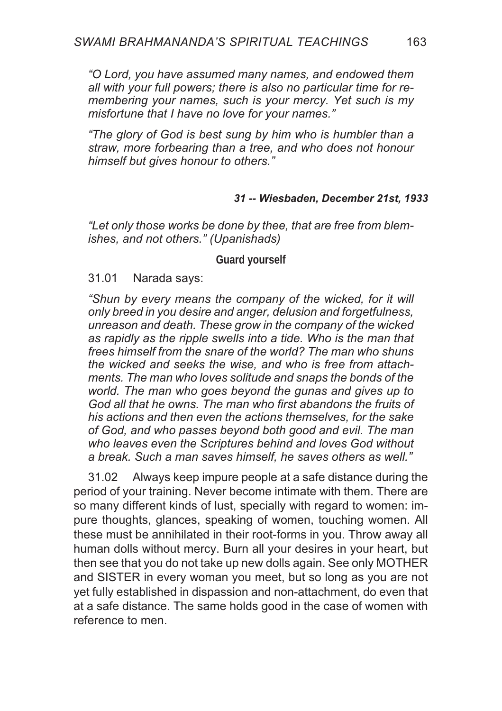*"O Lord, you have assumed many names, and endowed them all with your full powers; there is also no particular time for remembering your names, such is your mercy. Yet such is my misfortune that I have no love for your names."*

*"The glory of God is best sung by him who is humbler than a straw, more forbearing than a tree, and who does not honour himself but gives honour to others."*

### *31 -- Wiesbaden, December 21st, 1933*

*"Let only those works be done by thee, that are free from blemishes, and not others." (Upanishads)*

### **Guard yourself**

31.01 Narada says:

*"Shun by every means the company of the wicked, for it will only breed in you desire and anger, delusion and forgetfulness, unreason and death. These grow in the company of the wicked as rapidly as the ripple swells into a tide. Who is the man that frees himself from the snare of the world? The man who shuns the wicked and seeks the wise, and who is free from attachments. The man who loves solitude and snaps the bonds of the world. The man who goes beyond the gunas and gives up to God all that he owns. The man who first abandons the fruits of his actions and then even the actions themselves, for the sake of God, and who passes beyond both good and evil. The man who leaves even the Scriptures behind and loves God without a break. Such a man saves himself, he saves others as well."*

31.02 Always keep impure people at a safe distance during the period of your training. Never become intimate with them. There are so many different kinds of lust, specially with regard to women: impure thoughts, glances, speaking of women, touching women. All these must be annihilated in their root-forms in you. Throw away all human dolls without mercy. Burn all your desires in your heart, but then see that you do not take up new dolls again. See only MOTHER and SISTER in every woman you meet, but so long as you are not yet fully established in dispassion and non-attachment, do even that at a safe distance. The same holds good in the case of women with reference to men.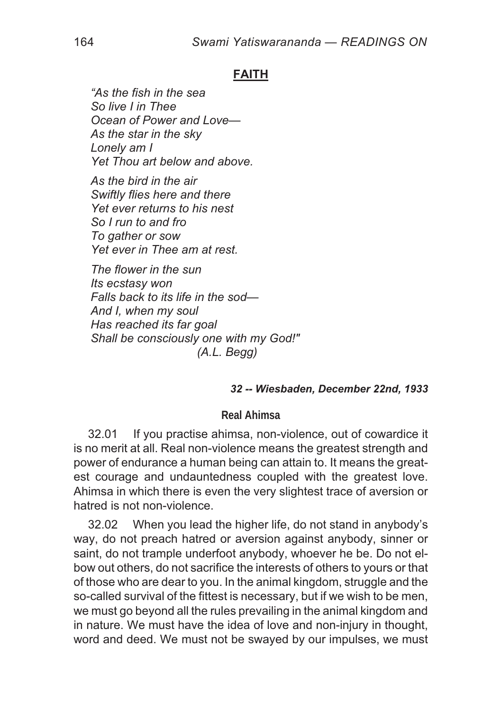## **FAITH**

*"As the fish in the sea So live I in Thee Ocean of Power and Love— As the star in the sky Lonely am I Yet Thou art below and above.*

*As the bird in the air Swiftly flies here and there Yet ever returns to his nest So I run to and fro To gather or sow Yet ever in Thee am at rest.*

*The flower in the sun Its ecstasy won Falls back to its life in the sod— And I, when my soul Has reached its far goal Shall be consciously one with my God!" (A.L. Begg)*

### *32 -- Wiesbaden, December 22nd, 1933*

#### **Real Ahimsa**

32.01 If you practise ahimsa, non-violence, out of cowardice it is no merit at all. Real non-violence means the greatest strength and power of endurance a human being can attain to. It means the greatest courage and undauntedness coupled with the greatest love. Ahimsa in which there is even the very slightest trace of aversion or hatred is not non-violence.

32.02 When you lead the higher life, do not stand in anybody's way, do not preach hatred or aversion against anybody, sinner or saint, do not trample underfoot anybody, whoever he be. Do not elbow out others, do not sacrifice the interests of others to yours or that of those who are dear to you. In the animal kingdom, struggle and the so-called survival of the fittest is necessary, but if we wish to be men, we must go beyond all the rules prevailing in the animal kingdom and in nature. We must have the idea of love and non-injury in thought, word and deed. We must not be swayed by our impulses, we must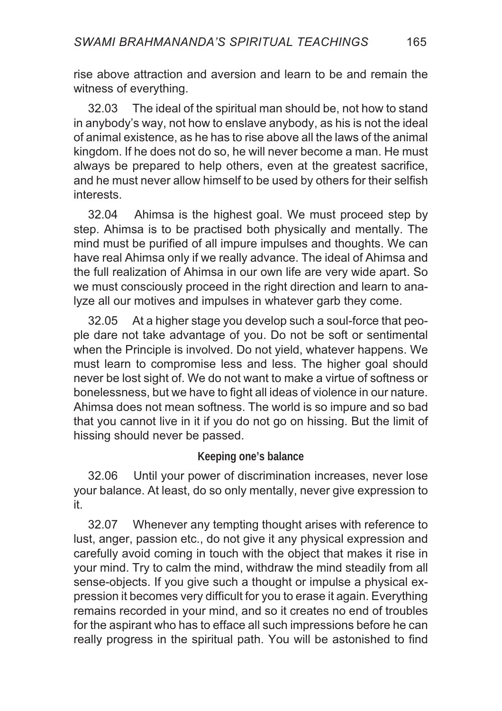rise above attraction and aversion and learn to be and remain the witness of everything.

32.03 The ideal of the spiritual man should be, not how to stand in anybody's way, not how to enslave anybody, as his is not the ideal of animal existence, as he has to rise above all the laws of the animal kingdom. If he does not do so, he will never become a man. He must always be prepared to help others, even at the greatest sacrifice, and he must never allow himself to be used by others for their selfish interests.

32.04 Ahimsa is the highest goal. We must proceed step by step. Ahimsa is to be practised both physically and mentally. The mind must be purified of all impure impulses and thoughts. We can have real Ahimsa only if we really advance. The ideal of Ahimsa and the full realization of Ahimsa in our own life are very wide apart. So we must consciously proceed in the right direction and learn to analyze all our motives and impulses in whatever garb they come.

32.05 At a higher stage you develop such a soul-force that people dare not take advantage of you. Do not be soft or sentimental when the Principle is involved. Do not yield, whatever happens. We must learn to compromise less and less. The higher goal should never be lost sight of. We do not want to make a virtue of softness or bonelessness, but we have to fight all ideas of violence in our nature. Ahimsa does not mean softness. The world is so impure and so bad that you cannot live in it if you do not go on hissing. But the limit of hissing should never be passed.

## **Keeping one's balance**

32.06 Until your power of discrimination increases, never lose your balance. At least, do so only mentally, never give expression to it.

32.07 Whenever any tempting thought arises with reference to lust, anger, passion etc., do not give it any physical expression and carefully avoid coming in touch with the object that makes it rise in your mind. Try to calm the mind, withdraw the mind steadily from all sense-objects. If you give such a thought or impulse a physical expression it becomes very difficult for you to erase it again. Everything remains recorded in your mind, and so it creates no end of troubles for the aspirant who has to efface all such impressions before he can really progress in the spiritual path. You will be astonished to find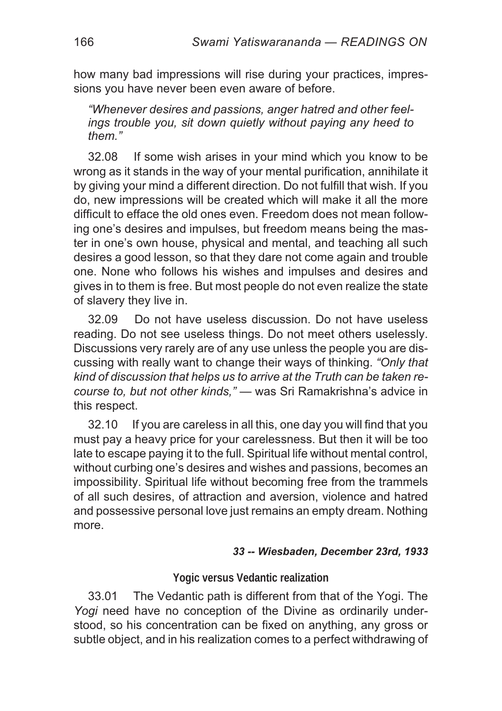how many bad impressions will rise during your practices, impressions you have never been even aware of before.

*"Whenever desires and passions, anger hatred and other feelings trouble you, sit down quietly without paying any heed to them."*

32.08 If some wish arises in your mind which you know to be wrong as it stands in the way of your mental purification, annihilate it by giving your mind a different direction. Do not fulfill that wish. If you do, new impressions will be created which will make it all the more difficult to efface the old ones even. Freedom does not mean following one's desires and impulses, but freedom means being the master in one's own house, physical and mental, and teaching all such desires a good lesson, so that they dare not come again and trouble one. None who follows his wishes and impulses and desires and gives in to them is free. But most people do not even realize the state of slavery they live in.

32.09 Do not have useless discussion. Do not have useless reading. Do not see useless things. Do not meet others uselessly. Discussions very rarely are of any use unless the people you are discussing with really want to change their ways of thinking. *"Only that kind of discussion that helps us to arrive at the Truth can be taken recourse to, but not other kinds,"* — was Sri Ramakrishna's advice in this respect.

32.10 If you are careless in all this, one day you will find that you must pay a heavy price for your carelessness. But then it will be too late to escape paying it to the full. Spiritual life without mental control, without curbing one's desires and wishes and passions, becomes an impossibility. Spiritual life without becoming free from the trammels of all such desires, of attraction and aversion, violence and hatred and possessive personal love just remains an empty dream. Nothing more.

## *33 -- Wiesbaden, December 23rd, 1933*

## **Yogic versus Vedantic realization**

33.01 The Vedantic path is different from that of the Yogi. The *Yogi* need have no conception of the Divine as ordinarily understood, so his concentration can be fixed on anything, any gross or subtle object, and in his realization comes to a perfect withdrawing of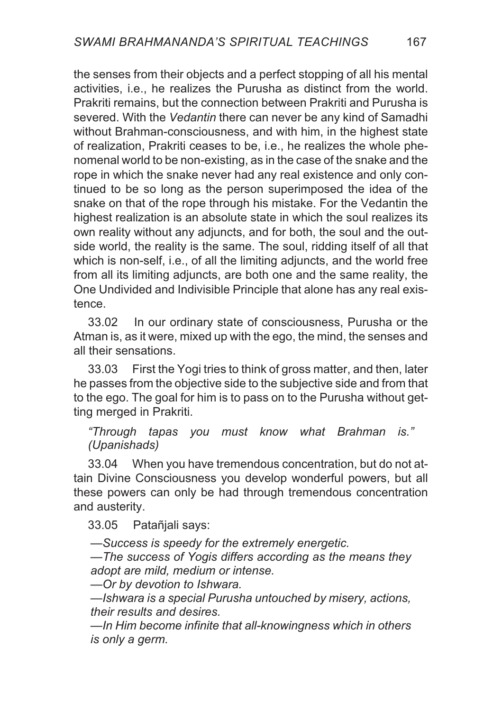the senses from their objects and a perfect stopping of all his mental activities, i.e., he realizes the Purusha as distinct from the world. Prakriti remains, but the connection between Prakriti and Purusha is severed. With the *Vedantin* there can never be any kind of Samadhi without Brahman-consciousness, and with him, in the highest state of realization, Prakriti ceases to be, i.e., he realizes the whole phenomenal world to be non-existing, as in the case of the snake and the rope in which the snake never had any real existence and only continued to be so long as the person superimposed the idea of the snake on that of the rope through his mistake. For the Vedantin the highest realization is an absolute state in which the soul realizes its own reality without any adjuncts, and for both, the soul and the outside world, the reality is the same. The soul, ridding itself of all that which is non-self, i.e., of all the limiting adjuncts, and the world free from all its limiting adjuncts, are both one and the same reality, the One Undivided and Indivisible Principle that alone has any real existence.

33.02 In our ordinary state of consciousness, Purusha or the Atman is, as it were, mixed up with the ego, the mind, the senses and all their sensations.

33.03 First the Yogi tries to think of gross matter, and then, later he passes from the objective side to the subjective side and from that to the ego. The goal for him is to pass on to the Purusha without getting merged in Prakriti.

*"Through tapas you must know what Brahman is." (Upanishads)*

33.04 When you have tremendous concentration, but do not attain Divine Consciousness you develop wonderful powers, but all these powers can only be had through tremendous concentration and austerity.

33.05 Patañjali says:

*—Success is speedy for the extremely energetic.*

*—The success of Yogis differs according as the means they adopt are mild, medium or intense.*

*—Or by devotion to Ishwara.*

*—Ishwara is a special Purusha untouched by misery, actions, their results and desires.*

*—In Him become infinite that all-knowingness which in others is only a germ.*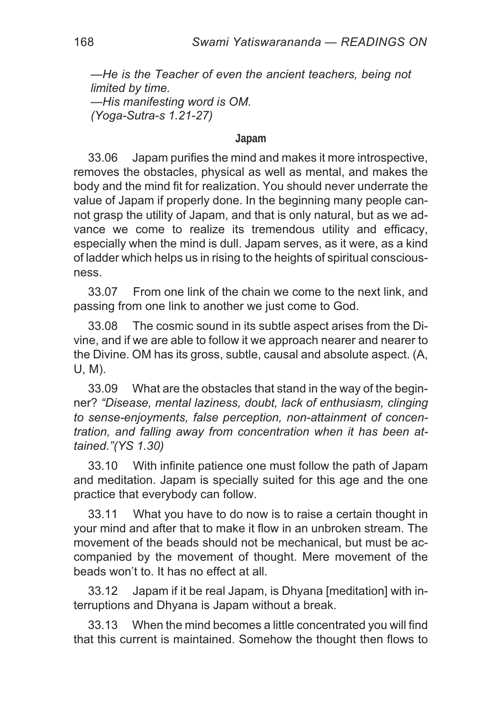*—He is the Teacher of even the ancient teachers, being not limited by time. —His manifesting word is OM. (Yoga-Sutra-s 1.21-27)*

### **Japam**

33.06 Japam purifies the mind and makes it more introspective, removes the obstacles, physical as well as mental, and makes the body and the mind fit for realization. You should never underrate the value of Japam if properly done. In the beginning many people cannot grasp the utility of Japam, and that is only natural, but as we advance we come to realize its tremendous utility and efficacy, especially when the mind is dull. Japam serves, as it were, as a kind of ladder which helps us in rising to the heights of spiritual consciousness.

33.07 From one link of the chain we come to the next link, and passing from one link to another we just come to God.

33.08 The cosmic sound in its subtle aspect arises from the Divine, and if we are able to follow it we approach nearer and nearer to the Divine. OM has its gross, subtle, causal and absolute aspect. (A, U, M).

33.09 What are the obstacles that stand in the way of the beginner? *"Disease, mental laziness, doubt, lack of enthusiasm, clinging to sense-enjoyments, false perception, non-attainment of concentration, and falling away from concentration when it has been attained."(YS 1.30)*

33.10 With infinite patience one must follow the path of Japam and meditation. Japam is specially suited for this age and the one practice that everybody can follow.

33.11 What you have to do now is to raise a certain thought in your mind and after that to make it flow in an unbroken stream. The movement of the beads should not be mechanical, but must be accompanied by the movement of thought. Mere movement of the beads won't to. It has no effect at all.

33.12 Japam if it be real Japam, is Dhyana [meditation] with interruptions and Dhyana is Japam without a break.

33.13 When the mind becomes a little concentrated you will find that this current is maintained. Somehow the thought then flows to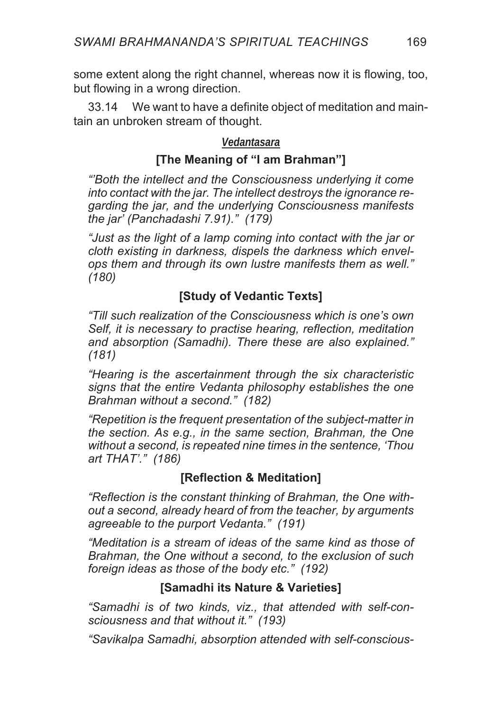some extent along the right channel, whereas now it is flowing, too, but flowing in a wrong direction.

33.14 We want to have a definite object of meditation and maintain an unbroken stream of thought.

## *Vedantasara*

# **[The Meaning of "I am Brahman"]**

*"'Both the intellect and the Consciousness underlying it come into contact with the jar. The intellect destroys the ignorance regarding the jar, and the underlying Consciousness manifests the jar' (Panchadashi 7.91)." (179)*

*"Just as the light of a lamp coming into contact with the jar or cloth existing in darkness, dispels the darkness which envelops them and through its own lustre manifests them as well." (180)*

# **[Study of Vedantic Texts]**

*"Till such realization of the Consciousness which is one's own Self, it is necessary to practise hearing, reflection, meditation and absorption (Samadhi). There these are also explained." (181)*

*"Hearing is the ascertainment through the six characteristic signs that the entire Vedanta philosophy establishes the one Brahman without a second." (182)*

*"Repetition is the frequent presentation of the subject-matter in the section. As e.g., in the same section, Brahman, the One without a second, is repeated nine times in the sentence, 'Thou art THAT'." (186)*

# **[Reflection & Meditation]**

*"Reflection is the constant thinking of Brahman, the One without a second, already heard of from the teacher, by arguments agreeable to the purport Vedanta." (191)*

*"Meditation is a stream of ideas of the same kind as those of Brahman, the One without a second, to the exclusion of such foreign ideas as those of the body etc." (192)*

# **[Samadhi its Nature & Varieties]**

*"Samadhi is of two kinds, viz., that attended with self-consciousness and that without it." (193)*

*"Savikalpa Samadhi, absorption attended with self-conscious-*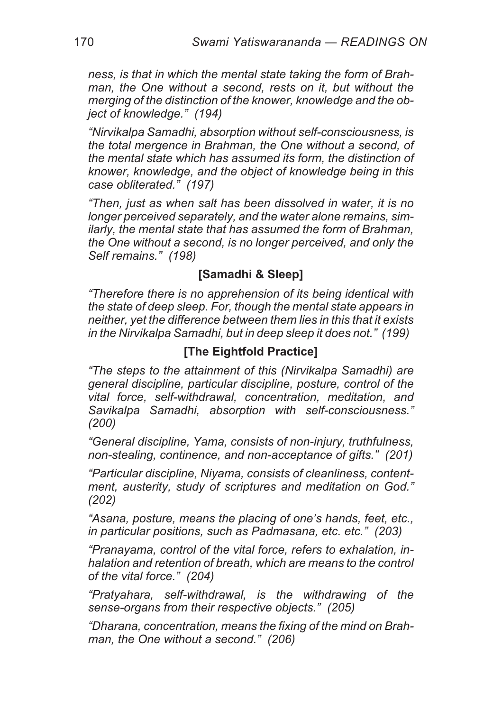*ness, is that in which the mental state taking the form of Brahman, the One without a second, rests on it, but without the merging of the distinction of the knower, knowledge and the object of knowledge." (194)*

*"Nirvikalpa Samadhi, absorption without self-consciousness, is the total mergence in Brahman, the One without a second, of the mental state which has assumed its form, the distinction of knower, knowledge, and the object of knowledge being in this case obliterated." (197)*

*"Then, just as when salt has been dissolved in water, it is no longer perceived separately, and the water alone remains, similarly, the mental state that has assumed the form of Brahman, the One without a second, is no longer perceived, and only the Self remains." (198)*

# **[Samadhi & Sleep]**

*"Therefore there is no apprehension of its being identical with the state of deep sleep. For, though the mental state appears in neither, yet the difference between them lies in this that it exists in the Nirvikalpa Samadhi, but in deep sleep it does not." (199)*

# **[The Eightfold Practice]**

*"The steps to the attainment of this (Nirvikalpa Samadhi) are general discipline, particular discipline, posture, control of the vital force, self-withdrawal, concentration, meditation, and Savikalpa Samadhi, absorption with self-consciousness." (200)*

*"General discipline, Yama, consists of non-injury, truthfulness, non-stealing, continence, and non-acceptance of gifts." (201)*

*"Particular discipline, Niyama, consists of cleanliness, contentment, austerity, study of scriptures and meditation on God." (202)*

*"Asana, posture, means the placing of one's hands, feet, etc., in particular positions, such as Padmasana, etc. etc." (203)*

*"Pranayama, control of the vital force, refers to exhalation, inhalation and retention of breath, which are means to the control of the vital force." (204)*

*"Pratyahara, self-withdrawal, is the withdrawing of the sense-organs from their respective objects." (205)*

*"Dharana, concentration, means the fixing of the mind on Brahman, the One without a second." (206)*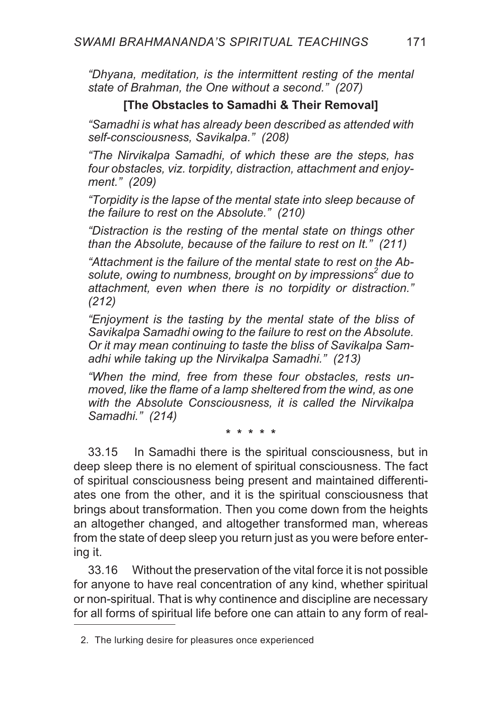*"Dhyana, meditation, is the intermittent resting of the mental state of Brahman, the One without a second." (207)*

# **[The Obstacles to Samadhi & Their Removal]**

*"Samadhi is what has already been described as attended with self-consciousness, Savikalpa." (208)*

*"The Nirvikalpa Samadhi, of which these are the steps, has four obstacles, viz. torpidity, distraction, attachment and enjoyment." (209)*

*"Torpidity is the lapse of the mental state into sleep because of the failure to rest on the Absolute." (210)*

*"Distraction is the resting of the mental state on things other than the Absolute, because of the failure to rest on It." (211)*

*"Attachment is the failure of the mental state to rest on the Absolute, owing to numbness, brought on by impressions<sup>2</sup> due to attachment, even when there is no torpidity or distraction." (212)*

*"Enjoyment is the tasting by the mental state of the bliss of Savikalpa Samadhi owing to the failure to rest on the Absolute. Or it may mean continuing to taste the bliss of Savikalpa Samadhi while taking up the Nirvikalpa Samadhi." (213)*

*"When the mind, free from these four obstacles, rests unmoved, like the flame of a lamp sheltered from the wind, as one with the Absolute Consciousness, it is called the Nirvikalpa Samadhi." (214)*

**\*\*\*\*\***

33.15 In Samadhi there is the spiritual consciousness, but in deep sleep there is no element of spiritual consciousness. The fact of spiritual consciousness being present and maintained differentiates one from the other, and it is the spiritual consciousness that brings about transformation. Then you come down from the heights an altogether changed, and altogether transformed man, whereas from the state of deep sleep you return just as you were before entering it.

33.16 Without the preservation of the vital force it is not possible for anyone to have real concentration of any kind, whether spiritual or non-spiritual. That is why continence and discipline are necessary for all forms of spiritual life before one can attain to any form of real-

<sup>2.</sup> The lurking desire for pleasures once experienced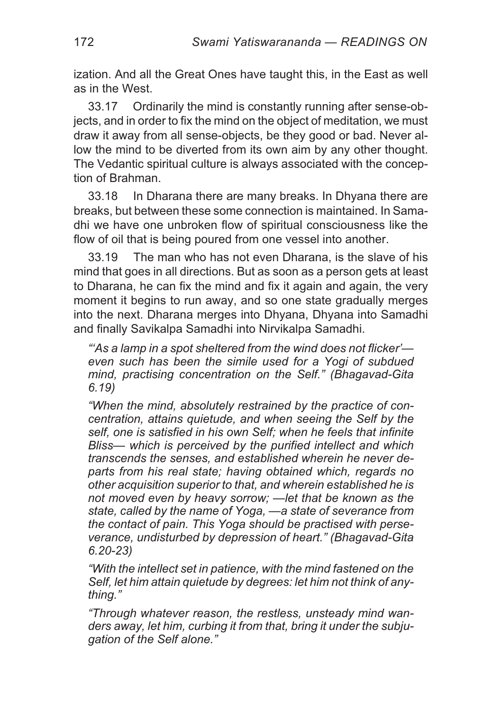ization. And all the Great Ones have taught this, in the East as well as in the West.

33.17 Ordinarily the mind is constantly running after sense-objects, and in order to fix the mind on the object of meditation, we must draw it away from all sense-objects, be they good or bad. Never allow the mind to be diverted from its own aim by any other thought. The Vedantic spiritual culture is always associated with the conception of Brahman.

33.18 In Dharana there are many breaks. In Dhyana there are breaks, but between these some connection is maintained. In Samadhi we have one unbroken flow of spiritual consciousness like the flow of oil that is being poured from one vessel into another.

33.19 The man who has not even Dharana, is the slave of his mind that goes in all directions. But as soon as a person gets at least to Dharana, he can fix the mind and fix it again and again, the very moment it begins to run away, and so one state gradually merges into the next. Dharana merges into Dhyana, Dhyana into Samadhi and finally Savikalpa Samadhi into Nirvikalpa Samadhi.

*"'As a lamp in a spot sheltered from the wind does not flicker' even such has been the simile used for a Yogi of subdued mind, practising concentration on the Self." (Bhagavad-Gita 6.19)*

*"When the mind, absolutely restrained by the practice of concentration, attains quietude, and when seeing the Self by the self, one is satisfied in his own Self; when he feels that infinite Bliss— which is perceived by the purified intellect and which transcends the senses, and established wherein he never departs from his real state; having obtained which, regards no other acquisition superior to that, and wherein established he is not moved even by heavy sorrow; —let that be known as the state, called by the name of Yoga, —a state of severance from the contact of pain. This Yoga should be practised with perseverance, undisturbed by depression of heart." (Bhagavad-Gita 6.20-23)*

*"With the intellect set in patience, with the mind fastened on the Self, let him attain quietude by degrees: let him not think of anything."*

*"Through whatever reason, the restless, unsteady mind wanders away, let him, curbing it from that, bring it under the subjugation of the Self alone."*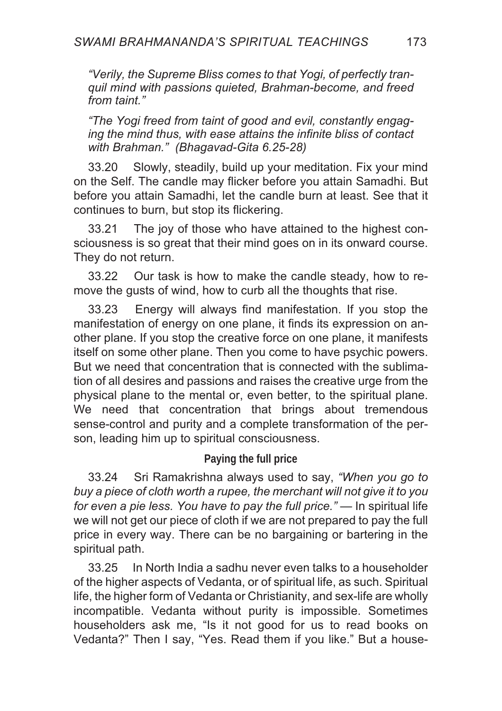*"Verily, the Supreme Bliss comes to that Yogi, of perfectly tranquil mind with passions quieted, Brahman-become, and freed from taint."*

*"The Yogi freed from taint of good and evil, constantly engaging the mind thus, with ease attains the infinite bliss of contact with Brahman." (Bhagavad-Gita 6.25-28)*

33.20 Slowly, steadily, build up your meditation. Fix your mind on the Self. The candle may flicker before you attain Samadhi. But before you attain Samadhi, let the candle burn at least. See that it continues to burn, but stop its flickering.

33.21 The joy of those who have attained to the highest consciousness is so great that their mind goes on in its onward course. They do not return.

33.22 Our task is how to make the candle steady, how to remove the gusts of wind, how to curb all the thoughts that rise.

33.23 Energy will always find manifestation. If you stop the manifestation of energy on one plane, it finds its expression on another plane. If you stop the creative force on one plane, it manifests itself on some other plane. Then you come to have psychic powers. But we need that concentration that is connected with the sublimation of all desires and passions and raises the creative urge from the physical plane to the mental or, even better, to the spiritual plane. We need that concentration that brings about tremendous sense-control and purity and a complete transformation of the person, leading him up to spiritual consciousness.

# **Paying the full price**

33.24 Sri Ramakrishna always used to say, *"When you go to buy a piece of cloth worth a rupee, the merchant will not give it to you for even a pie less. You have to pay the full price."* — In spiritual life we will not get our piece of cloth if we are not prepared to pay the full price in every way. There can be no bargaining or bartering in the spiritual path.

33.25 In North India a sadhu never even talks to a householder of the higher aspects of Vedanta, or of spiritual life, as such. Spiritual life, the higher form of Vedanta or Christianity, and sex-life are wholly incompatible. Vedanta without purity is impossible. Sometimes householders ask me, "Is it not good for us to read books on Vedanta?" Then I say, "Yes. Read them if you like." But a house-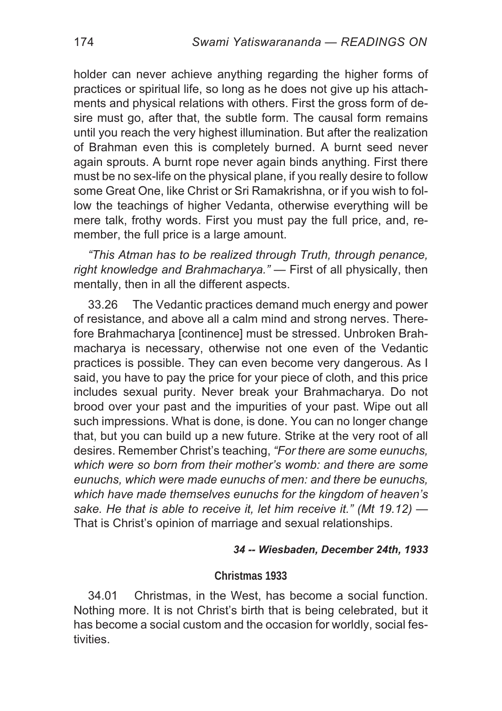holder can never achieve anything regarding the higher forms of practices or spiritual life, so long as he does not give up his attachments and physical relations with others. First the gross form of desire must go, after that, the subtle form. The causal form remains until you reach the very highest illumination. But after the realization of Brahman even this is completely burned. A burnt seed never again sprouts. A burnt rope never again binds anything. First there must be no sex-life on the physical plane, if you really desire to follow some Great One, like Christ or Sri Ramakrishna, or if you wish to follow the teachings of higher Vedanta, otherwise everything will be mere talk, frothy words. First you must pay the full price, and, remember, the full price is a large amount.

*"This Atman has to be realized through Truth, through penance, right knowledge and Brahmacharya."* — First of all physically, then mentally, then in all the different aspects.

33.26 The Vedantic practices demand much energy and power of resistance, and above all a calm mind and strong nerves. Therefore Brahmacharya [continence] must be stressed. Unbroken Brahmacharya is necessary, otherwise not one even of the Vedantic practices is possible. They can even become very dangerous. As I said, you have to pay the price for your piece of cloth, and this price includes sexual purity. Never break your Brahmacharya. Do not brood over your past and the impurities of your past. Wipe out all such impressions. What is done, is done. You can no longer change that, but you can build up a new future. Strike at the very root of all desires. Remember Christ's teaching, *"For there are some eunuchs, which were so born from their mother's womb: and there are some eunuchs, which were made eunuchs of men: and there be eunuchs, which have made themselves eunuchs for the kingdom of heaven's sake. He that is able to receive it, let him receive it." (Mt 19.12) —* That is Christ's opinion of marriage and sexual relationships.

### *34 -- Wiesbaden, December 24th, 1933*

## **Christmas 1933**

34.01 Christmas, in the West, has become a social function. Nothing more. It is not Christ's birth that is being celebrated, but it has become a social custom and the occasion for worldly, social festivities.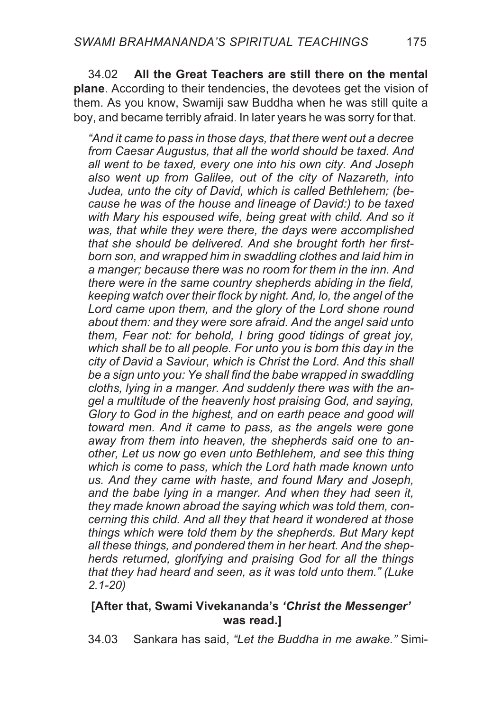34.02 **All the Great Teachers are still there on the mental plane**. According to their tendencies, the devotees get the vision of them. As you know, Swamiji saw Buddha when he was still quite a boy, and became terribly afraid. In later years he was sorry for that.

*"And it came to pass in those days, that there went out a decree from Caesar Augustus, that all the world should be taxed. And all went to be taxed, every one into his own city. And Joseph also went up from Galilee, out of the city of Nazareth, into Judea, unto the city of David, which is called Bethlehem; (because he was of the house and lineage of David:) to be taxed with Mary his espoused wife, being great with child. And so it was, that while they were there, the days were accomplished that she should be delivered. And she brought forth her firstborn son, and wrapped him in swaddling clothes and laid him in a manger; because there was no room for them in the inn. And there were in the same country shepherds abiding in the field, keeping watch over their flock by night. And, lo, the angel of the Lord came upon them, and the glory of the Lord shone round about them: and they were sore afraid. And the angel said unto them, Fear not: for behold, I bring good tidings of great joy, which shall be to all people. For unto you is born this day in the city of David a Saviour, which is Christ the Lord. And this shall be a sign unto you: Ye shall find the babe wrapped in swaddling cloths, lying in a manger. And suddenly there was with the angel a multitude of the heavenly host praising God, and saying, Glory to God in the highest, and on earth peace and good will toward men. And it came to pass, as the angels were gone away from them into heaven, the shepherds said one to another, Let us now go even unto Bethlehem, and see this thing which is come to pass, which the Lord hath made known unto us. And they came with haste, and found Mary and Joseph, and the babe lying in a manger. And when they had seen it, they made known abroad the saying which was told them, concerning this child. And all they that heard it wondered at those things which were told them by the shepherds. But Mary kept all these things, and pondered them in her heart. And the shepherds returned, glorifying and praising God for all the things that they had heard and seen, as it was told unto them." (Luke 2.1-20)*

# **[After that, Swami Vivekananda's** *'Christ the Messenger'* **was read.]**

34.03 Sankara has said, *"Let the Buddha in me awake."* Simi-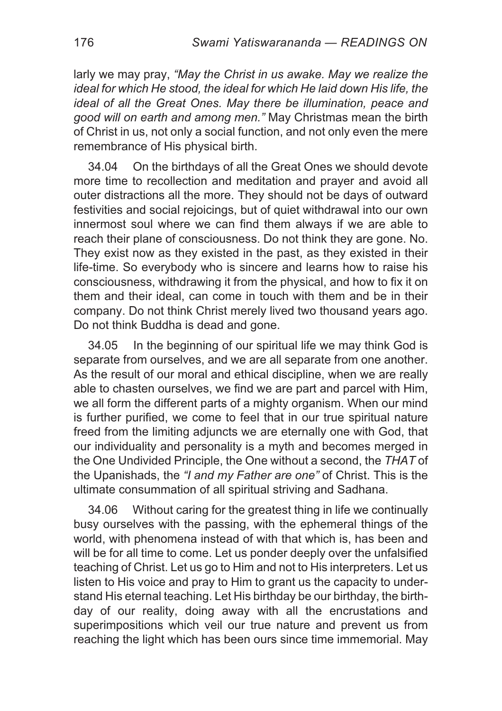larly we may pray, *"May the Christ in us awake. May we realize the ideal for which He stood, the ideal for which He laid down His life, the ideal of all the Great Ones. May there be illumination, peace and good will on earth and among men."* May Christmas mean the birth of Christ in us, not only a social function, and not only even the mere remembrance of His physical birth.

34.04 On the birthdays of all the Great Ones we should devote more time to recollection and meditation and prayer and avoid all outer distractions all the more. They should not be days of outward festivities and social rejoicings, but of quiet withdrawal into our own innermost soul where we can find them always if we are able to reach their plane of consciousness. Do not think they are gone. No. They exist now as they existed in the past, as they existed in their life-time. So everybody who is sincere and learns how to raise his consciousness, withdrawing it from the physical, and how to fix it on them and their ideal, can come in touch with them and be in their company. Do not think Christ merely lived two thousand years ago. Do not think Buddha is dead and gone.

34.05 In the beginning of our spiritual life we may think God is separate from ourselves, and we are all separate from one another. As the result of our moral and ethical discipline, when we are really able to chasten ourselves, we find we are part and parcel with Him, we all form the different parts of a mighty organism. When our mind is further purified, we come to feel that in our true spiritual nature freed from the limiting adjuncts we are eternally one with God, that our individuality and personality is a myth and becomes merged in the One Undivided Principle, the One without a second, the *THAT* of the Upanishads, the *"I and my Father are one"* of Christ. This is the ultimate consummation of all spiritual striving and Sadhana.

34.06 Without caring for the greatest thing in life we continually busy ourselves with the passing, with the ephemeral things of the world, with phenomena instead of with that which is, has been and will be for all time to come. Let us ponder deeply over the unfalsified teaching of Christ. Let us go to Him and not to His interpreters. Let us listen to His voice and pray to Him to grant us the capacity to understand His eternal teaching. Let His birthday be our birthday, the birthday of our reality, doing away with all the encrustations and superimpositions which veil our true nature and prevent us from reaching the light which has been ours since time immemorial. May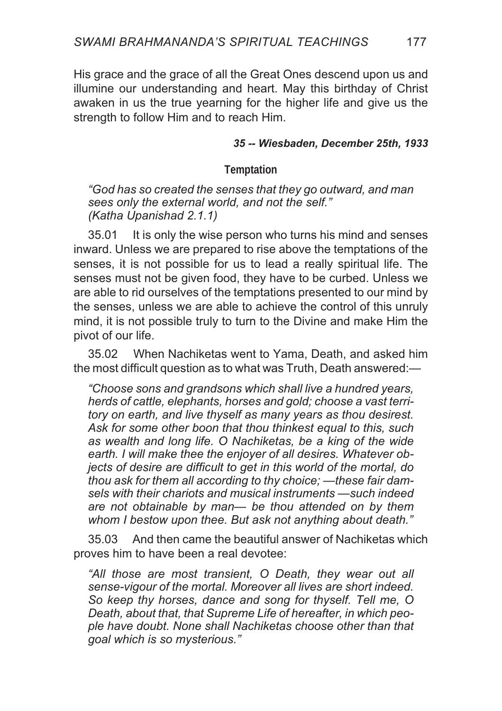His grace and the grace of all the Great Ones descend upon us and illumine our understanding and heart. May this birthday of Christ awaken in us the true yearning for the higher life and give us the strength to follow Him and to reach Him.

### *35 -- Wiesbaden, December 25th, 1933*

**Temptation**

*"God has so created the senses that they go outward, and man sees only the external world, and not the self." (Katha Upanishad 2.1.1)*

35.01 It is only the wise person who turns his mind and senses inward. Unless we are prepared to rise above the temptations of the senses, it is not possible for us to lead a really spiritual life. The senses must not be given food, they have to be curbed. Unless we are able to rid ourselves of the temptations presented to our mind by the senses, unless we are able to achieve the control of this unruly mind, it is not possible truly to turn to the Divine and make Him the pivot of our life.

35.02 When Nachiketas went to Yama, Death, and asked him the most difficult question as to what was Truth, Death answered:—

*"Choose sons and grandsons which shall live a hundred years, herds of cattle, elephants, horses and gold; choose a vast territory on earth, and live thyself as many years as thou desirest. Ask for some other boon that thou thinkest equal to this, such as wealth and long life. O Nachiketas, be a king of the wide earth. I will make thee the enjoyer of all desires. Whatever objects of desire are difficult to get in this world of the mortal, do thou ask for them all according to thy choice; —these fair damsels with their chariots and musical instruments —such indeed are not obtainable by man— be thou attended on by them whom I bestow upon thee. But ask not anything about death."*

35.03 And then came the beautiful answer of Nachiketas which proves him to have been a real devotee:

*"All those are most transient, O Death, they wear out all sense-vigour of the mortal. Moreover all lives are short indeed. So keep thy horses, dance and song for thyself. Tell me, O Death, about that, that Supreme Life of hereafter, in which people have doubt. None shall Nachiketas choose other than that goal which is so mysterious."*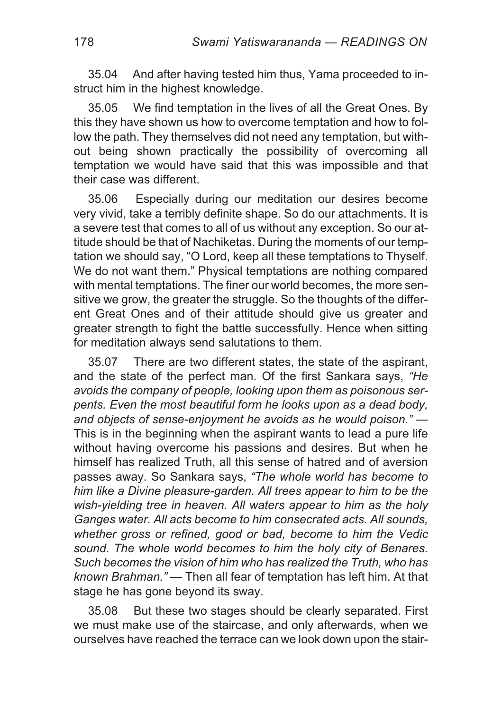35.04 And after having tested him thus, Yama proceeded to instruct him in the highest knowledge.

35.05 We find temptation in the lives of all the Great Ones. By this they have shown us how to overcome temptation and how to follow the path. They themselves did not need any temptation, but without being shown practically the possibility of overcoming all temptation we would have said that this was impossible and that their case was different.

35.06 Especially during our meditation our desires become very vivid, take a terribly definite shape. So do our attachments. It is a severe test that comes to all of us without any exception. So our attitude should be that of Nachiketas. During the moments of our temptation we should say, "O Lord, keep all these temptations to Thyself. We do not want them." Physical temptations are nothing compared with mental temptations. The finer our world becomes, the more sensitive we grow, the greater the struggle. So the thoughts of the different Great Ones and of their attitude should give us greater and greater strength to fight the battle successfully. Hence when sitting for meditation always send salutations to them.

35.07 There are two different states, the state of the aspirant, and the state of the perfect man. Of the first Sankara says, *"He avoids the company of people, looking upon them as poisonous serpents. Even the most beautiful form he looks upon as a dead body, and objects of sense-enjoyment he avoids as he would poison."* — This is in the beginning when the aspirant wants to lead a pure life without having overcome his passions and desires. But when he himself has realized Truth, all this sense of hatred and of aversion passes away. So Sankara says, *"The whole world has become to him like a Divine pleasure-garden. All trees appear to him to be the wish-yielding tree in heaven. All waters appear to him as the holy Ganges water. All acts become to him consecrated acts. All sounds, whether gross or refined, good or bad, become to him the Vedic sound. The whole world becomes to him the holy city of Benares. Such becomes the vision of him who has realized the Truth, who has known Brahman."* — Then all fear of temptation has left him. At that stage he has gone beyond its sway.

35.08 But these two stages should be clearly separated. First we must make use of the staircase, and only afterwards, when we ourselves have reached the terrace can we look down upon the stair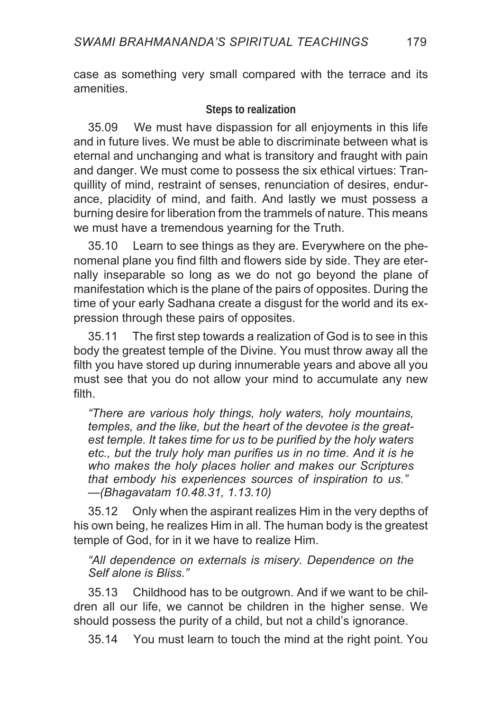case as something very small compared with the terrace and its amenities.

## **Steps to realization**

35.09 We must have dispassion for all enjoyments in this life and in future lives. We must be able to discriminate between what is eternal and unchanging and what is transitory and fraught with pain and danger. We must come to possess the six ethical virtues: Tranquillity of mind, restraint of senses, renunciation of desires, endurance, placidity of mind, and faith. And lastly we must possess a burning desire for liberation from the trammels of nature. This means we must have a tremendous yearning for the Truth.

35.10 Learn to see things as they are. Everywhere on the phenomenal plane you find filth and flowers side by side. They are eternally inseparable so long as we do not go beyond the plane of manifestation which is the plane of the pairs of opposites. During the time of your early Sadhana create a disgust for the world and its expression through these pairs of opposites.

35.11 The first step towards a realization of God is to see in this body the greatest temple of the Divine. You must throw away all the filth you have stored up during innumerable years and above all you must see that you do not allow your mind to accumulate any new filth.

*"There are various holy things, holy waters, holy mountains, temples, and the like, but the heart of the devotee is the greatest temple. It takes time for us to be purified by the holy waters etc., but the truly holy man purifies us in no time. And it is he who makes the holy places holier and makes our Scriptures that embody his experiences sources of inspiration to us." —(Bhagavatam 10.48.31, 1.13.10)*

35.12 Only when the aspirant realizes Him in the very depths of his own being, he realizes Him in all. The human body is the greatest temple of God, for in it we have to realize Him.

*"All dependence on externals is misery. Dependence on the Self alone is Bliss."*

35.13 Childhood has to be outgrown. And if we want to be children all our life, we cannot be children in the higher sense. We should possess the purity of a child, but not a child's ignorance.

35.14 You must learn to touch the mind at the right point. You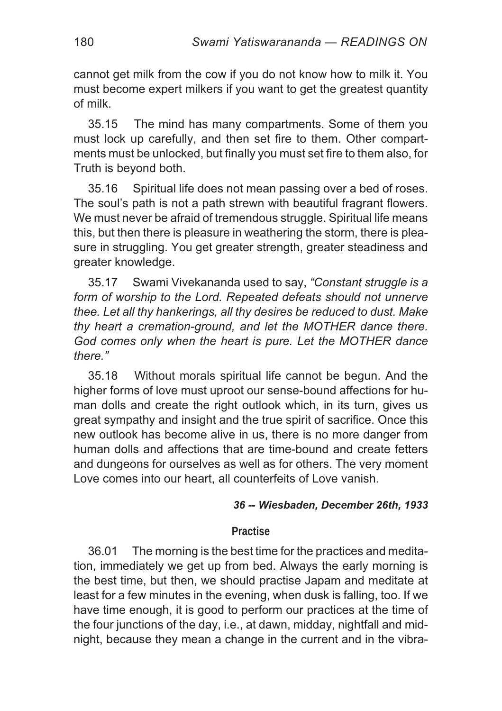cannot get milk from the cow if you do not know how to milk it. You must become expert milkers if you want to get the greatest quantity of milk.

35.15 The mind has many compartments. Some of them you must lock up carefully, and then set fire to them. Other compartments must be unlocked, but finally you must set fire to them also, for Truth is beyond both.

35.16 Spiritual life does not mean passing over a bed of roses. The soul's path is not a path strewn with beautiful fragrant flowers. We must never be afraid of tremendous struggle. Spiritual life means this, but then there is pleasure in weathering the storm, there is pleasure in struggling. You get greater strength, greater steadiness and greater knowledge.

35.17 Swami Vivekananda used to say, *"Constant struggle is a form of worship to the Lord. Repeated defeats should not unnerve thee. Let all thy hankerings, all thy desires be reduced to dust. Make thy heart a cremation-ground, and let the MOTHER dance there. God comes only when the heart is pure. Let the MOTHER dance there."*

35.18 Without morals spiritual life cannot be begun. And the higher forms of love must uproot our sense-bound affections for human dolls and create the right outlook which, in its turn, gives us great sympathy and insight and the true spirit of sacrifice. Once this new outlook has become alive in us, there is no more danger from human dolls and affections that are time-bound and create fetters and dungeons for ourselves as well as for others. The very moment Love comes into our heart, all counterfeits of Love vanish.

### *36 -- Wiesbaden, December 26th, 1933*

### **Practise**

36.01 The morning is the best time for the practices and meditation, immediately we get up from bed. Always the early morning is the best time, but then, we should practise Japam and meditate at least for a few minutes in the evening, when dusk is falling, too. If we have time enough, it is good to perform our practices at the time of the four junctions of the day, i.e., at dawn, midday, nightfall and midnight, because they mean a change in the current and in the vibra-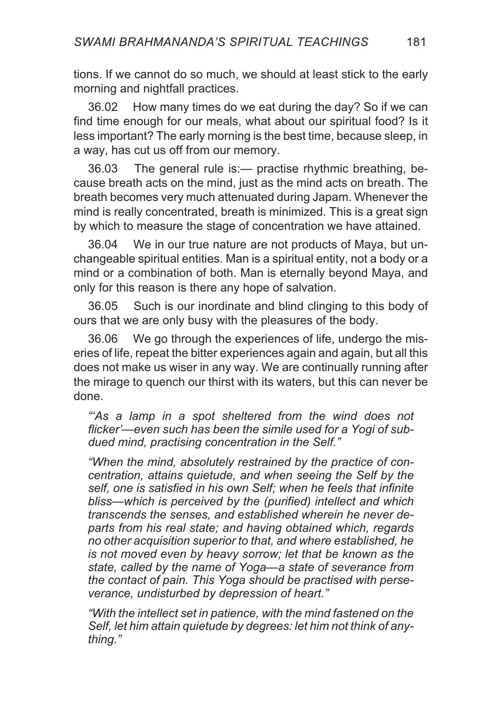tions. If we cannot do so much, we should at least stick to the early morning and nightfall practices.

36.02 How many times do we eat during the day? So if we can find time enough for our meals, what about our spiritual food? Is it less important? The early morning is the best time, because sleep, in a way, has cut us off from our memory.

36.03 The general rule is:— practise rhythmic breathing, because breath acts on the mind, just as the mind acts on breath. The breath becomes very much attenuated during Japam. Whenever the mind is really concentrated, breath is minimized. This is a great sign by which to measure the stage of concentration we have attained.

36.04 We in our true nature are not products of Maya, but unchangeable spiritual entities. Man is a spiritual entity, not a body or a mind or a combination of both. Man is eternally beyond Maya, and only for this reason is there any hope of salvation.

36.05 Such is our inordinate and blind clinging to this body of ours that we are only busy with the pleasures of the body.

36.06 We go through the experiences of life, undergo the miseries of life, repeat the bitter experiences again and again, but all this does not make us wiser in any way. We are continually running after the mirage to quench our thirst with its waters, but this can never be done.

*"'As a lamp in a spot sheltered from the wind does not flicker'—even such has been the simile used for a Yogi of subdued mind, practising concentration in the Self."*

*"When the mind, absolutely restrained by the practice of concentration, attains quietude, and when seeing the Self by the self, one is satisfied in his own Self; when he feels that infinite bliss—which is perceived by the (purified) intellect and which transcends the senses, and established wherein he never departs from his real state; and having obtained which, regards no other acquisition superior to that, and where established, he is not moved even by heavy sorrow; let that be known as the state, called by the name of Yoga—a state of severance from the contact of pain. This Yoga should be practised with perseverance, undisturbed by depression of heart."*

*"With the intellect set in patience, with the mind fastened on the Self, let him attain quietude by degrees: let him not think of anything."*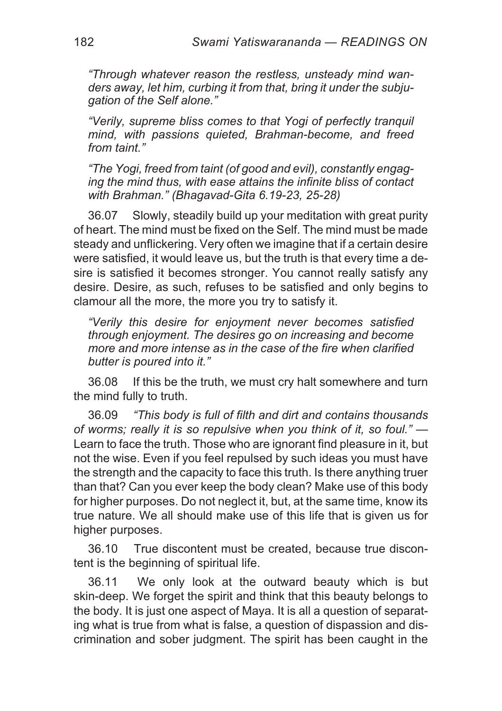*"Through whatever reason the restless, unsteady mind wanders away, let him, curbing it from that, bring it under the subjugation of the Self alone."*

*"Verily, supreme bliss comes to that Yogi of perfectly tranquil mind, with passions quieted, Brahman-become, and freed from taint."*

*"The Yogi, freed from taint (of good and evil), constantly engaging the mind thus, with ease attains the infinite bliss of contact with Brahman." (Bhagavad-Gita 6.19-23, 25-28)*

36.07 Slowly, steadily build up your meditation with great purity of heart. The mind must be fixed on the Self. The mind must be made steady and unflickering. Very often we imagine that if a certain desire were satisfied, it would leave us, but the truth is that every time a desire is satisfied it becomes stronger. You cannot really satisfy any desire. Desire, as such, refuses to be satisfied and only begins to clamour all the more, the more you try to satisfy it.

*"Verily this desire for enjoyment never becomes satisfied through enjoyment. The desires go on increasing and become more and more intense as in the case of the fire when clarified butter is poured into it."*

36.08 If this be the truth, we must cry halt somewhere and turn the mind fully to truth.

36.09 *"This body is full of filth and dirt and contains thousands of worms; really it is so repulsive when you think of it, so foul."* — Learn to face the truth. Those who are ignorant find pleasure in it, but not the wise. Even if you feel repulsed by such ideas you must have the strength and the capacity to face this truth. Is there anything truer than that? Can you ever keep the body clean? Make use of this body for higher purposes. Do not neglect it, but, at the same time, know its true nature. We all should make use of this life that is given us for higher purposes.

36.10 True discontent must be created, because true discontent is the beginning of spiritual life.

36.11 We only look at the outward beauty which is but skin-deep. We forget the spirit and think that this beauty belongs to the body. It is just one aspect of Maya. It is all a question of separating what is true from what is false, a question of dispassion and discrimination and sober judgment. The spirit has been caught in the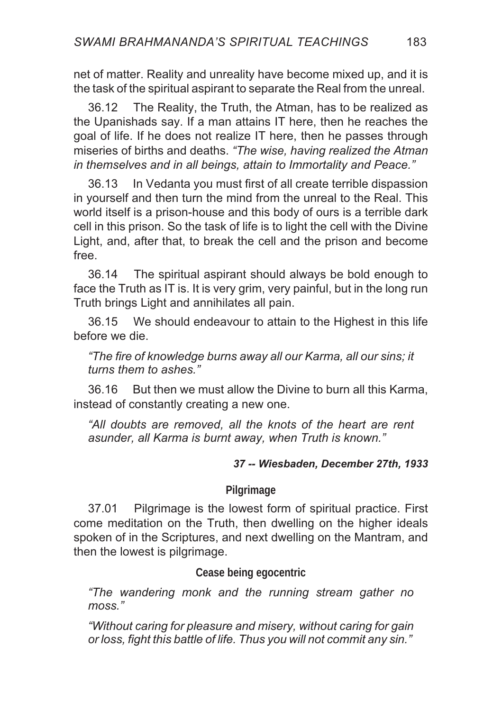net of matter. Reality and unreality have become mixed up, and it is the task of the spiritual aspirant to separate the Real from the unreal.

36.12 The Reality, the Truth, the Atman, has to be realized as the Upanishads say. If a man attains IT here, then he reaches the goal of life. If he does not realize IT here, then he passes through miseries of births and deaths. *"The wise, having realized the Atman in themselves and in all beings, attain to Immortality and Peace."*

36.13 In Vedanta you must first of all create terrible dispassion in yourself and then turn the mind from the unreal to the Real. This world itself is a prison-house and this body of ours is a terrible dark cell in this prison. So the task of life is to light the cell with the Divine Light, and, after that, to break the cell and the prison and become free.

36.14 The spiritual aspirant should always be bold enough to face the Truth as IT is. It is very grim, very painful, but in the long run Truth brings Light and annihilates all pain.

36.15 We should endeavour to attain to the Highest in this life before we die.

*"The fire of knowledge burns away all our Karma, all our sins; it turns them to ashes."*

36.16 But then we must allow the Divine to burn all this Karma, instead of constantly creating a new one.

*"All doubts are removed, all the knots of the heart are rent asunder, all Karma is burnt away, when Truth is known."*

#### *37 -- Wiesbaden, December 27th, 1933*

#### **Pilgrimage**

37.01 Pilgrimage is the lowest form of spiritual practice. First come meditation on the Truth, then dwelling on the higher ideals spoken of in the Scriptures, and next dwelling on the Mantram, and then the lowest is pilgrimage.

**Cease being egocentric**

*"The wandering monk and the running stream gather no moss."*

*"Without caring for pleasure and misery, without caring for gain or loss, fight this battle of life. Thus you will not commit any sin."*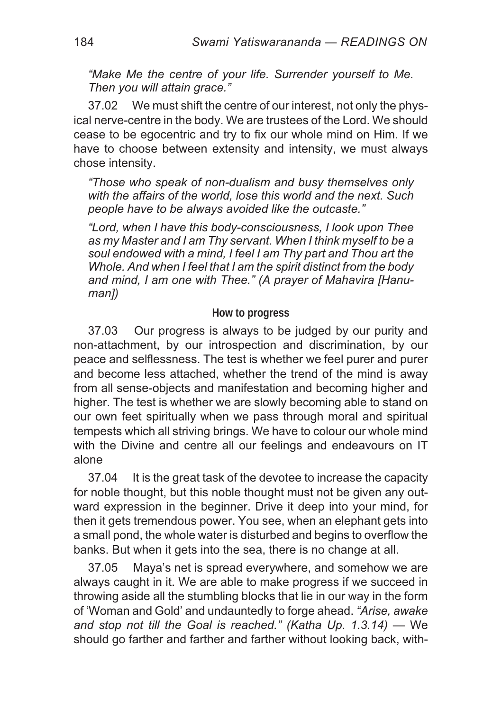*"Make Me the centre of your life. Surrender yourself to Me. Then you will attain grace."*

37.02 We must shift the centre of our interest, not only the physical nerve-centre in the body. We are trustees of the Lord. We should cease to be egocentric and try to fix our whole mind on Him. If we have to choose between extensity and intensity, we must always chose intensity.

*"Those who speak of non-dualism and busy themselves only with the affairs of the world, lose this world and the next. Such people have to be always avoided like the outcaste."*

*"Lord, when I have this body-consciousness, I look upon Thee as my Master and I am Thy servant. When I think myself to be a soul endowed with a mind, I feel I am Thy part and Thou art the Whole. And when I feel that I am the spirit distinct from the body and mind, I am one with Thee." (A prayer of Mahavira [Hanuman])*

## **How to progress**

37.03 Our progress is always to be judged by our purity and non-attachment, by our introspection and discrimination, by our peace and selflessness. The test is whether we feel purer and purer and become less attached, whether the trend of the mind is away from all sense-objects and manifestation and becoming higher and higher. The test is whether we are slowly becoming able to stand on our own feet spiritually when we pass through moral and spiritual tempests which all striving brings. We have to colour our whole mind with the Divine and centre all our feelings and endeavours on IT alone

37.04 It is the great task of the devotee to increase the capacity for noble thought, but this noble thought must not be given any outward expression in the beginner. Drive it deep into your mind, for then it gets tremendous power. You see, when an elephant gets into a small pond, the whole water is disturbed and begins to overflow the banks. But when it gets into the sea, there is no change at all.

37.05 Maya's net is spread everywhere, and somehow we are always caught in it. We are able to make progress if we succeed in throwing aside all the stumbling blocks that lie in our way in the form of 'Woman and Gold' and undauntedly to forge ahead. *"Arise, awake and stop not till the Goal is reached." (Katha Up. 1.3.14)* — We should go farther and farther and farther without looking back, with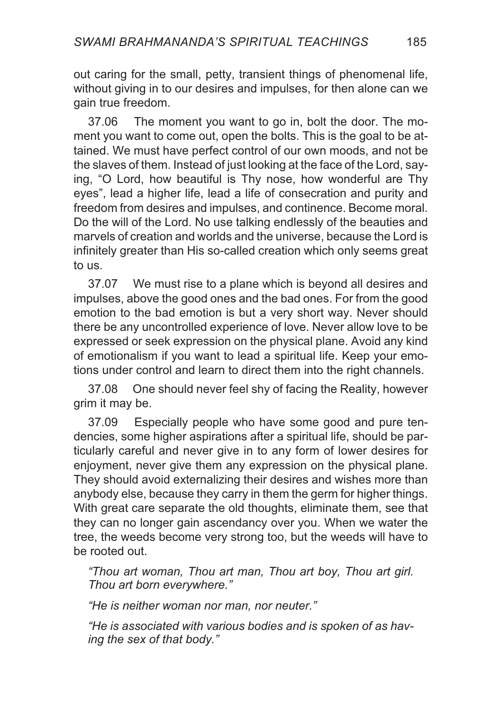out caring for the small, petty, transient things of phenomenal life, without giving in to our desires and impulses, for then alone can we gain true freedom.

37.06 The moment you want to go in, bolt the door. The moment you want to come out, open the bolts. This is the goal to be attained. We must have perfect control of our own moods, and not be the slaves of them. Instead of just looking at the face of the Lord, saying, "O Lord, how beautiful is Thy nose, how wonderful are Thy eyes", lead a higher life, lead a life of consecration and purity and freedom from desires and impulses, and continence. Become moral. Do the will of the Lord. No use talking endlessly of the beauties and marvels of creation and worlds and the universe, because the Lord is infinitely greater than His so-called creation which only seems great to us.

37.07 We must rise to a plane which is beyond all desires and impulses, above the good ones and the bad ones. For from the good emotion to the bad emotion is but a very short way. Never should there be any uncontrolled experience of love. Never allow love to be expressed or seek expression on the physical plane. Avoid any kind of emotionalism if you want to lead a spiritual life. Keep your emotions under control and learn to direct them into the right channels.

37.08 One should never feel shy of facing the Reality, however grim it may be.

37.09 Especially people who have some good and pure tendencies, some higher aspirations after a spiritual life, should be particularly careful and never give in to any form of lower desires for enjoyment, never give them any expression on the physical plane. They should avoid externalizing their desires and wishes more than anybody else, because they carry in them the germ for higher things. With great care separate the old thoughts, eliminate them, see that they can no longer gain ascendancy over you. When we water the tree, the weeds become very strong too, but the weeds will have to be rooted out.

*"Thou art woman, Thou art man, Thou art boy, Thou art girl. Thou art born everywhere."*

*"He is neither woman nor man, nor neuter."*

*"He is associated with various bodies and is spoken of as having the sex of that body."*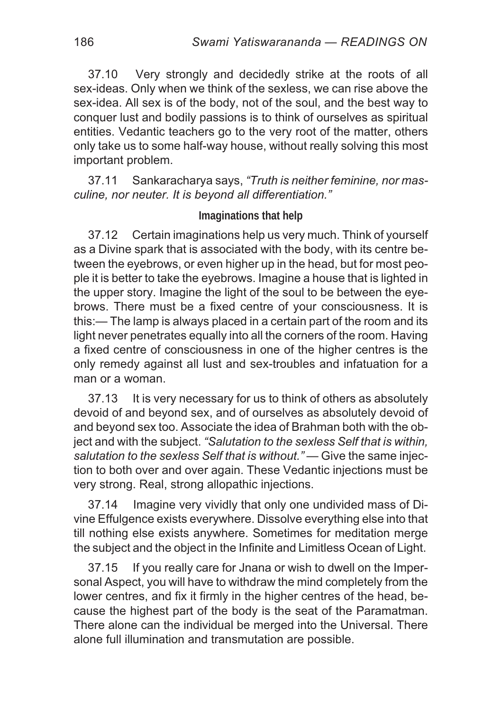37.10 Very strongly and decidedly strike at the roots of all sex-ideas. Only when we think of the sexless, we can rise above the sex-idea. All sex is of the body, not of the soul, and the best way to conquer lust and bodily passions is to think of ourselves as spiritual entities. Vedantic teachers go to the very root of the matter, others only take us to some half-way house, without really solving this most important problem.

37.11 Sankaracharya says, *"Truth is neither feminine, nor masculine, nor neuter. It is beyond all differentiation."*

## **Imaginations that help**

37.12 Certain imaginations help us very much. Think of yourself as a Divine spark that is associated with the body, with its centre between the eyebrows, or even higher up in the head, but for most people it is better to take the eyebrows. Imagine a house that is lighted in the upper story. Imagine the light of the soul to be between the eyebrows. There must be a fixed centre of your consciousness. It is this:— The lamp is always placed in a certain part of the room and its light never penetrates equally into all the corners of the room. Having a fixed centre of consciousness in one of the higher centres is the only remedy against all lust and sex-troubles and infatuation for a man or a woman.

37.13 It is very necessary for us to think of others as absolutely devoid of and beyond sex, and of ourselves as absolutely devoid of and beyond sex too. Associate the idea of Brahman both with the object and with the subject. *"Salutation to the sexless Self that is within, salutation to the sexless Self that is without."* — Give the same injection to both over and over again. These Vedantic injections must be very strong. Real, strong allopathic injections.

37.14 Imagine very vividly that only one undivided mass of Divine Effulgence exists everywhere. Dissolve everything else into that till nothing else exists anywhere. Sometimes for meditation merge the subject and the object in the Infinite and Limitless Ocean of Light.

37.15 If you really care for Jnana or wish to dwell on the Impersonal Aspect, you will have to withdraw the mind completely from the lower centres, and fix it firmly in the higher centres of the head, because the highest part of the body is the seat of the Paramatman. There alone can the individual be merged into the Universal. There alone full illumination and transmutation are possible.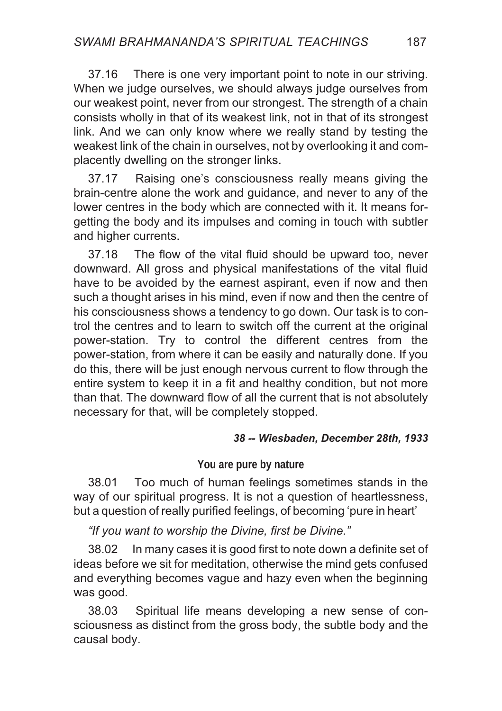37.16 There is one very important point to note in our striving. When we judge ourselves, we should always judge ourselves from our weakest point, never from our strongest. The strength of a chain consists wholly in that of its weakest link, not in that of its strongest link. And we can only know where we really stand by testing the weakest link of the chain in ourselves, not by overlooking it and complacently dwelling on the stronger links.

37.17 Raising one's consciousness really means giving the brain-centre alone the work and guidance, and never to any of the lower centres in the body which are connected with it. It means forgetting the body and its impulses and coming in touch with subtler and higher currents.

37.18 The flow of the vital fluid should be upward too, never downward. All gross and physical manifestations of the vital fluid have to be avoided by the earnest aspirant, even if now and then such a thought arises in his mind, even if now and then the centre of his consciousness shows a tendency to go down. Our task is to control the centres and to learn to switch off the current at the original power-station. Try to control the different centres from the power-station, from where it can be easily and naturally done. If you do this, there will be just enough nervous current to flow through the entire system to keep it in a fit and healthy condition, but not more than that. The downward flow of all the current that is not absolutely necessary for that, will be completely stopped.

#### *38 -- Wiesbaden, December 28th, 1933*

#### **You are pure by nature**

38.01 Too much of human feelings sometimes stands in the way of our spiritual progress. It is not a question of heartlessness, but a question of really purified feelings, of becoming 'pure in heart'

*"If you want to worship the Divine, first be Divine."*

38.02 In many cases it is good first to note down a definite set of ideas before we sit for meditation, otherwise the mind gets confused and everything becomes vague and hazy even when the beginning was good.

38.03 Spiritual life means developing a new sense of consciousness as distinct from the gross body, the subtle body and the causal body.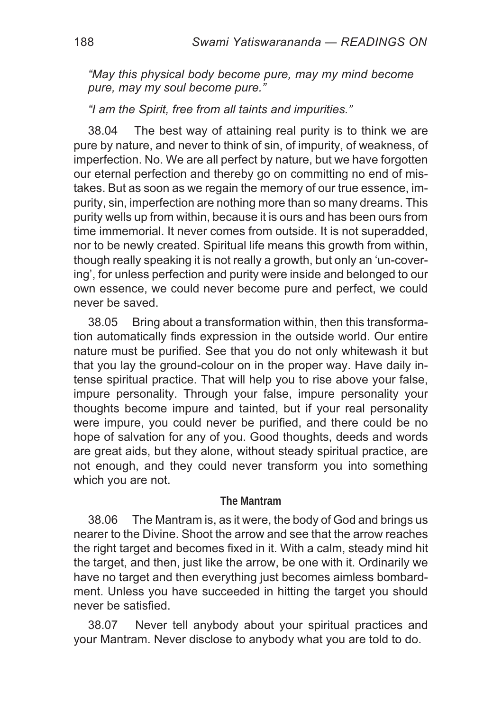*"May this physical body become pure, may my mind become pure, may my soul become pure."*

*"I am the Spirit, free from all taints and impurities."*

38.04 The best way of attaining real purity is to think we are pure by nature, and never to think of sin, of impurity, of weakness, of imperfection. No. We are all perfect by nature, but we have forgotten our eternal perfection and thereby go on committing no end of mistakes. But as soon as we regain the memory of our true essence, impurity, sin, imperfection are nothing more than so many dreams. This purity wells up from within, because it is ours and has been ours from time immemorial. It never comes from outside. It is not superadded, nor to be newly created. Spiritual life means this growth from within, though really speaking it is not really a growth, but only an 'un-covering', for unless perfection and purity were inside and belonged to our own essence, we could never become pure and perfect, we could never be saved.

38.05 Bring about a transformation within, then this transformation automatically finds expression in the outside world. Our entire nature must be purified. See that you do not only whitewash it but that you lay the ground-colour on in the proper way. Have daily intense spiritual practice. That will help you to rise above your false, impure personality. Through your false, impure personality your thoughts become impure and tainted, but if your real personality were impure, you could never be purified, and there could be no hope of salvation for any of you. Good thoughts, deeds and words are great aids, but they alone, without steady spiritual practice, are not enough, and they could never transform you into something which you are not.

## **The Mantram**

38.06 The Mantram is, as it were, the body of God and brings us nearer to the Divine. Shoot the arrow and see that the arrow reaches the right target and becomes fixed in it. With a calm, steady mind hit the target, and then, just like the arrow, be one with it. Ordinarily we have no target and then everything just becomes aimless bombardment. Unless you have succeeded in hitting the target you should never be satisfied.

38.07 Never tell anybody about your spiritual practices and your Mantram. Never disclose to anybody what you are told to do.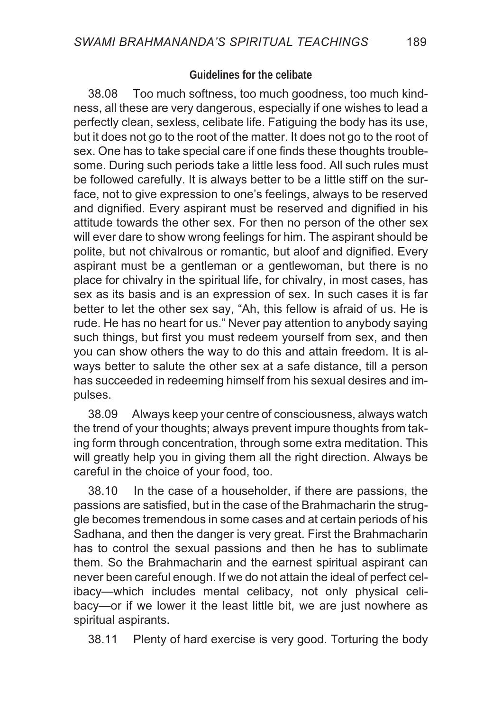#### **Guidelines for the celibate**

38.08 Too much softness, too much goodness, too much kindness, all these are very dangerous, especially if one wishes to lead a perfectly clean, sexless, celibate life. Fatiguing the body has its use, but it does not go to the root of the matter. It does not go to the root of sex. One has to take special care if one finds these thoughts troublesome. During such periods take a little less food. All such rules must be followed carefully. It is always better to be a little stiff on the surface, not to give expression to one's feelings, always to be reserved and dignified. Every aspirant must be reserved and dignified in his attitude towards the other sex. For then no person of the other sex will ever dare to show wrong feelings for him. The aspirant should be polite, but not chivalrous or romantic, but aloof and dignified. Every aspirant must be a gentleman or a gentlewoman, but there is no place for chivalry in the spiritual life, for chivalry, in most cases, has sex as its basis and is an expression of sex. In such cases it is far better to let the other sex say, "Ah, this fellow is afraid of us. He is rude. He has no heart for us." Never pay attention to anybody saying such things, but first you must redeem yourself from sex, and then you can show others the way to do this and attain freedom. It is always better to salute the other sex at a safe distance, till a person has succeeded in redeeming himself from his sexual desires and impulses.

38.09 Always keep your centre of consciousness, always watch the trend of your thoughts; always prevent impure thoughts from taking form through concentration, through some extra meditation. This will greatly help you in giving them all the right direction. Always be careful in the choice of your food, too.

38.10 In the case of a householder, if there are passions, the passions are satisfied, but in the case of the Brahmacharin the struggle becomes tremendous in some cases and at certain periods of his Sadhana, and then the danger is very great. First the Brahmacharin has to control the sexual passions and then he has to sublimate them. So the Brahmacharin and the earnest spiritual aspirant can never been careful enough. If we do not attain the ideal of perfect celibacy—which includes mental celibacy, not only physical celibacy—or if we lower it the least little bit, we are just nowhere as spiritual aspirants.

38.11 Plenty of hard exercise is very good. Torturing the body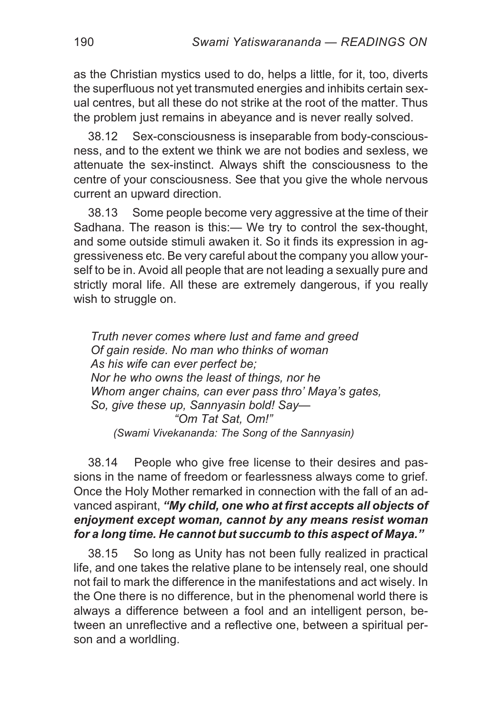as the Christian mystics used to do, helps a little, for it, too, diverts the superfluous not yet transmuted energies and inhibits certain sexual centres, but all these do not strike at the root of the matter. Thus the problem just remains in abeyance and is never really solved.

38.12 Sex-consciousness is inseparable from body-consciousness, and to the extent we think we are not bodies and sexless, we attenuate the sex-instinct. Always shift the consciousness to the centre of your consciousness. See that you give the whole nervous current an upward direction.

38.13 Some people become very aggressive at the time of their Sadhana. The reason is this:— We try to control the sex-thought, and some outside stimuli awaken it. So it finds its expression in aggressiveness etc. Be very careful about the company you allow yourself to be in. Avoid all people that are not leading a sexually pure and strictly moral life. All these are extremely dangerous, if you really wish to struggle on.

*Truth never comes where lust and fame and greed Of gain reside. No man who thinks of woman As his wife can ever perfect be; Nor he who owns the least of things, nor he Whom anger chains, can ever pass thro' Maya's gates, So, give these up, Sannyasin bold! Say— "Om Tat Sat, Om!" (Swami Vivekananda: The Song of the Sannyasin)*

38.14 People who give free license to their desires and passions in the name of freedom or fearlessness always come to grief. Once the Holy Mother remarked in connection with the fall of an advanced aspirant, *"My child, one who at first accepts all objects of enjoyment except woman, cannot by any means resist woman for a long time. He cannot but succumb to this aspect of Maya."*

38.15 So long as Unity has not been fully realized in practical life, and one takes the relative plane to be intensely real, one should not fail to mark the difference in the manifestations and act wisely. In the One there is no difference, but in the phenomenal world there is always a difference between a fool and an intelligent person, between an unreflective and a reflective one, between a spiritual person and a worldling.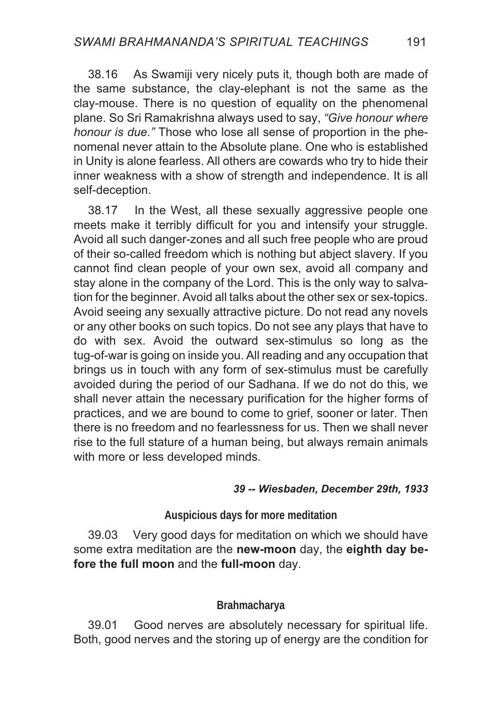38.16 As Swamiji very nicely puts it, though both are made of the same substance, the clay-elephant is not the same as the clay-mouse. There is no question of equality on the phenomenal plane. So Sri Ramakrishna always used to say, *"Give honour where honour is due."* Those who lose all sense of proportion in the phenomenal never attain to the Absolute plane. One who is established in Unity is alone fearless. All others are cowards who try to hide their inner weakness with a show of strength and independence. It is all self-deception.

38.17 In the West, all these sexually aggressive people one meets make it terribly difficult for you and intensify your struggle. Avoid all such danger-zones and all such free people who are proud of their so-called freedom which is nothing but abject slavery. If you cannot find clean people of your own sex, avoid all company and stay alone in the company of the Lord. This is the only way to salvation for the beginner. Avoid all talks about the other sex or sex-topics. Avoid seeing any sexually attractive picture. Do not read any novels or any other books on such topics. Do not see any plays that have to do with sex. Avoid the outward sex-stimulus so long as the tug-of-war is going on inside you. All reading and any occupation that brings us in touch with any form of sex-stimulus must be carefully avoided during the period of our Sadhana. If we do not do this, we shall never attain the necessary purification for the higher forms of practices, and we are bound to come to grief, sooner or later. Then there is no freedom and no fearlessness for us. Then we shall never rise to the full stature of a human being, but always remain animals with more or less developed minds.

#### *39 -- Wiesbaden, December 29th, 1933*

## **Auspicious days for more meditation**

39.03 Very good days for meditation on which we should have some extra meditation are the **new-moon** day, the **eighth day before the full moon** and the **full-moon** day.

## **Brahmacharya**

39.01 Good nerves are absolutely necessary for spiritual life. Both, good nerves and the storing up of energy are the condition for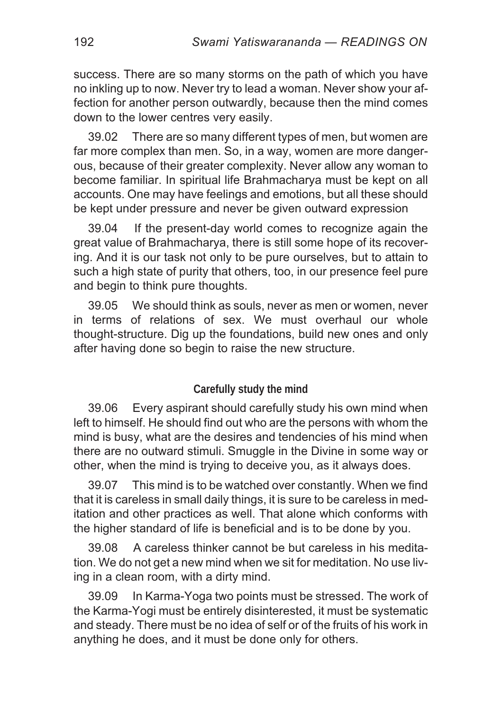success. There are so many storms on the path of which you have no inkling up to now. Never try to lead a woman. Never show your affection for another person outwardly, because then the mind comes down to the lower centres very easily.

39.02 There are so many different types of men, but women are far more complex than men. So, in a way, women are more dangerous, because of their greater complexity. Never allow any woman to become familiar. In spiritual life Brahmacharya must be kept on all accounts. One may have feelings and emotions, but all these should be kept under pressure and never be given outward expression

39.04 If the present-day world comes to recognize again the great value of Brahmacharya, there is still some hope of its recovering. And it is our task not only to be pure ourselves, but to attain to such a high state of purity that others, too, in our presence feel pure and begin to think pure thoughts.

39.05 We should think as souls, never as men or women, never in terms of relations of sex. We must overhaul our whole thought-structure. Dig up the foundations, build new ones and only after having done so begin to raise the new structure.

## **Carefully study the mind**

39.06 Every aspirant should carefully study his own mind when left to himself. He should find out who are the persons with whom the mind is busy, what are the desires and tendencies of his mind when there are no outward stimuli. Smuggle in the Divine in some way or other, when the mind is trying to deceive you, as it always does.

39.07 This mind is to be watched over constantly. When we find that it is careless in small daily things, it is sure to be careless in meditation and other practices as well. That alone which conforms with the higher standard of life is beneficial and is to be done by you.

39.08 A careless thinker cannot be but careless in his meditation. We do not get a new mind when we sit for meditation. No use living in a clean room, with a dirty mind.

39.09 In Karma-Yoga two points must be stressed. The work of the Karma-Yogi must be entirely disinterested, it must be systematic and steady. There must be no idea of self or of the fruits of his work in anything he does, and it must be done only for others.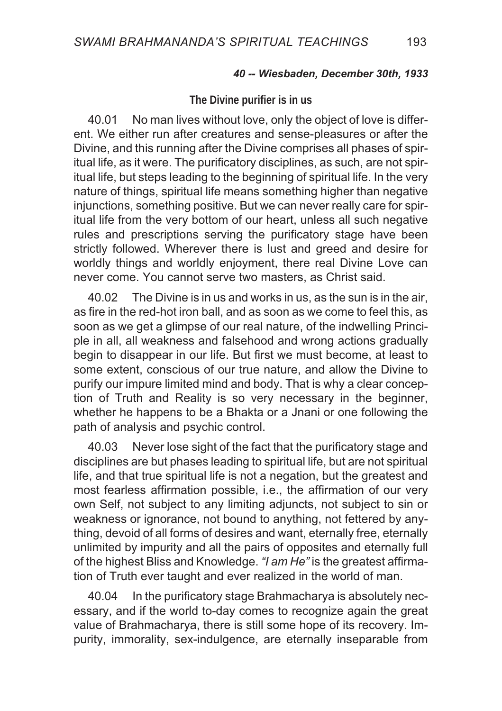#### *40 -- Wiesbaden, December 30th, 1933*

#### **The Divine purifier is in us**

40.01 No man lives without love, only the object of love is different. We either run after creatures and sense-pleasures or after the Divine, and this running after the Divine comprises all phases of spiritual life, as it were. The purificatory disciplines, as such, are not spiritual life, but steps leading to the beginning of spiritual life. In the very nature of things, spiritual life means something higher than negative injunctions, something positive. But we can never really care for spiritual life from the very bottom of our heart, unless all such negative rules and prescriptions serving the purificatory stage have been strictly followed. Wherever there is lust and greed and desire for worldly things and worldly enjoyment, there real Divine Love can never come. You cannot serve two masters, as Christ said.

40.02 The Divine is in us and works in us, as the sun is in the air, as fire in the red-hot iron ball, and as soon as we come to feel this, as soon as we get a glimpse of our real nature, of the indwelling Principle in all, all weakness and falsehood and wrong actions gradually begin to disappear in our life. But first we must become, at least to some extent, conscious of our true nature, and allow the Divine to purify our impure limited mind and body. That is why a clear conception of Truth and Reality is so very necessary in the beginner, whether he happens to be a Bhakta or a Jnani or one following the path of analysis and psychic control.

40.03 Never lose sight of the fact that the purificatory stage and disciplines are but phases leading to spiritual life, but are not spiritual life, and that true spiritual life is not a negation, but the greatest and most fearless affirmation possible, i.e., the affirmation of our very own Self, not subject to any limiting adjuncts, not subject to sin or weakness or ignorance, not bound to anything, not fettered by anything, devoid of all forms of desires and want, eternally free, eternally unlimited by impurity and all the pairs of opposites and eternally full of the highest Bliss and Knowledge. *"I am He"* is the greatest affirmation of Truth ever taught and ever realized in the world of man.

40.04 In the purificatory stage Brahmacharya is absolutely necessary, and if the world to-day comes to recognize again the great value of Brahmacharya, there is still some hope of its recovery. Impurity, immorality, sex-indulgence, are eternally inseparable from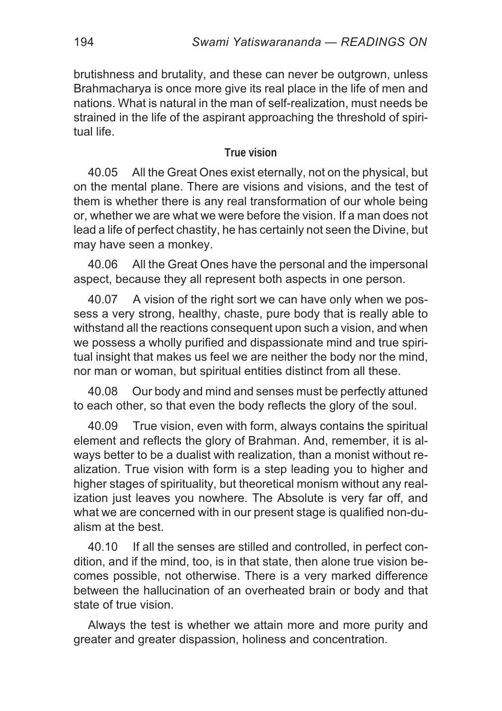brutishness and brutality, and these can never be outgrown, unless Brahmacharya is once more give its real place in the life of men and nations. What is natural in the man of self-realization, must needs be strained in the life of the aspirant approaching the threshold of spiritual life.

## **True vision**

40.05 All the Great Ones exist eternally, not on the physical, but on the mental plane. There are visions and visions, and the test of them is whether there is any real transformation of our whole being or, whether we are what we were before the vision. If a man does not lead a life of perfect chastity, he has certainly not seen the Divine, but may have seen a monkey.

40.06 All the Great Ones have the personal and the impersonal aspect, because they all represent both aspects in one person.

40.07 A vision of the right sort we can have only when we possess a very strong, healthy, chaste, pure body that is really able to withstand all the reactions consequent upon such a vision, and when we possess a wholly purified and dispassionate mind and true spiritual insight that makes us feel we are neither the body nor the mind, nor man or woman, but spiritual entities distinct from all these.

40.08 Our body and mind and senses must be perfectly attuned to each other, so that even the body reflects the glory of the soul.

40.09 True vision, even with form, always contains the spiritual element and reflects the glory of Brahman. And, remember, it is always better to be a dualist with realization, than a monist without realization. True vision with form is a step leading you to higher and higher stages of spirituality, but theoretical monism without any realization just leaves you nowhere. The Absolute is very far off, and what we are concerned with in our present stage is qualified non-dualism at the best.

40.10 If all the senses are stilled and controlled, in perfect condition, and if the mind, too, is in that state, then alone true vision becomes possible, not otherwise. There is a very marked difference between the hallucination of an overheated brain or body and that state of true vision.

Always the test is whether we attain more and more purity and greater and greater dispassion, holiness and concentration.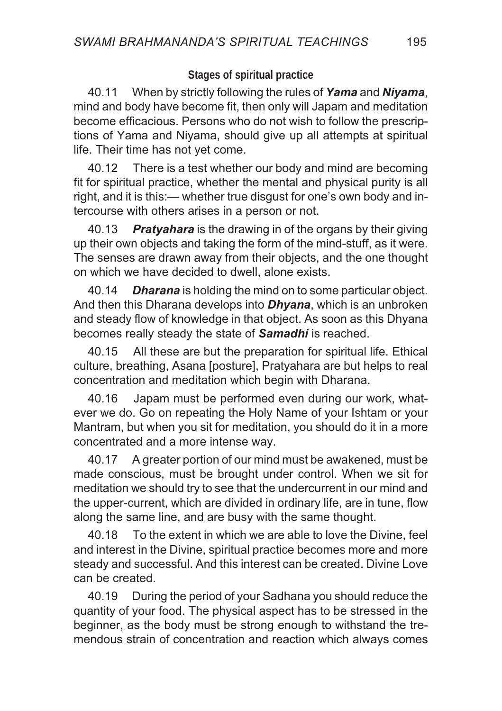## **Stages of spiritual practice**

40.11 When by strictly following the rules of *Yama* and *Niyama*, mind and body have become fit, then only will Japam and meditation become efficacious. Persons who do not wish to follow the prescriptions of Yama and Niyama, should give up all attempts at spiritual life. Their time has not yet come.

40.12 There is a test whether our body and mind are becoming fit for spiritual practice, whether the mental and physical purity is all right, and it is this:— whether true disgust for one's own body and intercourse with others arises in a person or not.

40.13 *Pratyahara* is the drawing in of the organs by their giving up their own objects and taking the form of the mind-stuff, as it were. The senses are drawn away from their objects, and the one thought on which we have decided to dwell, alone exists.

40.14 *Dharana* is holding the mind on to some particular object. And then this Dharana develops into *Dhyana*, which is an unbroken and steady flow of knowledge in that object. As soon as this Dhyana becomes really steady the state of *Samadhi* is reached.

40.15 All these are but the preparation for spiritual life. Ethical culture, breathing, Asana [posture], Pratyahara are but helps to real concentration and meditation which begin with Dharana.

40.16 Japam must be performed even during our work, whatever we do. Go on repeating the Holy Name of your Ishtam or your Mantram, but when you sit for meditation, you should do it in a more concentrated and a more intense way.

40.17 A greater portion of our mind must be awakened, must be made conscious, must be brought under control. When we sit for meditation we should try to see that the undercurrent in our mind and the upper-current, which are divided in ordinary life, are in tune, flow along the same line, and are busy with the same thought.

40.18 To the extent in which we are able to love the Divine, feel and interest in the Divine, spiritual practice becomes more and more steady and successful. And this interest can be created. Divine Love can be created.

40.19 During the period of your Sadhana you should reduce the quantity of your food. The physical aspect has to be stressed in the beginner, as the body must be strong enough to withstand the tremendous strain of concentration and reaction which always comes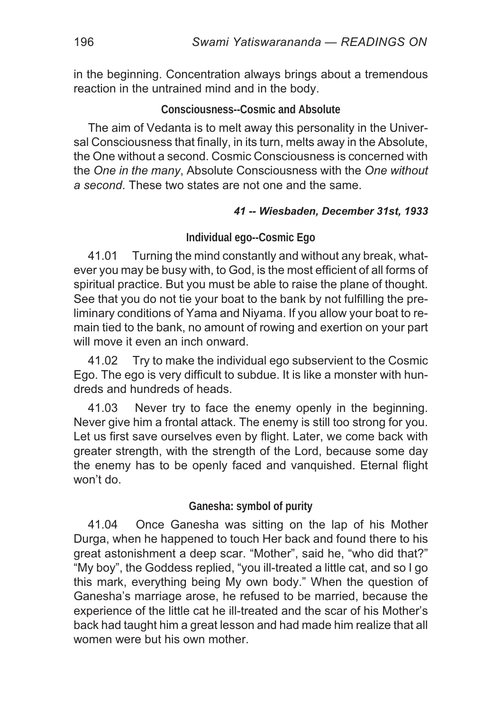in the beginning. Concentration always brings about a tremendous reaction in the untrained mind and in the body.

**Consciousness--Cosmic and Absolute**

The aim of Vedanta is to melt away this personality in the Universal Consciousness that finally, in its turn, melts away in the Absolute, the One without a second. Cosmic Consciousness is concerned with the *One in the many*, Absolute Consciousness with the *One without a second*. These two states are not one and the same.

# *41 -- Wiesbaden, December 31st, 1933*

**Individual ego--Cosmic Ego**

41.01 Turning the mind constantly and without any break, whatever you may be busy with, to God, is the most efficient of all forms of spiritual practice. But you must be able to raise the plane of thought. See that you do not tie your boat to the bank by not fulfilling the preliminary conditions of Yama and Niyama. If you allow your boat to remain tied to the bank, no amount of rowing and exertion on your part will move it even an inch onward.

41.02 Try to make the individual ego subservient to the Cosmic Ego. The ego is very difficult to subdue. It is like a monster with hundreds and hundreds of heads.

41.03 Never try to face the enemy openly in the beginning. Never give him a frontal attack. The enemy is still too strong for you. Let us first save ourselves even by flight. Later, we come back with greater strength, with the strength of the Lord, because some day the enemy has to be openly faced and vanquished. Eternal flight won't do.

# **Ganesha: symbol of purity**

41.04 Once Ganesha was sitting on the lap of his Mother Durga, when he happened to touch Her back and found there to his great astonishment a deep scar. "Mother", said he, "who did that?" "My boy", the Goddess replied, "you ill-treated a little cat, and so I go this mark, everything being My own body." When the question of Ganesha's marriage arose, he refused to be married, because the experience of the little cat he ill-treated and the scar of his Mother's back had taught him a great lesson and had made him realize that all women were but his own mother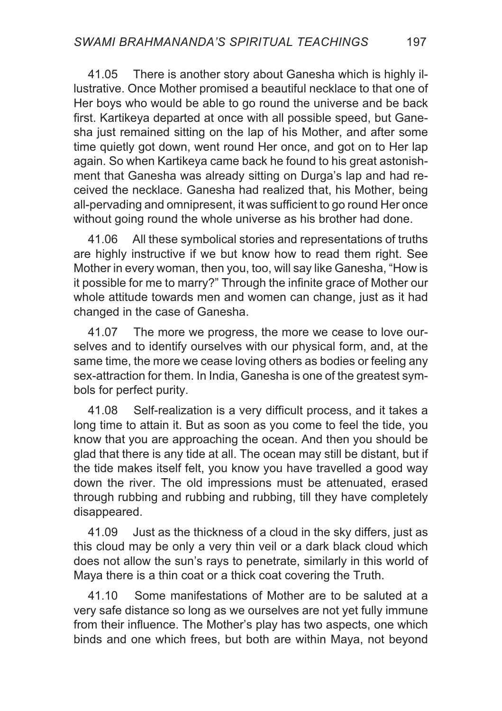41.05 There is another story about Ganesha which is highly illustrative. Once Mother promised a beautiful necklace to that one of Her boys who would be able to go round the universe and be back first. Kartikeya departed at once with all possible speed, but Ganesha just remained sitting on the lap of his Mother, and after some time quietly got down, went round Her once, and got on to Her lap again. So when Kartikeya came back he found to his great astonishment that Ganesha was already sitting on Durga's lap and had received the necklace. Ganesha had realized that, his Mother, being all-pervading and omnipresent, it was sufficient to go round Her once without going round the whole universe as his brother had done.

41.06 All these symbolical stories and representations of truths are highly instructive if we but know how to read them right. See Mother in every woman, then you, too, will say like Ganesha, "How is it possible for me to marry?" Through the infinite grace of Mother our whole attitude towards men and women can change, just as it had changed in the case of Ganesha.

41.07 The more we progress, the more we cease to love ourselves and to identify ourselves with our physical form, and, at the same time, the more we cease loving others as bodies or feeling any sex-attraction for them. In India, Ganesha is one of the greatest symbols for perfect purity.

41.08 Self-realization is a very difficult process, and it takes a long time to attain it. But as soon as you come to feel the tide, you know that you are approaching the ocean. And then you should be glad that there is any tide at all. The ocean may still be distant, but if the tide makes itself felt, you know you have travelled a good way down the river. The old impressions must be attenuated, erased through rubbing and rubbing and rubbing, till they have completely disappeared.

41.09 Just as the thickness of a cloud in the sky differs, just as this cloud may be only a very thin veil or a dark black cloud which does not allow the sun's rays to penetrate, similarly in this world of Maya there is a thin coat or a thick coat covering the Truth.

41.10 Some manifestations of Mother are to be saluted at a very safe distance so long as we ourselves are not yet fully immune from their influence. The Mother's play has two aspects, one which binds and one which frees, but both are within Maya, not beyond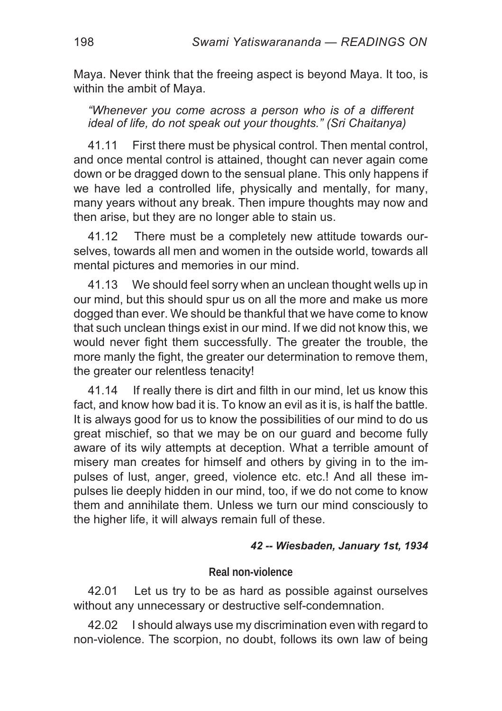Maya. Never think that the freeing aspect is beyond Maya. It too, is within the ambit of Maya.

*"Whenever you come across a person who is of a different ideal of life, do not speak out your thoughts." (Sri Chaitanya)*

41.11 First there must be physical control. Then mental control, and once mental control is attained, thought can never again come down or be dragged down to the sensual plane. This only happens if we have led a controlled life, physically and mentally, for many, many years without any break. Then impure thoughts may now and then arise, but they are no longer able to stain us.

41.12 There must be a completely new attitude towards ourselves, towards all men and women in the outside world, towards all mental pictures and memories in our mind.

41.13 We should feel sorry when an unclean thought wells up in our mind, but this should spur us on all the more and make us more dogged than ever. We should be thankful that we have come to know that such unclean things exist in our mind. If we did not know this, we would never fight them successfully. The greater the trouble, the more manly the fight, the greater our determination to remove them, the greater our relentless tenacity!

41.14 If really there is dirt and filth in our mind, let us know this fact, and know how bad it is. To know an evil as it is, is half the battle. It is always good for us to know the possibilities of our mind to do us great mischief, so that we may be on our guard and become fully aware of its wily attempts at deception. What a terrible amount of misery man creates for himself and others by giving in to the impulses of lust, anger, greed, violence etc. etc.! And all these impulses lie deeply hidden in our mind, too, if we do not come to know them and annihilate them. Unless we turn our mind consciously to the higher life, it will always remain full of these.

## *42 -- Wiesbaden, January 1st, 1934*

## **Real non-violence**

42.01 Let us try to be as hard as possible against ourselves without any unnecessary or destructive self-condemnation.

42.02 I should always use my discrimination even with regard to non-violence. The scorpion, no doubt, follows its own law of being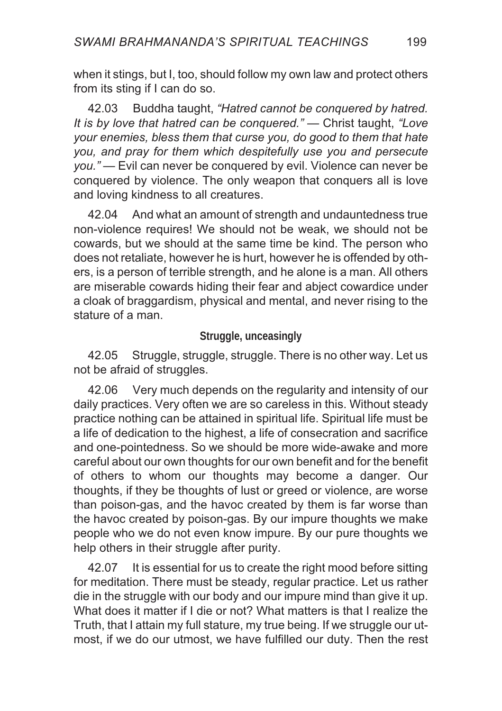when it stings, but I, too, should follow my own law and protect others from its sting if I can do so.

42.03 Buddha taught, *"Hatred cannot be conquered by hatred. It is by love that hatred can be conquered."* — Christ taught, *"Love your enemies, bless them that curse you, do good to them that hate you, and pray for them which despitefully use you and persecute you."* — Evil can never be conquered by evil. Violence can never be conquered by violence. The only weapon that conquers all is love and loving kindness to all creatures.

42.04 And what an amount of strength and undauntedness true non-violence requires! We should not be weak, we should not be cowards, but we should at the same time be kind. The person who does not retaliate, however he is hurt, however he is offended by others, is a person of terrible strength, and he alone is a man. All others are miserable cowards hiding their fear and abject cowardice under a cloak of braggardism, physical and mental, and never rising to the stature of a man.

## **Struggle, unceasingly**

42.05 Struggle, struggle, struggle. There is no other way. Let us not be afraid of struggles.

42.06 Very much depends on the regularity and intensity of our daily practices. Very often we are so careless in this. Without steady practice nothing can be attained in spiritual life. Spiritual life must be a life of dedication to the highest, a life of consecration and sacrifice and one-pointedness. So we should be more wide-awake and more careful about our own thoughts for our own benefit and for the benefit of others to whom our thoughts may become a danger. Our thoughts, if they be thoughts of lust or greed or violence, are worse than poison-gas, and the havoc created by them is far worse than the havoc created by poison-gas. By our impure thoughts we make people who we do not even know impure. By our pure thoughts we help others in their struggle after purity.

42.07 It is essential for us to create the right mood before sitting for meditation. There must be steady, regular practice. Let us rather die in the struggle with our body and our impure mind than give it up. What does it matter if I die or not? What matters is that I realize the Truth, that I attain my full stature, my true being. If we struggle our utmost, if we do our utmost, we have fulfilled our duty. Then the rest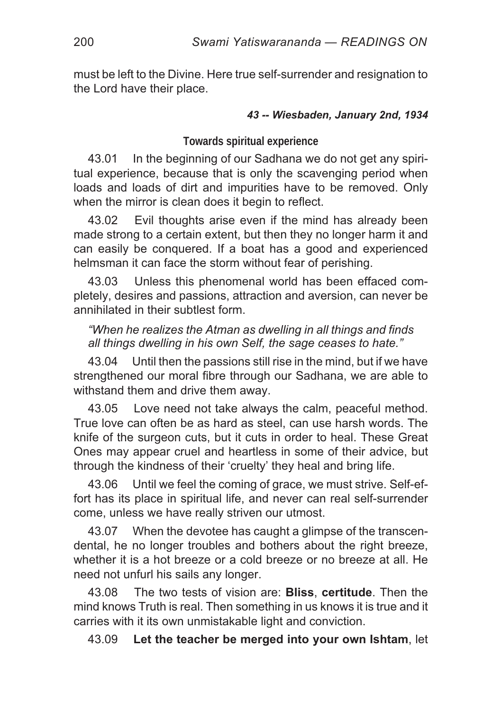must be left to the Divine. Here true self-surrender and resignation to the Lord have their place.

## *43 -- Wiesbaden, January 2nd, 1934*

**Towards spiritual experience**

43.01 In the beginning of our Sadhana we do not get any spiritual experience, because that is only the scavenging period when loads and loads of dirt and impurities have to be removed. Only when the mirror is clean does it begin to reflect.

43.02 Evil thoughts arise even if the mind has already been made strong to a certain extent, but then they no longer harm it and can easily be conquered. If a boat has a good and experienced helmsman it can face the storm without fear of perishing.

43.03 Unless this phenomenal world has been effaced completely, desires and passions, attraction and aversion, can never be annihilated in their subtlest form.

*"When he realizes the Atman as dwelling in all things and finds all things dwelling in his own Self, the sage ceases to hate."*

43.04 Until then the passions still rise in the mind, but if we have strengthened our moral fibre through our Sadhana, we are able to withstand them and drive them away.

43.05 Love need not take always the calm, peaceful method. True love can often be as hard as steel, can use harsh words. The knife of the surgeon cuts, but it cuts in order to heal. These Great Ones may appear cruel and heartless in some of their advice, but through the kindness of their 'cruelty' they heal and bring life.

43.06 Until we feel the coming of grace, we must strive. Self-effort has its place in spiritual life, and never can real self-surrender come, unless we have really striven our utmost.

43.07 When the devotee has caught a glimpse of the transcendental, he no longer troubles and bothers about the right breeze, whether it is a hot breeze or a cold breeze or no breeze at all. He need not unfurl his sails any longer.

43.08 The two tests of vision are: **Bliss**, **certitude**. Then the mind knows Truth is real. Then something in us knows it is true and it carries with it its own unmistakable light and conviction.

43.09 **Let the teacher be merged into your own Ishtam**, let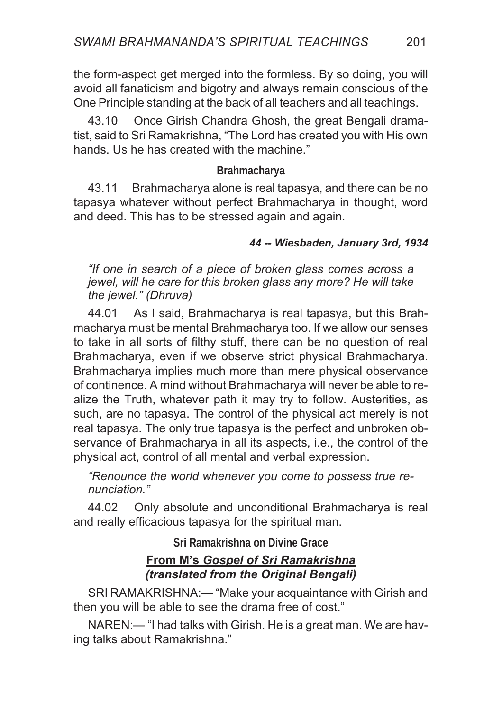the form-aspect get merged into the formless. By so doing, you will avoid all fanaticism and bigotry and always remain conscious of the One Principle standing at the back of all teachers and all teachings.

43.10 Once Girish Chandra Ghosh, the great Bengali dramatist, said to Sri Ramakrishna, "The Lord has created you with His own hands. Us he has created with the machine."

#### **Brahmacharya**

43.11 Brahmacharya alone is real tapasya, and there can be no tapasya whatever without perfect Brahmacharya in thought, word and deed. This has to be stressed again and again.

#### *44 -- Wiesbaden, January 3rd, 1934*

*"If one in search of a piece of broken glass comes across a jewel, will he care for this broken glass any more? He will take the jewel." (Dhruva)*

44.01 As I said, Brahmacharya is real tapasya, but this Brahmacharya must be mental Brahmacharya too. If we allow our senses to take in all sorts of filthy stuff, there can be no question of real Brahmacharya, even if we observe strict physical Brahmacharya. Brahmacharya implies much more than mere physical observance of continence. A mind without Brahmacharya will never be able to realize the Truth, whatever path it may try to follow. Austerities, as such, are no tapasya. The control of the physical act merely is not real tapasya. The only true tapasya is the perfect and unbroken observance of Brahmacharya in all its aspects, i.e., the control of the physical act, control of all mental and verbal expression.

*"Renounce the world whenever you come to possess true renunciation."*

44.02 Only absolute and unconditional Brahmacharya is real and really efficacious tapasya for the spiritual man.

**Sri Ramakrishna on Divine Grace**

## **From M's** *Gospel of Sri Ramakrishna (translated from the Original Bengali)*

SRI RAMAKRISHNA:— "Make your acquaintance with Girish and then you will be able to see the drama free of cost."

NAREN:— "I had talks with Girish. He is a great man. We are having talks about Ramakrishna."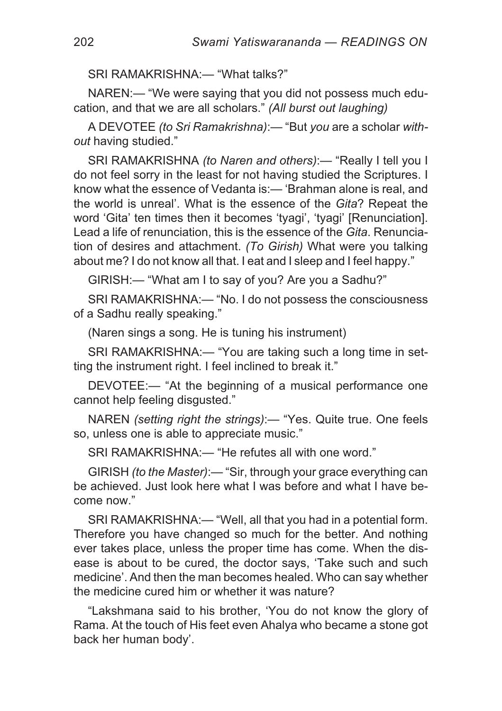SRI RAMAKRISHNA:— "What talks?"

NAREN:— "We were saying that you did not possess much education, and that we are all scholars." *(All burst out laughing)*

A DEVOTEE *(to Sri Ramakrishna)*:— "But *you* are a scholar *without* having studied."

SRI RAMAKRISHNA *(to Naren and others)*:— "Really I tell you I do not feel sorry in the least for not having studied the Scriptures. I know what the essence of Vedanta is:— 'Brahman alone is real, and the world is unreal'. What is the essence of the *Gita*? Repeat the word 'Gita' ten times then it becomes 'tyagi', 'tyagi' [Renunciation]. Lead a life of renunciation, this is the essence of the *Gita*. Renunciation of desires and attachment. *(To Girish)* What were you talking about me? I do not know all that. I eat and I sleep and I feel happy."

GIRISH:— "What am I to say of you? Are you a Sadhu?"

SRI RAMAKRISHNA:— "No. I do not possess the consciousness of a Sadhu really speaking."

(Naren sings a song. He is tuning his instrument)

SRI RAMAKRISHNA:— "You are taking such a long time in setting the instrument right. I feel inclined to break it."

DEVOTEE:— "At the beginning of a musical performance one cannot help feeling disgusted."

NAREN *(setting right the strings)*:— "Yes. Quite true. One feels so, unless one is able to appreciate music."

SRI RAMAKRISHNA:— "He refutes all with one word."

GIRISH *(to the Master)*:— "Sir, through your grace everything can be achieved. Just look here what I was before and what I have become now."

SRI RAMAKRISHNA:— "Well, all that you had in a potential form. Therefore you have changed so much for the better. And nothing ever takes place, unless the proper time has come. When the disease is about to be cured, the doctor says, 'Take such and such medicine'. And then the man becomes healed. Who can say whether the medicine cured him or whether it was nature?

"Lakshmana said to his brother, 'You do not know the glory of Rama. At the touch of His feet even Ahalya who became a stone got back her human body'.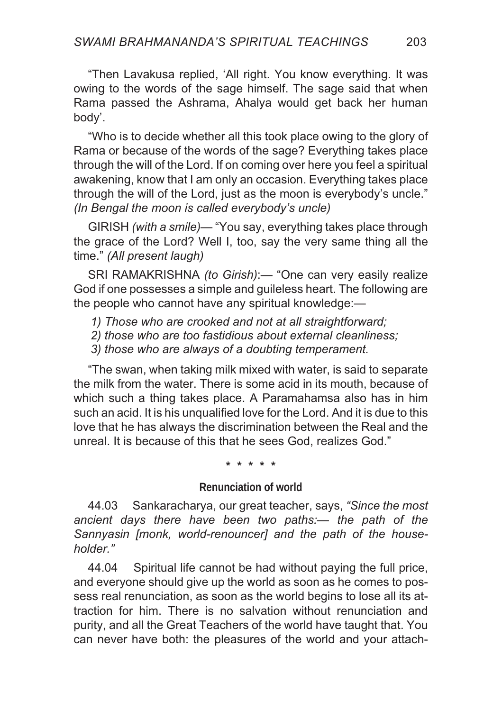"Then Lavakusa replied, 'All right. You know everything. It was owing to the words of the sage himself. The sage said that when Rama passed the Ashrama, Ahalya would get back her human body'.

"Who is to decide whether all this took place owing to the glory of Rama or because of the words of the sage? Everything takes place through the will of the Lord. If on coming over here you feel a spiritual awakening, know that I am only an occasion. Everything takes place through the will of the Lord, just as the moon is everybody's uncle." *(In Bengal the moon is called everybody's uncle)*

GIRISH *(with a smile)*— "You say, everything takes place through the grace of the Lord? Well I, too, say the very same thing all the time." *(All present laugh)*

SRI RAMAKRISHNA *(to Girish)*:— "One can very easily realize God if one possesses a simple and guileless heart. The following are the people who cannot have any spiritual knowledge:—

- *1) Those who are crooked and not at all straightforward;*
- *2) those who are too fastidious about external cleanliness;*
- *3) those who are always of a doubting temperament.*

"The swan, when taking milk mixed with water, is said to separate the milk from the water. There is some acid in its mouth, because of which such a thing takes place. A Paramahamsa also has in him such an acid. It is his unqualified love for the Lord. And it is due to this love that he has always the discrimination between the Real and the unreal. It is because of this that he sees God, realizes God."

**\*\*\*\*\***

**Renunciation of world**

44.03 Sankaracharya, our great teacher, says, *"Since the most ancient days there have been two paths:— the path of the Sannyasin [monk, world-renouncer] and the path of the householder."*

44.04 Spiritual life cannot be had without paying the full price, and everyone should give up the world as soon as he comes to possess real renunciation, as soon as the world begins to lose all its attraction for him. There is no salvation without renunciation and purity, and all the Great Teachers of the world have taught that. You can never have both: the pleasures of the world and your attach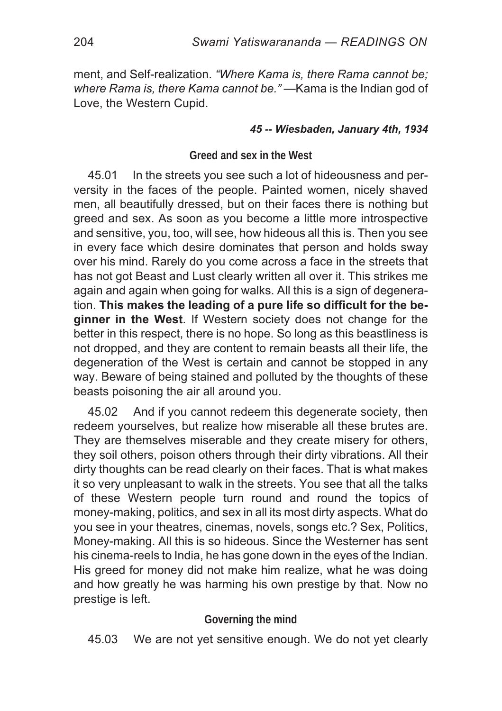ment, and Self-realization. *"Where Kama is, there Rama cannot be; where Rama is, there Kama cannot be."* —Kama is the Indian god of Love, the Western Cupid.

## *45 -- Wiesbaden, January 4th, 1934*

**Greed and sex in the West**

45.01 In the streets you see such a lot of hideousness and perversity in the faces of the people. Painted women, nicely shaved men, all beautifully dressed, but on their faces there is nothing but greed and sex. As soon as you become a little more introspective and sensitive, you, too, will see, how hideous all this is. Then you see in every face which desire dominates that person and holds sway over his mind. Rarely do you come across a face in the streets that has not got Beast and Lust clearly written all over it. This strikes me again and again when going for walks. All this is a sign of degeneration. **This makes the leading of a pure life so difficult for the beginner in the West**. If Western society does not change for the better in this respect, there is no hope. So long as this beastliness is not dropped, and they are content to remain beasts all their life, the degeneration of the West is certain and cannot be stopped in any way. Beware of being stained and polluted by the thoughts of these beasts poisoning the air all around you.

45.02 And if you cannot redeem this degenerate society, then redeem yourselves, but realize how miserable all these brutes are. They are themselves miserable and they create misery for others, they soil others, poison others through their dirty vibrations. All their dirty thoughts can be read clearly on their faces. That is what makes it so very unpleasant to walk in the streets. You see that all the talks of these Western people turn round and round the topics of money-making, politics, and sex in all its most dirty aspects. What do you see in your theatres, cinemas, novels, songs etc.? Sex, Politics, Money-making. All this is so hideous. Since the Westerner has sent his cinema-reels to India, he has gone down in the eyes of the Indian. His greed for money did not make him realize, what he was doing and how greatly he was harming his own prestige by that. Now no prestige is left.

# **Governing the mind**

45.03 We are not yet sensitive enough. We do not yet clearly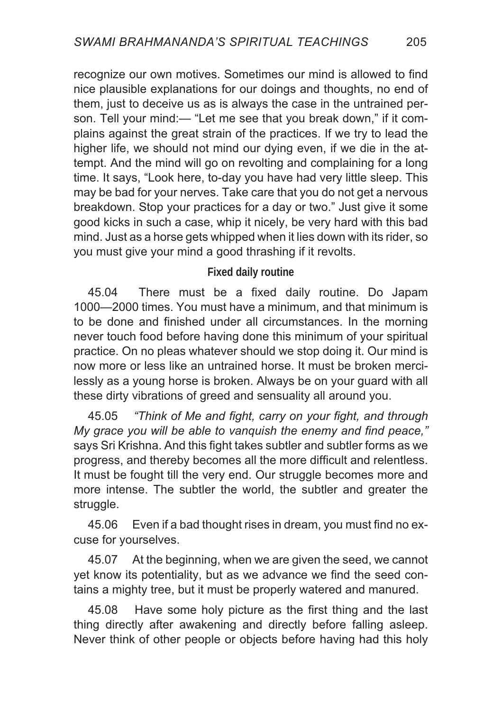recognize our own motives. Sometimes our mind is allowed to find nice plausible explanations for our doings and thoughts, no end of them, just to deceive us as is always the case in the untrained person. Tell your mind:— "Let me see that you break down," if it complains against the great strain of the practices. If we try to lead the higher life, we should not mind our dying even, if we die in the attempt. And the mind will go on revolting and complaining for a long time. It says, "Look here, to-day you have had very little sleep. This may be bad for your nerves. Take care that you do not get a nervous breakdown. Stop your practices for a day or two." Just give it some good kicks in such a case, whip it nicely, be very hard with this bad mind. Just as a horse gets whipped when it lies down with its rider, so you must give your mind a good thrashing if it revolts.

# **Fixed daily routine**

45.04 There must be a fixed daily routine. Do Japam 1000—2000 times. You must have a minimum, and that minimum is to be done and finished under all circumstances. In the morning never touch food before having done this minimum of your spiritual practice. On no pleas whatever should we stop doing it. Our mind is now more or less like an untrained horse. It must be broken mercilessly as a young horse is broken. Always be on your guard with all these dirty vibrations of greed and sensuality all around you.

45.05 *"Think of Me and fight, carry on your fight, and through My grace you will be able to vanquish the enemy and find peace,"* says Sri Krishna. And this fight takes subtler and subtler forms as we progress, and thereby becomes all the more difficult and relentless. It must be fought till the very end. Our struggle becomes more and more intense. The subtler the world, the subtler and greater the struggle.

45.06 Even if a bad thought rises in dream, you must find no excuse for yourselves.

45.07 At the beginning, when we are given the seed, we cannot yet know its potentiality, but as we advance we find the seed contains a mighty tree, but it must be properly watered and manured.

45.08 Have some holy picture as the first thing and the last thing directly after awakening and directly before falling asleep. Never think of other people or objects before having had this holy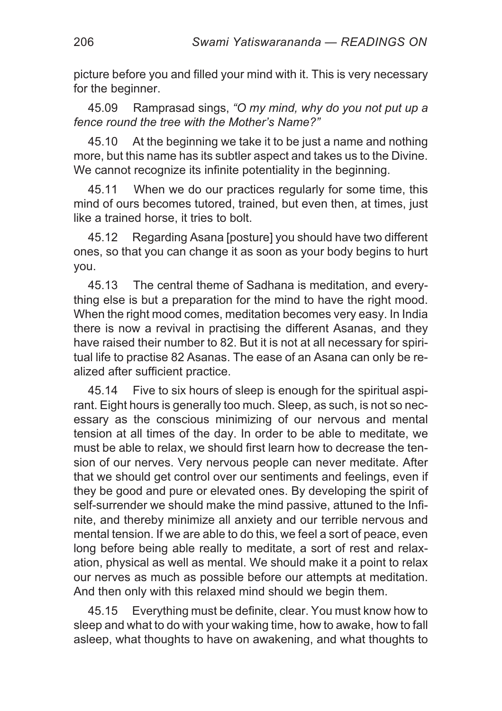picture before you and filled your mind with it. This is very necessary for the beginner.

45.09 Ramprasad sings, *"O my mind, why do you not put up a fence round the tree with the Mother's Name?"*

45.10 At the beginning we take it to be just a name and nothing more, but this name has its subtler aspect and takes us to the Divine. We cannot recognize its infinite potentiality in the beginning.

45.11 When we do our practices regularly for some time, this mind of ours becomes tutored, trained, but even then, at times, just like a trained horse, it tries to bolt.

45.12 Regarding Asana [posture] you should have two different ones, so that you can change it as soon as your body begins to hurt you.

45.13 The central theme of Sadhana is meditation, and everything else is but a preparation for the mind to have the right mood. When the right mood comes, meditation becomes very easy. In India there is now a revival in practising the different Asanas, and they have raised their number to 82. But it is not at all necessary for spiritual life to practise 82 Asanas. The ease of an Asana can only be realized after sufficient practice.

45.14 Five to six hours of sleep is enough for the spiritual aspirant. Eight hours is generally too much. Sleep, as such, is not so necessary as the conscious minimizing of our nervous and mental tension at all times of the day. In order to be able to meditate, we must be able to relax, we should first learn how to decrease the tension of our nerves. Very nervous people can never meditate. After that we should get control over our sentiments and feelings, even if they be good and pure or elevated ones. By developing the spirit of self-surrender we should make the mind passive, attuned to the Infinite, and thereby minimize all anxiety and our terrible nervous and mental tension. If we are able to do this, we feel a sort of peace, even long before being able really to meditate, a sort of rest and relaxation, physical as well as mental. We should make it a point to relax our nerves as much as possible before our attempts at meditation. And then only with this relaxed mind should we begin them.

45.15 Everything must be definite, clear. You must know how to sleep and what to do with your waking time, how to awake, how to fall asleep, what thoughts to have on awakening, and what thoughts to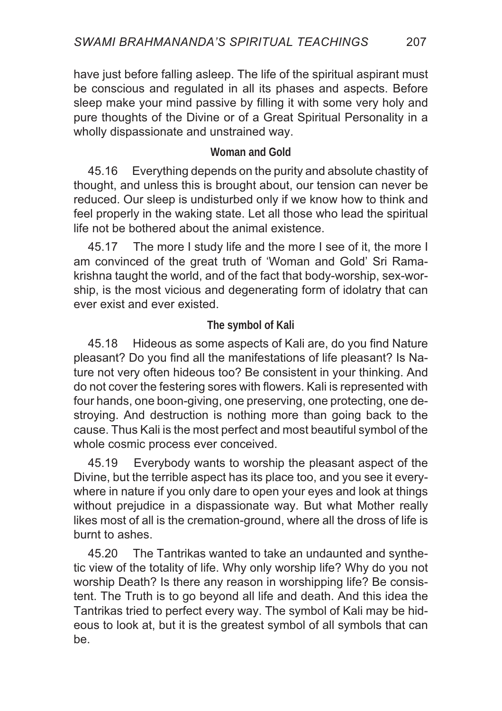have just before falling asleep. The life of the spiritual aspirant must be conscious and regulated in all its phases and aspects. Before sleep make your mind passive by filling it with some very holy and pure thoughts of the Divine or of a Great Spiritual Personality in a wholly dispassionate and unstrained way.

## **Woman and Gold**

45.16 Everything depends on the purity and absolute chastity of thought, and unless this is brought about, our tension can never be reduced. Our sleep is undisturbed only if we know how to think and feel properly in the waking state. Let all those who lead the spiritual life not be bothered about the animal existence.

45.17 The more I study life and the more I see of it, the more I am convinced of the great truth of 'Woman and Gold' Sri Ramakrishna taught the world, and of the fact that body-worship, sex-worship, is the most vicious and degenerating form of idolatry that can ever exist and ever existed.

# **The symbol of Kali**

45.18 Hideous as some aspects of Kali are, do you find Nature pleasant? Do you find all the manifestations of life pleasant? Is Nature not very often hideous too? Be consistent in your thinking. And do not cover the festering sores with flowers. Kali is represented with four hands, one boon-giving, one preserving, one protecting, one destroying. And destruction is nothing more than going back to the cause. Thus Kali is the most perfect and most beautiful symbol of the whole cosmic process ever conceived.

45.19 Everybody wants to worship the pleasant aspect of the Divine, but the terrible aspect has its place too, and you see it everywhere in nature if you only dare to open your eyes and look at things without prejudice in a dispassionate way. But what Mother really likes most of all is the cremation-ground, where all the dross of life is burnt to ashes.

45.20 The Tantrikas wanted to take an undaunted and synthetic view of the totality of life. Why only worship life? Why do you not worship Death? Is there any reason in worshipping life? Be consistent. The Truth is to go beyond all life and death. And this idea the Tantrikas tried to perfect every way. The symbol of Kali may be hideous to look at, but it is the greatest symbol of all symbols that can be.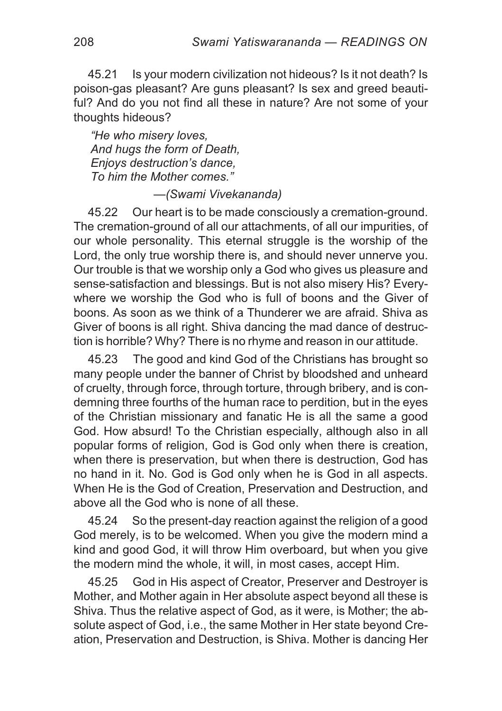45.21 Is your modern civilization not hideous? Is it not death? Is poison-gas pleasant? Are guns pleasant? Is sex and greed beautiful? And do you not find all these in nature? Are not some of your thoughts hideous?

*"He who misery loves, And hugs the form of Death, Enjoys destruction's dance, To him the Mother comes."*

*—(Swami Vivekananda)*

45.22 Our heart is to be made consciously a cremation-ground. The cremation-ground of all our attachments, of all our impurities, of our whole personality. This eternal struggle is the worship of the Lord, the only true worship there is, and should never unnerve you. Our trouble is that we worship only a God who gives us pleasure and sense-satisfaction and blessings. But is not also misery His? Everywhere we worship the God who is full of boons and the Giver of boons. As soon as we think of a Thunderer we are afraid. Shiva as Giver of boons is all right. Shiva dancing the mad dance of destruction is horrible? Why? There is no rhyme and reason in our attitude.

45.23 The good and kind God of the Christians has brought so many people under the banner of Christ by bloodshed and unheard of cruelty, through force, through torture, through bribery, and is condemning three fourths of the human race to perdition, but in the eyes of the Christian missionary and fanatic He is all the same a good God. How absurd! To the Christian especially, although also in all popular forms of religion, God is God only when there is creation, when there is preservation, but when there is destruction, God has no hand in it. No. God is God only when he is God in all aspects. When He is the God of Creation, Preservation and Destruction, and above all the God who is none of all these.

45.24 So the present-day reaction against the religion of a good God merely, is to be welcomed. When you give the modern mind a kind and good God, it will throw Him overboard, but when you give the modern mind the whole, it will, in most cases, accept Him.

45.25 God in His aspect of Creator, Preserver and Destroyer is Mother, and Mother again in Her absolute aspect beyond all these is Shiva. Thus the relative aspect of God, as it were, is Mother; the absolute aspect of God, i.e., the same Mother in Her state beyond Creation, Preservation and Destruction, is Shiva. Mother is dancing Her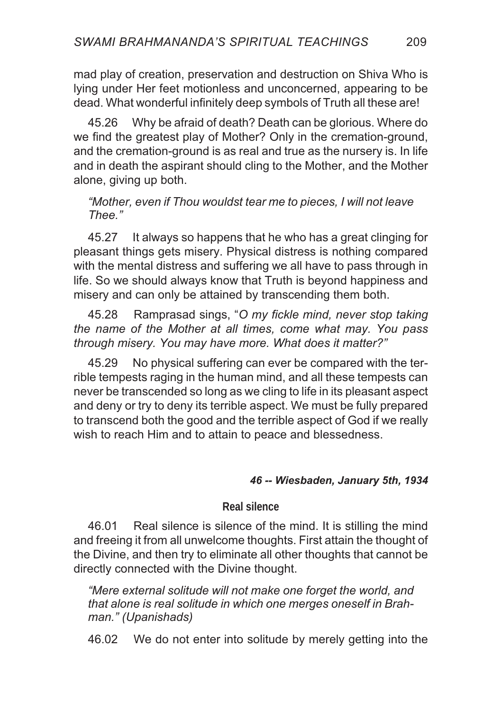mad play of creation, preservation and destruction on Shiva Who is lying under Her feet motionless and unconcerned, appearing to be dead. What wonderful infinitely deep symbols of Truth all these are!

45.26 Why be afraid of death? Death can be glorious. Where do we find the greatest play of Mother? Only in the cremation-ground, and the cremation-ground is as real and true as the nursery is. In life and in death the aspirant should cling to the Mother, and the Mother alone, giving up both.

*"Mother, even if Thou wouldst tear me to pieces, I will not leave Thee."*

45.27 It always so happens that he who has a great clinging for pleasant things gets misery. Physical distress is nothing compared with the mental distress and suffering we all have to pass through in life. So we should always know that Truth is beyond happiness and misery and can only be attained by transcending them both.

45.28 Ramprasad sings, "*O my fickle mind, never stop taking the name of the Mother at all times, come what may. You pass through misery. You may have more. What does it matter?"*

45.29 No physical suffering can ever be compared with the terrible tempests raging in the human mind, and all these tempests can never be transcended so long as we cling to life in its pleasant aspect and deny or try to deny its terrible aspect. We must be fully prepared to transcend both the good and the terrible aspect of God if we really wish to reach Him and to attain to peace and blessedness.

## *46 -- Wiesbaden, January 5th, 1934*

## **Real silence**

46.01 Real silence is silence of the mind. It is stilling the mind and freeing it from all unwelcome thoughts. First attain the thought of the Divine, and then try to eliminate all other thoughts that cannot be directly connected with the Divine thought.

*"Mere external solitude will not make one forget the world, and that alone is real solitude in which one merges oneself in Brahman." (Upanishads)*

46.02 We do not enter into solitude by merely getting into the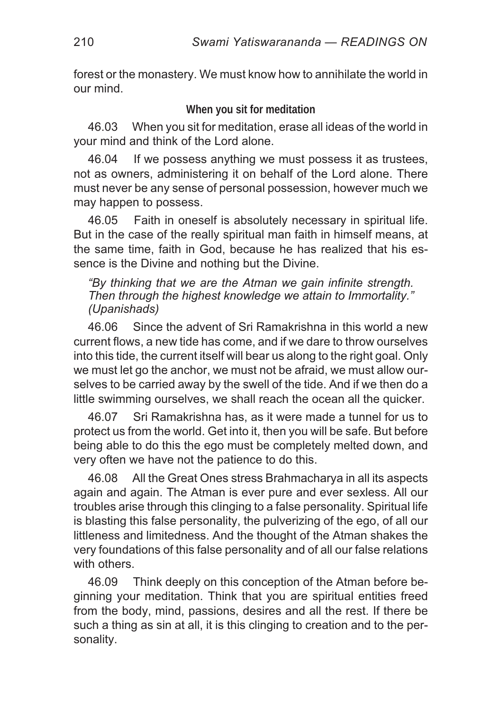forest or the monastery. We must know how to annihilate the world in our mind.

**When you sit for meditation**

46.03 When you sit for meditation, erase all ideas of the world in your mind and think of the Lord alone.

46.04 If we possess anything we must possess it as trustees, not as owners, administering it on behalf of the Lord alone. There must never be any sense of personal possession, however much we may happen to possess.

46.05 Faith in oneself is absolutely necessary in spiritual life. But in the case of the really spiritual man faith in himself means, at the same time, faith in God, because he has realized that his essence is the Divine and nothing but the Divine.

*"By thinking that we are the Atman we gain infinite strength. Then through the highest knowledge we attain to Immortality." (Upanishads)*

46.06 Since the advent of Sri Ramakrishna in this world a new current flows, a new tide has come, and if we dare to throw ourselves into this tide, the current itself will bear us along to the right goal. Only we must let go the anchor, we must not be afraid, we must allow ourselves to be carried away by the swell of the tide. And if we then do a little swimming ourselves, we shall reach the ocean all the quicker.

46.07 Sri Ramakrishna has, as it were made a tunnel for us to protect us from the world. Get into it, then you will be safe. But before being able to do this the ego must be completely melted down, and very often we have not the patience to do this.

46.08 All the Great Ones stress Brahmacharya in all its aspects again and again. The Atman is ever pure and ever sexless. All our troubles arise through this clinging to a false personality. Spiritual life is blasting this false personality, the pulverizing of the ego, of all our littleness and limitedness. And the thought of the Atman shakes the very foundations of this false personality and of all our false relations with others.

46.09 Think deeply on this conception of the Atman before beginning your meditation. Think that you are spiritual entities freed from the body, mind, passions, desires and all the rest. If there be such a thing as sin at all, it is this clinging to creation and to the personality.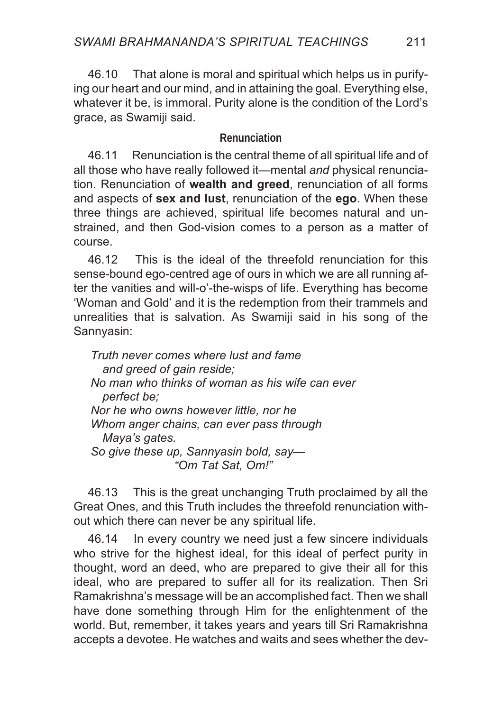46.10 That alone is moral and spiritual which helps us in purifying our heart and our mind, and in attaining the goal. Everything else, whatever it be, is immoral. Purity alone is the condition of the Lord's grace, as Swamiji said.

## **Renunciation**

46.11 Renunciation is the central theme of all spiritual life and of all those who have really followed it—mental *and* physical renunciation. Renunciation of **wealth and greed**, renunciation of all forms and aspects of **sex and lust**, renunciation of the **ego**. When these three things are achieved, spiritual life becomes natural and unstrained, and then God-vision comes to a person as a matter of course.

46.12 This is the ideal of the threefold renunciation for this sense-bound ego-centred age of ours in which we are all running after the vanities and will-o'-the-wisps of life. Everything has become 'Woman and Gold' and it is the redemption from their trammels and unrealities that is salvation. As Swamiji said in his song of the Sannyasin:

*Truth never comes where lust and fame and greed of gain reside; No man who thinks of woman as his wife can ever perfect be; Nor he who owns however little, nor he Whom anger chains, can ever pass through Maya's gates. So give these up, Sannyasin bold, say— "Om Tat Sat, Om!"*

46.13 This is the great unchanging Truth proclaimed by all the Great Ones, and this Truth includes the threefold renunciation without which there can never be any spiritual life.

46.14 In every country we need just a few sincere individuals who strive for the highest ideal, for this ideal of perfect purity in thought, word an deed, who are prepared to give their all for this ideal, who are prepared to suffer all for its realization. Then Sri Ramakrishna's message will be an accomplished fact. Then we shall have done something through Him for the enlightenment of the world. But, remember, it takes years and years till Sri Ramakrishna accepts a devotee. He watches and waits and sees whether the dev-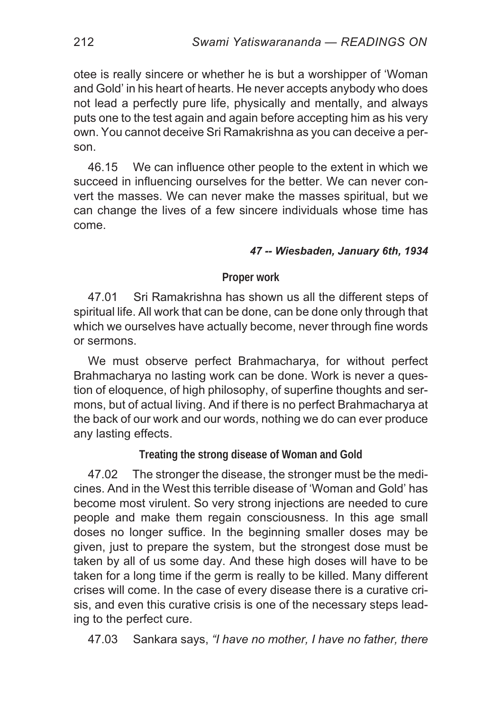otee is really sincere or whether he is but a worshipper of 'Woman and Gold' in his heart of hearts. He never accepts anybody who does not lead a perfectly pure life, physically and mentally, and always puts one to the test again and again before accepting him as his very own. You cannot deceive Sri Ramakrishna as you can deceive a person.

46.15 We can influence other people to the extent in which we succeed in influencing ourselves for the better. We can never convert the masses. We can never make the masses spiritual, but we can change the lives of a few sincere individuals whose time has come.

## *47 -- Wiesbaden, January 6th, 1934*

## **Proper work**

47.01 Sri Ramakrishna has shown us all the different steps of spiritual life. All work that can be done, can be done only through that which we ourselves have actually become, never through fine words or sermons.

We must observe perfect Brahmacharya, for without perfect Brahmacharya no lasting work can be done. Work is never a question of eloquence, of high philosophy, of superfine thoughts and sermons, but of actual living. And if there is no perfect Brahmacharya at the back of our work and our words, nothing we do can ever produce any lasting effects.

**Treating the strong disease of Woman and Gold**

47.02 The stronger the disease, the stronger must be the medicines. And in the West this terrible disease of 'Woman and Gold' has become most virulent. So very strong injections are needed to cure people and make them regain consciousness. In this age small doses no longer suffice. In the beginning smaller doses may be given, just to prepare the system, but the strongest dose must be taken by all of us some day. And these high doses will have to be taken for a long time if the germ is really to be killed. Many different crises will come. In the case of every disease there is a curative crisis, and even this curative crisis is one of the necessary steps leading to the perfect cure.

47.03 Sankara says, *"I have no mother, I have no father, there*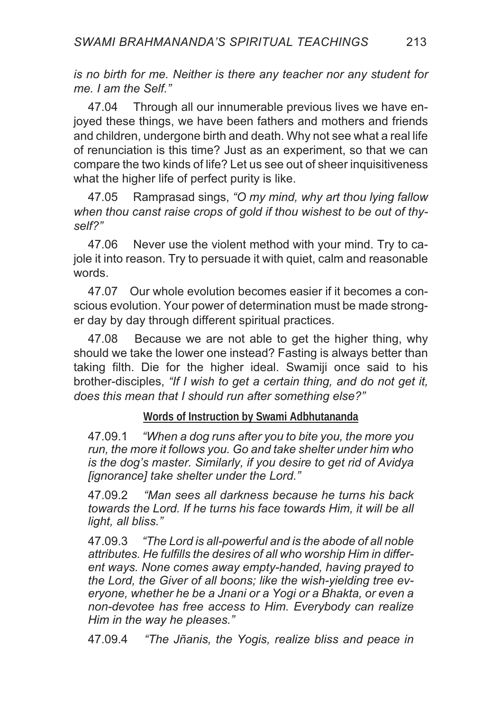*is no birth for me. Neither is there any teacher nor any student for me. I am the Self."*

47.04 Through all our innumerable previous lives we have enjoyed these things, we have been fathers and mothers and friends and children, undergone birth and death. Why not see what a real life of renunciation is this time? Just as an experiment, so that we can compare the two kinds of life? Let us see out of sheer inquisitiveness what the higher life of perfect purity is like.

47.05 Ramprasad sings, *"O my mind, why art thou lying fallow when thou canst raise crops of gold if thou wishest to be out of thyself?"*

47.06 Never use the violent method with your mind. Try to cajole it into reason. Try to persuade it with quiet, calm and reasonable words.

47.07 Our whole evolution becomes easier if it becomes a conscious evolution. Your power of determination must be made stronger day by day through different spiritual practices.

47.08 Because we are not able to get the higher thing, why should we take the lower one instead? Fasting is always better than taking filth. Die for the higher ideal. Swamiji once said to his brother-disciples, *"If I wish to get a certain thing, and do not get it, does this mean that I should run after something else?"*

**Words of Instruction by Swami Adbhutananda**

47.09.1 *"When a dog runs after you to bite you, the more you run, the more it follows you. Go and take shelter under him who is the dog's master. Similarly, if you desire to get rid of Avidya [ignorance] take shelter under the Lord."*

47.09.2 *"Man sees all darkness because he turns his back towards the Lord. If he turns his face towards Him, it will be all light, all bliss."*

47.09.3 *"The Lord is all-powerful and is the abode of all noble attributes. He fulfills the desires of all who worship Him in different ways. None comes away empty-handed, having prayed to the Lord, the Giver of all boons; like the wish-yielding tree everyone, whether he be a Jnani or a Yogi or a Bhakta, or even a non-devotee has free access to Him. Everybody can realize Him in the way he pleases."*

47.09.4 *"The Jñanis, the Yogis, realize bliss and peace in*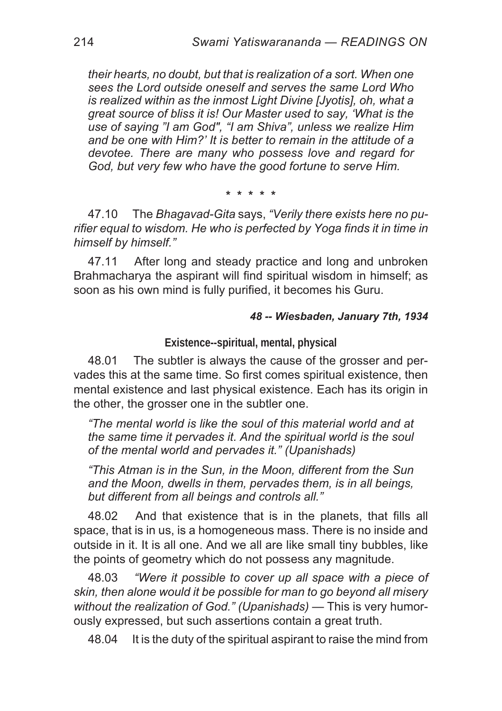*their hearts, no doubt, but that is realization of a sort. When one sees the Lord outside oneself and serves the same Lord Who is realized within as the inmost Light Divine [Jyotis], oh, what a great source of bliss it is! Our Master used to say, 'What is the use of saying "I am God", "I am Shiva", unless we realize Him and be one with Him?' It is better to remain in the attitude of a devotee. There are many who possess love and regard for God, but very few who have the good fortune to serve Him.*

**\*\*\*\*\***

47.10 The *Bhagavad-Gita* says, *"Verily there exists here no purifier equal to wisdom. He who is perfected by Yoga finds it in time in himself by himself."*

47.11 After long and steady practice and long and unbroken Brahmacharya the aspirant will find spiritual wisdom in himself; as soon as his own mind is fully purified, it becomes his Guru.

#### *48 -- Wiesbaden, January 7th, 1934*

**Existence--spiritual, mental, physical**

48.01 The subtler is always the cause of the grosser and pervades this at the same time. So first comes spiritual existence, then mental existence and last physical existence. Each has its origin in the other, the grosser one in the subtler one.

*"The mental world is like the soul of this material world and at the same time it pervades it. And the spiritual world is the soul of the mental world and pervades it." (Upanishads)*

*"This Atman is in the Sun, in the Moon, different from the Sun and the Moon, dwells in them, pervades them, is in all beings, but different from all beings and controls all."*

48.02 And that existence that is in the planets, that fills all space, that is in us, is a homogeneous mass. There is no inside and outside in it. It is all one. And we all are like small tiny bubbles, like the points of geometry which do not possess any magnitude.

48.03 *"Were it possible to cover up all space with a piece of skin, then alone would it be possible for man to go beyond all misery without the realization of God." (Upanishads) —* This is very humorously expressed, but such assertions contain a great truth.

48.04 It is the duty of the spiritual aspirant to raise the mind from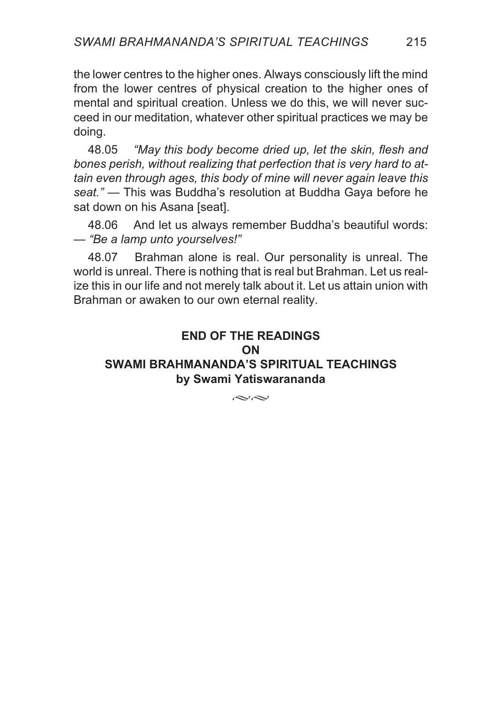the lower centres to the higher ones. Always consciously lift the mind from the lower centres of physical creation to the higher ones of mental and spiritual creation. Unless we do this, we will never succeed in our meditation, whatever other spiritual practices we may be doing.

48.05 *"May this body become dried up, let the skin, flesh and bones perish, without realizing that perfection that is very hard to attain even through ages, this body of mine will never again leave this seat."* — This was Buddha's resolution at Buddha Gaya before he sat down on his Asana [seat].

48.06 And let us always remember Buddha's beautiful words: — *"Be a lamp unto yourselves!"*

48.07 Brahman alone is real. Our personality is unreal. The world is unreal. There is nothing that is real but Brahman. Let us realize this in our life and not merely talk about it. Let us attain union with Brahman or awaken to our own eternal reality.

# **END OF THE READINGS ON SWAMI BRAHMANANDA'S SPIRITUAL TEACHINGS by Swami Yatiswarananda**

 $\approx$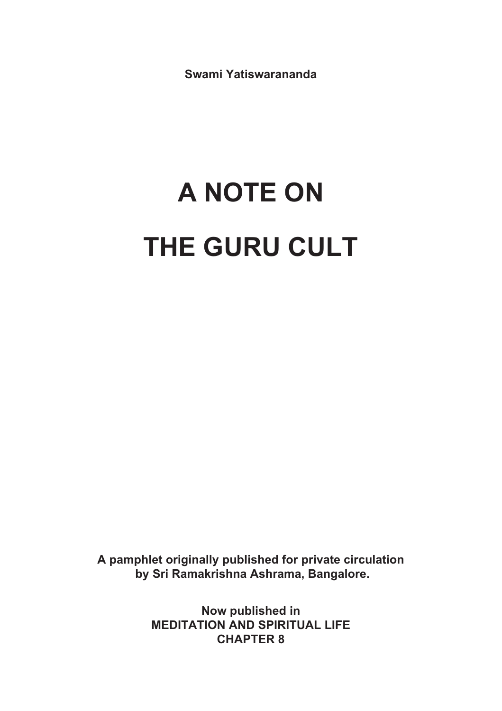**Swami Yatiswarananda**

## **A NOTE ON THE GURU CULT**

**A pamphlet originally published for private circulation by Sri Ramakrishna Ashrama, Bangalore.**

> **Now published in MEDITATION AND SPIRITUAL LIFE CHAPTER 8**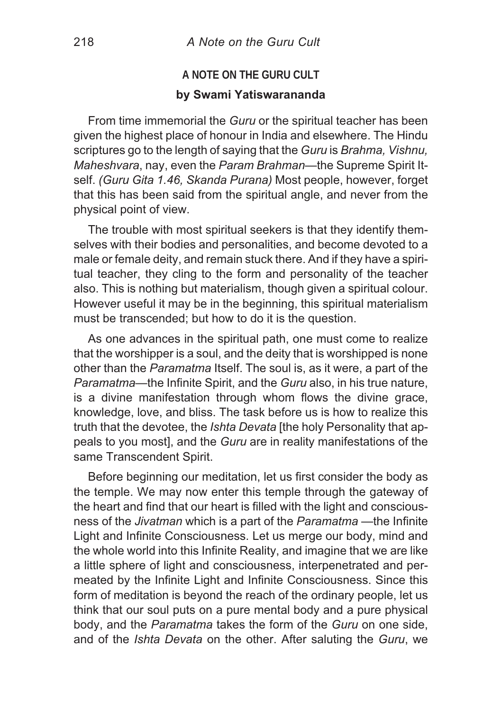## **A NOTE ON THE GURU CULT**

## **by Swami Yatiswarananda**

From time immemorial the *Guru* or the spiritual teacher has been given the highest place of honour in India and elsewhere. The Hindu scriptures go to the length of saying that the *Guru* is *Brahma, Vishnu, Maheshvara*, nay, even the *Param Brahman*—the Supreme Spirit Itself. *(Guru Gita 1.46, Skanda Purana)* Most people, however, forget that this has been said from the spiritual angle, and never from the physical point of view.

The trouble with most spiritual seekers is that they identify themselves with their bodies and personalities, and become devoted to a male or female deity, and remain stuck there. And if they have a spiritual teacher, they cling to the form and personality of the teacher also. This is nothing but materialism, though given a spiritual colour. However useful it may be in the beginning, this spiritual materialism must be transcended; but how to do it is the question.

As one advances in the spiritual path, one must come to realize that the worshipper is a soul, and the deity that is worshipped is none other than the *Paramatma* Itself. The soul is, as it were, a part of the *Paramatma*—the Infinite Spirit, and the *Guru* also, in his true nature, is a divine manifestation through whom flows the divine grace, knowledge, love, and bliss. The task before us is how to realize this truth that the devotee, the *Ishta Devata* [the holy Personality that appeals to you most], and the *Guru* are in reality manifestations of the same Transcendent Spirit.

Before beginning our meditation, let us first consider the body as the temple. We may now enter this temple through the gateway of the heart and find that our heart is filled with the light and consciousness of the *Jivatman* which is a part of the *Paramatma* —the Infinite Light and Infinite Consciousness. Let us merge our body, mind and the whole world into this Infinite Reality, and imagine that we are like a little sphere of light and consciousness, interpenetrated and permeated by the Infinite Light and Infinite Consciousness. Since this form of meditation is beyond the reach of the ordinary people, let us think that our soul puts on a pure mental body and a pure physical body, and the *Paramatma* takes the form of the *Guru* on one side, and of the *Ishta Devata* on the other. After saluting the *Guru*, we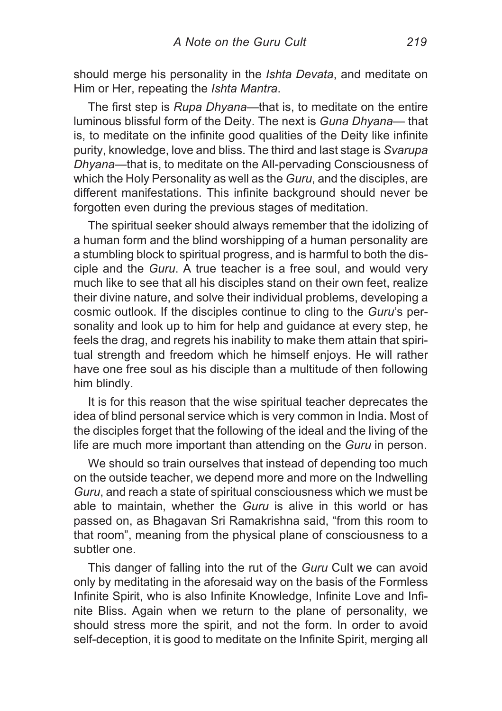should merge his personality in the *Ishta Devata*, and meditate on Him or Her, repeating the *Ishta Mantra*.

The first step is *Rupa Dhyana*—that is, to meditate on the entire luminous blissful form of the Deity. The next is *Guna Dhyana*— that is, to meditate on the infinite good qualities of the Deity like infinite purity, knowledge, love and bliss. The third and last stage is *Svarupa Dhyana*—that is, to meditate on the All-pervading Consciousness of which the Holy Personality as well as the *Guru*, and the disciples, are different manifestations. This infinite background should never be forgotten even during the previous stages of meditation.

The spiritual seeker should always remember that the idolizing of a human form and the blind worshipping of a human personality are a stumbling block to spiritual progress, and is harmful to both the disciple and the *Guru*. A true teacher is a free soul, and would very much like to see that all his disciples stand on their own feet, realize their divine nature, and solve their individual problems, developing a cosmic outlook. If the disciples continue to cling to the *Guru*'s personality and look up to him for help and guidance at every step, he feels the drag, and regrets his inability to make them attain that spiritual strength and freedom which he himself enjoys. He will rather have one free soul as his disciple than a multitude of then following him blindly.

It is for this reason that the wise spiritual teacher deprecates the idea of blind personal service which is very common in India. Most of the disciples forget that the following of the ideal and the living of the life are much more important than attending on the *Guru* in person.

We should so train ourselves that instead of depending too much on the outside teacher, we depend more and more on the Indwelling *Guru*, and reach a state of spiritual consciousness which we must be able to maintain, whether the *Guru* is alive in this world or has passed on, as Bhagavan Sri Ramakrishna said, "from this room to that room", meaning from the physical plane of consciousness to a subtler one.

This danger of falling into the rut of the *Guru* Cult we can avoid only by meditating in the aforesaid way on the basis of the Formless Infinite Spirit, who is also Infinite Knowledge, Infinite Love and Infinite Bliss. Again when we return to the plane of personality, we should stress more the spirit, and not the form. In order to avoid self-deception, it is good to meditate on the Infinite Spirit, merging all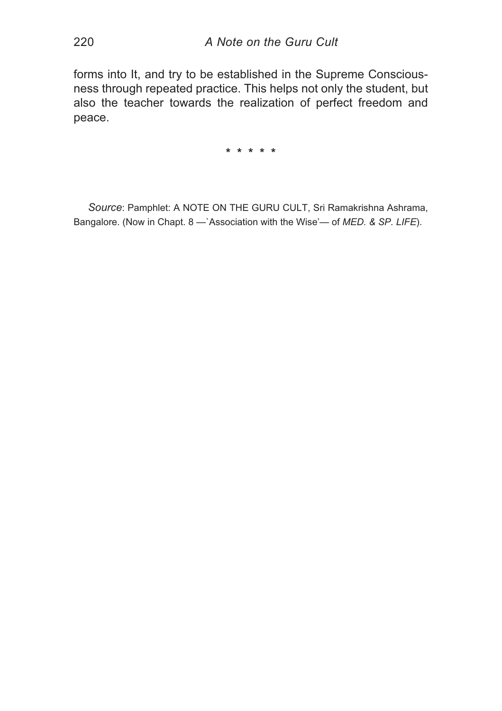forms into It, and try to be established in the Supreme Consciousness through repeated practice. This helps not only the student, but also the teacher towards the realization of perfect freedom and peace.

**\*\*\*\*\***

*Source*: Pamphlet: A NOTE ON THE GURU CULT, Sri Ramakrishna Ashrama, Bangalore. (Now in Chapt. 8 —`Association with the Wise'— of *MED. & SP. LIFE*).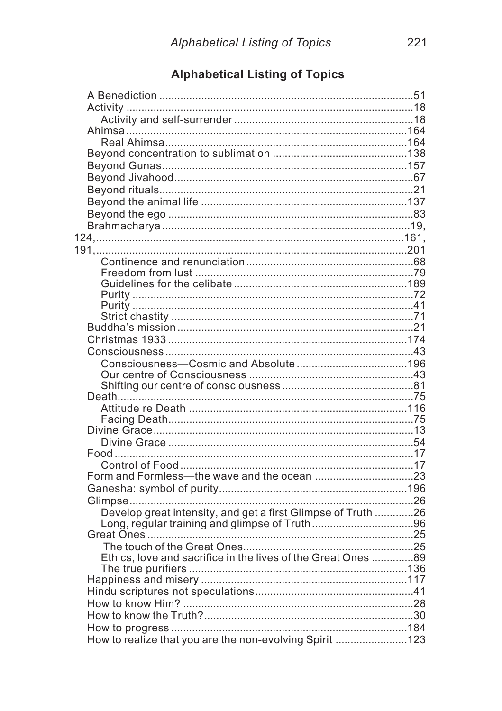## **Alphabetical Listing of Topics**

| Ethics, love and sacrifice in the lives of the Great Ones 89 |  |
|--------------------------------------------------------------|--|
|                                                              |  |
|                                                              |  |
|                                                              |  |
|                                                              |  |
|                                                              |  |
|                                                              |  |
| How to realize that you are the non-evolving Spirit 123      |  |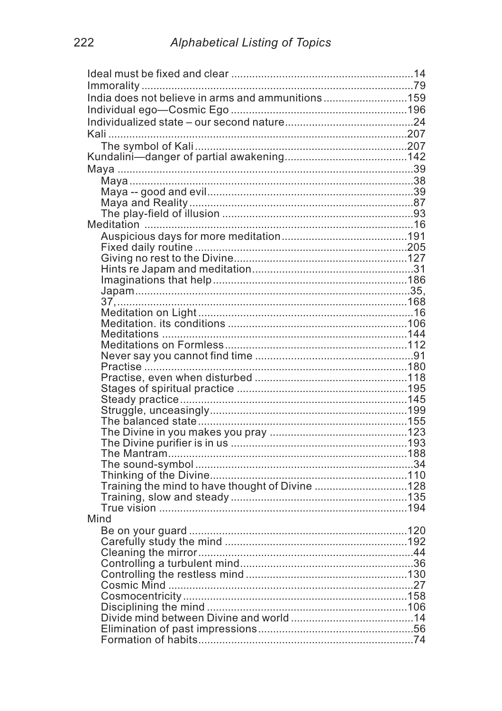| India does not believe in arms and ammunitions159 |  |
|---------------------------------------------------|--|
|                                                   |  |
|                                                   |  |
|                                                   |  |
|                                                   |  |
|                                                   |  |
|                                                   |  |
|                                                   |  |
|                                                   |  |
|                                                   |  |
|                                                   |  |
|                                                   |  |
|                                                   |  |
|                                                   |  |
|                                                   |  |
|                                                   |  |
|                                                   |  |
|                                                   |  |
|                                                   |  |
|                                                   |  |
|                                                   |  |
|                                                   |  |
|                                                   |  |
|                                                   |  |
|                                                   |  |
|                                                   |  |
|                                                   |  |
|                                                   |  |
|                                                   |  |
|                                                   |  |
|                                                   |  |
|                                                   |  |
|                                                   |  |
|                                                   |  |
|                                                   |  |
|                                                   |  |
|                                                   |  |
|                                                   |  |
| Mind                                              |  |
|                                                   |  |
|                                                   |  |
|                                                   |  |
|                                                   |  |
|                                                   |  |
|                                                   |  |
|                                                   |  |
|                                                   |  |
|                                                   |  |
|                                                   |  |
|                                                   |  |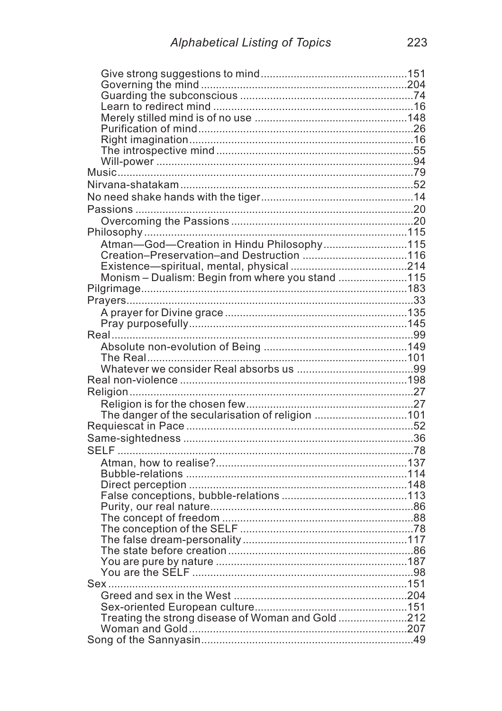| Atman-God-Creation in Hindu Philosophy115        |  |
|--------------------------------------------------|--|
|                                                  |  |
|                                                  |  |
|                                                  |  |
| Monism - Dualism: Begin from where you stand 115 |  |
|                                                  |  |
|                                                  |  |
|                                                  |  |
|                                                  |  |
|                                                  |  |
|                                                  |  |
|                                                  |  |
|                                                  |  |
|                                                  |  |
|                                                  |  |
|                                                  |  |
|                                                  |  |
| The danger of the secularisation of religion 101 |  |
|                                                  |  |
|                                                  |  |
|                                                  |  |
|                                                  |  |
|                                                  |  |
|                                                  |  |
|                                                  |  |
|                                                  |  |
|                                                  |  |
|                                                  |  |
|                                                  |  |
|                                                  |  |
|                                                  |  |
|                                                  |  |
|                                                  |  |
|                                                  |  |
|                                                  |  |
|                                                  |  |
|                                                  |  |
|                                                  |  |
|                                                  |  |
|                                                  |  |
|                                                  |  |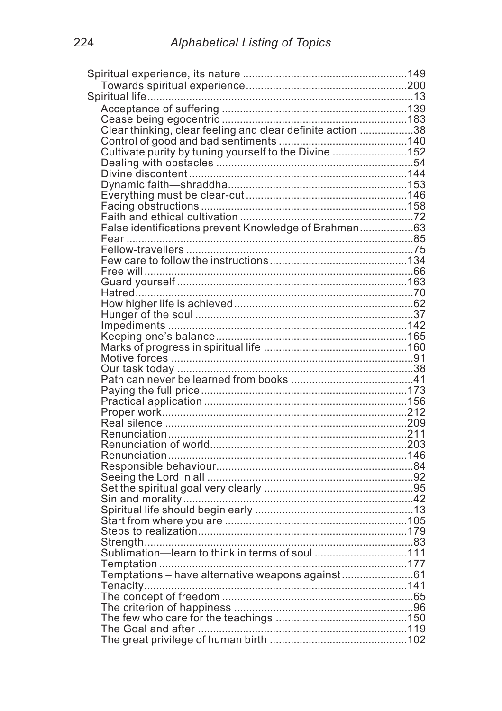| False identifications prevent Knowledge of Brahman63 |  |
|------------------------------------------------------|--|
|                                                      |  |
|                                                      |  |
|                                                      |  |
|                                                      |  |
|                                                      |  |
|                                                      |  |
|                                                      |  |
|                                                      |  |
|                                                      |  |
|                                                      |  |
|                                                      |  |
|                                                      |  |
|                                                      |  |
|                                                      |  |
|                                                      |  |
|                                                      |  |
|                                                      |  |
|                                                      |  |
|                                                      |  |
|                                                      |  |
|                                                      |  |
|                                                      |  |
|                                                      |  |
|                                                      |  |
|                                                      |  |
|                                                      |  |
|                                                      |  |
|                                                      |  |
|                                                      |  |
|                                                      |  |
|                                                      |  |
|                                                      |  |
|                                                      |  |
|                                                      |  |
|                                                      |  |
|                                                      |  |
|                                                      |  |